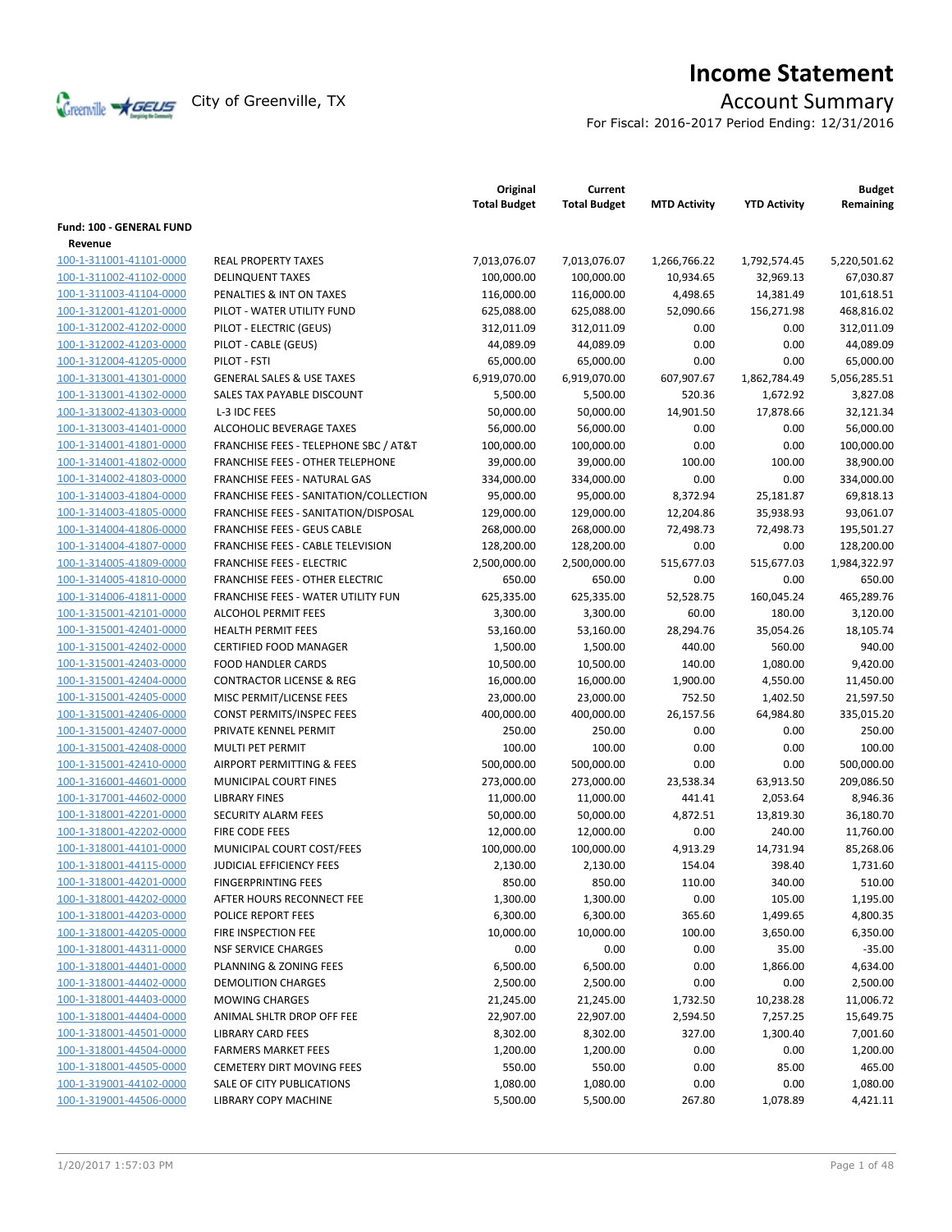

# **Income Statement**

For Fiscal: 2016-2017 Period Ending: 12/31/2016

|                                 |                                                  | Original<br><b>Total Budget</b> | Current<br><b>Total Budget</b> | <b>MTD Activity</b> | <b>YTD Activity</b> | <b>Budget</b><br>Remaining |
|---------------------------------|--------------------------------------------------|---------------------------------|--------------------------------|---------------------|---------------------|----------------------------|
| <b>Fund: 100 - GENERAL FUND</b> |                                                  |                                 |                                |                     |                     |                            |
| Revenue                         |                                                  |                                 |                                |                     |                     |                            |
| 100-1-311001-41101-0000         | <b>REAL PROPERTY TAXES</b>                       | 7,013,076.07                    | 7,013,076.07                   | 1,266,766.22        | 1,792,574.45        | 5,220,501.62               |
| 100-1-311002-41102-0000         | <b>DELINQUENT TAXES</b>                          | 100,000.00                      | 100,000.00                     | 10,934.65           | 32,969.13           | 67,030.87                  |
| 100-1-311003-41104-0000         | PENALTIES & INT ON TAXES                         | 116,000.00                      | 116,000.00                     | 4,498.65            | 14,381.49           | 101,618.51                 |
| 100-1-312001-41201-0000         | PILOT - WATER UTILITY FUND                       | 625,088.00                      | 625,088.00                     | 52,090.66           | 156,271.98          | 468,816.02                 |
| 100-1-312002-41202-0000         | PILOT - ELECTRIC (GEUS)                          | 312,011.09                      | 312,011.09                     | 0.00                | 0.00                | 312,011.09                 |
| 100-1-312002-41203-0000         | PILOT - CABLE (GEUS)                             | 44,089.09                       | 44,089.09                      | 0.00                | 0.00                | 44,089.09                  |
| 100-1-312004-41205-0000         | PILOT - FSTI                                     | 65,000.00                       | 65,000.00                      | 0.00                | 0.00                | 65,000.00                  |
| 100-1-313001-41301-0000         | <b>GENERAL SALES &amp; USE TAXES</b>             | 6,919,070.00                    | 6,919,070.00                   | 607,907.67          | 1,862,784.49        | 5,056,285.51               |
| 100-1-313001-41302-0000         | SALES TAX PAYABLE DISCOUNT                       | 5,500.00                        | 5,500.00                       | 520.36              | 1,672.92            | 3,827.08                   |
| 100-1-313002-41303-0000         | L-3 IDC FEES                                     | 50,000.00                       | 50,000.00                      | 14,901.50           | 17,878.66           | 32,121.34                  |
| 100-1-313003-41401-0000         | ALCOHOLIC BEVERAGE TAXES                         | 56,000.00                       | 56,000.00                      | 0.00                | 0.00                | 56,000.00                  |
| 100-1-314001-41801-0000         | <b>FRANCHISE FEES - TELEPHONE SBC / AT&amp;T</b> | 100,000.00                      | 100,000.00                     | 0.00                | 0.00                | 100,000.00                 |
| 100-1-314001-41802-0000         | <b>FRANCHISE FEES - OTHER TELEPHONE</b>          | 39,000.00                       | 39,000.00                      | 100.00              | 100.00              | 38,900.00                  |
| 100-1-314002-41803-0000         | FRANCHISE FEES - NATURAL GAS                     | 334,000.00                      | 334,000.00                     | 0.00                | 0.00                | 334,000.00                 |
| 100-1-314003-41804-0000         | FRANCHISE FEES - SANITATION/COLLECTION           | 95,000.00                       | 95,000.00                      | 8,372.94            | 25,181.87           | 69,818.13                  |
| 100-1-314003-41805-0000         | FRANCHISE FEES - SANITATION/DISPOSAL             | 129,000.00                      | 129,000.00                     | 12,204.86           | 35,938.93           | 93,061.07                  |
| 100-1-314004-41806-0000         | <b>FRANCHISE FEES - GEUS CABLE</b>               | 268,000.00                      | 268,000.00                     | 72,498.73           | 72,498.73           | 195,501.27                 |
| 100-1-314004-41807-0000         | FRANCHISE FEES - CABLE TELEVISION                | 128,200.00                      | 128,200.00                     | 0.00                | 0.00                | 128,200.00                 |
| 100-1-314005-41809-0000         | <b>FRANCHISE FEES - ELECTRIC</b>                 | 2,500,000.00                    | 2,500,000.00                   | 515,677.03          | 515,677.03          | 1,984,322.97               |
| 100-1-314005-41810-0000         | <b>FRANCHISE FEES - OTHER ELECTRIC</b>           | 650.00                          | 650.00                         | 0.00                | 0.00                | 650.00                     |
| 100-1-314006-41811-0000         | FRANCHISE FEES - WATER UTILITY FUN               | 625,335.00                      | 625,335.00                     | 52,528.75           | 160,045.24          | 465,289.76                 |
| 100-1-315001-42101-0000         | <b>ALCOHOL PERMIT FEES</b>                       | 3,300.00                        | 3,300.00                       | 60.00               | 180.00              | 3,120.00                   |
| 100-1-315001-42401-0000         | <b>HEALTH PERMIT FEES</b>                        | 53,160.00                       | 53,160.00                      | 28,294.76           | 35,054.26           | 18,105.74                  |
| 100-1-315001-42402-0000         | <b>CERTIFIED FOOD MANAGER</b>                    | 1,500.00                        | 1,500.00                       | 440.00              | 560.00              | 940.00                     |
| 100-1-315001-42403-0000         | <b>FOOD HANDLER CARDS</b>                        | 10,500.00                       | 10,500.00                      | 140.00              | 1,080.00            | 9,420.00                   |
| 100-1-315001-42404-0000         | <b>CONTRACTOR LICENSE &amp; REG</b>              | 16,000.00                       | 16,000.00                      | 1,900.00            | 4,550.00            | 11,450.00                  |
| 100-1-315001-42405-0000         | MISC PERMIT/LICENSE FEES                         | 23,000.00                       | 23,000.00                      | 752.50              | 1,402.50            | 21,597.50                  |
| 100-1-315001-42406-0000         | CONST PERMITS/INSPEC FEES                        | 400,000.00                      | 400,000.00                     | 26,157.56           | 64,984.80           | 335,015.20                 |
| 100-1-315001-42407-0000         | PRIVATE KENNEL PERMIT                            | 250.00                          | 250.00                         | 0.00                | 0.00                | 250.00                     |
| 100-1-315001-42408-0000         | MULTI PET PERMIT                                 | 100.00                          | 100.00                         | 0.00                | 0.00                | 100.00                     |
| 100-1-315001-42410-0000         | AIRPORT PERMITTING & FEES                        | 500,000.00                      | 500,000.00                     | 0.00                | 0.00                | 500,000.00                 |
| 100-1-316001-44601-0000         | MUNICIPAL COURT FINES                            | 273,000.00                      | 273,000.00                     | 23,538.34           | 63,913.50           | 209,086.50                 |
| 100-1-317001-44602-0000         | <b>LIBRARY FINES</b>                             | 11,000.00                       | 11,000.00                      | 441.41              | 2,053.64            | 8,946.36                   |
| 100-1-318001-42201-0000         | <b>SECURITY ALARM FEES</b>                       | 50,000.00                       | 50,000.00                      | 4,872.51            | 13,819.30           | 36,180.70                  |
| 100-1-318001-42202-0000         | FIRE CODE FEES                                   | 12,000.00                       | 12,000.00                      | 0.00                | 240.00              | 11,760.00                  |
| 100-1-318001-44101-0000         | MUNICIPAL COURT COST/FEES                        | 100,000.00                      | 100,000.00                     | 4,913.29            | 14,731.94           | 85,268.06                  |
| 100-1-318001-44115-0000         | <b>JUDICIAL EFFICIENCY FEES</b>                  | 2,130.00                        | 2,130.00                       | 154.04              | 398.40              | 1,731.60                   |
| 100-1-318001-44201-0000         | <b>FINGERPRINTING FEES</b>                       | 850.00                          | 850.00                         | 110.00              | 340.00              | 510.00                     |
| 100-1-318001-44202-0000         | AFTER HOURS RECONNECT FEE                        | 1,300.00                        | 1,300.00                       | 0.00                | 105.00              | 1,195.00                   |
| 100-1-318001-44203-0000         | POLICE REPORT FEES                               | 6,300.00                        | 6,300.00                       | 365.60              | 1,499.65            | 4,800.35                   |
| 100-1-318001-44205-0000         | FIRE INSPECTION FEE                              | 10,000.00                       | 10,000.00                      | 100.00              | 3,650.00            | 6,350.00                   |
| 100-1-318001-44311-0000         | <b>NSF SERVICE CHARGES</b>                       | 0.00                            | 0.00                           | 0.00                | 35.00               | $-35.00$                   |
| 100-1-318001-44401-0000         | PLANNING & ZONING FEES                           | 6,500.00                        | 6,500.00                       | 0.00                | 1,866.00            | 4,634.00                   |
| 100-1-318001-44402-0000         | DEMOLITION CHARGES                               | 2,500.00                        | 2,500.00                       | 0.00                | 0.00                | 2,500.00                   |
| 100-1-318001-44403-0000         | <b>MOWING CHARGES</b>                            | 21,245.00                       | 21,245.00                      | 1,732.50            | 10,238.28           | 11,006.72                  |
| 100-1-318001-44404-0000         | ANIMAL SHLTR DROP OFF FEE                        | 22,907.00                       | 22,907.00                      | 2,594.50            | 7,257.25            | 15,649.75                  |
| 100-1-318001-44501-0000         | LIBRARY CARD FEES                                | 8,302.00                        | 8,302.00                       | 327.00              | 1,300.40            | 7,001.60                   |
| 100-1-318001-44504-0000         | <b>FARMERS MARKET FEES</b>                       | 1,200.00                        | 1,200.00                       | 0.00                | 0.00                | 1,200.00                   |
| 100-1-318001-44505-0000         | <b>CEMETERY DIRT MOVING FEES</b>                 | 550.00                          | 550.00                         | 0.00                | 85.00               | 465.00                     |
| 100-1-319001-44102-0000         | SALE OF CITY PUBLICATIONS                        | 1,080.00                        | 1,080.00                       | 0.00                | 0.00                | 1,080.00                   |
| 100-1-319001-44506-0000         | <b>LIBRARY COPY MACHINE</b>                      | 5,500.00                        | 5,500.00                       | 267.80              | 1,078.89            | 4,421.11                   |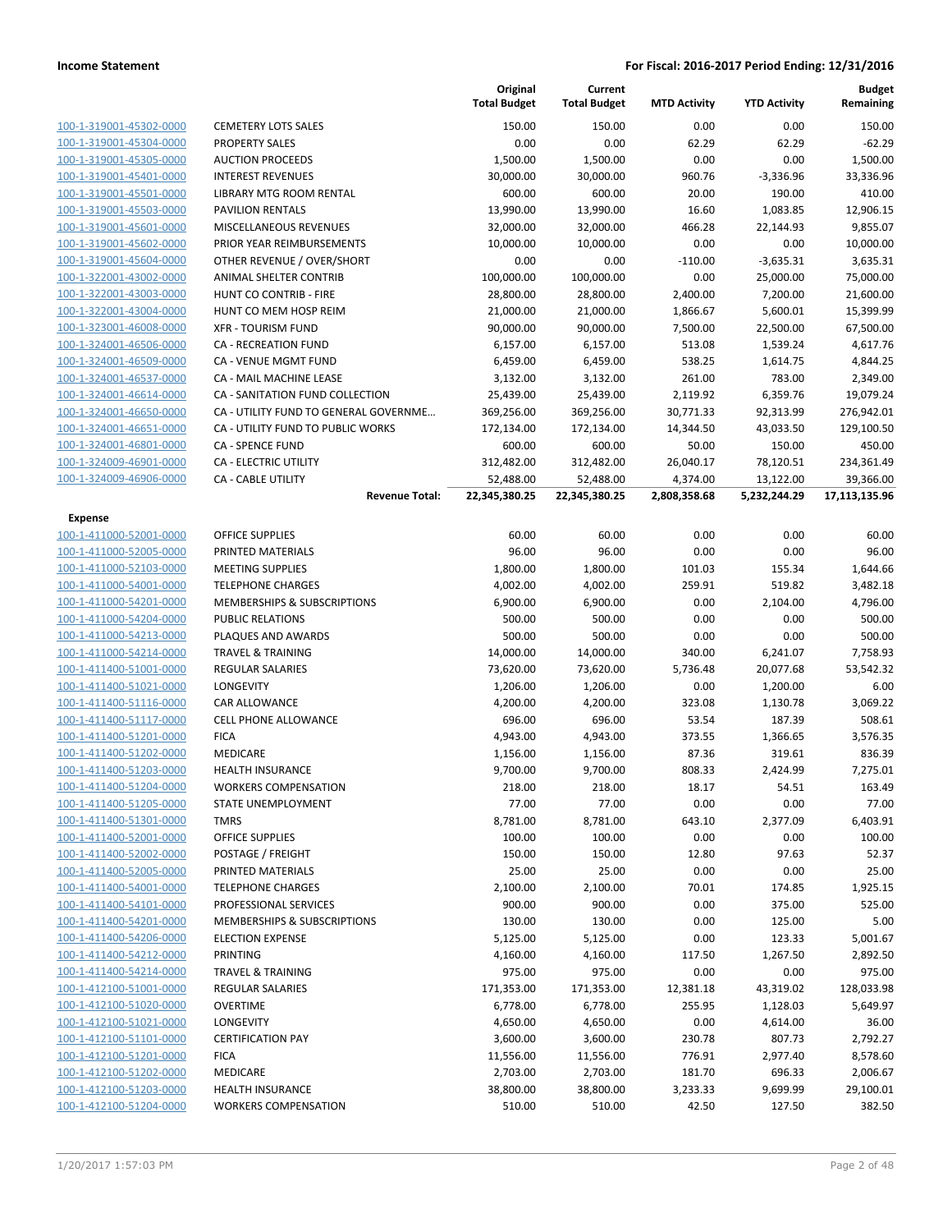|                         |                                                    | Original<br><b>Total Budget</b> | Current<br><b>Total Budget</b> | <b>MTD Activity</b>      | <b>YTD Activity</b>       | <b>Budget</b><br>Remaining |
|-------------------------|----------------------------------------------------|---------------------------------|--------------------------------|--------------------------|---------------------------|----------------------------|
| 100-1-319001-45302-0000 | <b>CEMETERY LOTS SALES</b>                         | 150.00                          | 150.00                         | 0.00                     | 0.00                      | 150.00                     |
| 100-1-319001-45304-0000 | <b>PROPERTY SALES</b>                              | 0.00                            | 0.00                           | 62.29                    | 62.29                     | $-62.29$                   |
| 100-1-319001-45305-0000 | <b>AUCTION PROCEEDS</b>                            | 1,500.00                        | 1,500.00                       | 0.00                     | 0.00                      | 1,500.00                   |
| 100-1-319001-45401-0000 | <b>INTEREST REVENUES</b>                           | 30,000.00                       | 30,000.00                      | 960.76                   | $-3,336.96$               | 33,336.96                  |
| 100-1-319001-45501-0000 | LIBRARY MTG ROOM RENTAL                            | 600.00                          | 600.00                         | 20.00                    | 190.00                    | 410.00                     |
| 100-1-319001-45503-0000 | <b>PAVILION RENTALS</b>                            | 13,990.00                       | 13,990.00                      | 16.60                    | 1,083.85                  | 12,906.15                  |
| 100-1-319001-45601-0000 | MISCELLANEOUS REVENUES                             | 32,000.00                       | 32,000.00                      | 466.28                   | 22,144.93                 | 9,855.07                   |
| 100-1-319001-45602-0000 | PRIOR YEAR REIMBURSEMENTS                          | 10,000.00                       | 10,000.00                      | 0.00                     | 0.00                      | 10,000.00                  |
| 100-1-319001-45604-0000 | OTHER REVENUE / OVER/SHORT                         | 0.00                            | 0.00                           | $-110.00$                | $-3,635.31$               | 3,635.31                   |
| 100-1-322001-43002-0000 | <b>ANIMAL SHELTER CONTRIB</b>                      | 100,000.00                      | 100,000.00                     | 0.00                     | 25,000.00                 | 75,000.00                  |
| 100-1-322001-43003-0000 | HUNT CO CONTRIB - FIRE                             | 28,800.00                       | 28,800.00                      | 2,400.00                 | 7,200.00                  | 21,600.00                  |
| 100-1-322001-43004-0000 | HUNT CO MEM HOSP REIM                              | 21,000.00                       | 21,000.00                      | 1,866.67                 | 5,600.01                  | 15,399.99                  |
| 100-1-323001-46008-0000 | <b>XFR - TOURISM FUND</b>                          | 90,000.00                       | 90,000.00                      | 7,500.00                 | 22,500.00                 | 67,500.00                  |
| 100-1-324001-46506-0000 | CA - RECREATION FUND                               | 6,157.00                        | 6,157.00                       | 513.08                   | 1,539.24                  | 4,617.76                   |
| 100-1-324001-46509-0000 | CA - VENUE MGMT FUND                               | 6,459.00                        | 6,459.00                       | 538.25                   | 1,614.75                  | 4,844.25                   |
| 100-1-324001-46537-0000 | CA - MAIL MACHINE LEASE                            | 3,132.00                        | 3,132.00                       | 261.00                   | 783.00                    | 2,349.00                   |
| 100-1-324001-46614-0000 | CA - SANITATION FUND COLLECTION                    | 25,439.00                       | 25,439.00                      | 2,119.92                 | 6,359.76                  | 19,079.24                  |
| 100-1-324001-46650-0000 | CA - UTILITY FUND TO GENERAL GOVERNME              | 369,256.00                      | 369,256.00                     | 30,771.33                | 92,313.99                 | 276,942.01                 |
| 100-1-324001-46651-0000 | CA - UTILITY FUND TO PUBLIC WORKS                  | 172,134.00                      | 172,134.00                     | 14,344.50                | 43,033.50                 | 129,100.50                 |
| 100-1-324001-46801-0000 | <b>CA - SPENCE FUND</b>                            | 600.00                          | 600.00                         | 50.00                    | 150.00                    | 450.00                     |
| 100-1-324009-46901-0000 | CA - ELECTRIC UTILITY                              | 312,482.00                      | 312,482.00                     | 26,040.17                | 78,120.51                 | 234,361.49                 |
| 100-1-324009-46906-0000 | <b>CA - CABLE UTILITY</b><br><b>Revenue Total:</b> | 52,488.00<br>22,345,380.25      | 52,488.00<br>22,345,380.25     | 4,374.00<br>2,808,358.68 | 13,122.00<br>5,232,244.29 | 39,366.00<br>17,113,135.96 |
| Expense                 |                                                    |                                 |                                |                          |                           |                            |
| 100-1-411000-52001-0000 | <b>OFFICE SUPPLIES</b>                             | 60.00                           | 60.00                          | 0.00                     | 0.00                      | 60.00                      |
| 100-1-411000-52005-0000 | PRINTED MATERIALS                                  | 96.00                           | 96.00                          | 0.00                     | 0.00                      | 96.00                      |
| 100-1-411000-52103-0000 | <b>MEETING SUPPLIES</b>                            | 1,800.00                        | 1,800.00                       | 101.03                   | 155.34                    | 1,644.66                   |
| 100-1-411000-54001-0000 | <b>TELEPHONE CHARGES</b>                           | 4,002.00                        | 4,002.00                       | 259.91                   | 519.82                    | 3,482.18                   |
| 100-1-411000-54201-0000 | <b>MEMBERSHIPS &amp; SUBSCRIPTIONS</b>             | 6,900.00                        | 6,900.00                       | 0.00                     | 2,104.00                  | 4,796.00                   |
| 100-1-411000-54204-0000 | <b>PUBLIC RELATIONS</b>                            | 500.00                          | 500.00                         | 0.00                     | 0.00                      | 500.00                     |
| 100-1-411000-54213-0000 | PLAQUES AND AWARDS                                 | 500.00                          | 500.00                         | 0.00                     | 0.00                      | 500.00                     |
| 100-1-411000-54214-0000 | <b>TRAVEL &amp; TRAINING</b>                       | 14,000.00                       | 14,000.00                      | 340.00                   | 6,241.07                  | 7,758.93                   |
| 100-1-411400-51001-0000 | <b>REGULAR SALARIES</b>                            | 73,620.00                       | 73,620.00                      | 5,736.48                 | 20,077.68                 | 53,542.32                  |
| 100-1-411400-51021-0000 | <b>LONGEVITY</b>                                   | 1,206.00                        | 1,206.00                       | 0.00                     | 1,200.00                  | 6.00                       |
| 100-1-411400-51116-0000 | <b>CAR ALLOWANCE</b>                               | 4,200.00                        | 4,200.00                       | 323.08                   | 1,130.78                  | 3,069.22                   |
| 100-1-411400-51117-0000 | <b>CELL PHONE ALLOWANCE</b>                        | 696.00                          | 696.00                         | 53.54                    | 187.39                    | 508.61                     |
| 100-1-411400-51201-0000 | <b>FICA</b>                                        | 4,943.00                        | 4,943.00                       | 373.55                   | 1,366.65                  | 3,576.35                   |
| 100-1-411400-51202-0000 | <b>MEDICARE</b>                                    | 1,156.00                        | 1,156.00                       | 87.36                    | 319.61                    | 836.39                     |
| 100-1-411400-51203-0000 | HEALTH INSURANCE                                   | 9,700.00                        | 9,700.00                       | 808.33                   | 2,424.99                  | 7,275.01                   |
| 100-1-411400-51204-0000 | <b>WORKERS COMPENSATION</b>                        | 218.00                          | 218.00                         | 18.17                    | 54.51                     | 163.49                     |
| 100-1-411400-51205-0000 | STATE UNEMPLOYMENT                                 | 77.00                           | 77.00                          | 0.00                     | 0.00                      | 77.00                      |
| 100-1-411400-51301-0000 | <b>TMRS</b>                                        | 8,781.00                        | 8,781.00                       | 643.10                   | 2,377.09                  | 6,403.91                   |
| 100-1-411400-52001-0000 | OFFICE SUPPLIES                                    | 100.00                          | 100.00                         | 0.00                     | 0.00                      | 100.00                     |
| 100-1-411400-52002-0000 | POSTAGE / FREIGHT                                  | 150.00                          | 150.00                         | 12.80                    | 97.63                     | 52.37                      |
| 100-1-411400-52005-0000 | PRINTED MATERIALS                                  | 25.00                           | 25.00                          | 0.00                     | 0.00                      | 25.00                      |
| 100-1-411400-54001-0000 | <b>TELEPHONE CHARGES</b>                           | 2,100.00                        | 2,100.00                       | 70.01                    | 174.85                    | 1,925.15                   |
| 100-1-411400-54101-0000 | PROFESSIONAL SERVICES                              | 900.00                          | 900.00                         | 0.00                     | 375.00                    | 525.00                     |
| 100-1-411400-54201-0000 | MEMBERSHIPS & SUBSCRIPTIONS                        | 130.00                          | 130.00                         | 0.00                     | 125.00                    | 5.00                       |
| 100-1-411400-54206-0000 | <b>ELECTION EXPENSE</b>                            | 5,125.00                        | 5,125.00                       | 0.00                     | 123.33                    | 5,001.67                   |
| 100-1-411400-54212-0000 | <b>PRINTING</b>                                    | 4,160.00                        | 4,160.00                       | 117.50                   | 1,267.50                  | 2,892.50                   |
| 100-1-411400-54214-0000 | <b>TRAVEL &amp; TRAINING</b>                       | 975.00                          | 975.00                         | 0.00                     | 0.00                      | 975.00                     |
| 100-1-412100-51001-0000 | REGULAR SALARIES                                   | 171,353.00                      | 171,353.00                     | 12,381.18                | 43,319.02                 | 128,033.98                 |
| 100-1-412100-51020-0000 | <b>OVERTIME</b>                                    | 6,778.00                        | 6,778.00                       | 255.95                   | 1,128.03                  | 5,649.97                   |
| 100-1-412100-51021-0000 | LONGEVITY                                          | 4,650.00                        | 4,650.00                       | 0.00                     | 4,614.00                  | 36.00                      |
| 100-1-412100-51101-0000 | <b>CERTIFICATION PAY</b>                           | 3,600.00                        | 3,600.00                       | 230.78                   | 807.73                    | 2,792.27                   |
| 100-1-412100-51201-0000 | <b>FICA</b>                                        | 11,556.00                       | 11,556.00                      | 776.91                   | 2,977.40                  | 8,578.60                   |
| 100-1-412100-51202-0000 | MEDICARE                                           | 2,703.00                        | 2,703.00                       | 181.70                   | 696.33                    | 2,006.67                   |
| 100-1-412100-51203-0000 | <b>HEALTH INSURANCE</b>                            | 38,800.00                       | 38,800.00                      | 3,233.33                 | 9,699.99                  | 29,100.01                  |
| 100-1-412100-51204-0000 | <b>WORKERS COMPENSATION</b>                        | 510.00                          | 510.00                         | 42.50                    | 127.50                    | 382.50                     |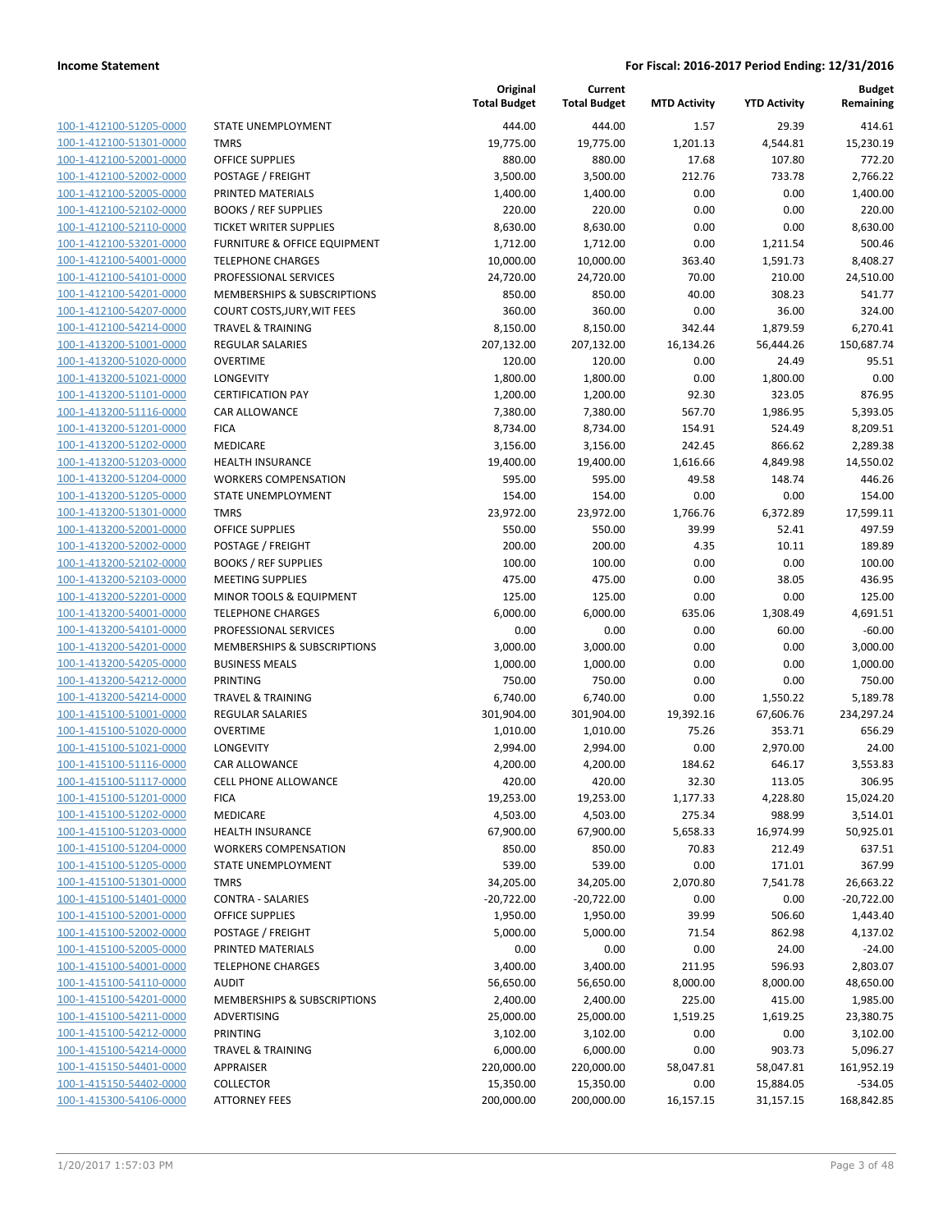| 100-1-412100-51205-0000        |
|--------------------------------|
| 100-1-412100-51301-0000        |
| 100-1-412100-52001-0000        |
| <u>100-1-412100-52002-0000</u> |
| 100-1-412100-52005-0000        |
| 100-1-412100-52102-0000        |
| 100-1-412100-52110-0000        |
| 100-1-412100-53201-0000        |
| <u>100-1-412100-54001-0000</u> |
| 100-1-412100-54101-0000        |
| 100-1-412100-54201-0000        |
| 100-1-412100-54207-0000        |
| 100-1-412100-54214-0000        |
| <u>100-1-413200-51001-0000</u> |
| 100-1-413200-51020-0000        |
|                                |
| 100-1-413200-51021-0000        |
| 100-1-413200-51101-0000        |
| 100-1-413200-51116-0000        |
| <u>100-1-413200-51201-0000</u> |
| 100-1-413200-51202-0000        |
| 100-1-413200-51203-0000        |
| 100-1-413200-51204-0000        |
| 100-1-413200-51205-0000        |
| <u>100-1-413200-51301-0000</u> |
| 100-1-413200-52001-0000        |
| 100-1-413200-52002-0000        |
| 100-1-413200-52102-0000        |
| 100-1-413200-52103-0000        |
| <u>100-1-413200-52201-0000</u> |
| 100-1-413200-54001-0000        |
| 100-1-413200-54101-0000        |
| 100-1-413200-54201-0000        |
| 100-1-413200-54205-0000        |
| <u>100-1-413200-54212-0000</u> |
|                                |
| 100-1-413200-54214-0000        |
| 100-1-415100-51001-0000        |
| 100-1-415100-51020-0000        |
| 100-1-415100-51021-0000        |
| 100-1-415100-51116-0000        |
| 100-1-415100-51117-0000        |
| 100-1-415100-51201-0000        |
| <u>100-1-415100-51202-0000</u> |
| 100-1-415100-51203-0000        |
| 100-1-415100-51204-0000        |
| <u>100-1-415100-51205-0000</u> |
| 100-1-415100-51301-0000        |
| 100-1-415100-51401-0000        |
| 100-1-415100-52001-0000        |
| 100-1-415100-52002-0000        |
| <u>100-1-415100-52005-0000</u> |
| 100-1-415100-54001-0000        |
|                                |
| 100-1-415100-54110-0000        |
| 100-1-415100-54201-0000        |
| 100-1-415100-54211-0000        |
| <u>100-1-415100-54212-0000</u> |
| 100-1-415100-54214-0000        |
| 100-1-415150-54401-0000        |
| 100-1-415150-54402-0000        |
| 100-1-415300-54106-0000        |
|                                |

|                                                    |                                                   | Original<br><b>Total Budget</b> | Current<br><b>Total Budget</b> | <b>MTD Activity</b> | <b>YTD Activity</b> | <b>Budget</b><br>Remaining |
|----------------------------------------------------|---------------------------------------------------|---------------------------------|--------------------------------|---------------------|---------------------|----------------------------|
| 100-1-412100-51205-0000                            | STATE UNEMPLOYMENT                                | 444.00                          | 444.00                         | 1.57                | 29.39               | 414.61                     |
| 100-1-412100-51301-0000                            | <b>TMRS</b>                                       | 19,775.00                       | 19,775.00                      | 1,201.13            | 4,544.81            | 15,230.19                  |
| 100-1-412100-52001-0000                            | OFFICE SUPPLIES                                   | 880.00                          | 880.00                         | 17.68               | 107.80              | 772.20                     |
| 100-1-412100-52002-0000                            | POSTAGE / FREIGHT                                 | 3,500.00                        | 3,500.00                       | 212.76              | 733.78              | 2,766.22                   |
| 100-1-412100-52005-0000                            | PRINTED MATERIALS                                 | 1,400.00                        | 1,400.00                       | 0.00                | 0.00                | 1,400.00                   |
| 100-1-412100-52102-0000                            | <b>BOOKS / REF SUPPLIES</b>                       | 220.00                          | 220.00                         | 0.00                | 0.00                | 220.00                     |
| 100-1-412100-52110-0000                            | TICKET WRITER SUPPLIES                            | 8,630.00                        | 8,630.00                       | 0.00                | 0.00                | 8,630.00                   |
| 100-1-412100-53201-0000                            | FURNITURE & OFFICE EQUIPMENT                      | 1,712.00                        | 1,712.00                       | 0.00                | 1,211.54            | 500.46                     |
| 100-1-412100-54001-0000                            | <b>TELEPHONE CHARGES</b>                          | 10,000.00                       | 10,000.00                      | 363.40              | 1,591.73            | 8,408.27                   |
| 100-1-412100-54101-0000                            | PROFESSIONAL SERVICES                             | 24,720.00                       | 24,720.00                      | 70.00               | 210.00              | 24,510.00                  |
| 100-1-412100-54201-0000                            | MEMBERSHIPS & SUBSCRIPTIONS                       | 850.00                          | 850.00                         | 40.00               | 308.23              | 541.77                     |
| 100-1-412100-54207-0000                            | COURT COSTS, JURY, WIT FEES                       | 360.00                          | 360.00                         | 0.00                | 36.00               | 324.00                     |
| 100-1-412100-54214-0000                            | <b>TRAVEL &amp; TRAINING</b>                      | 8,150.00                        | 8,150.00                       | 342.44              | 1,879.59            | 6,270.41                   |
| 100-1-413200-51001-0000                            | <b>REGULAR SALARIES</b>                           | 207,132.00                      | 207,132.00                     | 16,134.26           | 56,444.26           | 150,687.74                 |
| 100-1-413200-51020-0000                            | <b>OVERTIME</b>                                   | 120.00                          | 120.00                         | 0.00                | 24.49               | 95.51                      |
| 100-1-413200-51021-0000                            | <b>LONGEVITY</b><br><b>CERTIFICATION PAY</b>      | 1,800.00                        | 1,800.00                       | 0.00                | 1,800.00            | 0.00<br>876.95             |
| 100-1-413200-51101-0000<br>100-1-413200-51116-0000 | CAR ALLOWANCE                                     | 1,200.00<br>7,380.00            | 1,200.00<br>7,380.00           | 92.30<br>567.70     | 323.05<br>1,986.95  | 5,393.05                   |
| 100-1-413200-51201-0000                            | <b>FICA</b>                                       | 8,734.00                        | 8,734.00                       | 154.91              | 524.49              | 8,209.51                   |
| 100-1-413200-51202-0000                            | MEDICARE                                          | 3,156.00                        | 3,156.00                       | 242.45              | 866.62              | 2,289.38                   |
| 100-1-413200-51203-0000                            | <b>HEALTH INSURANCE</b>                           | 19,400.00                       | 19,400.00                      | 1,616.66            | 4,849.98            | 14,550.02                  |
| 100-1-413200-51204-0000                            | <b>WORKERS COMPENSATION</b>                       | 595.00                          | 595.00                         | 49.58               | 148.74              | 446.26                     |
| 100-1-413200-51205-0000                            | STATE UNEMPLOYMENT                                | 154.00                          | 154.00                         | 0.00                | 0.00                | 154.00                     |
| 100-1-413200-51301-0000                            | <b>TMRS</b>                                       | 23,972.00                       | 23,972.00                      | 1,766.76            | 6,372.89            | 17,599.11                  |
| 100-1-413200-52001-0000                            | <b>OFFICE SUPPLIES</b>                            | 550.00                          | 550.00                         | 39.99               | 52.41               | 497.59                     |
| 100-1-413200-52002-0000                            | POSTAGE / FREIGHT                                 | 200.00                          | 200.00                         | 4.35                | 10.11               | 189.89                     |
| 100-1-413200-52102-0000                            | <b>BOOKS / REF SUPPLIES</b>                       | 100.00                          | 100.00                         | 0.00                | 0.00                | 100.00                     |
| 100-1-413200-52103-0000                            | <b>MEETING SUPPLIES</b>                           | 475.00                          | 475.00                         | 0.00                | 38.05               | 436.95                     |
| 100-1-413200-52201-0000                            | MINOR TOOLS & EQUIPMENT                           | 125.00                          | 125.00                         | 0.00                | 0.00                | 125.00                     |
| 100-1-413200-54001-0000                            | <b>TELEPHONE CHARGES</b>                          | 6,000.00                        | 6,000.00                       | 635.06              | 1,308.49            | 4,691.51                   |
| 100-1-413200-54101-0000                            | PROFESSIONAL SERVICES                             | 0.00                            | 0.00                           | 0.00                | 60.00               | $-60.00$                   |
| 100-1-413200-54201-0000                            | MEMBERSHIPS & SUBSCRIPTIONS                       | 3,000.00                        | 3,000.00                       | 0.00                | 0.00                | 3,000.00                   |
| 100-1-413200-54205-0000                            | <b>BUSINESS MEALS</b>                             | 1,000.00                        | 1,000.00                       | 0.00                | 0.00                | 1,000.00                   |
| 100-1-413200-54212-0000                            | PRINTING                                          | 750.00                          | 750.00                         | 0.00                | 0.00                | 750.00                     |
| 100-1-413200-54214-0000                            | TRAVEL & TRAINING                                 | 6,740.00                        | 6,740.00                       | 0.00                | 1,550.22            | 5,189.78                   |
| 100-1-415100-51001-0000                            | <b>REGULAR SALARIES</b>                           | 301,904.00                      | 301,904.00                     | 19,392.16           | 67,606.76           | 234,297.24                 |
| 100-1-415100-51020-0000                            | <b>OVERTIME</b>                                   | 1,010.00                        | 1,010.00                       | 75.26               | 353.71              | 656.29                     |
| 100-1-415100-51021-0000                            | <b>LONGEVITY</b>                                  | 2,994.00                        | 2,994.00                       | 0.00                | 2,970.00            | 24.00                      |
| 100-1-415100-51116-0000                            | CAR ALLOWANCE                                     | 4,200.00                        | 4,200.00                       | 184.62              | 646.17              | 3,553.83                   |
| 100-1-415100-51117-0000                            | CELL PHONE ALLOWANCE                              | 420.00                          | 420.00                         | 32.30               | 113.05              | 306.95                     |
| 100-1-415100-51201-0000                            | <b>FICA</b>                                       | 19,253.00                       | 19,253.00                      | 1,177.33            | 4,228.80            | 15,024.20                  |
| 100-1-415100-51202-0000                            | MEDICARE                                          | 4,503.00                        | 4,503.00                       | 275.34              | 988.99              | 3,514.01                   |
| 100-1-415100-51203-0000<br>100-1-415100-51204-0000 | <b>HEALTH INSURANCE</b>                           | 67,900.00                       | 67,900.00                      | 5,658.33            | 16,974.99           | 50,925.01                  |
| 100-1-415100-51205-0000                            | <b>WORKERS COMPENSATION</b><br>STATE UNEMPLOYMENT | 850.00<br>539.00                | 850.00<br>539.00               | 70.83<br>0.00       | 212.49<br>171.01    | 637.51<br>367.99           |
| 100-1-415100-51301-0000                            | <b>TMRS</b>                                       | 34,205.00                       | 34,205.00                      | 2,070.80            | 7,541.78            | 26,663.22                  |
| 100-1-415100-51401-0000                            | <b>CONTRA - SALARIES</b>                          | $-20,722.00$                    | $-20,722.00$                   | 0.00                | 0.00                | $-20,722.00$               |
| 100-1-415100-52001-0000                            | OFFICE SUPPLIES                                   | 1,950.00                        | 1,950.00                       | 39.99               | 506.60              | 1,443.40                   |
| 100-1-415100-52002-0000                            | POSTAGE / FREIGHT                                 | 5,000.00                        | 5,000.00                       | 71.54               | 862.98              | 4,137.02                   |
| 100-1-415100-52005-0000                            | PRINTED MATERIALS                                 | 0.00                            | 0.00                           | 0.00                | 24.00               | $-24.00$                   |
| 100-1-415100-54001-0000                            | <b>TELEPHONE CHARGES</b>                          | 3,400.00                        | 3,400.00                       | 211.95              | 596.93              | 2,803.07                   |
| 100-1-415100-54110-0000                            | <b>AUDIT</b>                                      | 56,650.00                       | 56,650.00                      | 8,000.00            | 8,000.00            | 48,650.00                  |
| 100-1-415100-54201-0000                            | MEMBERSHIPS & SUBSCRIPTIONS                       | 2,400.00                        | 2,400.00                       | 225.00              | 415.00              | 1,985.00                   |
| 100-1-415100-54211-0000                            | ADVERTISING                                       | 25,000.00                       | 25,000.00                      | 1,519.25            | 1,619.25            | 23,380.75                  |
| 100-1-415100-54212-0000                            | PRINTING                                          | 3,102.00                        | 3,102.00                       | 0.00                | 0.00                | 3,102.00                   |
| 100-1-415100-54214-0000                            | <b>TRAVEL &amp; TRAINING</b>                      | 6,000.00                        | 6,000.00                       | 0.00                | 903.73              | 5,096.27                   |
| 100-1-415150-54401-0000                            | APPRAISER                                         | 220,000.00                      | 220,000.00                     | 58,047.81           | 58,047.81           | 161,952.19                 |
| 100-1-415150-54402-0000                            | <b>COLLECTOR</b>                                  | 15,350.00                       | 15,350.00                      | 0.00                | 15,884.05           | $-534.05$                  |
| 100-1-415300-54106-0000                            | <b>ATTORNEY FEES</b>                              | 200,000.00                      | 200,000.00                     | 16,157.15           | 31,157.15           | 168,842.85                 |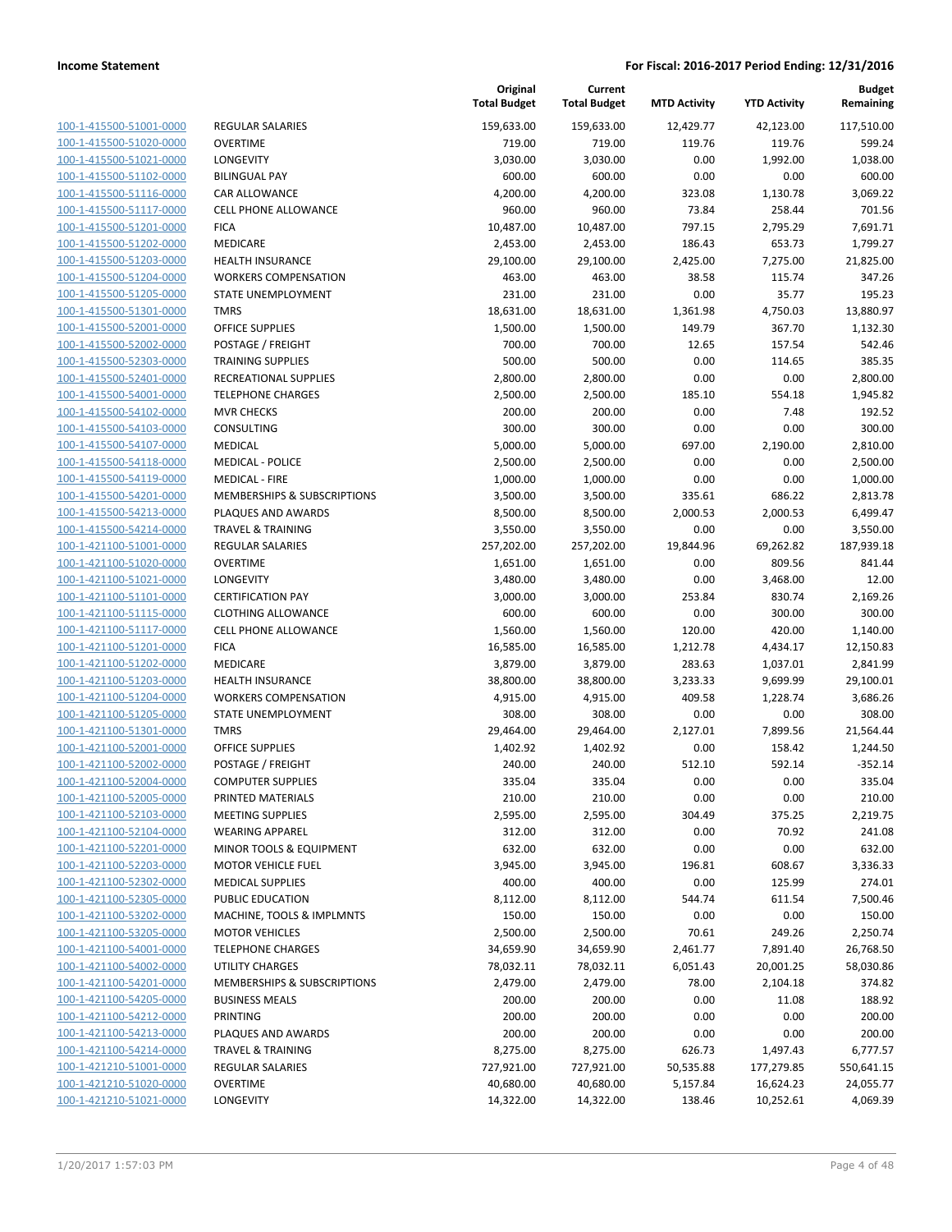| 100-1-415500-51001-0000        |
|--------------------------------|
| 100-1-415500-51020-0000        |
| 100-1-415500-51021-0000        |
| <u>100-1-415500-51102-0000</u> |
| 100-1-415500-51116-0000        |
| 100-1-415500-51117-0000        |
| 100-1-415500-51201-0000        |
| 100-1-415500-51202-0000        |
| <u>100-1-415500-51203-0000</u> |
| 100-1-415500-51204-0000        |
| 100-1-415500-51205-0000        |
| 100-1-415500-51301-0000        |
| 100-1-415500-52001-0000        |
|                                |
| <u>100-1-415500-52002-0000</u> |
| 100-1-415500-52303-0000        |
| 100-1-415500-52401-0000        |
| 100-1-415500-54001-0000        |
| 100-1-415500-54102-0000        |
| <u>100-1-415500-54103-0000</u> |
| 100-1-415500-54107-0000        |
| 100-1-415500-54118-0000        |
| 100-1-415500-54119-0000        |
| 100-1-415500-54201-0000        |
| 100-1-415500-54213-0000        |
| 100-1-415500-54214-0000        |
| 100-1-421100-51001-0000        |
| 100-1-421100-51020-0000        |
| 100-1-421100-51021-0000        |
| <u>100-1-421100-51101-0000</u> |
| 100-1-421100-51115-0000        |
| 100-1-421100-51117-0000        |
| 100-1-421100-51201-0000        |
| 100-1-421100-51202-0000        |
|                                |
| <u>100-1-421100-51203-0000</u> |
| 100-1-421100-51204-0000        |
| 100-1-421100-51205-0000        |
| 100-1-421100-51301-0000        |
| 100-1-421100-52001-0000        |
| 100-1-421100-52002-0000        |
| 100-1-421100-52004-0000        |
| 100-1-421100-52005-0000        |
| <u>100-1-421100-52103-0000</u> |
| 100-1-421100-52104-0000        |
| 100-1-421100-52201-0000        |
| <u>100-1-421100-52203-0000</u> |
| <u>100-1-421100-52302-0000</u> |
| 100-1-421100-52305-0000        |
| 100-1-421100-53202-0000        |
| 100-1-421100-53205-0000        |
| <u>100-1-421100-54001-0000</u> |
| <u>100-1-421100-54002-0000</u> |
| 100-1-421100-54201-0000        |
| 100-1-421100-54205-0000        |
|                                |
| 100-1-421100-54212-0000        |
| <u>100-1-421100-54213-0000</u> |
| <u>100-1-421100-54214-0000</u> |
| <u>100-1-421210-51001-0000</u> |
| 100-1-421210-51020-0000        |
| <u>100-1-421210-51021-0000</u> |

|                         |                              | Original<br><b>Total Budget</b> | Current<br><b>Total Budget</b> | <b>MTD Activity</b> | <b>YTD Activity</b> | Budget<br>Remaining |
|-------------------------|------------------------------|---------------------------------|--------------------------------|---------------------|---------------------|---------------------|
| 100-1-415500-51001-0000 | REGULAR SALARIES             | 159,633.00                      | 159,633.00                     | 12,429.77           | 42,123.00           | 117,510.00          |
| 100-1-415500-51020-0000 | <b>OVERTIME</b>              | 719.00                          | 719.00                         | 119.76              | 119.76              | 599.24              |
| 100-1-415500-51021-0000 | LONGEVITY                    | 3,030.00                        | 3,030.00                       | 0.00                | 1,992.00            | 1,038.00            |
| 100-1-415500-51102-0000 | <b>BILINGUAL PAY</b>         | 600.00                          | 600.00                         | 0.00                | 0.00                | 600.00              |
| 100-1-415500-51116-0000 | CAR ALLOWANCE                | 4,200.00                        | 4,200.00                       | 323.08              | 1,130.78            | 3,069.22            |
| 100-1-415500-51117-0000 | CELL PHONE ALLOWANCE         | 960.00                          | 960.00                         | 73.84               | 258.44              | 701.56              |
| 100-1-415500-51201-0000 | <b>FICA</b>                  | 10,487.00                       | 10,487.00                      | 797.15              | 2,795.29            | 7,691.71            |
| 100-1-415500-51202-0000 | <b>MEDICARE</b>              | 2,453.00                        | 2,453.00                       | 186.43              | 653.73              | 1,799.27            |
| 100-1-415500-51203-0000 | <b>HEALTH INSURANCE</b>      | 29,100.00                       | 29,100.00                      | 2,425.00            | 7,275.00            | 21,825.00           |
| 100-1-415500-51204-0000 | <b>WORKERS COMPENSATION</b>  | 463.00                          | 463.00                         | 38.58               | 115.74              | 347.26              |
| 100-1-415500-51205-0000 | STATE UNEMPLOYMENT           | 231.00                          | 231.00                         | 0.00                | 35.77               | 195.23              |
| 100-1-415500-51301-0000 | <b>TMRS</b>                  | 18,631.00                       | 18,631.00                      | 1,361.98            | 4,750.03            | 13,880.97           |
| 100-1-415500-52001-0000 | <b>OFFICE SUPPLIES</b>       | 1,500.00                        | 1,500.00                       | 149.79              | 367.70              | 1,132.30            |
| 100-1-415500-52002-0000 | POSTAGE / FREIGHT            | 700.00                          | 700.00                         | 12.65               | 157.54              | 542.46              |
| 100-1-415500-52303-0000 | <b>TRAINING SUPPLIES</b>     | 500.00                          | 500.00                         | 0.00                | 114.65              | 385.35              |
| 100-1-415500-52401-0000 | RECREATIONAL SUPPLIES        | 2,800.00                        | 2,800.00                       | 0.00                | 0.00                | 2,800.00            |
| 100-1-415500-54001-0000 | <b>TELEPHONE CHARGES</b>     | 2,500.00                        | 2,500.00                       | 185.10              | 554.18              | 1,945.82            |
| 100-1-415500-54102-0000 | <b>MVR CHECKS</b>            | 200.00                          | 200.00                         | 0.00                | 7.48                | 192.52              |
| 100-1-415500-54103-0000 | <b>CONSULTING</b>            | 300.00                          | 300.00                         | 0.00                | 0.00                | 300.00              |
| 100-1-415500-54107-0000 | <b>MEDICAL</b>               | 5,000.00                        | 5,000.00                       | 697.00              | 2,190.00            | 2,810.00            |
| 100-1-415500-54118-0000 | <b>MEDICAL - POLICE</b>      | 2,500.00                        | 2,500.00                       | 0.00                | 0.00                | 2,500.00            |
| 100-1-415500-54119-0000 | <b>MEDICAL - FIRE</b>        | 1,000.00                        | 1,000.00                       | 0.00                | 0.00                | 1,000.00            |
| 100-1-415500-54201-0000 | MEMBERSHIPS & SUBSCRIPTIONS  | 3,500.00                        | 3,500.00                       | 335.61              | 686.22              | 2,813.78            |
| 100-1-415500-54213-0000 | PLAQUES AND AWARDS           | 8,500.00                        | 8,500.00                       | 2,000.53            | 2,000.53            | 6,499.47            |
| 100-1-415500-54214-0000 | <b>TRAVEL &amp; TRAINING</b> | 3,550.00                        | 3,550.00                       | 0.00                | 0.00                | 3,550.00            |
| 100-1-421100-51001-0000 | REGULAR SALARIES             | 257,202.00                      | 257,202.00                     | 19,844.96           | 69,262.82           | 187,939.18          |
| 100-1-421100-51020-0000 | <b>OVERTIME</b>              | 1,651.00                        | 1,651.00                       | 0.00                | 809.56              | 841.44              |
| 100-1-421100-51021-0000 | LONGEVITY                    | 3,480.00                        | 3,480.00                       | 0.00                | 3,468.00            | 12.00               |
| 100-1-421100-51101-0000 | <b>CERTIFICATION PAY</b>     | 3,000.00                        | 3,000.00                       | 253.84              | 830.74              | 2,169.26            |
| 100-1-421100-51115-0000 | <b>CLOTHING ALLOWANCE</b>    | 600.00                          | 600.00                         | 0.00                | 300.00              | 300.00              |
| 100-1-421100-51117-0000 | <b>CELL PHONE ALLOWANCE</b>  | 1,560.00                        | 1,560.00                       | 120.00              | 420.00              | 1,140.00            |
| 100-1-421100-51201-0000 | <b>FICA</b>                  | 16,585.00                       | 16,585.00                      | 1,212.78            | 4,434.17            | 12,150.83           |
| 100-1-421100-51202-0000 | MEDICARE                     | 3,879.00                        | 3,879.00                       | 283.63              | 1,037.01            | 2,841.99            |
| 100-1-421100-51203-0000 | <b>HEALTH INSURANCE</b>      | 38,800.00                       | 38,800.00                      | 3,233.33            | 9,699.99            | 29,100.01           |
| 100-1-421100-51204-0000 | <b>WORKERS COMPENSATION</b>  | 4,915.00                        | 4,915.00                       | 409.58              | 1,228.74            | 3,686.26            |
| 100-1-421100-51205-0000 | STATE UNEMPLOYMENT           | 308.00                          | 308.00                         | 0.00                | 0.00                | 308.00              |
| 100-1-421100-51301-0000 | <b>TMRS</b>                  | 29,464.00                       | 29,464.00                      | 2,127.01            | 7,899.56            | 21,564.44           |
| 100-1-421100-52001-0000 | <b>OFFICE SUPPLIES</b>       | 1,402.92                        | 1,402.92                       | 0.00                | 158.42              | 1,244.50            |
| 100-1-421100-52002-0000 | POSTAGE / FREIGHT            | 240.00                          | 240.00                         | 512.10              | 592.14              | $-352.14$           |
| 100-1-421100-52004-0000 | <b>COMPUTER SUPPLIES</b>     | 335.04                          | 335.04                         | 0.00                | 0.00                | 335.04              |
| 100-1-421100-52005-0000 | PRINTED MATERIALS            | 210.00                          | 210.00                         | 0.00                | 0.00                | 210.00              |
| 100-1-421100-52103-0000 | MEETING SUPPLIES             | 2,595.00                        | 2,595.00                       | 304.49              | 375.25              | 2,219.75            |
| 100-1-421100-52104-0000 | <b>WEARING APPAREL</b>       | 312.00                          | 312.00                         | 0.00                | 70.92               | 241.08              |
| 100-1-421100-52201-0000 | MINOR TOOLS & EQUIPMENT      | 632.00                          | 632.00                         | 0.00                | 0.00                | 632.00              |
| 100-1-421100-52203-0000 | <b>MOTOR VEHICLE FUEL</b>    | 3,945.00                        | 3,945.00                       | 196.81              | 608.67              | 3,336.33            |
| 100-1-421100-52302-0000 | <b>MEDICAL SUPPLIES</b>      | 400.00                          | 400.00                         | 0.00                | 125.99              | 274.01              |
| 100-1-421100-52305-0000 | PUBLIC EDUCATION             | 8,112.00                        | 8,112.00                       | 544.74              | 611.54              | 7,500.46            |
| 100-1-421100-53202-0000 | MACHINE, TOOLS & IMPLMNTS    | 150.00                          | 150.00                         | 0.00                | 0.00                | 150.00              |
| 100-1-421100-53205-0000 | <b>MOTOR VEHICLES</b>        | 2,500.00                        | 2,500.00                       | 70.61               | 249.26              | 2,250.74            |
| 100-1-421100-54001-0000 | <b>TELEPHONE CHARGES</b>     | 34,659.90                       | 34,659.90                      | 2,461.77            | 7,891.40            | 26,768.50           |
| 100-1-421100-54002-0000 | <b>UTILITY CHARGES</b>       | 78,032.11                       | 78,032.11                      | 6,051.43            | 20,001.25           | 58,030.86           |
| 100-1-421100-54201-0000 | MEMBERSHIPS & SUBSCRIPTIONS  | 2,479.00                        | 2,479.00                       | 78.00               | 2,104.18            | 374.82              |
| 100-1-421100-54205-0000 | <b>BUSINESS MEALS</b>        | 200.00                          | 200.00                         | 0.00                | 11.08               | 188.92              |
| 100-1-421100-54212-0000 | <b>PRINTING</b>              | 200.00                          | 200.00                         | 0.00                | 0.00                | 200.00              |
| 100-1-421100-54213-0000 | PLAQUES AND AWARDS           | 200.00                          | 200.00                         | 0.00                | 0.00                | 200.00              |
| 100-1-421100-54214-0000 | <b>TRAVEL &amp; TRAINING</b> | 8,275.00                        | 8,275.00                       | 626.73              | 1,497.43            | 6,777.57            |
| 100-1-421210-51001-0000 | REGULAR SALARIES             | 727,921.00                      | 727,921.00                     | 50,535.88           | 177,279.85          | 550,641.15          |
| 100-1-421210-51020-0000 | <b>OVERTIME</b>              | 40,680.00                       | 40,680.00                      | 5,157.84            | 16,624.23           | 24,055.77           |
| 100-1-421210-51021-0000 | LONGEVITY                    | 14,322.00                       | 14,322.00                      | 138.46              | 10,252.61           | 4,069.39            |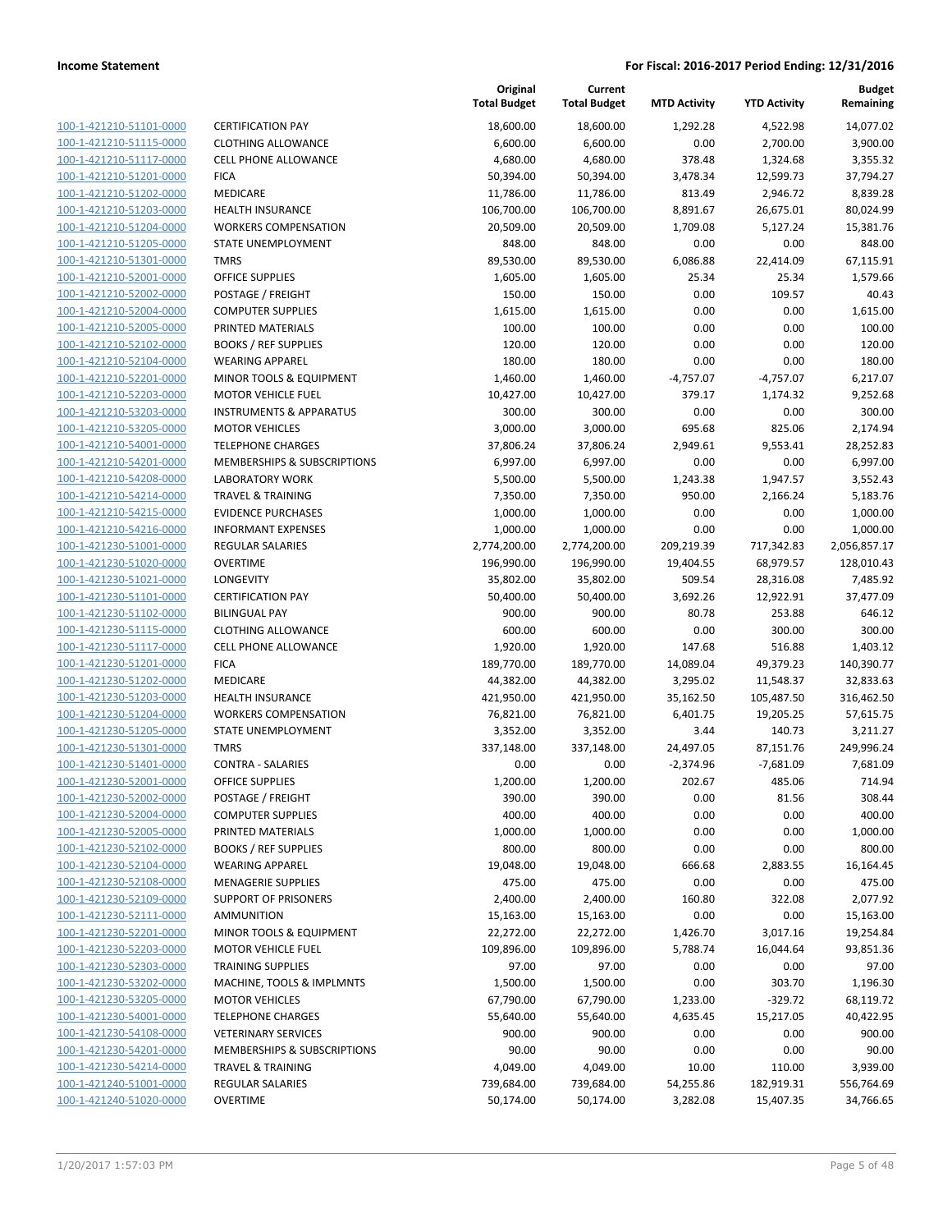| 100-1-421210-51101-0000        |
|--------------------------------|
| 100-1-421210-51115-0000        |
| 100-1-421210-51117-0000        |
| 100-1-421210-51201-0000        |
| 100-1-421210-51202-0000        |
| 100-1-421210-51203-0000        |
| 100-1-421210-51204-0000        |
| 100-1-421210-51205-0000        |
| 100-1-421210-51301-0000        |
| 100-1-421210-52001-0000        |
| 100-1-421210-52002-0000        |
| 100-1-421210-52004-0000        |
| 100-1-421210-52005-0000        |
| 100-1-421210-52102-0000        |
| 100-1-421210-52104-0000        |
| 100-1-421210-52201-0000        |
| 100-1-421210-52203-0000        |
| 100-1-421210-53203-0000        |
| 100-1-421210-53205-0000        |
| 100-1-421210-54001-0000        |
| 100-1-421210-54201-0000        |
| 100-1-421210-54208-0000        |
| 100-1-421210-54214-0000        |
| 100-1-421210-54215-0000        |
| 100-1-421210-54216-0000        |
| 100-1-421230-51001-0000        |
| 100-1-421230-51020-0000        |
| 100-1-421230-51021-0000        |
| 100-1-421230-51101-0000        |
| 100-1-421230-51102-0000        |
| 100-1-421230-51115-0000        |
| 100-1-421230-51117-0000        |
| 100-1-421230-51201-0000        |
| 100-1-421230-51202-0000        |
| 100-1-421230-51203-0000        |
| 100-1-421230-51204-0000        |
| 100-1-421230-51205-0000        |
| 100-1-421230-51301-0000        |
| 100-1-421230-51401-0000        |
| 100-1-421230-52001-0000        |
| <u>100-1-421230-52002-0000</u> |
| <u>100-1-421230-52004-0000</u> |
| 100-1-421230-52005-0000        |
| 100-1-421230-52102-0000        |
| <u>100-1-421230-52104-0000</u> |
| <u>100-1-421230-52108-0000</u> |
| <u>100-1-421230-52109-0000</u> |
| 100-1-421230-52111-0000        |
| 100-1-421230-52201-0000        |
| <u>100-1-421230-52203-0000</u> |
| <u>100-1-421230-52303-0000</u> |
| <u>100-1-421230-53202-0000</u> |
| 100-1-421230-53205-0000        |
| 100-1-421230-54001-0000        |
| 100-1-421230-54108-0000        |
| <u>100-1-421230-54201-0000</u> |
| <u>100-1-421230-54214-0000</u> |
| <u>100-1-421240-51001-0000</u> |
| 100-1-421240-51020-0000        |
|                                |

|                                                    |                                      | Original<br><b>Total Budget</b> | Current<br><b>Total Budget</b> | <b>MTD Activity</b> | <b>YTD Activity</b> | Budget<br>Remaining |
|----------------------------------------------------|--------------------------------------|---------------------------------|--------------------------------|---------------------|---------------------|---------------------|
| 100-1-421210-51101-0000                            | <b>CERTIFICATION PAY</b>             | 18,600.00                       | 18,600.00                      | 1,292.28            | 4,522.98            | 14,077.02           |
| 100-1-421210-51115-0000                            | <b>CLOTHING ALLOWANCE</b>            | 6,600.00                        | 6,600.00                       | 0.00                | 2,700.00            | 3,900.00            |
| 100-1-421210-51117-0000                            | <b>CELL PHONE ALLOWANCE</b>          | 4,680.00                        | 4,680.00                       | 378.48              | 1,324.68            | 3,355.32            |
| 100-1-421210-51201-0000                            | <b>FICA</b>                          | 50,394.00                       | 50,394.00                      | 3,478.34            | 12,599.73           | 37,794.27           |
| 100-1-421210-51202-0000                            | MEDICARE                             | 11,786.00                       | 11,786.00                      | 813.49              | 2,946.72            | 8,839.28            |
| 100-1-421210-51203-0000                            | <b>HEALTH INSURANCE</b>              | 106,700.00                      | 106,700.00                     | 8,891.67            | 26,675.01           | 80,024.99           |
| 100-1-421210-51204-0000                            | <b>WORKERS COMPENSATION</b>          | 20,509.00                       | 20,509.00                      | 1,709.08            | 5,127.24            | 15,381.76           |
| 100-1-421210-51205-0000                            | STATE UNEMPLOYMENT                   | 848.00                          | 848.00                         | 0.00                | 0.00                | 848.00              |
| 100-1-421210-51301-0000                            | <b>TMRS</b>                          | 89,530.00                       | 89,530.00                      | 6,086.88            | 22,414.09           | 67,115.91           |
| 100-1-421210-52001-0000                            | OFFICE SUPPLIES                      | 1,605.00                        | 1,605.00                       | 25.34               | 25.34               | 1,579.66            |
| 100-1-421210-52002-0000                            | POSTAGE / FREIGHT                    | 150.00                          | 150.00                         | 0.00                | 109.57              | 40.43               |
| 100-1-421210-52004-0000                            | <b>COMPUTER SUPPLIES</b>             | 1,615.00                        | 1,615.00                       | 0.00                | 0.00                | 1,615.00            |
| 100-1-421210-52005-0000                            | PRINTED MATERIALS                    | 100.00                          | 100.00                         | 0.00                | 0.00                | 100.00              |
| 100-1-421210-52102-0000                            | <b>BOOKS / REF SUPPLIES</b>          | 120.00                          | 120.00                         | 0.00                | 0.00                | 120.00              |
| 100-1-421210-52104-0000                            | <b>WEARING APPAREL</b>               | 180.00                          | 180.00                         | 0.00                | 0.00                | 180.00              |
| 100-1-421210-52201-0000                            | MINOR TOOLS & EQUIPMENT              | 1,460.00                        | 1,460.00                       | $-4,757.07$         | $-4,757.07$         | 6,217.07            |
| 100-1-421210-52203-0000                            | <b>MOTOR VEHICLE FUEL</b>            | 10,427.00                       | 10,427.00                      | 379.17              | 1,174.32            | 9,252.68            |
| 100-1-421210-53203-0000                            | <b>INSTRUMENTS &amp; APPARATUS</b>   | 300.00                          | 300.00                         | 0.00                | 0.00                | 300.00              |
| 100-1-421210-53205-0000                            | <b>MOTOR VEHICLES</b>                | 3,000.00                        | 3,000.00                       | 695.68              | 825.06              | 2,174.94            |
| 100-1-421210-54001-0000                            | <b>TELEPHONE CHARGES</b>             | 37,806.24                       | 37,806.24                      | 2,949.61            | 9,553.41            | 28,252.83           |
| 100-1-421210-54201-0000                            | MEMBERSHIPS & SUBSCRIPTIONS          | 6,997.00                        | 6,997.00                       | 0.00                | 0.00                | 6,997.00            |
| 100-1-421210-54208-0000                            | <b>LABORATORY WORK</b>               | 5,500.00                        | 5,500.00                       | 1,243.38            | 1,947.57            | 3,552.43            |
| 100-1-421210-54214-0000                            | <b>TRAVEL &amp; TRAINING</b>         | 7,350.00                        | 7,350.00                       | 950.00              | 2,166.24            | 5,183.76            |
| 100-1-421210-54215-0000                            | <b>EVIDENCE PURCHASES</b>            | 1,000.00                        | 1,000.00                       | 0.00                | 0.00                | 1,000.00            |
| 100-1-421210-54216-0000                            | <b>INFORMANT EXPENSES</b>            | 1,000.00                        | 1,000.00                       | 0.00                | 0.00                | 1,000.00            |
| 100-1-421230-51001-0000                            | REGULAR SALARIES                     | 2,774,200.00                    | 2,774,200.00                   | 209,219.39          | 717,342.83          | 2,056,857.17        |
| 100-1-421230-51020-0000                            | <b>OVERTIME</b>                      | 196,990.00                      | 196,990.00                     | 19,404.55           | 68,979.57           | 128,010.43          |
| 100-1-421230-51021-0000                            | LONGEVITY                            | 35,802.00                       | 35,802.00                      | 509.54              | 28,316.08           | 7,485.92            |
| 100-1-421230-51101-0000                            | <b>CERTIFICATION PAY</b>             | 50,400.00                       | 50,400.00                      | 3,692.26            | 12,922.91           | 37,477.09           |
| 100-1-421230-51102-0000                            | <b>BILINGUAL PAY</b>                 | 900.00                          | 900.00                         | 80.78               | 253.88              | 646.12              |
| 100-1-421230-51115-0000                            | <b>CLOTHING ALLOWANCE</b>            | 600.00                          | 600.00                         | 0.00                | 300.00              | 300.00              |
| 100-1-421230-51117-0000                            | <b>CELL PHONE ALLOWANCE</b>          | 1,920.00                        | 1,920.00                       | 147.68              | 516.88              | 1,403.12            |
| 100-1-421230-51201-0000                            | <b>FICA</b>                          | 189,770.00                      | 189,770.00                     | 14,089.04           | 49,379.23           | 140,390.77          |
| 100-1-421230-51202-0000                            | MEDICARE                             | 44,382.00                       | 44,382.00                      | 3,295.02            | 11,548.37           | 32,833.63           |
| 100-1-421230-51203-0000                            | <b>HEALTH INSURANCE</b>              | 421,950.00                      | 421,950.00                     | 35,162.50           | 105,487.50          | 316,462.50          |
| 100-1-421230-51204-0000                            | <b>WORKERS COMPENSATION</b>          | 76,821.00                       | 76,821.00                      | 6,401.75            | 19,205.25           | 57,615.75           |
| 100-1-421230-51205-0000                            | <b>STATE UNEMPLOYMENT</b>            | 3,352.00                        | 3,352.00                       | 3.44                | 140.73              | 3,211.27            |
| 100-1-421230-51301-0000                            | <b>TMRS</b>                          | 337,148.00                      | 337,148.00                     | 24,497.05           | 87,151.76           | 249,996.24          |
| 100-1-421230-51401-0000                            | <b>CONTRA - SALARIES</b>             | 0.00                            | 0.00                           | $-2,374.96$         | $-7,681.09$         | 7,681.09            |
| 100-1-421230-52001-0000<br>100-1-421230-52002-0000 | OFFICE SUPPLIES<br>POSTAGE / FREIGHT | 1,200.00<br>390.00              | 1,200.00                       | 202.67<br>0.00      | 485.06              | 714.94<br>308.44    |
| 100-1-421230-52004-0000                            | <b>COMPUTER SUPPLIES</b>             | 400.00                          | 390.00<br>400.00               | 0.00                | 81.56<br>0.00       | 400.00              |
| 100-1-421230-52005-0000                            | PRINTED MATERIALS                    | 1,000.00                        | 1,000.00                       | 0.00                | 0.00                | 1,000.00            |
| 100-1-421230-52102-0000                            | <b>BOOKS / REF SUPPLIES</b>          | 800.00                          | 800.00                         | 0.00                | 0.00                | 800.00              |
| 100-1-421230-52104-0000                            | <b>WEARING APPAREL</b>               | 19,048.00                       | 19,048.00                      | 666.68              | 2,883.55            | 16,164.45           |
| 100-1-421230-52108-0000                            | <b>MENAGERIE SUPPLIES</b>            | 475.00                          | 475.00                         | 0.00                | 0.00                | 475.00              |
| 100-1-421230-52109-0000                            | <b>SUPPORT OF PRISONERS</b>          | 2,400.00                        | 2,400.00                       | 160.80              | 322.08              | 2,077.92            |
| 100-1-421230-52111-0000                            | <b>AMMUNITION</b>                    | 15,163.00                       | 15,163.00                      | 0.00                | 0.00                | 15,163.00           |
| 100-1-421230-52201-0000                            | MINOR TOOLS & EQUIPMENT              | 22,272.00                       | 22,272.00                      | 1,426.70            | 3,017.16            | 19,254.84           |
| 100-1-421230-52203-0000                            | <b>MOTOR VEHICLE FUEL</b>            | 109,896.00                      | 109,896.00                     | 5,788.74            | 16,044.64           | 93,851.36           |
| 100-1-421230-52303-0000                            | <b>TRAINING SUPPLIES</b>             | 97.00                           | 97.00                          | 0.00                | 0.00                | 97.00               |
| 100-1-421230-53202-0000                            | MACHINE, TOOLS & IMPLMNTS            | 1,500.00                        | 1,500.00                       | 0.00                | 303.70              | 1,196.30            |
| 100-1-421230-53205-0000                            | <b>MOTOR VEHICLES</b>                | 67,790.00                       | 67,790.00                      | 1,233.00            | $-329.72$           | 68,119.72           |
| 100-1-421230-54001-0000                            | <b>TELEPHONE CHARGES</b>             | 55,640.00                       | 55,640.00                      | 4,635.45            | 15,217.05           | 40,422.95           |
| 100-1-421230-54108-0000                            | <b>VETERINARY SERVICES</b>           | 900.00                          | 900.00                         | 0.00                | 0.00                | 900.00              |
| 100-1-421230-54201-0000                            | MEMBERSHIPS & SUBSCRIPTIONS          | 90.00                           | 90.00                          | 0.00                | 0.00                | 90.00               |
| 100-1-421230-54214-0000                            | <b>TRAVEL &amp; TRAINING</b>         | 4,049.00                        | 4,049.00                       | 10.00               | 110.00              | 3,939.00            |
| 100-1-421240-51001-0000                            | REGULAR SALARIES                     | 739,684.00                      | 739,684.00                     | 54,255.86           | 182,919.31          | 556,764.69          |
| 100-1-421240-51020-0000                            | <b>OVERTIME</b>                      | 50,174.00                       | 50,174.00                      | 3,282.08            | 15,407.35           | 34,766.65           |
|                                                    |                                      |                                 |                                |                     |                     |                     |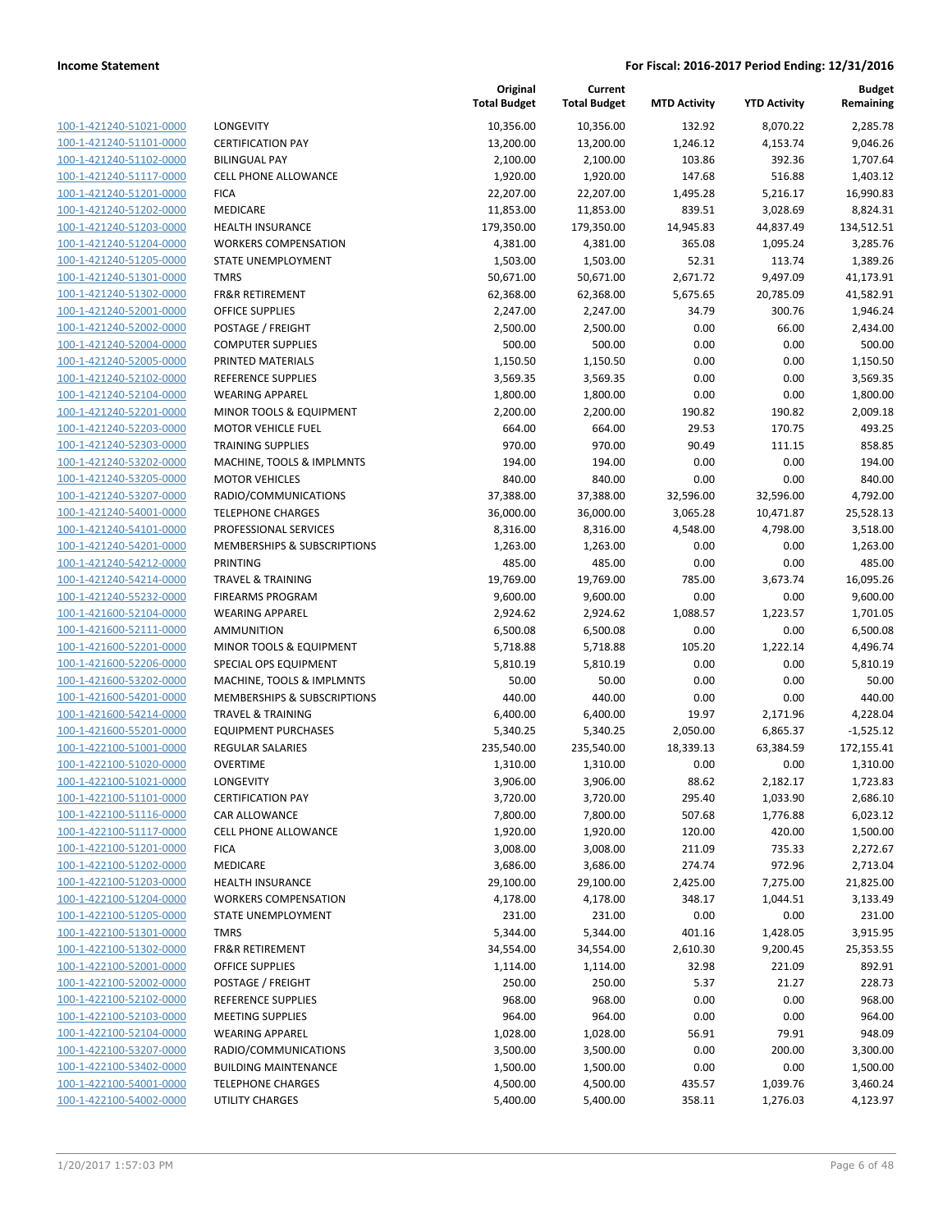| 100-1-421240-51021-0000                            |
|----------------------------------------------------|
| 100-1-421240-51101-0000                            |
| 100-1-421240-51102-0000                            |
| 100-1-421240-51117-0000                            |
| <u>100-1-421240-51201-0000</u>                     |
| 100-1-421240-51202-0000                            |
| 100-1-421240-51203-0000                            |
| 100-1-421240-51204-0000                            |
| 100-1-421240-51205-0000                            |
| <u>100-1-421240-51301-0000</u>                     |
| 100-1-421240-51302-0000                            |
| 100-1-421240-52001-0000                            |
| 100-1-421240-52002-0000                            |
| 100-1-421240-52004-0000                            |
| <u>100-1-421240-52005-0000</u>                     |
| 100-1-421240-52102-0000                            |
| 100-1-421240-52104-0000                            |
| 100-1-421240-52201-0000                            |
| 100-1-421240-52203-0000                            |
| <u>100-1-421240-52303-0000</u>                     |
| 100-1-421240-53202-0000                            |
| 100-1-421240-53205-0000                            |
| 100-1-421240-53207-0000                            |
| 100-1-421240-54001-0000                            |
| <u>100-1-421240-54101-0000</u>                     |
| 100-1-421240-54201-0000                            |
| 100-1-421240-54212-0000                            |
| 100-1-421240-54214-0000                            |
| 100-1-421240-55232-0000                            |
| 100-1-421600-52104-0000                            |
| 100-1-421600-52111-0000                            |
| 100-1-421600-52201-0000                            |
| 100-1-421600-52206-0000                            |
| 100-1-421600-53202-0000                            |
|                                                    |
| 100-1-421600-54201-0000                            |
| 100-1-421600-54214-0000<br>100-1-421600-55201-0000 |
|                                                    |
| 100-1-422100-51001-0000                            |
| 100-1-422100-51020-0000                            |
| 100-1-422100-51021-0000                            |
| 100-1-422100-51101-0000                            |
| <u>100-1-422100-51116-0000</u>                     |
| 100-1-422100-51117-0000                            |
| <u>100-1-422100-51201-0000</u>                     |
| <u>100-1-422100-51202-0000</u>                     |
| <u>100-1-422100-51203-0000</u>                     |
| <u>100-1-422100-51204-0000</u>                     |
| <u>100-1-422100-51205-0000</u>                     |
| <u>100-1-422100-51301-0000</u>                     |
| <u>100-1-422100-51302-0000</u>                     |
| <u>100-1-422100-52001-0000</u>                     |
| 100-1-422100-52002-0000                            |
| <u>100-1-422100-52102-0000</u>                     |
| <u>100-1-422100-52103-0000</u>                     |
| <u>100-1-422100-52104-0000</u>                     |
| <u>100-1-422100-53207-0000</u>                     |
| 100-1-422100-53402-0000                            |
| <u>100-1-422100-54001-0000</u>                     |
| 100-1-422100-54002-0000                            |
|                                                    |

| LONGEVITY                                 |
|-------------------------------------------|
| CERTIFICATION PAY                         |
| BILINGUAL PAY                             |
| CELL PHONE ALLOWANCE                      |
| FICA                                      |
| MEDICARE                                  |
| HEALTH INSURANCE                          |
| WORKERS COMPENSATION                      |
| STATE UNEMPLOYMENT                        |
| <b>TMRS</b>                               |
| FR&R RETIREMENT                           |
| OFFICE SUPPLIES                           |
| POSTAGE / FREIGHT                         |
| COMPUTER SUPPLIES                         |
| PRINTED MATERIALS                         |
| REFERENCE SUPPLIES                        |
| WEARING APPAREL                           |
| MINOR TOOLS & EQUIPMENT                   |
| MOTOR VEHICLE FUEL                        |
| TRAINING SUPPLIES                         |
| MACHINE, TOOLS & IMPLMNTS                 |
| MOTOR VEHICLES                            |
| RADIO/COMMUNICATIONS                      |
| <b>TELEPHONE CHARGES</b>                  |
| PROFESSIONAL SERVICES                     |
| MEMBERSHIPS & SUBSCRIPTIONS               |
| PRINTING                                  |
| TRAVEL & TRAINING                         |
| FIREARMS PROGRAM                          |
| WEARING APPAREL                           |
| AMMUNITION                                |
| MINOR TOOLS & EQUIPMENT                   |
| SPECIAL OPS EQUIPMENT                     |
| MACHINE, TOOLS & IMPLMNTS                 |
| MEMBERSHIPS & SUBSCRIPTIONS               |
| TRAVEL & TRAINING                         |
| EQUIPMENT PURCHASES                       |
| REGULAR SALARIES                          |
| OVERTIME                                  |
| LONGEVITY                                 |
| CERTIFICATION PAY                         |
| CAR ALLOWANCE                             |
| <b>CELL PHONE ALLOWANCE</b>               |
| <b>FICA</b>                               |
| MEDICARE                                  |
| HEALTH INSURANCE                          |
| WORKERS COMPENSATION                      |
| STATE UNEMPLOYMENT                        |
| <b>TMRS</b><br><b>FR&amp;R RETIREMENT</b> |
|                                           |
| OFFICE SUPPLIES<br>POSTAGE / FREIGHT      |
| REFERENCE SUPPLIES                        |
| MEETING SUPPLIES                          |
| WEARING APPAREL                           |
| RADIO/COMMUNICATIONS                      |
| BUILDING MAINTENANCE                      |
| TELEPHONE CHARGES                         |
|                                           |

|                         |                                        | Original<br><b>Total Budget</b> | Current<br><b>Total Budget</b> | <b>MTD Activity</b> | <b>YTD Activity</b> | <b>Budget</b><br>Remaining |
|-------------------------|----------------------------------------|---------------------------------|--------------------------------|---------------------|---------------------|----------------------------|
| 100-1-421240-51021-0000 | <b>LONGEVITY</b>                       | 10,356.00                       | 10,356.00                      | 132.92              | 8,070.22            | 2,285.78                   |
| 100-1-421240-51101-0000 | <b>CERTIFICATION PAY</b>               | 13,200.00                       | 13,200.00                      | 1,246.12            | 4,153.74            | 9,046.26                   |
| 100-1-421240-51102-0000 | <b>BILINGUAL PAY</b>                   | 2,100.00                        | 2,100.00                       | 103.86              | 392.36              | 1,707.64                   |
| 100-1-421240-51117-0000 | <b>CELL PHONE ALLOWANCE</b>            | 1,920.00                        | 1,920.00                       | 147.68              | 516.88              | 1,403.12                   |
| 100-1-421240-51201-0000 | <b>FICA</b>                            | 22,207.00                       | 22,207.00                      | 1,495.28            | 5,216.17            | 16,990.83                  |
| 100-1-421240-51202-0000 | MEDICARE                               | 11,853.00                       | 11,853.00                      | 839.51              | 3,028.69            | 8,824.31                   |
| 100-1-421240-51203-0000 | <b>HEALTH INSURANCE</b>                | 179,350.00                      | 179,350.00                     | 14,945.83           | 44,837.49           | 134,512.51                 |
| 100-1-421240-51204-0000 | <b>WORKERS COMPENSATION</b>            | 4,381.00                        | 4,381.00                       | 365.08              | 1,095.24            | 3,285.76                   |
| 100-1-421240-51205-0000 | STATE UNEMPLOYMENT                     | 1,503.00                        | 1,503.00                       | 52.31               | 113.74              | 1,389.26                   |
| 100-1-421240-51301-0000 | <b>TMRS</b>                            | 50,671.00                       | 50,671.00                      | 2,671.72            | 9,497.09            | 41,173.91                  |
| 100-1-421240-51302-0000 | <b>FR&amp;R RETIREMENT</b>             | 62,368.00                       | 62,368.00                      | 5,675.65            | 20,785.09           | 41,582.91                  |
| 100-1-421240-52001-0000 | <b>OFFICE SUPPLIES</b>                 | 2,247.00                        | 2,247.00                       | 34.79               | 300.76              | 1,946.24                   |
| 100-1-421240-52002-0000 | POSTAGE / FREIGHT                      | 2,500.00                        | 2,500.00                       | 0.00                | 66.00               | 2,434.00                   |
| 100-1-421240-52004-0000 | <b>COMPUTER SUPPLIES</b>               | 500.00                          | 500.00                         | 0.00                | 0.00                | 500.00                     |
| 100-1-421240-52005-0000 | PRINTED MATERIALS                      | 1,150.50                        | 1,150.50                       | 0.00                | 0.00                | 1,150.50                   |
| 100-1-421240-52102-0000 | <b>REFERENCE SUPPLIES</b>              | 3,569.35                        | 3,569.35                       | 0.00                | 0.00                | 3,569.35                   |
| 100-1-421240-52104-0000 | <b>WEARING APPAREL</b>                 | 1,800.00                        | 1,800.00                       | 0.00                | 0.00                | 1,800.00                   |
| 100-1-421240-52201-0000 | MINOR TOOLS & EQUIPMENT                | 2,200.00                        | 2,200.00                       | 190.82              | 190.82              | 2,009.18                   |
| 100-1-421240-52203-0000 | <b>MOTOR VEHICLE FUEL</b>              | 664.00                          | 664.00                         | 29.53               | 170.75              | 493.25                     |
| 100-1-421240-52303-0000 | <b>TRAINING SUPPLIES</b>               | 970.00                          | 970.00                         | 90.49               | 111.15              | 858.85                     |
| 100-1-421240-53202-0000 | MACHINE, TOOLS & IMPLMNTS              | 194.00                          | 194.00                         | 0.00                | 0.00                | 194.00                     |
| 100-1-421240-53205-0000 | <b>MOTOR VEHICLES</b>                  | 840.00                          | 840.00                         | 0.00                | 0.00                | 840.00                     |
| 100-1-421240-53207-0000 | RADIO/COMMUNICATIONS                   | 37,388.00                       | 37,388.00                      | 32,596.00           | 32,596.00           | 4,792.00                   |
| 100-1-421240-54001-0000 | <b>TELEPHONE CHARGES</b>               | 36,000.00                       | 36,000.00                      | 3,065.28            | 10,471.87           | 25,528.13                  |
| 100-1-421240-54101-0000 | PROFESSIONAL SERVICES                  | 8,316.00                        | 8,316.00                       | 4,548.00            | 4,798.00            | 3,518.00                   |
| 100-1-421240-54201-0000 | <b>MEMBERSHIPS &amp; SUBSCRIPTIONS</b> | 1,263.00                        | 1,263.00                       | 0.00                | 0.00                | 1,263.00                   |
| 100-1-421240-54212-0000 | <b>PRINTING</b>                        | 485.00                          | 485.00                         | 0.00                | 0.00                | 485.00                     |
| 100-1-421240-54214-0000 | <b>TRAVEL &amp; TRAINING</b>           | 19,769.00                       | 19,769.00                      | 785.00              | 3,673.74            | 16,095.26                  |
| 100-1-421240-55232-0000 | <b>FIREARMS PROGRAM</b>                | 9,600.00                        | 9,600.00                       | 0.00                | 0.00                | 9,600.00                   |
| 100-1-421600-52104-0000 | <b>WEARING APPAREL</b>                 | 2,924.62                        | 2,924.62                       | 1,088.57            | 1,223.57            | 1,701.05                   |
| 100-1-421600-52111-0000 | <b>AMMUNITION</b>                      | 6,500.08                        | 6,500.08                       | 0.00                | 0.00                | 6,500.08                   |
| 100-1-421600-52201-0000 | MINOR TOOLS & EQUIPMENT                | 5,718.88                        | 5,718.88                       | 105.20              | 1,222.14            | 4,496.74                   |
| 100-1-421600-52206-0000 | SPECIAL OPS EQUIPMENT                  | 5,810.19                        | 5,810.19                       | 0.00                | 0.00                | 5,810.19                   |
| 100-1-421600-53202-0000 | MACHINE, TOOLS & IMPLMNTS              | 50.00                           | 50.00                          | 0.00                | 0.00                | 50.00                      |
| 100-1-421600-54201-0000 | MEMBERSHIPS & SUBSCRIPTIONS            | 440.00                          | 440.00                         | 0.00                | 0.00                | 440.00                     |
| 100-1-421600-54214-0000 | <b>TRAVEL &amp; TRAINING</b>           | 6,400.00                        | 6,400.00                       | 19.97               | 2,171.96            | 4,228.04                   |
| 100-1-421600-55201-0000 | <b>EQUIPMENT PURCHASES</b>             | 5,340.25                        | 5,340.25                       | 2,050.00            | 6,865.37            | $-1,525.12$                |
| 100-1-422100-51001-0000 | <b>REGULAR SALARIES</b>                | 235,540.00                      | 235,540.00                     | 18,339.13           | 63,384.59           | 172,155.41                 |
| 100-1-422100-51020-0000 | <b>OVERTIME</b>                        | 1,310.00                        | 1,310.00                       | 0.00                | 0.00                | 1,310.00                   |
| 100-1-422100-51021-0000 | <b>LONGEVITY</b>                       | 3,906.00                        | 3,906.00                       | 88.62               | 2,182.17            | 1,723.83                   |
| 100-1-422100-51101-0000 | <b>CERTIFICATION PAY</b>               | 3,720.00                        | 3,720.00                       | 295.40              | 1,033.90            | 2,686.10                   |
| 100-1-422100-51116-0000 | CAR ALLOWANCE                          | 7,800.00                        | 7,800.00                       | 507.68              | 1,776.88            | 6,023.12                   |
| 100-1-422100-51117-0000 | <b>CELL PHONE ALLOWANCE</b>            | 1,920.00                        | 1,920.00                       | 120.00              | 420.00              | 1,500.00                   |
| 100-1-422100-51201-0000 | <b>FICA</b>                            | 3,008.00                        | 3,008.00                       | 211.09              | 735.33              | 2,272.67                   |
| 100-1-422100-51202-0000 | MEDICARE                               | 3,686.00                        | 3,686.00                       | 274.74              | 972.96              | 2,713.04                   |
| 100-1-422100-51203-0000 | <b>HEALTH INSURANCE</b>                | 29,100.00                       | 29,100.00                      | 2,425.00            | 7,275.00            | 21,825.00                  |
| 100-1-422100-51204-0000 | <b>WORKERS COMPENSATION</b>            | 4,178.00                        | 4,178.00                       | 348.17              | 1,044.51            | 3,133.49                   |
| 100-1-422100-51205-0000 | STATE UNEMPLOYMENT                     | 231.00                          | 231.00                         | 0.00                | 0.00                | 231.00                     |
| 100-1-422100-51301-0000 | <b>TMRS</b>                            | 5,344.00                        | 5,344.00                       | 401.16              | 1,428.05            | 3,915.95                   |
| 100-1-422100-51302-0000 | <b>FR&amp;R RETIREMENT</b>             | 34,554.00                       | 34,554.00                      | 2,610.30            | 9,200.45            | 25,353.55                  |
| 100-1-422100-52001-0000 | OFFICE SUPPLIES                        | 1,114.00                        | 1,114.00                       | 32.98               | 221.09              | 892.91                     |
| 100-1-422100-52002-0000 | POSTAGE / FREIGHT                      | 250.00                          | 250.00                         | 5.37                | 21.27               | 228.73                     |
| 100-1-422100-52102-0000 | REFERENCE SUPPLIES                     | 968.00                          | 968.00                         | 0.00                | 0.00                | 968.00                     |
| 100-1-422100-52103-0000 | <b>MEETING SUPPLIES</b>                | 964.00                          | 964.00                         | 0.00                | 0.00                | 964.00                     |
| 100-1-422100-52104-0000 | <b>WEARING APPAREL</b>                 | 1,028.00                        | 1,028.00                       | 56.91               | 79.91               | 948.09                     |
| 100-1-422100-53207-0000 | RADIO/COMMUNICATIONS                   | 3,500.00                        | 3,500.00                       | 0.00                | 200.00              | 3,300.00                   |
| 100-1-422100-53402-0000 | <b>BUILDING MAINTENANCE</b>            | 1,500.00                        | 1,500.00                       | 0.00                | 0.00                | 1,500.00                   |
| 100-1-422100-54001-0000 | <b>TELEPHONE CHARGES</b>               | 4,500.00                        | 4,500.00                       | 435.57              | 1,039.76            | 3,460.24                   |
| 100-1-422100-54002-0000 | UTILITY CHARGES                        | 5,400.00                        | 5,400.00                       | 358.11              | 1,276.03            | 4,123.97                   |
|                         |                                        |                                 |                                |                     |                     |                            |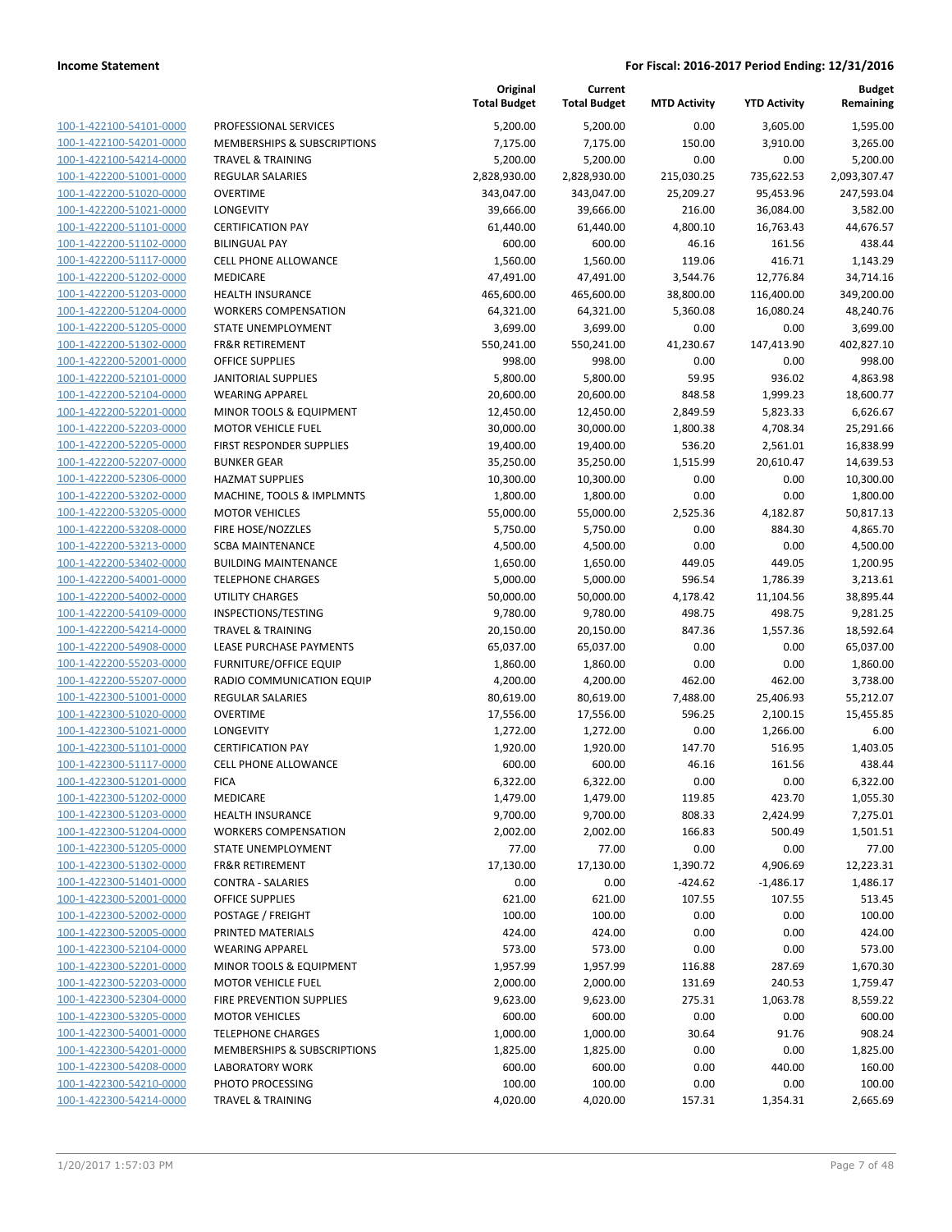|                                                    |                                                    | Original<br><b>Total Budget</b> | Current<br><b>Total Budget</b> | <b>MTD Activity</b> | <b>YTD Activity</b> | <b>Budget</b><br>Remaining |
|----------------------------------------------------|----------------------------------------------------|---------------------------------|--------------------------------|---------------------|---------------------|----------------------------|
| 100-1-422100-54101-0000                            | PROFESSIONAL SERVICES                              | 5,200.00                        | 5,200.00                       | 0.00                | 3,605.00            | 1,595.00                   |
| 100-1-422100-54201-0000                            | <b>MEMBERSHIPS &amp; SUBSCRIPTIONS</b>             | 7,175.00                        | 7,175.00                       | 150.00              | 3,910.00            | 3,265.00                   |
| 100-1-422100-54214-0000                            | <b>TRAVEL &amp; TRAINING</b>                       | 5,200.00                        | 5,200.00                       | 0.00                | 0.00                | 5,200.00                   |
| 100-1-422200-51001-0000                            | <b>REGULAR SALARIES</b>                            | 2,828,930.00                    | 2,828,930.00                   | 215,030.25          | 735,622.53          | 2,093,307.47               |
| 100-1-422200-51020-0000                            | <b>OVERTIME</b>                                    | 343,047.00                      | 343,047.00                     | 25,209.27           | 95,453.96           | 247,593.04                 |
| 100-1-422200-51021-0000                            | LONGEVITY                                          | 39,666.00                       | 39,666.00                      | 216.00              | 36,084.00           | 3,582.00                   |
| 100-1-422200-51101-0000                            | <b>CERTIFICATION PAY</b>                           | 61,440.00                       | 61,440.00                      | 4,800.10            | 16,763.43           | 44,676.57                  |
| 100-1-422200-51102-0000                            | <b>BILINGUAL PAY</b>                               | 600.00                          | 600.00                         | 46.16               | 161.56              | 438.44                     |
| 100-1-422200-51117-0000                            | <b>CELL PHONE ALLOWANCE</b>                        | 1,560.00                        | 1,560.00                       | 119.06              | 416.71              | 1,143.29                   |
| 100-1-422200-51202-0000                            | MEDICARE                                           | 47,491.00                       | 47,491.00                      | 3,544.76            | 12,776.84           | 34,714.16                  |
| 100-1-422200-51203-0000                            | <b>HEALTH INSURANCE</b>                            | 465,600.00                      | 465,600.00                     | 38,800.00           | 116,400.00          | 349,200.00                 |
| 100-1-422200-51204-0000                            | <b>WORKERS COMPENSATION</b>                        | 64,321.00                       | 64,321.00                      | 5,360.08            | 16,080.24           | 48,240.76                  |
| 100-1-422200-51205-0000                            | STATE UNEMPLOYMENT                                 | 3,699.00                        | 3,699.00                       | 0.00                | 0.00                | 3,699.00                   |
| 100-1-422200-51302-0000                            | <b>FR&amp;R RETIREMENT</b>                         | 550,241.00                      | 550,241.00                     | 41,230.67           | 147,413.90          | 402,827.10                 |
| 100-1-422200-52001-0000                            | <b>OFFICE SUPPLIES</b>                             | 998.00                          | 998.00                         | 0.00                | 0.00                | 998.00                     |
| 100-1-422200-52101-0000                            | <b>JANITORIAL SUPPLIES</b>                         | 5,800.00                        | 5,800.00                       | 59.95               | 936.02              | 4,863.98                   |
| 100-1-422200-52104-0000                            | <b>WEARING APPAREL</b>                             | 20,600.00                       | 20,600.00                      | 848.58              | 1,999.23            | 18,600.77                  |
| 100-1-422200-52201-0000                            | MINOR TOOLS & EQUIPMENT                            | 12,450.00                       | 12,450.00                      | 2,849.59            | 5,823.33            | 6,626.67                   |
| 100-1-422200-52203-0000                            | <b>MOTOR VEHICLE FUEL</b>                          | 30,000.00                       | 30,000.00                      | 1,800.38            | 4,708.34            | 25,291.66                  |
| 100-1-422200-52205-0000                            | FIRST RESPONDER SUPPLIES                           | 19,400.00                       | 19,400.00                      | 536.20              | 2,561.01            | 16,838.99                  |
| 100-1-422200-52207-0000<br>100-1-422200-52306-0000 | <b>BUNKER GEAR</b><br><b>HAZMAT SUPPLIES</b>       | 35,250.00                       | 35,250.00                      | 1,515.99<br>0.00    | 20,610.47<br>0.00   | 14,639.53<br>10,300.00     |
| 100-1-422200-53202-0000                            | MACHINE, TOOLS & IMPLMNTS                          | 10,300.00<br>1,800.00           | 10,300.00<br>1,800.00          | 0.00                | 0.00                | 1,800.00                   |
| 100-1-422200-53205-0000                            | <b>MOTOR VEHICLES</b>                              | 55,000.00                       | 55,000.00                      | 2,525.36            | 4,182.87            | 50,817.13                  |
| 100-1-422200-53208-0000                            | FIRE HOSE/NOZZLES                                  | 5,750.00                        | 5,750.00                       | 0.00                | 884.30              | 4,865.70                   |
| 100-1-422200-53213-0000                            | <b>SCBA MAINTENANCE</b>                            | 4,500.00                        | 4,500.00                       | 0.00                | 0.00                | 4,500.00                   |
| 100-1-422200-53402-0000                            | <b>BUILDING MAINTENANCE</b>                        | 1,650.00                        | 1,650.00                       | 449.05              | 449.05              | 1,200.95                   |
| 100-1-422200-54001-0000                            | <b>TELEPHONE CHARGES</b>                           | 5,000.00                        | 5,000.00                       | 596.54              | 1,786.39            | 3,213.61                   |
| 100-1-422200-54002-0000                            | <b>UTILITY CHARGES</b>                             | 50,000.00                       | 50,000.00                      | 4,178.42            | 11,104.56           | 38,895.44                  |
| 100-1-422200-54109-0000                            | INSPECTIONS/TESTING                                | 9,780.00                        | 9,780.00                       | 498.75              | 498.75              | 9,281.25                   |
| 100-1-422200-54214-0000                            | <b>TRAVEL &amp; TRAINING</b>                       | 20,150.00                       | 20,150.00                      | 847.36              | 1,557.36            | 18,592.64                  |
| 100-1-422200-54908-0000                            | LEASE PURCHASE PAYMENTS                            | 65,037.00                       | 65,037.00                      | 0.00                | 0.00                | 65,037.00                  |
| 100-1-422200-55203-0000                            | <b>FURNITURE/OFFICE EQUIP</b>                      | 1,860.00                        | 1,860.00                       | 0.00                | 0.00                | 1,860.00                   |
| 100-1-422200-55207-0000                            | RADIO COMMUNICATION EQUIP                          | 4,200.00                        | 4,200.00                       | 462.00              | 462.00              | 3,738.00                   |
| 100-1-422300-51001-0000                            | <b>REGULAR SALARIES</b>                            | 80,619.00                       | 80,619.00                      | 7,488.00            | 25,406.93           | 55,212.07                  |
| 100-1-422300-51020-0000                            | <b>OVERTIME</b>                                    | 17,556.00                       | 17,556.00                      | 596.25              | 2,100.15            | 15,455.85                  |
| 100-1-422300-51021-0000                            | LONGEVITY                                          | 1,272.00                        | 1,272.00                       | 0.00                | 1,266.00            | 6.00                       |
| 100-1-422300-51101-0000                            | <b>CERTIFICATION PAY</b>                           | 1,920.00                        | 1,920.00                       | 147.70              | 516.95              | 1,403.05                   |
| 100-1-422300-51117-0000                            | <b>CELL PHONE ALLOWANCE</b>                        | 600.00                          | 600.00                         | 46.16               | 161.56              | 438.44                     |
| 100-1-422300-51201-0000                            | <b>FICA</b>                                        | 6,322.00                        | 6,322.00                       | 0.00                | 0.00                | 6,322.00                   |
| 100-1-422300-51202-0000                            | MEDICARE                                           | 1,479.00                        | 1,479.00                       | 119.85              | 423.70              | 1,055.30                   |
| 100-1-422300-51203-0000                            | <b>HEALTH INSURANCE</b>                            | 9,700.00                        | 9,700.00                       | 808.33              | 2,424.99            | 7,275.01                   |
| 100-1-422300-51204-0000                            | <b>WORKERS COMPENSATION</b>                        | 2,002.00                        | 2,002.00                       | 166.83              | 500.49              | 1,501.51                   |
| 100-1-422300-51205-0000                            | STATE UNEMPLOYMENT                                 | 77.00                           | 77.00                          | 0.00                | 0.00                | 77.00                      |
| 100-1-422300-51302-0000                            | <b>FR&amp;R RETIREMENT</b>                         | 17,130.00                       | 17,130.00                      | 1,390.72            | 4,906.69            | 12,223.31                  |
| 100-1-422300-51401-0000                            | <b>CONTRA - SALARIES</b><br><b>OFFICE SUPPLIES</b> | 0.00                            | 0.00                           | $-424.62$           | $-1,486.17$         | 1,486.17                   |
| 100-1-422300-52001-0000                            |                                                    | 621.00                          | 621.00                         | 107.55              | 107.55              | 513.45                     |
| 100-1-422300-52002-0000<br>100-1-422300-52005-0000 | POSTAGE / FREIGHT<br>PRINTED MATERIALS             | 100.00                          | 100.00                         | 0.00                | 0.00                | 100.00                     |
| 100-1-422300-52104-0000                            | <b>WEARING APPAREL</b>                             | 424.00<br>573.00                | 424.00<br>573.00               | 0.00<br>0.00        | 0.00<br>0.00        | 424.00<br>573.00           |
| 100-1-422300-52201-0000                            | MINOR TOOLS & EQUIPMENT                            | 1,957.99                        | 1,957.99                       | 116.88              | 287.69              | 1,670.30                   |
| 100-1-422300-52203-0000                            | <b>MOTOR VEHICLE FUEL</b>                          | 2,000.00                        | 2,000.00                       | 131.69              | 240.53              | 1,759.47                   |
| 100-1-422300-52304-0000                            | FIRE PREVENTION SUPPLIES                           | 9,623.00                        | 9,623.00                       | 275.31              | 1,063.78            | 8,559.22                   |
| 100-1-422300-53205-0000                            | <b>MOTOR VEHICLES</b>                              | 600.00                          | 600.00                         | 0.00                | 0.00                | 600.00                     |
| 100-1-422300-54001-0000                            | <b>TELEPHONE CHARGES</b>                           | 1,000.00                        | 1,000.00                       | 30.64               | 91.76               | 908.24                     |
| 100-1-422300-54201-0000                            | <b>MEMBERSHIPS &amp; SUBSCRIPTIONS</b>             | 1,825.00                        | 1,825.00                       | 0.00                | 0.00                | 1,825.00                   |
| 100-1-422300-54208-0000                            | <b>LABORATORY WORK</b>                             | 600.00                          | 600.00                         | 0.00                | 440.00              | 160.00                     |
| 100-1-422300-54210-0000                            | PHOTO PROCESSING                                   | 100.00                          | 100.00                         | 0.00                | 0.00                | 100.00                     |
| 100-1-422300-54214-0000                            | <b>TRAVEL &amp; TRAINING</b>                       | 4,020.00                        | 4,020.00                       | 157.31              | 1,354.31            | 2,665.69                   |
|                                                    |                                                    |                                 |                                |                     |                     |                            |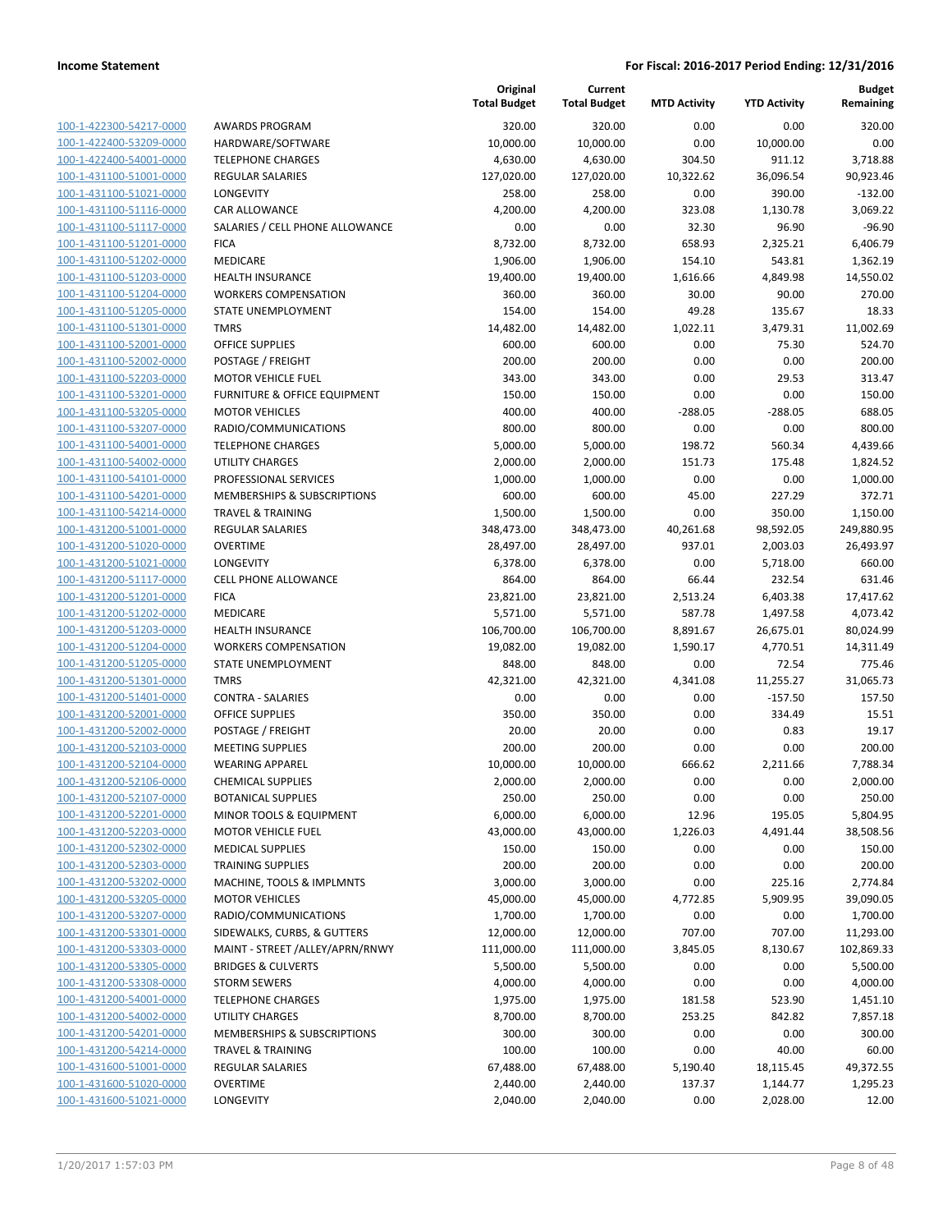|                         |                                        | Original<br><b>Total Budget</b> | Current<br><b>Total Budget</b> | <b>MTD Activity</b> | <b>YTD Activity</b> | <b>Budget</b><br>Remaining |
|-------------------------|----------------------------------------|---------------------------------|--------------------------------|---------------------|---------------------|----------------------------|
| 100-1-422300-54217-0000 | <b>AWARDS PROGRAM</b>                  | 320.00                          | 320.00                         | 0.00                | 0.00                | 320.00                     |
| 100-1-422400-53209-0000 | HARDWARE/SOFTWARE                      | 10,000.00                       | 10,000.00                      | 0.00                | 10,000.00           | 0.00                       |
| 100-1-422400-54001-0000 | <b>TELEPHONE CHARGES</b>               | 4,630.00                        | 4,630.00                       | 304.50              | 911.12              | 3,718.88                   |
| 100-1-431100-51001-0000 | <b>REGULAR SALARIES</b>                | 127,020.00                      | 127,020.00                     | 10,322.62           | 36,096.54           | 90,923.46                  |
| 100-1-431100-51021-0000 | LONGEVITY                              | 258.00                          | 258.00                         | 0.00                | 390.00              | $-132.00$                  |
| 100-1-431100-51116-0000 | CAR ALLOWANCE                          | 4,200.00                        | 4,200.00                       | 323.08              | 1,130.78            | 3,069.22                   |
| 100-1-431100-51117-0000 | SALARIES / CELL PHONE ALLOWANCE        | 0.00                            | 0.00                           | 32.30               | 96.90               | $-96.90$                   |
| 100-1-431100-51201-0000 | <b>FICA</b>                            | 8,732.00                        | 8,732.00                       | 658.93              | 2,325.21            | 6,406.79                   |
| 100-1-431100-51202-0000 | <b>MEDICARE</b>                        | 1,906.00                        | 1,906.00                       | 154.10              | 543.81              | 1,362.19                   |
| 100-1-431100-51203-0000 | <b>HEALTH INSURANCE</b>                | 19,400.00                       | 19,400.00                      | 1,616.66            | 4,849.98            | 14,550.02                  |
| 100-1-431100-51204-0000 | <b>WORKERS COMPENSATION</b>            | 360.00                          | 360.00                         | 30.00               | 90.00               | 270.00                     |
| 100-1-431100-51205-0000 | STATE UNEMPLOYMENT                     | 154.00                          | 154.00                         | 49.28               | 135.67              | 18.33                      |
| 100-1-431100-51301-0000 | <b>TMRS</b>                            | 14,482.00                       | 14,482.00                      | 1,022.11            | 3,479.31            | 11,002.69                  |
| 100-1-431100-52001-0000 | <b>OFFICE SUPPLIES</b>                 | 600.00                          | 600.00                         | 0.00                | 75.30               | 524.70                     |
| 100-1-431100-52002-0000 | POSTAGE / FREIGHT                      | 200.00                          | 200.00                         | 0.00                | 0.00                | 200.00                     |
| 100-1-431100-52203-0000 | <b>MOTOR VEHICLE FUEL</b>              | 343.00                          | 343.00                         | 0.00                | 29.53               | 313.47                     |
| 100-1-431100-53201-0000 | FURNITURE & OFFICE EQUIPMENT           | 150.00                          | 150.00                         | 0.00                | 0.00                | 150.00                     |
| 100-1-431100-53205-0000 | <b>MOTOR VEHICLES</b>                  | 400.00                          | 400.00                         | $-288.05$           | $-288.05$           | 688.05                     |
| 100-1-431100-53207-0000 | RADIO/COMMUNICATIONS                   | 800.00                          | 800.00                         | 0.00                | 0.00                | 800.00                     |
| 100-1-431100-54001-0000 | <b>TELEPHONE CHARGES</b>               | 5,000.00                        | 5,000.00                       | 198.72              | 560.34              | 4,439.66                   |
| 100-1-431100-54002-0000 | UTILITY CHARGES                        | 2,000.00                        | 2,000.00                       | 151.73              | 175.48              | 1,824.52                   |
| 100-1-431100-54101-0000 | PROFESSIONAL SERVICES                  | 1,000.00                        | 1,000.00                       | 0.00                | 0.00                | 1,000.00                   |
| 100-1-431100-54201-0000 | <b>MEMBERSHIPS &amp; SUBSCRIPTIONS</b> | 600.00                          | 600.00                         | 45.00               | 227.29              | 372.71                     |
| 100-1-431100-54214-0000 | <b>TRAVEL &amp; TRAINING</b>           | 1,500.00                        | 1,500.00                       | 0.00                | 350.00              | 1,150.00                   |
| 100-1-431200-51001-0000 | <b>REGULAR SALARIES</b>                | 348,473.00                      | 348,473.00                     | 40,261.68           | 98,592.05           | 249,880.95                 |
| 100-1-431200-51020-0000 | <b>OVERTIME</b>                        | 28,497.00                       | 28,497.00                      | 937.01              | 2,003.03            | 26,493.97                  |
| 100-1-431200-51021-0000 | LONGEVITY                              | 6,378.00                        | 6,378.00                       | 0.00                | 5,718.00            | 660.00                     |
| 100-1-431200-51117-0000 | <b>CELL PHONE ALLOWANCE</b>            | 864.00                          | 864.00                         | 66.44               | 232.54              | 631.46                     |
| 100-1-431200-51201-0000 | <b>FICA</b>                            | 23,821.00                       | 23,821.00                      | 2,513.24            | 6,403.38            | 17,417.62                  |
| 100-1-431200-51202-0000 | MEDICARE                               | 5,571.00                        | 5,571.00                       | 587.78              | 1,497.58            | 4,073.42                   |
| 100-1-431200-51203-0000 | <b>HEALTH INSURANCE</b>                | 106,700.00                      | 106,700.00                     | 8,891.67            | 26,675.01           | 80,024.99                  |
| 100-1-431200-51204-0000 | <b>WORKERS COMPENSATION</b>            | 19,082.00                       | 19,082.00                      | 1,590.17            | 4,770.51            | 14,311.49                  |
| 100-1-431200-51205-0000 | STATE UNEMPLOYMENT                     | 848.00                          | 848.00                         | 0.00                | 72.54               | 775.46                     |
| 100-1-431200-51301-0000 | <b>TMRS</b>                            | 42,321.00                       | 42,321.00                      | 4,341.08            | 11,255.27           | 31,065.73                  |
| 100-1-431200-51401-0000 | <b>CONTRA - SALARIES</b>               | 0.00                            | 0.00                           | 0.00                | $-157.50$           | 157.50                     |
| 100-1-431200-52001-0000 | OFFICE SUPPLIES                        | 350.00                          | 350.00                         | 0.00                | 334.49              | 15.51                      |
| 100-1-431200-52002-0000 | POSTAGE / FREIGHT                      | 20.00                           | 20.00                          | 0.00                | 0.83                | 19.17                      |
| 100-1-431200-52103-0000 | <b>MEETING SUPPLIES</b>                | 200.00                          | 200.00                         | 0.00                | 0.00                | 200.00                     |
| 100-1-431200-52104-0000 | <b>WEARING APPAREL</b>                 | 10,000.00                       | 10,000.00                      | 666.62              | 2,211.66            | 7,788.34                   |
| 100-1-431200-52106-0000 | <b>CHEMICAL SUPPLIES</b>               | 2,000.00                        | 2,000.00                       | 0.00                | 0.00                | 2,000.00                   |
| 100-1-431200-52107-0000 | <b>BOTANICAL SUPPLIES</b>              | 250.00                          | 250.00                         | 0.00                | 0.00                | 250.00                     |
| 100-1-431200-52201-0000 | MINOR TOOLS & EQUIPMENT                | 6,000.00                        | 6,000.00                       | 12.96               | 195.05              | 5,804.95                   |
| 100-1-431200-52203-0000 | <b>MOTOR VEHICLE FUEL</b>              | 43,000.00                       | 43,000.00                      | 1,226.03            | 4,491.44            | 38,508.56                  |
| 100-1-431200-52302-0000 | <b>MEDICAL SUPPLIES</b>                | 150.00                          | 150.00                         | 0.00                | 0.00                | 150.00                     |
| 100-1-431200-52303-0000 | <b>TRAINING SUPPLIES</b>               | 200.00                          | 200.00                         | 0.00                | 0.00                | 200.00                     |
| 100-1-431200-53202-0000 | MACHINE, TOOLS & IMPLMNTS              | 3,000.00                        | 3,000.00                       | 0.00                | 225.16              | 2,774.84                   |
| 100-1-431200-53205-0000 | <b>MOTOR VEHICLES</b>                  | 45,000.00                       | 45,000.00                      | 4,772.85            | 5,909.95            | 39,090.05                  |
| 100-1-431200-53207-0000 | RADIO/COMMUNICATIONS                   | 1,700.00                        | 1,700.00                       | 0.00                | 0.00                | 1,700.00                   |
| 100-1-431200-53301-0000 | SIDEWALKS, CURBS, & GUTTERS            | 12,000.00                       | 12,000.00                      | 707.00              | 707.00              | 11,293.00                  |
| 100-1-431200-53303-0000 | MAINT - STREET / ALLEY/APRN/RNWY       | 111,000.00                      | 111,000.00                     | 3,845.05            | 8,130.67            | 102,869.33                 |
| 100-1-431200-53305-0000 | <b>BRIDGES &amp; CULVERTS</b>          | 5,500.00                        | 5,500.00                       | 0.00                | 0.00                | 5,500.00                   |
| 100-1-431200-53308-0000 | <b>STORM SEWERS</b>                    | 4,000.00                        | 4,000.00                       | 0.00                | 0.00                | 4,000.00                   |
| 100-1-431200-54001-0000 | <b>TELEPHONE CHARGES</b>               | 1,975.00                        | 1,975.00                       | 181.58              | 523.90              | 1,451.10                   |
| 100-1-431200-54002-0000 | UTILITY CHARGES                        | 8,700.00                        | 8,700.00                       | 253.25              | 842.82              | 7,857.18                   |
| 100-1-431200-54201-0000 | <b>MEMBERSHIPS &amp; SUBSCRIPTIONS</b> | 300.00                          | 300.00                         | 0.00                | 0.00                | 300.00                     |
| 100-1-431200-54214-0000 | <b>TRAVEL &amp; TRAINING</b>           | 100.00                          | 100.00                         | 0.00                | 40.00               | 60.00                      |
| 100-1-431600-51001-0000 | REGULAR SALARIES                       | 67,488.00                       | 67,488.00                      | 5,190.40            | 18,115.45           | 49,372.55                  |
| 100-1-431600-51020-0000 | <b>OVERTIME</b>                        | 2,440.00                        | 2,440.00                       | 137.37              | 1,144.77            | 1,295.23                   |
| 100-1-431600-51021-0000 | LONGEVITY                              | 2,040.00                        | 2,040.00                       | 0.00                | 2,028.00            | 12.00                      |
|                         |                                        |                                 |                                |                     |                     |                            |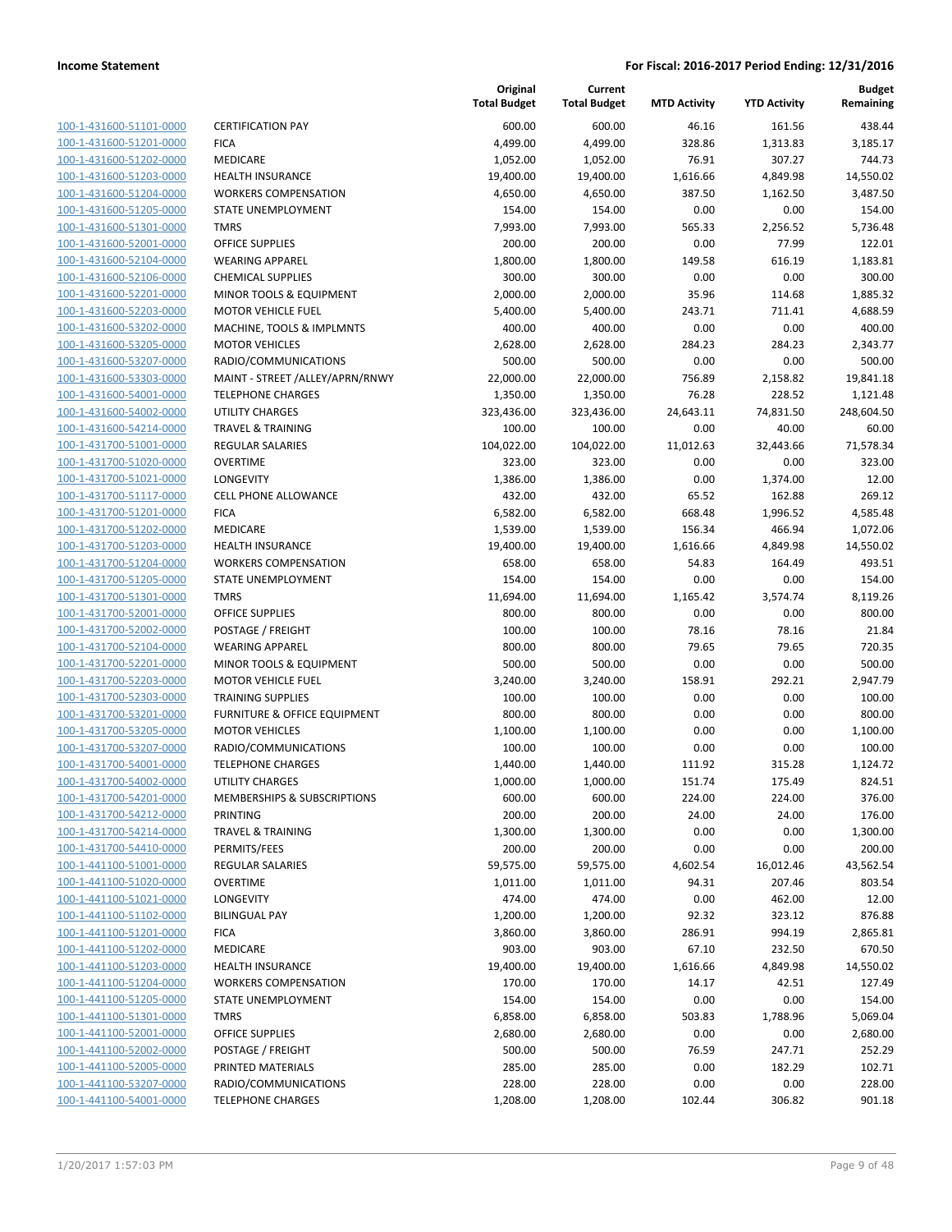| 100-1-431600-51101-0000                            |
|----------------------------------------------------|
| 100-1-431600-51201-0000                            |
| 100-1-431600-51202-0000                            |
| 100-1-431600-51203-0000                            |
| 100-1-431600-51204-0000                            |
| -431600-51205-0000<br>$100 - 1$                    |
| 100-1-431600-51301-0000                            |
| 100-1-431600-52001-0000                            |
| <u>100-1-431600-52104-0000</u>                     |
| 100-1-431600-52106-0000                            |
| $100 - 1$<br>-431600-52201-0000                    |
| 100-1-431600-52203-0000                            |
| 100-1-431600-53202-0000                            |
| 100-1-431600-53205-0000                            |
| 100-1-431600-53207-0000                            |
| $100 - 1$<br>-431600-53303-0000                    |
| 100-1-431600-54001-0000                            |
| 100-1-431600-54002-0000                            |
| 100-1-431600-54214-0000                            |
| 100-1-431700-51001-0000                            |
| -431700-51020-0000<br>$100 - 1$                    |
| 100-1-431700-51021-0000                            |
| 100-1-431700-51117-0000                            |
| 100-1-431700-51201-0000                            |
| 100-1-431700-51202-0000                            |
| -431700-51203-0000<br>$100 - 1$                    |
| 100-1-431700-51204-0000                            |
| 100-1-431700-51205-0000                            |
| <u>100-1-431700-51301-0000</u>                     |
| 100-1-431700-52001-0000                            |
| -431700-52002-0000<br>$100 - 1$                    |
| 100-1-431700-52104-0000                            |
| 100-1-431700-52201-0000                            |
| <u>100-1-431700-52203-0000</u>                     |
| 100-1-431700-52303-0000                            |
| -431700-53201-0000<br>$100 - 1$                    |
| 100-1-431700-53205-0000                            |
| 100-1-431700-53207-0000                            |
| 100-1-431700-54001-0000                            |
| 100-1-431700-54002-0000                            |
| -431700-54201-0000<br>$100 - 1$                    |
| <u>100-1-431700-54212-0000</u>                     |
| 100-1-431700-54214-0000                            |
| <u>100-1-431700-54410-0000</u>                     |
| 100-1-441100-51001-0000                            |
| 100-1-441100-51020-0000                            |
| 100-1-441100-51021-0000                            |
| 100-1-441100-51102-0000                            |
|                                                    |
| <u>100-1-441100-51201-0000</u>                     |
| 100-1-441100-51202-0000<br>100-1-441100-51203-0000 |
|                                                    |
| 100-1-441100-51204-0000                            |
| 100-1-441100-51205-0000                            |
| <u>100-1-441100-51301-0000</u>                     |
| 100-1-441100-52001-0000                            |
| <u>100-1-441100-52002-0000</u>                     |
| 100-1-441100-52005-0000                            |
| 100-1-441100-53207-0000                            |
| <u>100-1-441100-54001-0000</u>                     |

|                         |                                 | Original<br><b>Total Budget</b> | Current<br><b>Total Budget</b> | <b>MTD Activity</b> | <b>YTD Activity</b> | <b>Budget</b><br>Remaining |
|-------------------------|---------------------------------|---------------------------------|--------------------------------|---------------------|---------------------|----------------------------|
| 100-1-431600-51101-0000 | <b>CERTIFICATION PAY</b>        | 600.00                          | 600.00                         | 46.16               | 161.56              | 438.44                     |
| 100-1-431600-51201-0000 | <b>FICA</b>                     | 4,499.00                        | 4,499.00                       | 328.86              | 1,313.83            | 3,185.17                   |
| 100-1-431600-51202-0000 | MEDICARE                        | 1,052.00                        | 1,052.00                       | 76.91               | 307.27              | 744.73                     |
| 100-1-431600-51203-0000 | <b>HEALTH INSURANCE</b>         | 19,400.00                       | 19,400.00                      | 1,616.66            | 4,849.98            | 14,550.02                  |
| 100-1-431600-51204-0000 | <b>WORKERS COMPENSATION</b>     | 4,650.00                        | 4,650.00                       | 387.50              | 1,162.50            | 3,487.50                   |
| 100-1-431600-51205-0000 | STATE UNEMPLOYMENT              | 154.00                          | 154.00                         | 0.00                | 0.00                | 154.00                     |
| 100-1-431600-51301-0000 | <b>TMRS</b>                     | 7,993.00                        | 7,993.00                       | 565.33              | 2,256.52            | 5,736.48                   |
| 100-1-431600-52001-0000 | <b>OFFICE SUPPLIES</b>          | 200.00                          | 200.00                         | 0.00                | 77.99               | 122.01                     |
| 100-1-431600-52104-0000 | <b>WEARING APPAREL</b>          | 1,800.00                        | 1,800.00                       | 149.58              | 616.19              | 1,183.81                   |
| 100-1-431600-52106-0000 | <b>CHEMICAL SUPPLIES</b>        | 300.00                          | 300.00                         | 0.00                | 0.00                | 300.00                     |
| 100-1-431600-52201-0000 | MINOR TOOLS & EQUIPMENT         | 2,000.00                        | 2,000.00                       | 35.96               | 114.68              | 1,885.32                   |
| 100-1-431600-52203-0000 | <b>MOTOR VEHICLE FUEL</b>       | 5,400.00                        | 5,400.00                       | 243.71              | 711.41              | 4,688.59                   |
| 100-1-431600-53202-0000 | MACHINE, TOOLS & IMPLMNTS       | 400.00                          | 400.00                         | 0.00                | 0.00                | 400.00                     |
| 100-1-431600-53205-0000 | <b>MOTOR VEHICLES</b>           | 2,628.00                        | 2,628.00                       | 284.23              | 284.23              | 2,343.77                   |
| 100-1-431600-53207-0000 | RADIO/COMMUNICATIONS            | 500.00                          | 500.00                         | 0.00                | 0.00                | 500.00                     |
| 100-1-431600-53303-0000 | MAINT - STREET /ALLEY/APRN/RNWY | 22,000.00                       | 22,000.00                      | 756.89              | 2,158.82            | 19,841.18                  |
| 100-1-431600-54001-0000 | <b>TELEPHONE CHARGES</b>        | 1,350.00                        | 1,350.00                       | 76.28               | 228.52              | 1,121.48                   |
| 100-1-431600-54002-0000 | <b>UTILITY CHARGES</b>          | 323,436.00                      | 323,436.00                     | 24,643.11           | 74,831.50           | 248,604.50                 |
| 100-1-431600-54214-0000 | <b>TRAVEL &amp; TRAINING</b>    | 100.00                          | 100.00                         | 0.00                | 40.00               | 60.00                      |
| 100-1-431700-51001-0000 | <b>REGULAR SALARIES</b>         | 104,022.00                      | 104,022.00                     | 11,012.63           | 32,443.66           | 71,578.34                  |
| 100-1-431700-51020-0000 | <b>OVERTIME</b>                 | 323.00                          | 323.00                         | 0.00                | 0.00                | 323.00                     |
| 100-1-431700-51021-0000 | LONGEVITY                       | 1,386.00                        | 1,386.00                       | 0.00                | 1,374.00            | 12.00                      |
| 100-1-431700-51117-0000 | <b>CELL PHONE ALLOWANCE</b>     | 432.00                          | 432.00                         | 65.52               | 162.88              | 269.12                     |
| 100-1-431700-51201-0000 | <b>FICA</b>                     | 6,582.00                        | 6,582.00                       | 668.48              | 1,996.52            | 4,585.48                   |
| 100-1-431700-51202-0000 | <b>MEDICARE</b>                 | 1,539.00                        | 1,539.00                       | 156.34              | 466.94              | 1,072.06                   |
| 100-1-431700-51203-0000 | <b>HEALTH INSURANCE</b>         | 19,400.00                       | 19,400.00                      | 1,616.66            | 4,849.98            | 14,550.02                  |
| 100-1-431700-51204-0000 | <b>WORKERS COMPENSATION</b>     | 658.00                          | 658.00                         | 54.83               | 164.49              | 493.51                     |
| 100-1-431700-51205-0000 | STATE UNEMPLOYMENT              | 154.00                          | 154.00                         | 0.00                | 0.00                | 154.00                     |
| 100-1-431700-51301-0000 | <b>TMRS</b>                     | 11,694.00                       | 11,694.00                      | 1,165.42            | 3,574.74            | 8,119.26                   |
| 100-1-431700-52001-0000 | <b>OFFICE SUPPLIES</b>          | 800.00                          | 800.00                         | 0.00                | 0.00                | 800.00                     |
| 100-1-431700-52002-0000 | POSTAGE / FREIGHT               | 100.00                          | 100.00                         | 78.16               | 78.16               | 21.84                      |
| 100-1-431700-52104-0000 | <b>WEARING APPAREL</b>          | 800.00                          | 800.00                         | 79.65               | 79.65               | 720.35                     |
| 100-1-431700-52201-0000 | MINOR TOOLS & EQUIPMENT         | 500.00                          | 500.00                         | 0.00                | 0.00                | 500.00                     |
| 100-1-431700-52203-0000 | <b>MOTOR VEHICLE FUEL</b>       | 3,240.00                        | 3,240.00                       | 158.91              | 292.21              | 2,947.79                   |
| 100-1-431700-52303-0000 | <b>TRAINING SUPPLIES</b>        | 100.00                          | 100.00                         | 0.00                | 0.00                | 100.00                     |
| 100-1-431700-53201-0000 | FURNITURE & OFFICE EQUIPMENT    | 800.00                          | 800.00                         | 0.00                | 0.00                | 800.00                     |
| 100-1-431700-53205-0000 | <b>MOTOR VEHICLES</b>           | 1,100.00                        | 1,100.00                       | 0.00                | 0.00                | 1,100.00                   |
| 100-1-431700-53207-0000 | RADIO/COMMUNICATIONS            | 100.00                          | 100.00                         | 0.00                | 0.00                | 100.00                     |
| 100-1-431700-54001-0000 | <b>TELEPHONE CHARGES</b>        | 1,440.00                        | 1,440.00                       | 111.92              | 315.28              | 1,124.72                   |
| 100-1-431700-54002-0000 | UTILITY CHARGES                 | 1,000.00                        | 1,000.00                       | 151.74              | 175.49              | 824.51                     |
| 100-1-431700-54201-0000 | MEMBERSHIPS & SUBSCRIPTIONS     | 600.00                          | 600.00                         | 224.00              | 224.00              | 376.00                     |
| 100-1-431700-54212-0000 | PRINTING                        | 200.00                          | 200.00                         | 24.00               | 24.00               | 176.00                     |
| 100-1-431700-54214-0000 | <b>TRAVEL &amp; TRAINING</b>    | 1,300.00                        | 1,300.00                       | 0.00                | 0.00                | 1,300.00                   |
| 100-1-431700-54410-0000 | PERMITS/FEES                    | 200.00                          | 200.00                         | 0.00                | 0.00                | 200.00                     |
| 100-1-441100-51001-0000 | REGULAR SALARIES                | 59,575.00                       | 59,575.00                      | 4,602.54            | 16,012.46           | 43,562.54                  |
| 100-1-441100-51020-0000 | <b>OVERTIME</b>                 | 1,011.00                        | 1,011.00                       | 94.31               | 207.46              | 803.54                     |
| 100-1-441100-51021-0000 | <b>LONGEVITY</b>                | 474.00                          | 474.00                         | 0.00                | 462.00              | 12.00                      |
| 100-1-441100-51102-0000 | <b>BILINGUAL PAY</b>            | 1,200.00                        | 1,200.00                       | 92.32               | 323.12              | 876.88                     |
| 100-1-441100-51201-0000 | <b>FICA</b>                     | 3,860.00                        | 3,860.00                       | 286.91              | 994.19              | 2,865.81                   |
| 100-1-441100-51202-0000 | MEDICARE                        | 903.00                          | 903.00                         | 67.10               | 232.50              | 670.50                     |
| 100-1-441100-51203-0000 | <b>HEALTH INSURANCE</b>         | 19,400.00                       | 19,400.00                      | 1,616.66            | 4,849.98            | 14,550.02                  |
| 100-1-441100-51204-0000 | <b>WORKERS COMPENSATION</b>     | 170.00                          | 170.00                         | 14.17               | 42.51               | 127.49                     |
| 100-1-441100-51205-0000 | STATE UNEMPLOYMENT              | 154.00                          | 154.00                         | 0.00                | 0.00                | 154.00                     |
| 100-1-441100-51301-0000 | <b>TMRS</b>                     | 6,858.00                        | 6,858.00                       | 503.83              | 1,788.96            | 5,069.04                   |
| 100-1-441100-52001-0000 | OFFICE SUPPLIES                 | 2,680.00                        | 2,680.00                       | 0.00                | 0.00                | 2,680.00                   |
| 100-1-441100-52002-0000 | POSTAGE / FREIGHT               | 500.00                          | 500.00                         | 76.59               | 247.71              | 252.29                     |
| 100-1-441100-52005-0000 | PRINTED MATERIALS               | 285.00                          | 285.00                         | 0.00                | 182.29              | 102.71                     |
| 100-1-441100-53207-0000 | RADIO/COMMUNICATIONS            | 228.00                          | 228.00                         | 0.00                | 0.00                | 228.00                     |
| 100-1-441100-54001-0000 | <b>TELEPHONE CHARGES</b>        | 1,208.00                        | 1,208.00                       | 102.44              | 306.82              | 901.18                     |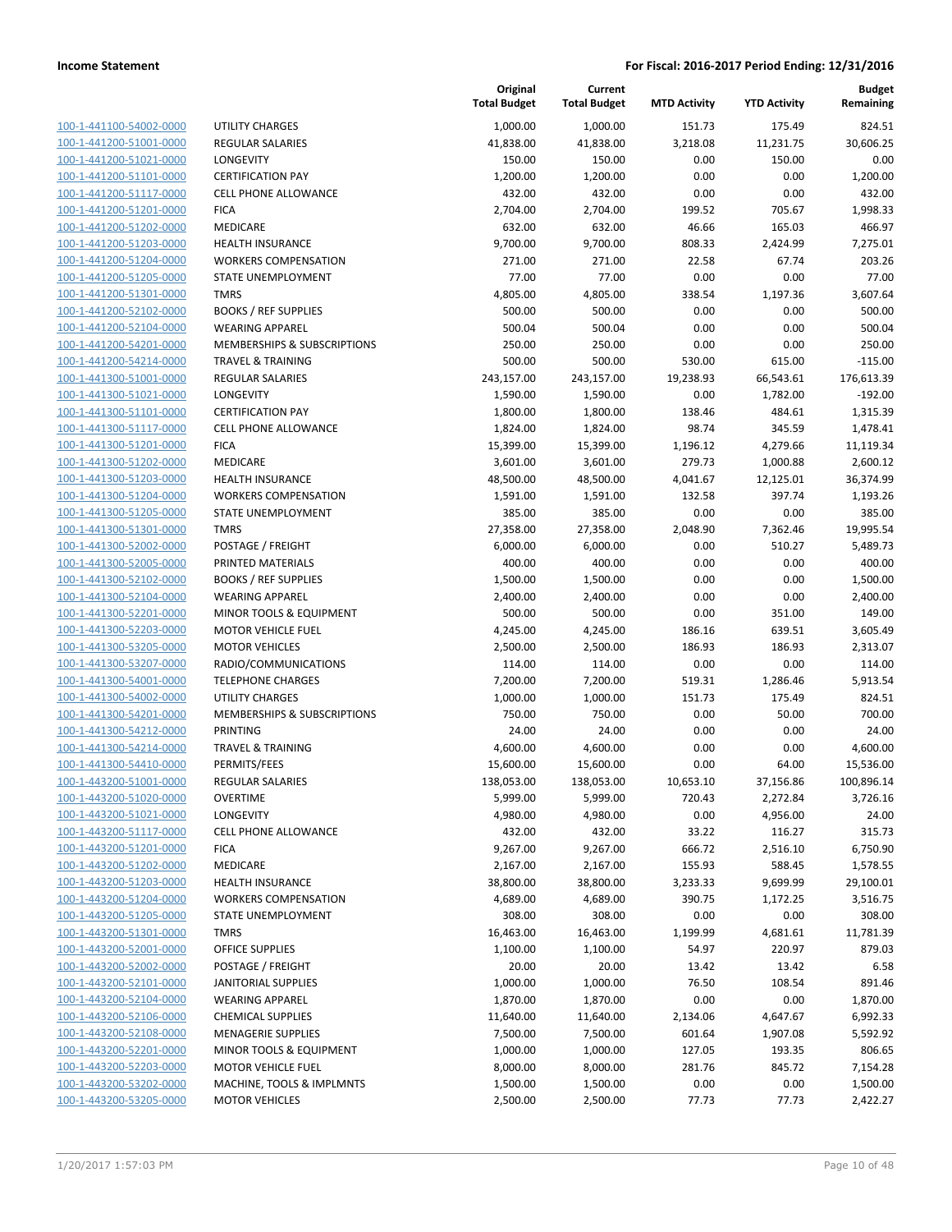| 100-1-441100-54002-0000            |
|------------------------------------|
| 100-1-441200-51001-0000            |
| 100-1-441200-51021-0000            |
| 100-1-441200-51101-0000            |
| -441200-51117-0000<br>$100 - 1$    |
| 100-1-441200-51201-0000            |
| 100-1-441200-51202-0000            |
| 100-1-441200-51203-0000            |
| 100-1-441200-51204-0000            |
| $100 - 1$<br>-441200-51205-0000    |
| 100-1-441200-51301-0000            |
| 100-1-441200-52102-0000            |
| 100-1-441200-52104-0000            |
|                                    |
| 100-1-441200-54201-0000            |
| 441200-54214-0000<br>$100 - 1$     |
| 100-1-441300-51001-0000            |
| 100-1-441300-51021-0000            |
| 100-1-441300-51101-0000            |
| 100-1-441300-51117-0000            |
| 441300-51201<br>$100 - 1$<br>-0000 |
| 100-1-441300-51202-0000            |
| 100-1-441300-51203-0000            |
| 100-1-441300-51204-0000            |
| 100-1-441300-51205-0000            |
| $100 - 1$<br>-441300-51301-0000    |
| 100-1-441300-52002-0000            |
| 100-1-441300-52005-0000            |
| 100-1-441300-52102-0000            |
| 100-1-441300-52104-0000            |
| $100 - 1$                          |
| -441300-52201-0000                 |
| 100-1-441300-52203-0000            |
| 100-1-441300-53205-0000            |
| 100-1-441300-53207-0000            |
| 100-1-441300-54001-0000            |
| $100 - 1$<br>-441300-54002-0000    |
| 100-1-441300-54201-0000            |
| 100-1-441300-54212-0000            |
| 100-1-441300-54214-0000            |
| 100-1-441300-54410-0000            |
| $100 - 1$<br>-443200-51001-0000    |
| 100-1-443200-51020-0000            |
| 100-1-443200-51021-0000            |
| 100-1-443200-51117-0000            |
| 100-1-443200-51201-0000            |
| 100-1-443200-51202-0000            |
|                                    |
| 100-1-443200-51203-0000            |
| 100-1-443200-51204-0000            |
| <u>100-1-443200-51205-0000</u>     |
| 100-1-443200-51301-0000            |
| 100-1-443200-52001-0000            |
| 100-1-443200-52002-0000            |
| 100-1-443200-52101-0000            |
| 100-1-443200-52104-0000            |
| 100-1-443200-52106-0000            |
| 100-1-443200-52108-0000            |
| 100-1-443200-52201-0000            |
| 100-1-443200-52203-0000            |
| <u>100-1-443200-53202-0000</u>     |
| 100-1-443200-53205-0000            |
|                                    |

|                         |                              | Original<br><b>Total Budget</b> | Current<br><b>Total Budget</b> | <b>MTD Activity</b> | <b>YTD Activity</b> | <b>Budget</b><br>Remaining |
|-------------------------|------------------------------|---------------------------------|--------------------------------|---------------------|---------------------|----------------------------|
| 100-1-441100-54002-0000 | <b>UTILITY CHARGES</b>       | 1,000.00                        | 1,000.00                       | 151.73              | 175.49              | 824.51                     |
| 100-1-441200-51001-0000 | <b>REGULAR SALARIES</b>      | 41,838.00                       | 41,838.00                      | 3,218.08            | 11,231.75           | 30,606.25                  |
| 100-1-441200-51021-0000 | LONGEVITY                    | 150.00                          | 150.00                         | 0.00                | 150.00              | 0.00                       |
| 100-1-441200-51101-0000 | <b>CERTIFICATION PAY</b>     | 1,200.00                        | 1,200.00                       | 0.00                | 0.00                | 1,200.00                   |
| 100-1-441200-51117-0000 | <b>CELL PHONE ALLOWANCE</b>  | 432.00                          | 432.00                         | 0.00                | 0.00                | 432.00                     |
| 100-1-441200-51201-0000 | <b>FICA</b>                  | 2,704.00                        | 2,704.00                       | 199.52              | 705.67              | 1,998.33                   |
| 100-1-441200-51202-0000 | MEDICARE                     | 632.00                          | 632.00                         | 46.66               | 165.03              | 466.97                     |
| 100-1-441200-51203-0000 | <b>HEALTH INSURANCE</b>      | 9,700.00                        | 9,700.00                       | 808.33              | 2,424.99            | 7,275.01                   |
| 100-1-441200-51204-0000 | <b>WORKERS COMPENSATION</b>  | 271.00                          | 271.00                         | 22.58               | 67.74               | 203.26                     |
| 100-1-441200-51205-0000 | STATE UNEMPLOYMENT           | 77.00                           | 77.00                          | 0.00                | 0.00                | 77.00                      |
| 100-1-441200-51301-0000 | <b>TMRS</b>                  | 4,805.00                        | 4,805.00                       | 338.54              | 1,197.36            | 3,607.64                   |
| 100-1-441200-52102-0000 | <b>BOOKS / REF SUPPLIES</b>  | 500.00                          | 500.00                         | 0.00                | 0.00                | 500.00                     |
| 100-1-441200-52104-0000 | <b>WEARING APPAREL</b>       | 500.04                          | 500.04                         | 0.00                | 0.00                | 500.04                     |
| 100-1-441200-54201-0000 | MEMBERSHIPS & SUBSCRIPTIONS  | 250.00                          | 250.00                         | 0.00                | 0.00                | 250.00                     |
| 100-1-441200-54214-0000 | <b>TRAVEL &amp; TRAINING</b> | 500.00                          | 500.00                         | 530.00              | 615.00              | $-115.00$                  |
| 100-1-441300-51001-0000 | <b>REGULAR SALARIES</b>      | 243,157.00                      | 243,157.00                     | 19,238.93           | 66,543.61           | 176,613.39                 |
| 100-1-441300-51021-0000 | LONGEVITY                    | 1,590.00                        | 1,590.00                       | 0.00                | 1,782.00            | $-192.00$                  |
| 100-1-441300-51101-0000 | <b>CERTIFICATION PAY</b>     | 1,800.00                        | 1,800.00                       | 138.46              | 484.61              | 1,315.39                   |
| 100-1-441300-51117-0000 | <b>CELL PHONE ALLOWANCE</b>  | 1,824.00                        | 1,824.00                       | 98.74               | 345.59              | 1,478.41                   |
| 100-1-441300-51201-0000 | <b>FICA</b>                  | 15,399.00                       | 15,399.00                      | 1,196.12            | 4,279.66            | 11,119.34                  |
| 100-1-441300-51202-0000 | MEDICARE                     | 3,601.00                        | 3,601.00                       | 279.73              | 1,000.88            | 2,600.12                   |
| 100-1-441300-51203-0000 | <b>HEALTH INSURANCE</b>      | 48,500.00                       | 48,500.00                      | 4,041.67            | 12,125.01           | 36,374.99                  |
| 100-1-441300-51204-0000 | <b>WORKERS COMPENSATION</b>  | 1,591.00                        | 1,591.00                       | 132.58              | 397.74              | 1,193.26                   |
| 100-1-441300-51205-0000 | STATE UNEMPLOYMENT           | 385.00                          | 385.00                         | 0.00                | 0.00                | 385.00                     |
| 100-1-441300-51301-0000 | <b>TMRS</b>                  | 27,358.00                       | 27,358.00                      | 2,048.90            | 7,362.46            | 19,995.54                  |
| 100-1-441300-52002-0000 | POSTAGE / FREIGHT            | 6,000.00                        | 6,000.00                       | 0.00                | 510.27              | 5,489.73                   |
| 100-1-441300-52005-0000 | PRINTED MATERIALS            | 400.00                          | 400.00                         | 0.00                | 0.00                | 400.00                     |
| 100-1-441300-52102-0000 | <b>BOOKS / REF SUPPLIES</b>  | 1,500.00                        | 1,500.00                       | 0.00                | 0.00                | 1,500.00                   |
| 100-1-441300-52104-0000 | <b>WEARING APPAREL</b>       | 2,400.00                        | 2,400.00                       | 0.00                | 0.00                | 2,400.00                   |
| 100-1-441300-52201-0000 | MINOR TOOLS & EQUIPMENT      | 500.00                          | 500.00                         | 0.00                | 351.00              | 149.00                     |
| 100-1-441300-52203-0000 | <b>MOTOR VEHICLE FUEL</b>    | 4,245.00                        | 4,245.00                       | 186.16              | 639.51              | 3,605.49                   |
| 100-1-441300-53205-0000 | <b>MOTOR VEHICLES</b>        | 2,500.00                        | 2,500.00                       | 186.93              | 186.93              | 2,313.07                   |
| 100-1-441300-53207-0000 | RADIO/COMMUNICATIONS         | 114.00                          | 114.00                         | 0.00                | 0.00                | 114.00                     |
| 100-1-441300-54001-0000 | <b>TELEPHONE CHARGES</b>     | 7,200.00                        | 7,200.00                       | 519.31              | 1,286.46            | 5,913.54                   |
| 100-1-441300-54002-0000 | <b>UTILITY CHARGES</b>       | 1,000.00                        | 1,000.00                       | 151.73              | 175.49              | 824.51                     |
| 100-1-441300-54201-0000 | MEMBERSHIPS & SUBSCRIPTIONS  | 750.00                          | 750.00                         | 0.00                | 50.00               | 700.00                     |
| 100-1-441300-54212-0000 | <b>PRINTING</b>              | 24.00                           | 24.00                          | 0.00                | 0.00                | 24.00                      |
| 100-1-441300-54214-0000 | <b>TRAVEL &amp; TRAINING</b> | 4,600.00                        | 4,600.00                       | 0.00                | 0.00                | 4,600.00                   |
| 100-1-441300-54410-0000 | PERMITS/FEES                 | 15,600.00                       | 15,600.00                      | 0.00                | 64.00               | 15,536.00                  |
| 100-1-443200-51001-0000 | REGULAR SALARIES             | 138,053.00                      | 138,053.00                     | 10,653.10           | 37,156.86           | 100,896.14                 |
| 100-1-443200-51020-0000 | <b>OVERTIME</b>              | 5,999.00                        | 5,999.00                       | 720.43              | 2,272.84            | 3,726.16                   |
| 100-1-443200-51021-0000 | LONGEVITY                    | 4,980.00                        | 4,980.00                       | 0.00                | 4,956.00            | 24.00                      |
| 100-1-443200-51117-0000 | <b>CELL PHONE ALLOWANCE</b>  | 432.00                          | 432.00                         | 33.22               | 116.27              | 315.73                     |
| 100-1-443200-51201-0000 | <b>FICA</b>                  | 9,267.00                        | 9,267.00                       | 666.72              | 2,516.10            | 6,750.90                   |
| 100-1-443200-51202-0000 | MEDICARE                     | 2,167.00                        | 2,167.00                       | 155.93              | 588.45              | 1,578.55                   |
| 100-1-443200-51203-0000 | HEALTH INSURANCE             | 38,800.00                       | 38,800.00                      | 3,233.33            | 9,699.99            | 29,100.01                  |
| 100-1-443200-51204-0000 | <b>WORKERS COMPENSATION</b>  | 4,689.00                        | 4,689.00                       | 390.75              | 1,172.25            | 3,516.75                   |
| 100-1-443200-51205-0000 | STATE UNEMPLOYMENT           | 308.00                          | 308.00                         | 0.00                | 0.00                | 308.00                     |
| 100-1-443200-51301-0000 | <b>TMRS</b>                  | 16,463.00                       | 16,463.00                      | 1,199.99            | 4,681.61            | 11,781.39                  |
| 100-1-443200-52001-0000 | OFFICE SUPPLIES              | 1,100.00                        | 1,100.00                       | 54.97               | 220.97              | 879.03                     |
| 100-1-443200-52002-0000 | POSTAGE / FREIGHT            | 20.00                           | 20.00                          | 13.42               | 13.42               | 6.58                       |
| 100-1-443200-52101-0000 | <b>JANITORIAL SUPPLIES</b>   | 1,000.00                        | 1,000.00                       | 76.50               | 108.54              | 891.46                     |
| 100-1-443200-52104-0000 | <b>WEARING APPAREL</b>       | 1,870.00                        | 1,870.00                       | 0.00                | 0.00                | 1,870.00                   |
| 100-1-443200-52106-0000 | <b>CHEMICAL SUPPLIES</b>     | 11,640.00                       | 11,640.00                      | 2,134.06            | 4,647.67            | 6,992.33                   |
| 100-1-443200-52108-0000 | <b>MENAGERIE SUPPLIES</b>    | 7,500.00                        | 7,500.00                       | 601.64              | 1,907.08            | 5,592.92                   |
| 100-1-443200-52201-0000 | MINOR TOOLS & EQUIPMENT      | 1,000.00                        | 1,000.00                       | 127.05              | 193.35              | 806.65                     |
| 100-1-443200-52203-0000 | <b>MOTOR VEHICLE FUEL</b>    | 8,000.00                        | 8,000.00                       | 281.76              | 845.72              | 7,154.28                   |
| 100-1-443200-53202-0000 | MACHINE, TOOLS & IMPLMNTS    | 1,500.00                        | 1,500.00                       | 0.00                | 0.00                | 1,500.00                   |
| 100-1-443200-53205-0000 | <b>MOTOR VEHICLES</b>        | 2,500.00                        | 2,500.00                       | 77.73               | 77.73               | 2,422.27                   |
|                         |                              |                                 |                                |                     |                     |                            |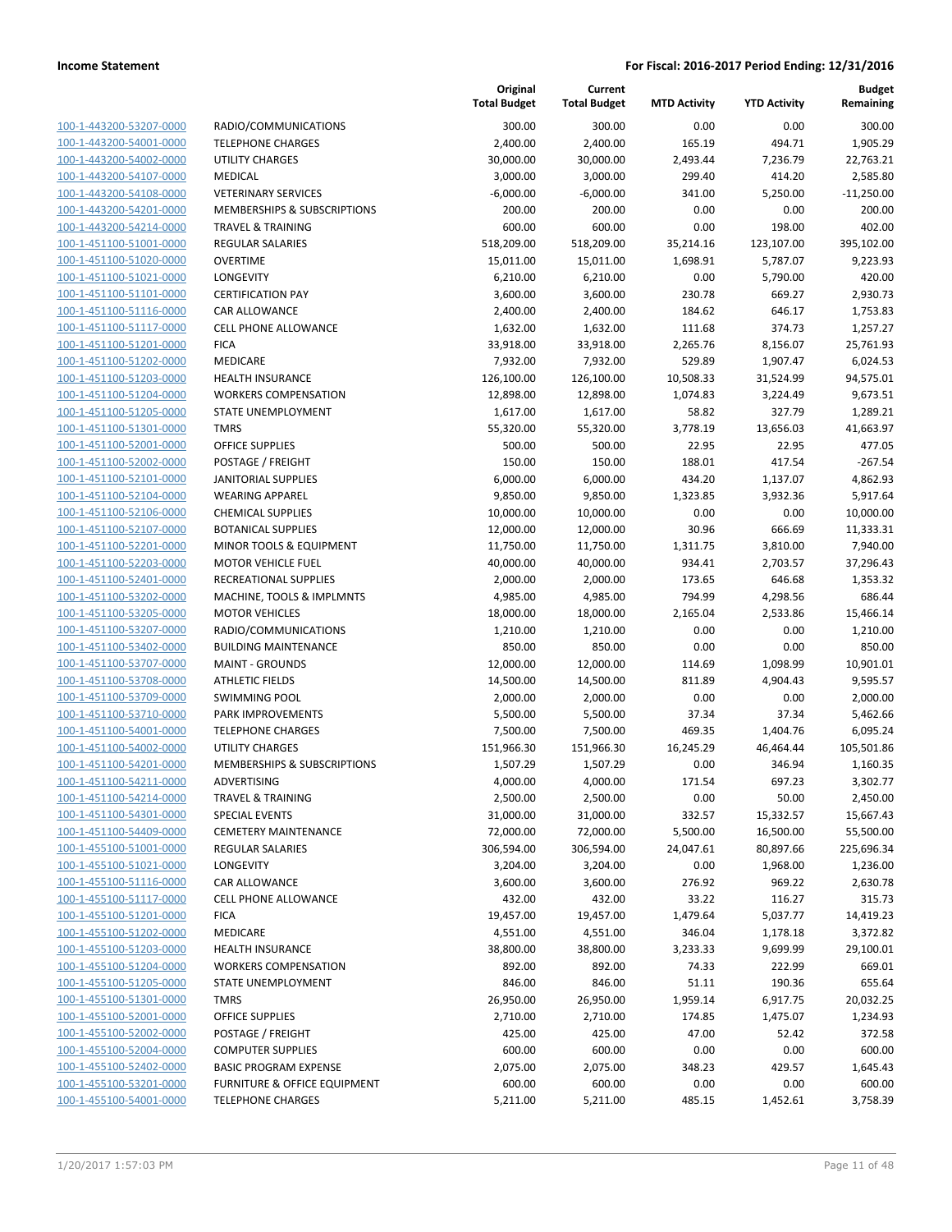**Current**

**Original**

**MTD Activity YTD Activity**

**Budget Remaining**

| 100-1-443200-53207-0000        |
|--------------------------------|
| 100-1-443200-54001-0000        |
| 100-1-443200-54002-0000        |
| 100-1-443200-54107-0000        |
| 100-1-443200-54108-0000        |
| 100-1-443200-54201-0000        |
| 100-1-443200-54214-0000        |
|                                |
| 100-1-451100-51001-0000        |
| 100-1-451100-51020-0000        |
| 100-1-451100-51021-0000        |
| 100-1-451100-51101-0000        |
| 100-1-451100-51116-0000        |
| 100-1-451100-51117-0000        |
| 100-1-451100-51201-0000        |
| 100-1-451100-51202-0000        |
| 100-1-451100-51203-0000        |
| 100-1-451100-51204-0000        |
|                                |
| 100-1-451100-51205-0000        |
| 100-1-451100-51301-0000        |
| 100-1-451100-52001-0000        |
| 100-1-451100-52002-0000        |
| 100-1-451100-52101-0000        |
| 100-1-451100-52104-0000        |
| 100-1-451100-52106-0000        |
| 100-1-451100-52107-0000        |
| 100-1-451100-52201-0000        |
| 100-1-451100-52203-0000        |
|                                |
| 100-1-451100-52401-0000        |
| 100-1-451100-53202-0000        |
| 100-1-451100-53205-0000        |
| 100-1-451100-53207-0000        |
| 100-1-451100-53402-0000        |
| 100-1-451100-53707-0000        |
| 100-1-451100-53708-0000        |
| 100-1-451100-53709-0000        |
| 100-1-451100-53710-0000        |
| 100-1-451100-54001-0000        |
| 100-1-451100-54002-0000        |
|                                |
| 100-1-451100-54201-0000        |
| 100-1-451100-54211-0000        |
| 100-1-451100-54214-0000        |
| <u>100-1-451100-54301-0000</u> |
| 100-1-451100-54409-0000        |
| <u>100-1-455100-51001-0000</u> |
| <u>100-1-455100-51021-0000</u> |
| 100-1-455100-51116-0000        |
| 100-1-455100-51117-0000        |
| <u>100-1-455100-51201-0000</u> |
|                                |
| <u>100-1-455100-51202-0000</u> |
| <u>100-1-455100-51203-0000</u> |
| 100-1-455100-51204-0000        |
| 100-1-455100-51205-0000        |
| 100-1-455100-51301-0000        |
| <u>100-1-455100-52001-0000</u> |
| <u>100-1-455100-52002-0000</u> |
| 100-1-455100-52004-0000        |
| 100-1-455100-52402-0000        |
| <u>100-1-455100-53201-0000</u> |
|                                |
| <u>100-1-455100-54001-0000</u> |

|                                                    |                                                 | <b>Total Budget</b> | <b>Total Budget</b>  | <b>MTD Activity</b> | <b>YTD Activity</b> | Remaining           |
|----------------------------------------------------|-------------------------------------------------|---------------------|----------------------|---------------------|---------------------|---------------------|
| 100-1-443200-53207-0000                            | RADIO/COMMUNICATIONS                            | 300.00              | 300.00               | 0.00                | 0.00                | 300.00              |
| 100-1-443200-54001-0000                            | <b>TELEPHONE CHARGES</b>                        | 2,400.00            | 2,400.00             | 165.19              | 494.71              | 1,905.29            |
| 100-1-443200-54002-0000                            | <b>UTILITY CHARGES</b>                          | 30,000.00           | 30,000.00            | 2,493.44            | 7,236.79            | 22,763.21           |
| 100-1-443200-54107-0000                            | MEDICAL                                         | 3,000.00            | 3,000.00             | 299.40              | 414.20              | 2,585.80            |
| 100-1-443200-54108-0000                            | <b>VETERINARY SERVICES</b>                      | $-6,000.00$         | $-6,000.00$          | 341.00              | 5,250.00            | $-11,250.00$        |
| 100-1-443200-54201-0000                            | MEMBERSHIPS & SUBSCRIPTIONS                     | 200.00              | 200.00               | 0.00                | 0.00                | 200.00              |
| 100-1-443200-54214-0000                            | <b>TRAVEL &amp; TRAINING</b>                    | 600.00              | 600.00               | 0.00                | 198.00              | 402.00              |
| 100-1-451100-51001-0000                            | REGULAR SALARIES                                | 518,209.00          | 518,209.00           | 35,214.16           | 123,107.00          | 395,102.00          |
| 100-1-451100-51020-0000                            | <b>OVERTIME</b>                                 | 15,011.00           | 15,011.00            | 1,698.91            | 5,787.07            | 9,223.93            |
| 100-1-451100-51021-0000                            | LONGEVITY                                       | 6,210.00            | 6,210.00             | 0.00                | 5,790.00            | 420.00              |
| 100-1-451100-51101-0000                            | <b>CERTIFICATION PAY</b>                        | 3,600.00            | 3,600.00             | 230.78              | 669.27              | 2,930.73            |
| 100-1-451100-51116-0000                            | CAR ALLOWANCE                                   | 2,400.00            | 2,400.00             | 184.62              | 646.17              | 1,753.83            |
| 100-1-451100-51117-0000                            | <b>CELL PHONE ALLOWANCE</b>                     | 1,632.00            | 1,632.00             | 111.68              | 374.73              | 1,257.27            |
| 100-1-451100-51201-0000                            | <b>FICA</b>                                     | 33,918.00           | 33,918.00            | 2,265.76            | 8,156.07            | 25,761.93           |
| 100-1-451100-51202-0000                            | MEDICARE                                        | 7,932.00            | 7,932.00             | 529.89              | 1,907.47            | 6,024.53            |
| 100-1-451100-51203-0000                            | HEALTH INSURANCE                                | 126,100.00          | 126,100.00           | 10,508.33           | 31,524.99           | 94,575.01           |
| 100-1-451100-51204-0000                            | <b>WORKERS COMPENSATION</b>                     | 12,898.00           | 12,898.00            | 1,074.83            | 3,224.49            | 9,673.51            |
| 100-1-451100-51205-0000                            | STATE UNEMPLOYMENT                              | 1,617.00            | 1,617.00             | 58.82               | 327.79              | 1,289.21            |
| 100-1-451100-51301-0000                            | <b>TMRS</b>                                     | 55,320.00           | 55,320.00            | 3,778.19            | 13,656.03           | 41,663.97           |
| 100-1-451100-52001-0000<br>100-1-451100-52002-0000 | <b>OFFICE SUPPLIES</b>                          | 500.00              | 500.00               | 22.95               | 22.95               | 477.05<br>$-267.54$ |
| 100-1-451100-52101-0000                            | POSTAGE / FREIGHT<br><b>JANITORIAL SUPPLIES</b> | 150.00<br>6,000.00  | 150.00               | 188.01<br>434.20    | 417.54<br>1,137.07  | 4,862.93            |
| 100-1-451100-52104-0000                            | <b>WEARING APPAREL</b>                          | 9,850.00            | 6,000.00<br>9,850.00 | 1,323.85            | 3,932.36            | 5,917.64            |
| 100-1-451100-52106-0000                            | <b>CHEMICAL SUPPLIES</b>                        | 10,000.00           | 10,000.00            | 0.00                | 0.00                | 10,000.00           |
| 100-1-451100-52107-0000                            | <b>BOTANICAL SUPPLIES</b>                       | 12,000.00           | 12,000.00            | 30.96               | 666.69              | 11,333.31           |
| 100-1-451100-52201-0000                            | MINOR TOOLS & EQUIPMENT                         | 11,750.00           | 11,750.00            | 1,311.75            | 3,810.00            | 7,940.00            |
| 100-1-451100-52203-0000                            | <b>MOTOR VEHICLE FUEL</b>                       | 40,000.00           | 40,000.00            | 934.41              | 2,703.57            | 37,296.43           |
| 100-1-451100-52401-0000                            | RECREATIONAL SUPPLIES                           | 2,000.00            | 2,000.00             | 173.65              | 646.68              | 1,353.32            |
| 100-1-451100-53202-0000                            | MACHINE, TOOLS & IMPLMNTS                       | 4,985.00            | 4,985.00             | 794.99              | 4,298.56            | 686.44              |
| 100-1-451100-53205-0000                            | <b>MOTOR VEHICLES</b>                           | 18,000.00           | 18,000.00            | 2,165.04            | 2,533.86            | 15,466.14           |
| 100-1-451100-53207-0000                            | RADIO/COMMUNICATIONS                            | 1,210.00            | 1,210.00             | 0.00                | 0.00                | 1,210.00            |
| 100-1-451100-53402-0000                            | <b>BUILDING MAINTENANCE</b>                     | 850.00              | 850.00               | 0.00                | 0.00                | 850.00              |
| 100-1-451100-53707-0000                            | <b>MAINT - GROUNDS</b>                          | 12,000.00           | 12,000.00            | 114.69              | 1,098.99            | 10,901.01           |
| 100-1-451100-53708-0000                            | <b>ATHLETIC FIELDS</b>                          | 14,500.00           | 14,500.00            | 811.89              | 4,904.43            | 9,595.57            |
| 100-1-451100-53709-0000                            | <b>SWIMMING POOL</b>                            | 2,000.00            | 2,000.00             | 0.00                | 0.00                | 2,000.00            |
| 100-1-451100-53710-0000                            | PARK IMPROVEMENTS                               | 5,500.00            | 5,500.00             | 37.34               | 37.34               | 5,462.66            |
| 100-1-451100-54001-0000                            | <b>TELEPHONE CHARGES</b>                        | 7,500.00            | 7,500.00             | 469.35              | 1,404.76            | 6,095.24            |
| 100-1-451100-54002-0000                            | <b>UTILITY CHARGES</b>                          | 151,966.30          | 151,966.30           | 16,245.29           | 46,464.44           | 105,501.86          |
| 100-1-451100-54201-0000                            | <b>MEMBERSHIPS &amp; SUBSCRIPTIONS</b>          | 1,507.29            | 1,507.29             | 0.00                | 346.94              | 1,160.35            |
| 100-1-451100-54211-0000                            | ADVERTISING                                     | 4,000.00            | 4,000.00             | 171.54              | 697.23              | 3,302.77            |
| 100-1-451100-54214-0000                            | TRAVEL & TRAINING                               | 2,500.00            | 2,500.00             | 0.00                | 50.00               | 2,450.00            |
| 100-1-451100-54301-0000                            | SPECIAL EVENTS                                  | 31,000.00           | 31,000.00            | 332.57              | 15,332.57           | 15,667.43           |
| 100-1-451100-54409-0000                            | <b>CEMETERY MAINTENANCE</b>                     | 72,000.00           | 72,000.00            | 5,500.00            | 16,500.00           | 55,500.00           |
| 100-1-455100-51001-0000                            | <b>REGULAR SALARIES</b>                         | 306,594.00          | 306,594.00           | 24,047.61           | 80,897.66           | 225,696.34          |
| 100-1-455100-51021-0000                            | LONGEVITY                                       | 3,204.00            | 3,204.00             | 0.00                | 1,968.00            | 1,236.00            |
| 100-1-455100-51116-0000                            | CAR ALLOWANCE                                   | 3,600.00            | 3,600.00             | 276.92              | 969.22              | 2,630.78            |
| 100-1-455100-51117-0000                            | <b>CELL PHONE ALLOWANCE</b>                     | 432.00              | 432.00               | 33.22               | 116.27              | 315.73              |
| 100-1-455100-51201-0000                            | <b>FICA</b>                                     | 19,457.00           | 19,457.00            | 1,479.64            | 5,037.77            | 14,419.23           |
| 100-1-455100-51202-0000                            | MEDICARE                                        | 4,551.00            | 4,551.00             | 346.04              | 1,178.18            | 3,372.82            |
| 100-1-455100-51203-0000                            | <b>HEALTH INSURANCE</b>                         | 38,800.00           | 38,800.00            | 3,233.33            | 9,699.99            | 29,100.01           |
| 100-1-455100-51204-0000                            | <b>WORKERS COMPENSATION</b>                     | 892.00              | 892.00               | 74.33               | 222.99              | 669.01              |
| 100-1-455100-51205-0000                            | STATE UNEMPLOYMENT                              | 846.00              | 846.00               | 51.11               | 190.36              | 655.64              |
| 100-1-455100-51301-0000                            | <b>TMRS</b>                                     | 26,950.00           | 26,950.00            | 1,959.14            | 6,917.75            | 20,032.25           |
| 100-1-455100-52001-0000                            | <b>OFFICE SUPPLIES</b>                          | 2,710.00            | 2,710.00             | 174.85<br>47.00     | 1,475.07            | 1,234.93            |
| 100-1-455100-52002-0000<br>100-1-455100-52004-0000 | POSTAGE / FREIGHT<br><b>COMPUTER SUPPLIES</b>   | 425.00<br>600.00    | 425.00<br>600.00     | 0.00                | 52.42<br>0.00       | 372.58<br>600.00    |
| 100-1-455100-52402-0000                            | <b>BASIC PROGRAM EXPENSE</b>                    | 2,075.00            | 2,075.00             | 348.23              | 429.57              | 1,645.43            |
| 100-1-455100-53201-0000                            | <b>FURNITURE &amp; OFFICE EQUIPMENT</b>         | 600.00              | 600.00               | 0.00                | 0.00                | 600.00              |
| 100-1-455100-54001-0000                            | <b>TELEPHONE CHARGES</b>                        | 5,211.00            | 5,211.00             | 485.15              | 1,452.61            | 3,758.39            |
|                                                    |                                                 |                     |                      |                     |                     |                     |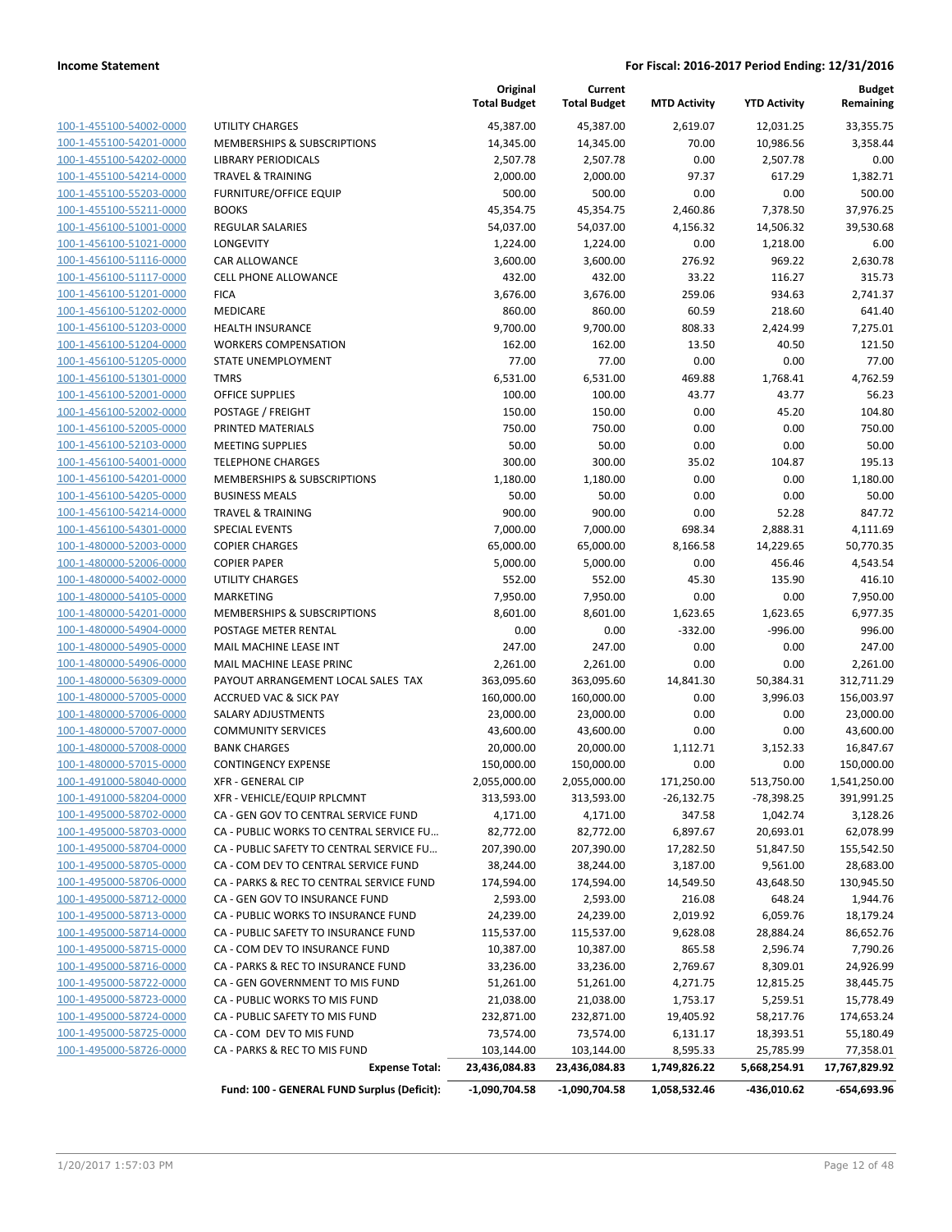| 100-1-455100-54002-0000        |
|--------------------------------|
| 100-1-455100-54201-0000        |
| 100-1-455100-54202-0000        |
| 100-1-455100-54214-0000        |
| 100-1-455100-55203-0000        |
| 100-1-455100-55211-0000        |
| 100-1-456100-51001-0000        |
| 100-1-456100-51021-0000        |
| 100-1-456100-51116-0000        |
| <u>100-1-456100-51117-0000</u> |
| 100-1-456100-51201-0000        |
| 100-1-456100-51202-0000        |
| 100-1-456100-51203-0000        |
| 100-1-456100-51204-0000        |
| <u>100-1-456100-51205-0000</u> |
| 100-1-456100-51301-0000        |
| 100-1-456100-52001-0000        |
| 100-1-456100-52002-0000        |
| 100-1-456100-52005-0000        |
|                                |
| 100-1-456100-52103-0000        |
| 100-1-456100-54001-0000        |
| 100-1-456100-54201-0000        |
| 100-1-456100-54205-0000        |
| 100-1-456100-54214-0000        |
| <u>100-1-456100-54301-0000</u> |
| <u>100-1-480000-52003-0000</u> |
| 100-1-480000-52006-0000        |
| 100-1-480000-54002-0000        |
| 100-1-480000-54105-0000        |
| <u>100-1-480000-54201-0000</u> |
| 100-1-480000-54904-0000        |
| 100-1-480000-54905-0000        |
| 100-1-480000-54906-0000        |
| <u>100-1-480000-56309-0000</u> |
| <u>100-1-480000-57005-0000</u> |
| <u>100-1-480000-57006-0000</u> |
| 100-1-480000-57007-0000        |
| 100-1-480000-57008-0000        |
| 100-1-480000-57015-0000        |
| 100-1-491000-58040-0000        |
| 100-1-491000-58204-0000        |
|                                |
| <u>100-1-495000-58702-0000</u> |
| 100-1-495000-58703-0000        |
| 100-1-495000-58704-0000        |
| <u>100-1-495000-58705-0000</u> |
| <u>100-1-495000-58706-0000</u> |
| <u>100-1-495000-58712-0000</u> |
| 100-1-495000-58713-0000        |
| 100-1-495000-58714-0000        |
| 100-1-495000-58715-0000        |
| <u>100-1-495000-58716-0000</u> |
| 100-1-495000-58722-0000        |
| 100-1-495000-58723-0000        |
| 100-1-495000-58724-0000        |
| <u>100-1-495000-58725-0000</u> |
| 100-1-495000-58726-0000        |
|                                |

|                         |                                             | Original<br><b>Total Budget</b> | Current<br><b>Total Budget</b> | <b>MTD Activity</b> | <b>YTD Activity</b> | <b>Budget</b><br>Remaining |
|-------------------------|---------------------------------------------|---------------------------------|--------------------------------|---------------------|---------------------|----------------------------|
| 100-1-455100-54002-0000 | <b>UTILITY CHARGES</b>                      | 45,387.00                       | 45,387.00                      | 2,619.07            | 12,031.25           | 33,355.75                  |
| 100-1-455100-54201-0000 | MEMBERSHIPS & SUBSCRIPTIONS                 | 14,345.00                       | 14,345.00                      | 70.00               | 10,986.56           | 3,358.44                   |
| 100-1-455100-54202-0000 | <b>LIBRARY PERIODICALS</b>                  | 2,507.78                        | 2,507.78                       | 0.00                | 2,507.78            | 0.00                       |
| 100-1-455100-54214-0000 | <b>TRAVEL &amp; TRAINING</b>                | 2,000.00                        | 2,000.00                       | 97.37               | 617.29              | 1,382.71                   |
| 100-1-455100-55203-0000 | FURNITURE/OFFICE EQUIP                      | 500.00                          | 500.00                         | 0.00                | 0.00                | 500.00                     |
| 100-1-455100-55211-0000 | <b>BOOKS</b>                                | 45,354.75                       | 45,354.75                      | 2,460.86            | 7,378.50            | 37,976.25                  |
| 100-1-456100-51001-0000 | REGULAR SALARIES                            | 54,037.00                       | 54,037.00                      | 4,156.32            | 14,506.32           | 39,530.68                  |
| 100-1-456100-51021-0000 | LONGEVITY                                   | 1,224.00                        | 1,224.00                       | 0.00                | 1,218.00            | 6.00                       |
| 100-1-456100-51116-0000 | <b>CAR ALLOWANCE</b>                        | 3,600.00                        | 3,600.00                       | 276.92              | 969.22              | 2,630.78                   |
| 100-1-456100-51117-0000 | <b>CELL PHONE ALLOWANCE</b>                 | 432.00                          | 432.00                         | 33.22               | 116.27              | 315.73                     |
| 100-1-456100-51201-0000 | <b>FICA</b>                                 | 3,676.00                        | 3,676.00                       | 259.06              | 934.63              | 2,741.37                   |
| 100-1-456100-51202-0000 | MEDICARE                                    | 860.00                          | 860.00                         | 60.59               | 218.60              | 641.40                     |
| 100-1-456100-51203-0000 | <b>HEALTH INSURANCE</b>                     | 9,700.00                        | 9,700.00                       | 808.33              | 2,424.99            | 7,275.01                   |
| 100-1-456100-51204-0000 | <b>WORKERS COMPENSATION</b>                 | 162.00                          | 162.00                         | 13.50               | 40.50               | 121.50                     |
| 100-1-456100-51205-0000 | STATE UNEMPLOYMENT                          | 77.00                           | 77.00                          | 0.00                | 0.00                | 77.00                      |
| 100-1-456100-51301-0000 | <b>TMRS</b>                                 | 6,531.00                        | 6,531.00                       | 469.88              | 1,768.41            | 4,762.59                   |
| 100-1-456100-52001-0000 | <b>OFFICE SUPPLIES</b>                      | 100.00                          | 100.00                         | 43.77               | 43.77               | 56.23                      |
| 100-1-456100-52002-0000 | POSTAGE / FREIGHT                           | 150.00                          | 150.00                         | 0.00                | 45.20               | 104.80                     |
| 100-1-456100-52005-0000 | PRINTED MATERIALS                           | 750.00                          | 750.00                         | 0.00                | 0.00                | 750.00                     |
| 100-1-456100-52103-0000 | <b>MEETING SUPPLIES</b>                     | 50.00                           | 50.00                          | 0.00                | 0.00                | 50.00                      |
| 100-1-456100-54001-0000 | <b>TELEPHONE CHARGES</b>                    | 300.00                          | 300.00                         | 35.02               | 104.87              | 195.13                     |
| 100-1-456100-54201-0000 | MEMBERSHIPS & SUBSCRIPTIONS                 | 1,180.00                        | 1,180.00                       | 0.00                | 0.00                | 1,180.00                   |
| 100-1-456100-54205-0000 | <b>BUSINESS MEALS</b>                       | 50.00                           | 50.00                          | 0.00                | 0.00                | 50.00                      |
| 100-1-456100-54214-0000 | <b>TRAVEL &amp; TRAINING</b>                | 900.00                          | 900.00                         | 0.00                | 52.28               | 847.72                     |
| 100-1-456100-54301-0000 | <b>SPECIAL EVENTS</b>                       | 7,000.00                        | 7,000.00                       | 698.34              | 2,888.31            | 4,111.69                   |
| 100-1-480000-52003-0000 | <b>COPIER CHARGES</b>                       | 65,000.00                       | 65,000.00                      | 8,166.58            | 14,229.65           | 50,770.35                  |
| 100-1-480000-52006-0000 | <b>COPIER PAPER</b>                         | 5,000.00                        | 5,000.00                       | 0.00                | 456.46              | 4,543.54                   |
| 100-1-480000-54002-0000 | <b>UTILITY CHARGES</b>                      | 552.00                          | 552.00                         | 45.30               | 135.90              | 416.10                     |
| 100-1-480000-54105-0000 | <b>MARKETING</b>                            | 7,950.00                        | 7,950.00                       | 0.00                | 0.00                | 7,950.00                   |
| 100-1-480000-54201-0000 | MEMBERSHIPS & SUBSCRIPTIONS                 | 8,601.00                        | 8,601.00                       | 1,623.65            | 1,623.65            | 6,977.35                   |
| 100-1-480000-54904-0000 | POSTAGE METER RENTAL                        | 0.00                            | 0.00                           | $-332.00$           | $-996.00$           | 996.00                     |
| 100-1-480000-54905-0000 | MAIL MACHINE LEASE INT                      | 247.00                          | 247.00                         | 0.00                | 0.00                | 247.00                     |
| 100-1-480000-54906-0000 | MAIL MACHINE LEASE PRINC                    | 2,261.00                        | 2,261.00                       | 0.00                | 0.00                | 2,261.00                   |
| 100-1-480000-56309-0000 | PAYOUT ARRANGEMENT LOCAL SALES TAX          | 363,095.60                      | 363,095.60                     | 14,841.30           | 50,384.31           | 312,711.29                 |
| 100-1-480000-57005-0000 | <b>ACCRUED VAC &amp; SICK PAY</b>           | 160,000.00                      | 160,000.00                     | 0.00                | 3,996.03            | 156,003.97                 |
| 100-1-480000-57006-0000 | SALARY ADJUSTMENTS                          | 23,000.00                       | 23,000.00                      | 0.00                | 0.00                | 23,000.00                  |
| 100-1-480000-57007-0000 | <b>COMMUNITY SERVICES</b>                   | 43,600.00                       | 43,600.00                      | 0.00                | 0.00                | 43,600.00                  |
| 100-1-480000-57008-0000 | <b>BANK CHARGES</b>                         | 20,000.00                       | 20,000.00                      | 1,112.71            | 3,152.33            | 16,847.67                  |
| 100-1-480000-57015-0000 | <b>CONTINGENCY EXPENSE</b>                  | 150,000.00                      | 150,000.00                     | 0.00                | 0.00                | 150,000.00                 |
| 100-1-491000-58040-0000 | XFR - GENERAL CIP                           | 2,055,000.00                    | 2,055,000.00                   | 171,250.00          | 513,750.00          | 1,541,250.00               |
| 100-1-491000-58204-0000 | XFR - VEHICLE/EQUIP RPLCMNT                 | 313,593.00                      | 313,593.00                     | $-26,132.75$        | -78,398.25          | 391,991.25                 |
| 100-1-495000-58702-0000 | CA - GEN GOV TO CENTRAL SERVICE FUND        | 4,171.00                        | 4,171.00                       | 347.58              | 1,042.74            | 3,128.26                   |
| 100-1-495000-58703-0000 | CA - PUBLIC WORKS TO CENTRAL SERVICE FU     | 82,772.00                       | 82,772.00                      | 6,897.67            | 20,693.01           | 62,078.99                  |
| 100-1-495000-58704-0000 | CA - PUBLIC SAFETY TO CENTRAL SERVICE FU    | 207,390.00                      | 207,390.00                     | 17,282.50           | 51,847.50           | 155,542.50                 |
| 100-1-495000-58705-0000 | CA - COM DEV TO CENTRAL SERVICE FUND        | 38,244.00                       | 38,244.00                      | 3,187.00            | 9,561.00            | 28,683.00                  |
| 100-1-495000-58706-0000 | CA - PARKS & REC TO CENTRAL SERVICE FUND    | 174,594.00                      | 174,594.00                     | 14,549.50           | 43,648.50           | 130,945.50                 |
| 100-1-495000-58712-0000 | CA - GEN GOV TO INSURANCE FUND              | 2,593.00                        | 2,593.00                       | 216.08              | 648.24              | 1,944.76                   |
| 100-1-495000-58713-0000 | CA - PUBLIC WORKS TO INSURANCE FUND         | 24,239.00                       | 24,239.00                      | 2,019.92            | 6,059.76            | 18,179.24                  |
| 100-1-495000-58714-0000 | CA - PUBLIC SAFETY TO INSURANCE FUND        | 115,537.00                      | 115,537.00                     | 9,628.08            | 28,884.24           | 86,652.76                  |
| 100-1-495000-58715-0000 | CA - COM DEV TO INSURANCE FUND              | 10,387.00                       | 10,387.00                      | 865.58              | 2,596.74            | 7,790.26                   |
| 100-1-495000-58716-0000 | CA - PARKS & REC TO INSURANCE FUND          | 33,236.00                       | 33,236.00                      | 2,769.67            | 8,309.01            | 24,926.99                  |
| 100-1-495000-58722-0000 | CA - GEN GOVERNMENT TO MIS FUND             | 51,261.00                       | 51,261.00                      | 4,271.75            | 12,815.25           | 38,445.75                  |
| 100-1-495000-58723-0000 | CA - PUBLIC WORKS TO MIS FUND               | 21,038.00                       | 21,038.00                      | 1,753.17            | 5,259.51            | 15,778.49                  |
| 100-1-495000-58724-0000 | CA - PUBLIC SAFETY TO MIS FUND              | 232,871.00                      | 232,871.00                     | 19,405.92           | 58,217.76           | 174,653.24                 |
| 100-1-495000-58725-0000 | CA - COM DEV TO MIS FUND                    | 73,574.00                       | 73,574.00                      | 6,131.17            | 18,393.51           | 55,180.49                  |
| 100-1-495000-58726-0000 | CA - PARKS & REC TO MIS FUND                | 103,144.00                      | 103,144.00                     | 8,595.33            | 25,785.99           | 77,358.01                  |
|                         | <b>Expense Total:</b>                       | 23,436,084.83                   | 23,436,084.83                  | 1,749,826.22        | 5,668,254.91        | 17,767,829.92              |
|                         | Fund: 100 - GENERAL FUND Surplus (Deficit): | $-1,090,704.58$                 | $-1,090,704.58$                | 1,058,532.46        | -436,010.62         | $-654,693.96$              |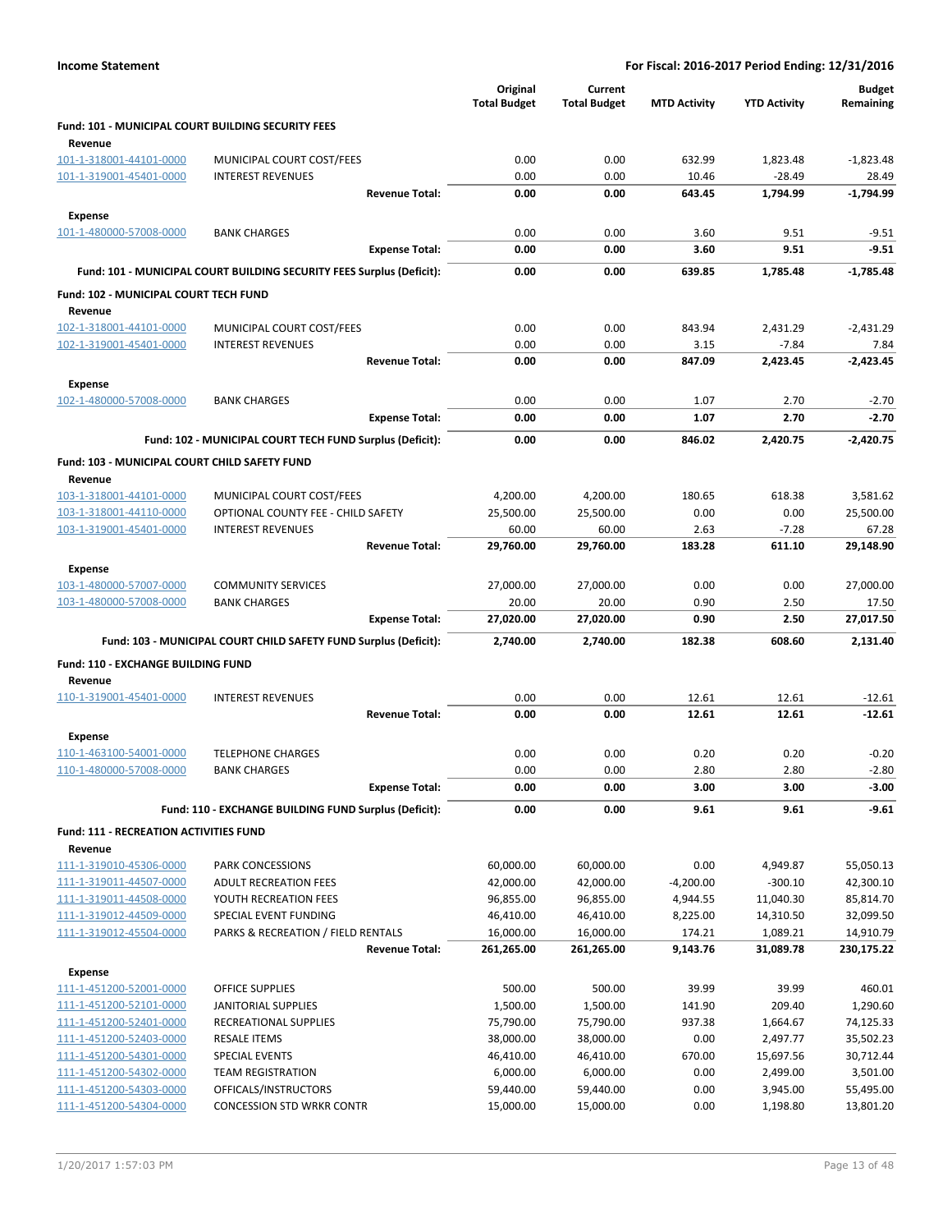|                                                                      |                                                                       | Original            | Current             |                     |                     | <b>Budget</b>      |
|----------------------------------------------------------------------|-----------------------------------------------------------------------|---------------------|---------------------|---------------------|---------------------|--------------------|
|                                                                      |                                                                       | <b>Total Budget</b> | <b>Total Budget</b> | <b>MTD Activity</b> | <b>YTD Activity</b> | Remaining          |
| <b>Fund: 101 - MUNICIPAL COURT BUILDING SECURITY FEES</b><br>Revenue |                                                                       |                     |                     |                     |                     |                    |
| 101-1-318001-44101-0000                                              | MUNICIPAL COURT COST/FEES                                             | 0.00                | 0.00                | 632.99              | 1,823.48            | $-1,823.48$        |
| 101-1-319001-45401-0000                                              | <b>INTEREST REVENUES</b>                                              | 0.00                | 0.00                | 10.46               | $-28.49$            | 28.49              |
|                                                                      | <b>Revenue Total:</b>                                                 | 0.00                | 0.00                | 643.45              | 1,794.99            | $-1,794.99$        |
| Expense                                                              |                                                                       |                     |                     |                     |                     |                    |
| 101-1-480000-57008-0000                                              | <b>BANK CHARGES</b>                                                   | 0.00                | 0.00                | 3.60                | 9.51                | $-9.51$            |
|                                                                      | <b>Expense Total:</b>                                                 | 0.00                | 0.00                | 3.60                | 9.51                | $-9.51$            |
|                                                                      | Fund: 101 - MUNICIPAL COURT BUILDING SECURITY FEES Surplus (Deficit): | 0.00                | 0.00                | 639.85              | 1.785.48            | $-1,785.48$        |
| Fund: 102 - MUNICIPAL COURT TECH FUND                                |                                                                       |                     |                     |                     |                     |                    |
| Revenue                                                              |                                                                       |                     |                     |                     |                     |                    |
| 102-1-318001-44101-0000                                              | MUNICIPAL COURT COST/FEES                                             | 0.00                | 0.00                | 843.94              | 2,431.29            | $-2,431.29$        |
| 102-1-319001-45401-0000                                              | <b>INTEREST REVENUES</b>                                              | 0.00                | 0.00                | 3.15                | $-7.84$             | 7.84               |
|                                                                      | <b>Revenue Total:</b>                                                 | 0.00                | 0.00                | 847.09              | 2,423.45            | $-2,423.45$        |
| Expense                                                              |                                                                       |                     |                     |                     |                     |                    |
| 102-1-480000-57008-0000                                              | <b>BANK CHARGES</b>                                                   | 0.00                | 0.00                | 1.07                | 2.70                | $-2.70$            |
|                                                                      | <b>Expense Total:</b>                                                 | 0.00                | 0.00                | 1.07                | 2.70                | $-2.70$            |
|                                                                      | Fund: 102 - MUNICIPAL COURT TECH FUND Surplus (Deficit):              | 0.00                | 0.00                | 846.02              | 2,420.75            | $-2,420.75$        |
| Fund: 103 - MUNICIPAL COURT CHILD SAFETY FUND<br>Revenue             |                                                                       |                     |                     |                     |                     |                    |
| 103-1-318001-44101-0000                                              | MUNICIPAL COURT COST/FEES                                             | 4,200.00            | 4,200.00            | 180.65              | 618.38              | 3,581.62           |
| 103-1-318001-44110-0000                                              | OPTIONAL COUNTY FEE - CHILD SAFETY                                    | 25,500.00           | 25,500.00           | 0.00                | 0.00                | 25,500.00          |
| 103-1-319001-45401-0000                                              | <b>INTEREST REVENUES</b>                                              | 60.00               | 60.00               | 2.63                | $-7.28$             | 67.28              |
|                                                                      | <b>Revenue Total:</b>                                                 | 29,760.00           | 29,760.00           | 183.28              | 611.10              | 29,148.90          |
| Expense                                                              |                                                                       |                     |                     |                     |                     |                    |
| 103-1-480000-57007-0000                                              | <b>COMMUNITY SERVICES</b>                                             | 27,000.00           | 27,000.00           | 0.00                | 0.00                | 27,000.00          |
| 103-1-480000-57008-0000                                              | <b>BANK CHARGES</b>                                                   | 20.00               | 20.00               | 0.90                | 2.50                | 17.50              |
|                                                                      | <b>Expense Total:</b>                                                 | 27,020.00           | 27,020.00           | 0.90                | 2.50                | 27,017.50          |
|                                                                      | Fund: 103 - MUNICIPAL COURT CHILD SAFETY FUND Surplus (Deficit):      | 2,740.00            | 2,740.00            | 182.38              | 608.60              | 2,131.40           |
| Fund: 110 - EXCHANGE BUILDING FUND                                   |                                                                       |                     |                     |                     |                     |                    |
| Revenue<br>110-1-319001-45401-0000                                   | <b>INTEREST REVENUES</b>                                              | 0.00                | 0.00                | 12.61               | 12.61               | $-12.61$           |
|                                                                      | <b>Revenue Total:</b>                                                 | 0.00                | 0.00                | 12.61               | 12.61               | $-12.61$           |
|                                                                      |                                                                       |                     |                     |                     |                     |                    |
| Expense                                                              | <b>TELEPHONE CHARGES</b>                                              | 0.00                |                     | 0.20                | 0.20                |                    |
| 110-1-463100-54001-0000<br>110-1-480000-57008-0000                   | <b>BANK CHARGES</b>                                                   | 0.00                | 0.00<br>0.00        | 2.80                | 2.80                | $-0.20$<br>$-2.80$ |
|                                                                      | <b>Expense Total:</b>                                                 | 0.00                | 0.00                | 3.00                | 3.00                | $-3.00$            |
|                                                                      | Fund: 110 - EXCHANGE BUILDING FUND Surplus (Deficit):                 | 0.00                | 0.00                | 9.61                | 9.61                | $-9.61$            |
|                                                                      |                                                                       |                     |                     |                     |                     |                    |
| <b>Fund: 111 - RECREATION ACTIVITIES FUND</b><br>Revenue             |                                                                       |                     |                     |                     |                     |                    |
| 111-1-319010-45306-0000                                              | PARK CONCESSIONS                                                      | 60,000.00           | 60,000.00           | 0.00                | 4,949.87            | 55,050.13          |
| 111-1-319011-44507-0000                                              | ADULT RECREATION FEES                                                 | 42,000.00           | 42,000.00           | -4,200.00           | $-300.10$           | 42,300.10          |
| 111-1-319011-44508-0000                                              | YOUTH RECREATION FEES                                                 | 96,855.00           | 96,855.00           | 4,944.55            | 11,040.30           | 85,814.70          |
| 111-1-319012-44509-0000                                              | SPECIAL EVENT FUNDING                                                 | 46,410.00           | 46,410.00           | 8,225.00            | 14,310.50           | 32,099.50          |
| 111-1-319012-45504-0000                                              | PARKS & RECREATION / FIELD RENTALS                                    | 16,000.00           | 16,000.00           | 174.21              | 1,089.21            | 14,910.79          |
|                                                                      | <b>Revenue Total:</b>                                                 | 261,265.00          | 261,265.00          | 9,143.76            | 31,089.78           | 230,175.22         |
| <b>Expense</b>                                                       |                                                                       |                     |                     |                     |                     |                    |
| 111-1-451200-52001-0000                                              | <b>OFFICE SUPPLIES</b>                                                | 500.00              | 500.00              | 39.99               | 39.99               | 460.01             |
| 111-1-451200-52101-0000                                              | JANITORIAL SUPPLIES                                                   | 1,500.00            | 1,500.00            | 141.90              | 209.40              | 1,290.60           |
| 111-1-451200-52401-0000                                              | RECREATIONAL SUPPLIES                                                 | 75,790.00           | 75,790.00           | 937.38              | 1,664.67            | 74,125.33          |
| 111-1-451200-52403-0000                                              | <b>RESALE ITEMS</b>                                                   | 38,000.00           | 38,000.00           | 0.00                | 2,497.77            | 35,502.23          |
| 111-1-451200-54301-0000                                              | <b>SPECIAL EVENTS</b>                                                 | 46,410.00           | 46,410.00           | 670.00              | 15,697.56           | 30,712.44          |
| 111-1-451200-54302-0000                                              | <b>TEAM REGISTRATION</b>                                              | 6,000.00            | 6,000.00            | 0.00                | 2,499.00            | 3,501.00           |
| 111-1-451200-54303-0000                                              | OFFICALS/INSTRUCTORS                                                  | 59,440.00           | 59,440.00           | 0.00                | 3,945.00            | 55,495.00          |
| 111-1-451200-54304-0000                                              | <b>CONCESSION STD WRKR CONTR</b>                                      | 15,000.00           | 15,000.00           | 0.00                | 1,198.80            | 13,801.20          |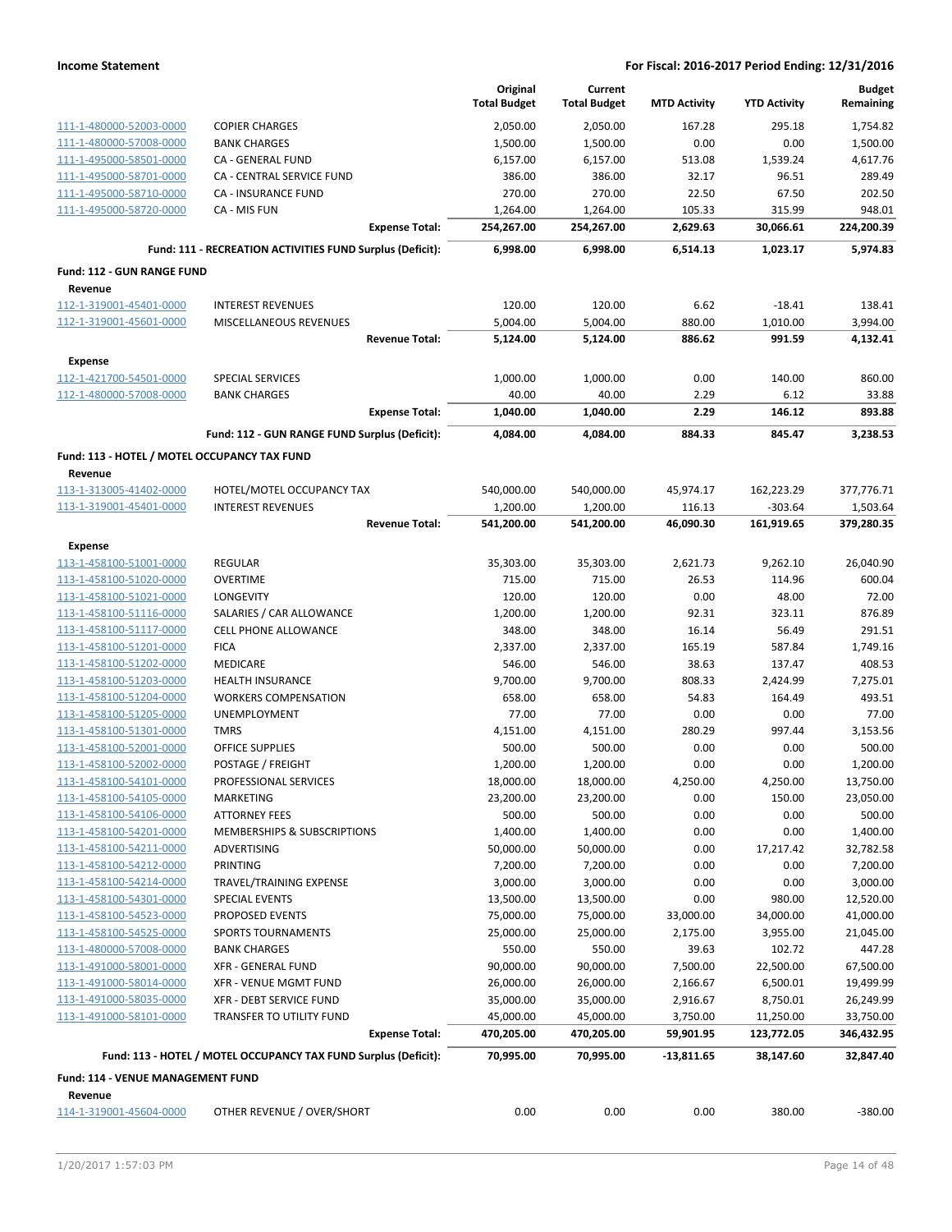|                                                    |                                                                 | Original<br><b>Total Budget</b> | Current<br><b>Total Budget</b> | <b>MTD Activity</b> | <b>YTD Activity</b> | <b>Budget</b><br>Remaining |
|----------------------------------------------------|-----------------------------------------------------------------|---------------------------------|--------------------------------|---------------------|---------------------|----------------------------|
| 111-1-480000-52003-0000                            | <b>COPIER CHARGES</b>                                           | 2,050.00                        | 2,050.00                       | 167.28              | 295.18              | 1,754.82                   |
| 111-1-480000-57008-0000                            | <b>BANK CHARGES</b>                                             | 1,500.00                        | 1,500.00                       | 0.00                | 0.00                | 1,500.00                   |
| 111-1-495000-58501-0000                            | CA - GENERAL FUND                                               | 6,157.00                        | 6,157.00                       | 513.08              | 1,539.24            | 4,617.76                   |
| 111-1-495000-58701-0000                            | CA - CENTRAL SERVICE FUND                                       | 386.00                          | 386.00                         | 32.17               | 96.51               | 289.49                     |
| 111-1-495000-58710-0000                            | CA - INSURANCE FUND                                             | 270.00                          | 270.00                         | 22.50               | 67.50               | 202.50                     |
| 111-1-495000-58720-0000                            | CA - MIS FUN                                                    | 1,264.00                        | 1,264.00                       | 105.33              | 315.99              | 948.01                     |
|                                                    | <b>Expense Total:</b>                                           | 254,267.00                      | 254,267.00                     | 2,629.63            | 30,066.61           | 224,200.39                 |
|                                                    | Fund: 111 - RECREATION ACTIVITIES FUND Surplus (Deficit):       | 6,998.00                        | 6,998.00                       | 6,514.13            | 1,023.17            | 5,974.83                   |
| <b>Fund: 112 - GUN RANGE FUND</b>                  |                                                                 |                                 |                                |                     |                     |                            |
| Revenue                                            |                                                                 |                                 |                                |                     |                     |                            |
| 112-1-319001-45401-0000                            | <b>INTEREST REVENUES</b>                                        | 120.00                          | 120.00                         | 6.62                | $-18.41$            | 138.41                     |
| 112-1-319001-45601-0000                            | MISCELLANEOUS REVENUES                                          | 5,004.00                        | 5,004.00                       | 880.00              | 1,010.00            | 3,994.00                   |
|                                                    | <b>Revenue Total:</b>                                           | 5,124.00                        | 5,124.00                       | 886.62              | 991.59              | 4,132.41                   |
| Expense                                            |                                                                 |                                 |                                |                     |                     |                            |
| 112-1-421700-54501-0000                            | SPECIAL SERVICES                                                | 1,000.00                        | 1,000.00                       | 0.00                | 140.00              | 860.00                     |
| 112-1-480000-57008-0000                            | <b>BANK CHARGES</b>                                             | 40.00                           | 40.00                          | 2.29                | 6.12                | 33.88                      |
|                                                    | <b>Expense Total:</b>                                           | 1,040.00                        | 1,040.00                       | 2.29                | 146.12              | 893.88                     |
|                                                    | Fund: 112 - GUN RANGE FUND Surplus (Deficit):                   | 4,084.00                        | 4,084.00                       | 884.33              | 845.47              | 3,238.53                   |
| Fund: 113 - HOTEL / MOTEL OCCUPANCY TAX FUND       |                                                                 |                                 |                                |                     |                     |                            |
| Revenue                                            |                                                                 |                                 |                                |                     |                     |                            |
| 113-1-313005-41402-0000                            | HOTEL/MOTEL OCCUPANCY TAX                                       | 540,000.00                      | 540,000.00                     | 45,974.17           | 162,223.29          | 377,776.71                 |
| 113-1-319001-45401-0000                            | <b>INTEREST REVENUES</b>                                        | 1,200.00                        | 1,200.00                       | 116.13              | $-303.64$           | 1,503.64                   |
|                                                    | <b>Revenue Total:</b>                                           | 541,200.00                      | 541,200.00                     | 46,090.30           | 161,919.65          | 379,280.35                 |
| <b>Expense</b>                                     |                                                                 |                                 |                                |                     |                     |                            |
| 113-1-458100-51001-0000                            | <b>REGULAR</b>                                                  | 35,303.00                       | 35,303.00                      | 2,621.73            | 9,262.10            | 26,040.90                  |
| 113-1-458100-51020-0000                            | <b>OVERTIME</b>                                                 | 715.00                          | 715.00                         | 26.53               | 114.96              | 600.04                     |
| 113-1-458100-51021-0000                            | LONGEVITY                                                       | 120.00                          | 120.00                         | 0.00                | 48.00               | 72.00                      |
| 113-1-458100-51116-0000                            | SALARIES / CAR ALLOWANCE                                        | 1,200.00                        | 1,200.00                       | 92.31               | 323.11              | 876.89                     |
| 113-1-458100-51117-0000                            | <b>CELL PHONE ALLOWANCE</b>                                     | 348.00                          | 348.00                         | 16.14               | 56.49               | 291.51                     |
| 113-1-458100-51201-0000                            | <b>FICA</b>                                                     | 2,337.00                        | 2,337.00                       | 165.19              | 587.84              | 1,749.16                   |
| 113-1-458100-51202-0000                            | MEDICARE                                                        | 546.00                          | 546.00                         | 38.63               | 137.47              | 408.53                     |
| 113-1-458100-51203-0000<br>113-1-458100-51204-0000 | <b>HEALTH INSURANCE</b><br><b>WORKERS COMPENSATION</b>          | 9,700.00<br>658.00              | 9,700.00<br>658.00             | 808.33<br>54.83     | 2,424.99<br>164.49  | 7,275.01<br>493.51         |
| 113-1-458100-51205-0000                            | <b>UNEMPLOYMENT</b>                                             | 77.00                           | 77.00                          | 0.00                | 0.00                | 77.00                      |
| 113-1-458100-51301-0000                            | <b>TMRS</b>                                                     | 4,151.00                        | 4,151.00                       | 280.29              | 997.44              | 3,153.56                   |
| 113-1-458100-52001-0000                            | <b>OFFICE SUPPLIES</b>                                          | 500.00                          | 500.00                         | 0.00                | 0.00                | 500.00                     |
| 113-1-458100-52002-0000                            | POSTAGE / FREIGHT                                               | 1,200.00                        | 1,200.00                       | 0.00                | 0.00                | 1,200.00                   |
| 113-1-458100-54101-0000                            | PROFESSIONAL SERVICES                                           | 18,000.00                       | 18,000.00                      | 4,250.00            | 4,250.00            | 13,750.00                  |
| 113-1-458100-54105-0000                            | <b>MARKETING</b>                                                | 23,200.00                       | 23,200.00                      | 0.00                | 150.00              | 23,050.00                  |
| 113-1-458100-54106-0000                            | <b>ATTORNEY FEES</b>                                            | 500.00                          | 500.00                         | 0.00                | 0.00                | 500.00                     |
| 113-1-458100-54201-0000                            | MEMBERSHIPS & SUBSCRIPTIONS                                     | 1,400.00                        | 1,400.00                       | 0.00                | 0.00                | 1,400.00                   |
| 113-1-458100-54211-0000                            | ADVERTISING                                                     | 50,000.00                       | 50,000.00                      | 0.00                | 17,217.42           | 32,782.58                  |
| 113-1-458100-54212-0000                            | PRINTING                                                        | 7,200.00                        | 7,200.00                       | 0.00                | 0.00                | 7,200.00                   |
| 113-1-458100-54214-0000                            | TRAVEL/TRAINING EXPENSE                                         | 3,000.00                        | 3,000.00                       | 0.00                | 0.00                | 3,000.00                   |
| 113-1-458100-54301-0000                            | <b>SPECIAL EVENTS</b>                                           | 13,500.00                       | 13,500.00                      | 0.00                | 980.00              | 12,520.00                  |
| 113-1-458100-54523-0000                            | PROPOSED EVENTS                                                 | 75,000.00                       | 75,000.00                      | 33,000.00           | 34,000.00           | 41,000.00                  |
| 113-1-458100-54525-0000                            | SPORTS TOURNAMENTS                                              | 25,000.00                       | 25,000.00                      | 2,175.00            | 3,955.00            | 21,045.00                  |
| 113-1-480000-57008-0000<br>113-1-491000-58001-0000 | <b>BANK CHARGES</b><br><b>XFR - GENERAL FUND</b>                | 550.00<br>90,000.00             | 550.00<br>90,000.00            | 39.63<br>7,500.00   | 102.72<br>22,500.00 | 447.28<br>67,500.00        |
| 113-1-491000-58014-0000                            | <b>XFR - VENUE MGMT FUND</b>                                    | 26,000.00                       | 26,000.00                      | 2,166.67            | 6,500.01            | 19,499.99                  |
| 113-1-491000-58035-0000                            | XFR - DEBT SERVICE FUND                                         | 35,000.00                       | 35,000.00                      | 2,916.67            | 8,750.01            | 26,249.99                  |
| 113-1-491000-58101-0000                            | TRANSFER TO UTILITY FUND                                        | 45,000.00                       | 45,000.00                      | 3,750.00            | 11,250.00           | 33,750.00                  |
|                                                    | <b>Expense Total:</b>                                           | 470,205.00                      | 470,205.00                     | 59,901.95           | 123,772.05          | 346,432.95                 |
|                                                    | Fund: 113 - HOTEL / MOTEL OCCUPANCY TAX FUND Surplus (Deficit): | 70,995.00                       | 70,995.00                      | $-13,811.65$        | 38,147.60           | 32,847.40                  |
| <b>Fund: 114 - VENUE MANAGEMENT FUND</b>           |                                                                 |                                 |                                |                     |                     |                            |
| Revenue                                            |                                                                 |                                 |                                |                     |                     |                            |
| 114-1-319001-45604-0000                            | OTHER REVENUE / OVER/SHORT                                      | 0.00                            | 0.00                           | 0.00                | 380.00              | $-380.00$                  |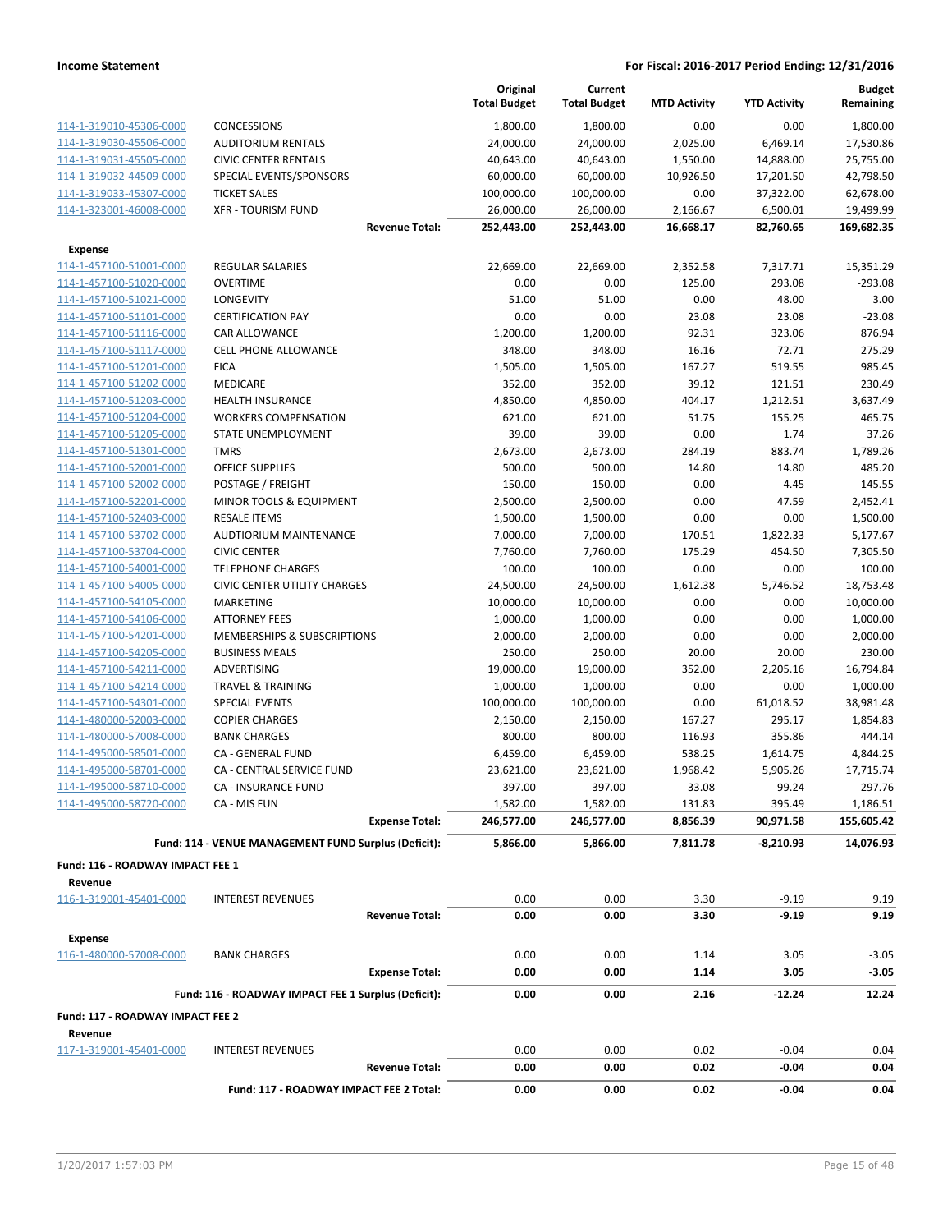|                                                    |                                                      | Original<br><b>Total Budget</b> | Current<br><b>Total Budget</b> | <b>MTD Activity</b> | <b>YTD Activity</b> | <b>Budget</b><br>Remaining |
|----------------------------------------------------|------------------------------------------------------|---------------------------------|--------------------------------|---------------------|---------------------|----------------------------|
| 114-1-319010-45306-0000                            | <b>CONCESSIONS</b>                                   | 1,800.00                        | 1,800.00                       | 0.00                | 0.00                | 1,800.00                   |
| 114-1-319030-45506-0000                            | <b>AUDITORIUM RENTALS</b>                            | 24,000.00                       | 24,000.00                      | 2,025.00            | 6,469.14            | 17,530.86                  |
| 114-1-319031-45505-0000                            | <b>CIVIC CENTER RENTALS</b>                          | 40,643.00                       | 40,643.00                      | 1,550.00            | 14,888.00           | 25,755.00                  |
| 114-1-319032-44509-0000                            | SPECIAL EVENTS/SPONSORS                              | 60,000.00                       | 60,000.00                      | 10,926.50           | 17,201.50           | 42,798.50                  |
| 114-1-319033-45307-0000                            | <b>TICKET SALES</b>                                  | 100,000.00                      | 100,000.00                     | 0.00                | 37,322.00           | 62,678.00                  |
| 114-1-323001-46008-0000                            | <b>XFR - TOURISM FUND</b>                            | 26,000.00                       | 26,000.00                      | 2,166.67            | 6,500.01            | 19,499.99                  |
|                                                    | <b>Revenue Total:</b>                                | 252,443.00                      | 252,443.00                     | 16,668.17           | 82,760.65           | 169,682.35                 |
| <b>Expense</b>                                     |                                                      |                                 |                                |                     |                     |                            |
| 114-1-457100-51001-0000                            | REGULAR SALARIES                                     | 22,669.00                       | 22,669.00                      | 2,352.58            | 7,317.71            | 15,351.29                  |
| 114-1-457100-51020-0000                            | <b>OVERTIME</b>                                      | 0.00                            | 0.00                           | 125.00              | 293.08              | $-293.08$                  |
| 114-1-457100-51021-0000                            | LONGEVITY                                            | 51.00                           | 51.00                          | 0.00                | 48.00               | 3.00                       |
| 114-1-457100-51101-0000                            | <b>CERTIFICATION PAY</b>                             | 0.00                            | 0.00                           | 23.08               | 23.08               | $-23.08$                   |
| 114-1-457100-51116-0000                            | CAR ALLOWANCE                                        | 1,200.00                        | 1,200.00                       | 92.31               | 323.06              | 876.94                     |
| 114-1-457100-51117-0000                            | <b>CELL PHONE ALLOWANCE</b>                          | 348.00                          | 348.00                         | 16.16               | 72.71               | 275.29                     |
| 114-1-457100-51201-0000                            | <b>FICA</b>                                          | 1,505.00                        | 1,505.00                       | 167.27              | 519.55              | 985.45                     |
| 114-1-457100-51202-0000                            | MEDICARE                                             | 352.00                          | 352.00                         | 39.12               | 121.51              | 230.49                     |
| 114-1-457100-51203-0000                            | <b>HEALTH INSURANCE</b>                              | 4,850.00                        | 4,850.00                       | 404.17              | 1,212.51            | 3,637.49                   |
| 114-1-457100-51204-0000                            | <b>WORKERS COMPENSATION</b>                          | 621.00                          | 621.00                         | 51.75               | 155.25              | 465.75                     |
| 114-1-457100-51205-0000                            | STATE UNEMPLOYMENT                                   | 39.00                           | 39.00                          | 0.00                | 1.74                | 37.26                      |
| 114-1-457100-51301-0000                            | <b>TMRS</b>                                          | 2,673.00                        | 2,673.00                       | 284.19              | 883.74              | 1,789.26                   |
| 114-1-457100-52001-0000                            | <b>OFFICE SUPPLIES</b>                               | 500.00                          | 500.00                         | 14.80               | 14.80               | 485.20                     |
| 114-1-457100-52002-0000                            | POSTAGE / FREIGHT                                    | 150.00                          | 150.00                         | 0.00                | 4.45                | 145.55                     |
| 114-1-457100-52201-0000                            | MINOR TOOLS & EQUIPMENT                              | 2,500.00                        | 2,500.00                       | 0.00                | 47.59               | 2,452.41                   |
| 114-1-457100-52403-0000                            | <b>RESALE ITEMS</b>                                  | 1,500.00                        | 1,500.00                       | 0.00                | 0.00                | 1,500.00                   |
| 114-1-457100-53702-0000                            | AUDTIORIUM MAINTENANCE                               | 7,000.00                        | 7,000.00                       | 170.51              | 1,822.33            | 5,177.67                   |
| 114-1-457100-53704-0000                            | <b>CIVIC CENTER</b>                                  | 7,760.00                        | 7,760.00                       | 175.29              | 454.50              | 7,305.50                   |
| 114-1-457100-54001-0000                            | <b>TELEPHONE CHARGES</b>                             | 100.00                          | 100.00                         | 0.00                | 0.00                | 100.00                     |
| 114-1-457100-54005-0000                            | <b>CIVIC CENTER UTILITY CHARGES</b>                  | 24,500.00                       | 24,500.00                      | 1,612.38            | 5,746.52            | 18,753.48                  |
| 114-1-457100-54105-0000                            | MARKETING                                            | 10,000.00                       | 10,000.00                      | 0.00                | 0.00                | 10,000.00                  |
| 114-1-457100-54106-0000                            | <b>ATTORNEY FEES</b>                                 | 1,000.00                        | 1,000.00                       | 0.00                | 0.00                | 1,000.00                   |
| 114-1-457100-54201-0000                            | MEMBERSHIPS & SUBSCRIPTIONS                          | 2,000.00                        | 2,000.00                       | 0.00                | 0.00                | 2,000.00                   |
| 114-1-457100-54205-0000<br>114-1-457100-54211-0000 | <b>BUSINESS MEALS</b><br>ADVERTISING                 | 250.00<br>19,000.00             | 250.00<br>19,000.00            | 20.00<br>352.00     | 20.00<br>2,205.16   | 230.00<br>16,794.84        |
| 114-1-457100-54214-0000                            | <b>TRAVEL &amp; TRAINING</b>                         | 1,000.00                        | 1,000.00                       | 0.00                | 0.00                | 1,000.00                   |
| 114-1-457100-54301-0000                            | <b>SPECIAL EVENTS</b>                                | 100,000.00                      | 100,000.00                     | 0.00                | 61,018.52           | 38,981.48                  |
| 114-1-480000-52003-0000                            | <b>COPIER CHARGES</b>                                | 2,150.00                        | 2,150.00                       | 167.27              | 295.17              | 1,854.83                   |
| 114-1-480000-57008-0000                            | <b>BANK CHARGES</b>                                  | 800.00                          | 800.00                         | 116.93              | 355.86              | 444.14                     |
| 114-1-495000-58501-0000                            | CA - GENERAL FUND                                    | 6,459.00                        | 6,459.00                       | 538.25              | 1,614.75            | 4,844.25                   |
| 114-1-495000-58701-0000                            | CA - CENTRAL SERVICE FUND                            | 23,621.00                       | 23,621.00                      | 1,968.42            | 5,905.26            | 17,715.74                  |
| 114-1-495000-58710-0000                            | <b>CA - INSURANCE FUND</b>                           | 397.00                          | 397.00                         | 33.08               | 99.24               | 297.76                     |
| 114-1-495000-58720-0000                            | CA - MIS FUN                                         | 1,582.00                        | 1,582.00                       | 131.83              | 395.49              | 1,186.51                   |
|                                                    | <b>Expense Total:</b>                                | 246,577.00                      | 246,577.00                     | 8,856.39            | 90,971.58           | 155,605.42                 |
|                                                    | Fund: 114 - VENUE MANAGEMENT FUND Surplus (Deficit): | 5.866.00                        | 5,866.00                       | 7,811.78            | -8,210.93           | 14,076.93                  |
| Fund: 116 - ROADWAY IMPACT FEE 1                   |                                                      |                                 |                                |                     |                     |                            |
| Revenue                                            |                                                      |                                 |                                |                     |                     |                            |
| 116-1-319001-45401-0000                            | <b>INTEREST REVENUES</b>                             | 0.00                            | 0.00                           | 3.30                | $-9.19$             | 9.19                       |
|                                                    | <b>Revenue Total:</b>                                | 0.00                            | 0.00                           | 3.30                | $-9.19$             | 9.19                       |
| <b>Expense</b>                                     |                                                      |                                 |                                |                     |                     |                            |
| 116-1-480000-57008-0000                            | <b>BANK CHARGES</b>                                  | 0.00                            | 0.00                           | 1.14                | 3.05                | $-3.05$                    |
|                                                    | <b>Expense Total:</b>                                | 0.00                            | 0.00                           | 1.14                | 3.05                | $-3.05$                    |
|                                                    | Fund: 116 - ROADWAY IMPACT FEE 1 Surplus (Deficit):  | 0.00                            | 0.00                           | 2.16                | $-12.24$            | 12.24                      |
| Fund: 117 - ROADWAY IMPACT FEE 2                   |                                                      |                                 |                                |                     |                     |                            |
| Revenue                                            |                                                      |                                 |                                |                     |                     |                            |
| 117-1-319001-45401-0000                            | <b>INTEREST REVENUES</b><br><b>Revenue Total:</b>    | 0.00<br>0.00                    | 0.00<br>0.00                   | 0.02<br>0.02        | $-0.04$<br>$-0.04$  | 0.04<br>0.04               |
|                                                    | Fund: 117 - ROADWAY IMPACT FEE 2 Total:              | 0.00                            | 0.00                           | 0.02                | $-0.04$             | 0.04                       |
|                                                    |                                                      |                                 |                                |                     |                     |                            |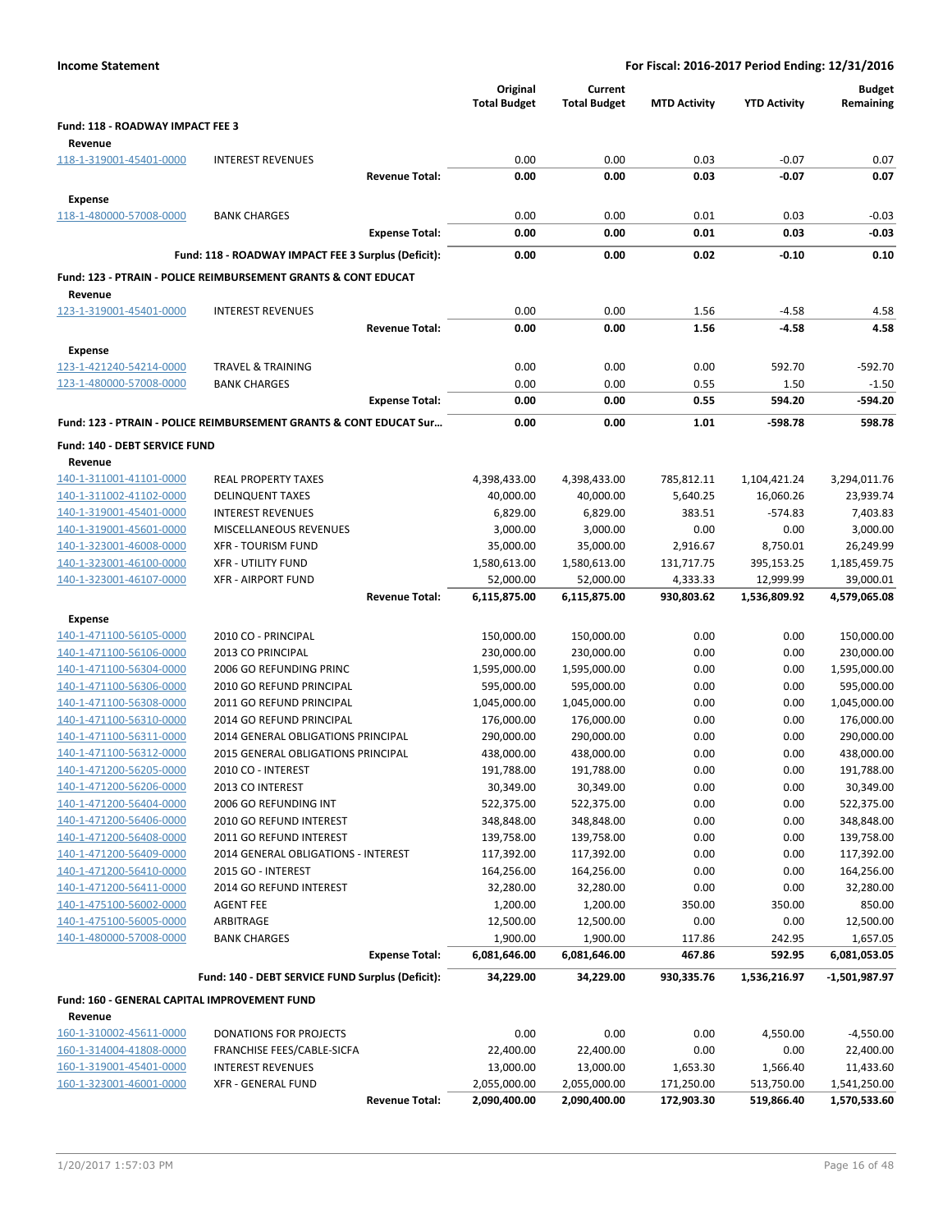| <b>Income Statement</b>                                 | For Fiscal: 2016-2017 Period Ending: 12/31/2016                           |                                 |                                |                     |                     |                            |
|---------------------------------------------------------|---------------------------------------------------------------------------|---------------------------------|--------------------------------|---------------------|---------------------|----------------------------|
|                                                         |                                                                           | Original<br><b>Total Budget</b> | Current<br><b>Total Budget</b> | <b>MTD Activity</b> | <b>YTD Activity</b> | <b>Budget</b><br>Remaining |
| Fund: 118 - ROADWAY IMPACT FEE 3                        |                                                                           |                                 |                                |                     |                     |                            |
| Revenue                                                 |                                                                           |                                 |                                |                     |                     |                            |
| 118-1-319001-45401-0000                                 | <b>INTEREST REVENUES</b>                                                  | 0.00                            | 0.00                           | 0.03                | $-0.07$             | 0.07                       |
|                                                         | <b>Revenue Total:</b>                                                     | 0.00                            | 0.00                           | 0.03                | $-0.07$             | 0.07                       |
| <b>Expense</b>                                          |                                                                           |                                 |                                |                     |                     |                            |
| 118-1-480000-57008-0000                                 | <b>BANK CHARGES</b>                                                       | 0.00                            | 0.00                           | 0.01                | 0.03                | $-0.03$                    |
|                                                         | <b>Expense Total:</b>                                                     | 0.00                            | 0.00                           | 0.01                | 0.03                | -0.03                      |
|                                                         | Fund: 118 - ROADWAY IMPACT FEE 3 Surplus (Deficit):                       | 0.00                            | 0.00                           | 0.02                | $-0.10$             | 0.10                       |
|                                                         | <b>Fund: 123 - PTRAIN - POLICE REIMBURSEMENT GRANTS &amp; CONT EDUCAT</b> |                                 |                                |                     |                     |                            |
| Revenue<br>123-1-319001-45401-0000                      | <b>INTEREST REVENUES</b>                                                  | 0.00                            | 0.00                           | 1.56                | $-4.58$             |                            |
|                                                         | <b>Revenue Total:</b>                                                     | 0.00                            | 0.00                           | 1.56                | $-4.58$             | 4.58<br>4.58               |
| <b>Expense</b>                                          |                                                                           |                                 |                                |                     |                     |                            |
| 123-1-421240-54214-0000                                 | <b>TRAVEL &amp; TRAINING</b>                                              | 0.00                            | 0.00                           | 0.00                | 592.70              | $-592.70$                  |
| 123-1-480000-57008-0000                                 | <b>BANK CHARGES</b>                                                       | 0.00                            | 0.00                           | 0.55                | 1.50                | $-1.50$                    |
|                                                         | <b>Expense Total:</b>                                                     | 0.00                            | 0.00                           | 0.55                | 594.20              | -594.20                    |
|                                                         | Fund: 123 - PTRAIN - POLICE REIMBURSEMENT GRANTS & CONT EDUCAT Sur        | 0.00                            | 0.00                           | 1.01                | $-598.78$           | 598.78                     |
| Fund: 140 - DEBT SERVICE FUND                           |                                                                           |                                 |                                |                     |                     |                            |
| Revenue                                                 |                                                                           |                                 |                                |                     |                     |                            |
| 140-1-311001-41101-0000                                 | <b>REAL PROPERTY TAXES</b>                                                | 4,398,433.00                    | 4,398,433.00                   | 785,812.11          | 1,104,421.24        | 3,294,011.76               |
| 140-1-311002-41102-0000                                 | <b>DELINQUENT TAXES</b>                                                   | 40,000.00                       | 40,000.00                      | 5,640.25            | 16,060.26           | 23,939.74                  |
| 140-1-319001-45401-0000                                 | <b>INTEREST REVENUES</b>                                                  | 6,829.00                        | 6,829.00                       | 383.51              | $-574.83$           | 7,403.83                   |
| 140-1-319001-45601-0000                                 | MISCELLANEOUS REVENUES                                                    | 3,000.00                        | 3,000.00                       | 0.00                | 0.00                | 3,000.00                   |
| 140-1-323001-46008-0000                                 | <b>XFR - TOURISM FUND</b>                                                 | 35,000.00                       | 35,000.00                      | 2,916.67            | 8,750.01            | 26,249.99                  |
| 140-1-323001-46100-0000                                 | <b>XFR - UTILITY FUND</b>                                                 | 1,580,613.00                    | 1,580,613.00                   | 131,717.75          | 395,153.25          | 1,185,459.75               |
| 140-1-323001-46107-0000                                 | <b>XFR - AIRPORT FUND</b>                                                 | 52,000.00                       | 52,000.00                      | 4,333.33            | 12,999.99           | 39,000.01                  |
|                                                         | <b>Revenue Total:</b>                                                     | 6,115,875.00                    | 6,115,875.00                   | 930,803.62          | 1,536,809.92        | 4,579,065.08               |
| <b>Expense</b>                                          |                                                                           |                                 |                                |                     |                     |                            |
| 140-1-471100-56105-0000                                 | 2010 CO - PRINCIPAL                                                       | 150,000.00                      | 150,000.00                     | 0.00                | 0.00                | 150,000.00                 |
| 140-1-471100-56106-0000                                 | 2013 CO PRINCIPAL                                                         | 230,000.00                      | 230,000.00                     | 0.00                | 0.00                | 230,000.00                 |
| 140-1-471100-56304-0000                                 | 2006 GO REFUNDING PRINC                                                   | 1,595,000.00                    | 1,595,000.00                   | 0.00                | 0.00                | 1,595,000.00               |
| 140-1-471100-56306-0000                                 | 2010 GO REFUND PRINCIPAL                                                  | 595,000.00                      | 595,000.00                     | 0.00                | 0.00                | 595,000.00                 |
| 140-1-471100-56308-0000                                 | 2011 GO REFUND PRINCIPAL                                                  | 1,045,000.00                    | 1,045,000.00                   | 0.00                | 0.00                | 1,045,000.00               |
| 140-1-471100-56310-0000                                 | 2014 GO REFUND PRINCIPAL                                                  | 176,000.00                      | 176,000.00                     | 0.00                | 0.00                | 176,000.00                 |
| 140-1-471100-56311-0000                                 | 2014 GENERAL OBLIGATIONS PRINCIPAL<br>2015 GENERAL OBLIGATIONS PRINCIPAL  | 290,000.00<br>438,000.00        | 290,000.00<br>438,000.00       | 0.00                | 0.00                | 290,000.00<br>438,000.00   |
| 140-1-471100-56312-0000<br>140-1-471200-56205-0000      | 2010 CO - INTEREST                                                        | 191,788.00                      | 191,788.00                     | 0.00<br>0.00        | 0.00<br>0.00        | 191,788.00                 |
| 140-1-471200-56206-0000                                 | 2013 CO INTEREST                                                          | 30,349.00                       | 30,349.00                      | 0.00                | 0.00                | 30,349.00                  |
| 140-1-471200-56404-0000                                 | 2006 GO REFUNDING INT                                                     | 522,375.00                      | 522,375.00                     | 0.00                | 0.00                | 522,375.00                 |
| 140-1-471200-56406-0000                                 | 2010 GO REFUND INTEREST                                                   | 348,848.00                      | 348,848.00                     | 0.00                | 0.00                | 348,848.00                 |
| 140-1-471200-56408-0000                                 | 2011 GO REFUND INTEREST                                                   | 139,758.00                      | 139,758.00                     | 0.00                | 0.00                | 139,758.00                 |
| 140-1-471200-56409-0000                                 | 2014 GENERAL OBLIGATIONS - INTEREST                                       | 117,392.00                      | 117,392.00                     | 0.00                | 0.00                | 117,392.00                 |
| 140-1-471200-56410-0000                                 | 2015 GO - INTEREST                                                        | 164,256.00                      | 164,256.00                     | 0.00                | 0.00                | 164,256.00                 |
| 140-1-471200-56411-0000                                 | 2014 GO REFUND INTEREST                                                   | 32,280.00                       | 32,280.00                      | 0.00                | 0.00                | 32,280.00                  |
| 140-1-475100-56002-0000                                 | <b>AGENT FEE</b>                                                          | 1,200.00                        | 1,200.00                       | 350.00              | 350.00              | 850.00                     |
| 140-1-475100-56005-0000                                 | ARBITRAGE                                                                 | 12,500.00                       | 12,500.00                      | 0.00                | 0.00                | 12,500.00                  |
| 140-1-480000-57008-0000                                 | <b>BANK CHARGES</b>                                                       | 1,900.00                        | 1,900.00                       | 117.86              | 242.95              | 1,657.05                   |
|                                                         | <b>Expense Total:</b>                                                     | 6,081,646.00                    | 6,081,646.00                   | 467.86              | 592.95              | 6,081,053.05               |
|                                                         | Fund: 140 - DEBT SERVICE FUND Surplus (Deficit):                          | 34,229.00                       | 34,229.00                      | 930,335.76          | 1,536,216.97        | -1,501,987.97              |
| Fund: 160 - GENERAL CAPITAL IMPROVEMENT FUND<br>Revenue |                                                                           |                                 |                                |                     |                     |                            |
| 160-1-310002-45611-0000                                 | DONATIONS FOR PROJECTS                                                    | 0.00                            | 0.00                           | 0.00                | 4,550.00            | $-4,550.00$                |
| 160-1-314004-41808-0000                                 | FRANCHISE FEES/CABLE-SICFA                                                | 22,400.00                       | 22,400.00                      | 0.00                | 0.00                | 22,400.00                  |
| 160-1-319001-45401-0000                                 | <b>INTEREST REVENUES</b>                                                  | 13,000.00                       | 13,000.00                      | 1,653.30            | 1,566.40            | 11,433.60                  |
| 160-1-323001-46001-0000                                 | <b>XFR - GENERAL FUND</b>                                                 | 2,055,000.00                    | 2,055,000.00                   | 171,250.00          | 513,750.00          | 1,541,250.00               |
|                                                         | <b>Revenue Total:</b>                                                     | 2,090,400.00                    | 2,090,400.00                   | 172,903.30          | 519,866.40          | 1,570,533.60               |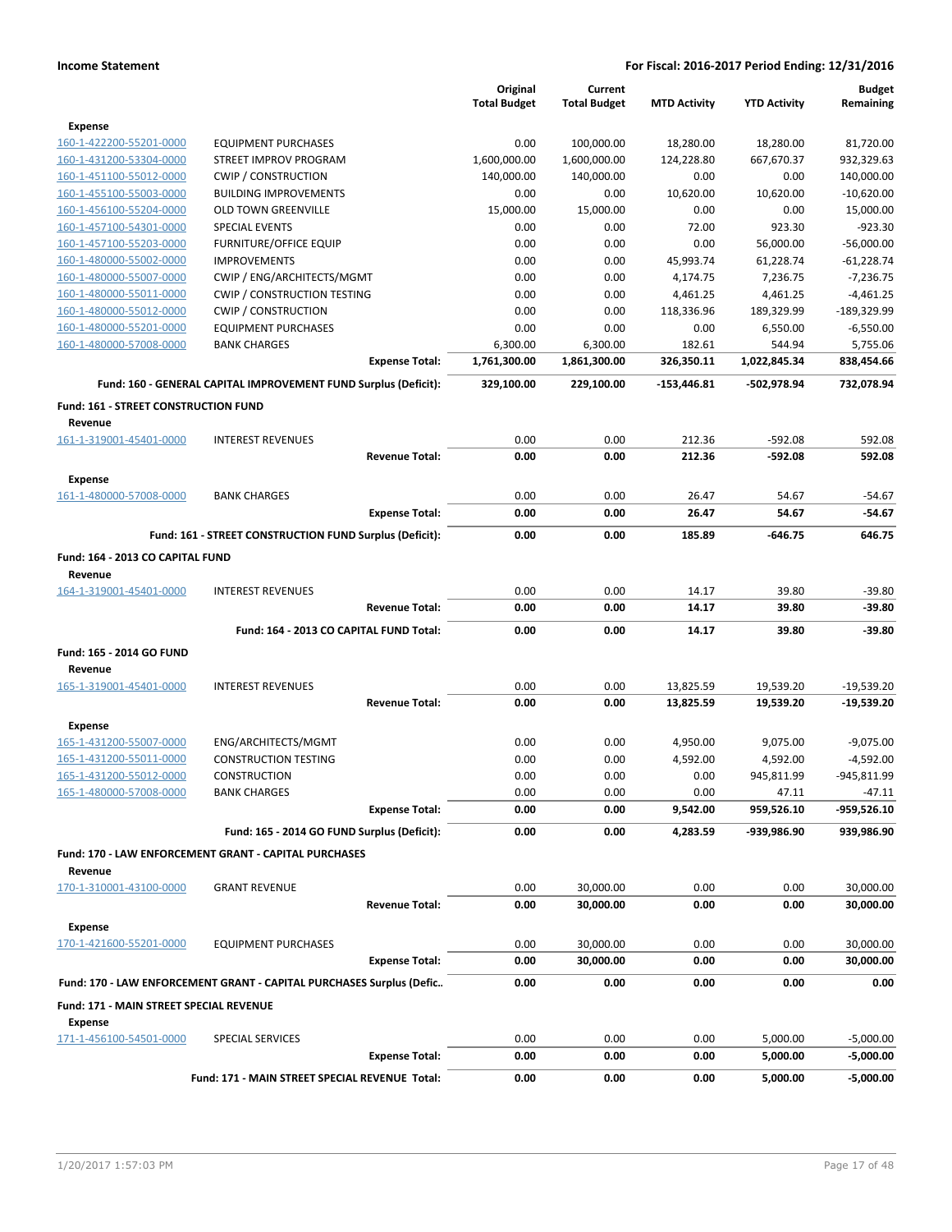|                                             |                                                                      |                       | Original            | Current             |                     |                     | <b>Budget</b> |
|---------------------------------------------|----------------------------------------------------------------------|-----------------------|---------------------|---------------------|---------------------|---------------------|---------------|
|                                             |                                                                      |                       | <b>Total Budget</b> | <b>Total Budget</b> | <b>MTD Activity</b> | <b>YTD Activity</b> | Remaining     |
| <b>Expense</b>                              |                                                                      |                       |                     |                     |                     |                     |               |
| 160-1-422200-55201-0000                     | <b>EQUIPMENT PURCHASES</b>                                           |                       | 0.00                | 100,000.00          | 18,280.00           | 18,280.00           | 81,720.00     |
| 160-1-431200-53304-0000                     | STREET IMPROV PROGRAM                                                |                       | 1,600,000.00        | 1,600,000.00        | 124,228.80          | 667,670.37          | 932,329.63    |
| 160-1-451100-55012-0000                     | <b>CWIP / CONSTRUCTION</b>                                           |                       | 140,000.00          | 140,000.00          | 0.00                | 0.00                | 140,000.00    |
| 160-1-455100-55003-0000                     | <b>BUILDING IMPROVEMENTS</b>                                         |                       | 0.00                | 0.00                | 10,620.00           | 10,620.00           | $-10,620.00$  |
| 160-1-456100-55204-0000                     | <b>OLD TOWN GREENVILLE</b>                                           |                       | 15,000.00           | 15,000.00           | 0.00                | 0.00                | 15,000.00     |
| 160-1-457100-54301-0000                     | <b>SPECIAL EVENTS</b>                                                |                       | 0.00                | 0.00                | 72.00               | 923.30              | $-923.30$     |
| 160-1-457100-55203-0000                     | <b>FURNITURE/OFFICE EQUIP</b>                                        |                       | 0.00                | 0.00                | 0.00                | 56,000.00           | $-56,000.00$  |
| 160-1-480000-55002-0000                     | <b>IMPROVEMENTS</b>                                                  |                       | 0.00                | 0.00                | 45,993.74           | 61,228.74           | $-61,228.74$  |
| 160-1-480000-55007-0000                     | CWIP / ENG/ARCHITECTS/MGMT                                           |                       | 0.00                | 0.00                | 4,174.75            | 7,236.75            | $-7,236.75$   |
| 160-1-480000-55011-0000                     | <b>CWIP / CONSTRUCTION TESTING</b>                                   |                       | 0.00                | 0.00                | 4,461.25            | 4,461.25            | $-4,461.25$   |
| 160-1-480000-55012-0000                     | <b>CWIP / CONSTRUCTION</b>                                           |                       | 0.00                | 0.00                | 118,336.96          | 189,329.99          | -189,329.99   |
| 160-1-480000-55201-0000                     | <b>EQUIPMENT PURCHASES</b>                                           |                       | 0.00                | 0.00                | 0.00                | 6,550.00            | $-6,550.00$   |
| 160-1-480000-57008-0000                     | <b>BANK CHARGES</b>                                                  |                       | 6,300.00            | 6,300.00            | 182.61              | 544.94              | 5,755.06      |
|                                             |                                                                      | <b>Expense Total:</b> | 1,761,300.00        | 1,861,300.00        | 326,350.11          | 1,022,845.34        | 838,454.66    |
|                                             | Fund: 160 - GENERAL CAPITAL IMPROVEMENT FUND Surplus (Deficit):      |                       | 329,100.00          | 229,100.00          | -153,446.81         | -502,978.94         | 732,078.94    |
| <b>Fund: 161 - STREET CONSTRUCTION FUND</b> |                                                                      |                       |                     |                     |                     |                     |               |
| Revenue                                     |                                                                      |                       |                     |                     |                     |                     |               |
| 161-1-319001-45401-0000                     | <b>INTEREST REVENUES</b>                                             |                       | 0.00                | 0.00                | 212.36              | $-592.08$           | 592.08        |
|                                             |                                                                      | <b>Revenue Total:</b> | 0.00                | 0.00                | 212.36              | $-592.08$           | 592.08        |
|                                             |                                                                      |                       |                     |                     |                     |                     |               |
| Expense                                     |                                                                      |                       |                     |                     |                     |                     |               |
| 161-1-480000-57008-0000                     | <b>BANK CHARGES</b>                                                  |                       | 0.00                | 0.00                | 26.47               | 54.67               | $-54.67$      |
|                                             |                                                                      | <b>Expense Total:</b> | 0.00                | 0.00                | 26.47               | 54.67               | $-54.67$      |
|                                             | Fund: 161 - STREET CONSTRUCTION FUND Surplus (Deficit):              |                       | 0.00                | 0.00                | 185.89              | $-646.75$           | 646.75        |
| Fund: 164 - 2013 CO CAPITAL FUND            |                                                                      |                       |                     |                     |                     |                     |               |
| Revenue                                     |                                                                      |                       |                     |                     |                     |                     |               |
| 164-1-319001-45401-0000                     | <b>INTEREST REVENUES</b>                                             |                       | 0.00                | 0.00                | 14.17               | 39.80               | $-39.80$      |
|                                             |                                                                      | <b>Revenue Total:</b> | 0.00                | 0.00                | 14.17               | 39.80               | $-39.80$      |
|                                             |                                                                      |                       |                     |                     |                     |                     |               |
|                                             | Fund: 164 - 2013 CO CAPITAL FUND Total:                              |                       | 0.00                | 0.00                | 14.17               | 39.80               | $-39.80$      |
| Fund: 165 - 2014 GO FUND                    |                                                                      |                       |                     |                     |                     |                     |               |
| Revenue                                     |                                                                      |                       |                     |                     |                     |                     |               |
| 165-1-319001-45401-0000                     | <b>INTEREST REVENUES</b>                                             |                       | 0.00                | 0.00                | 13,825.59           | 19,539.20           | $-19,539.20$  |
|                                             |                                                                      | <b>Revenue Total:</b> | 0.00                | 0.00                | 13,825.59           | 19,539.20           | $-19,539.20$  |
| <b>Expense</b>                              |                                                                      |                       |                     |                     |                     |                     |               |
| 165-1-431200-55007-0000                     | ENG/ARCHITECTS/MGMT                                                  |                       | 0.00                | 0.00                | 4,950.00            | 9,075.00            | $-9,075.00$   |
| 165-1-431200-55011-0000                     | <b>CONSTRUCTION TESTING</b>                                          |                       | 0.00                | 0.00                | 4,592.00            | 4,592.00            | $-4,592.00$   |
| 165-1-431200-55012-0000                     | <b>CONSTRUCTION</b>                                                  |                       | 0.00                | 0.00                | 0.00                | 945,811.99          | -945,811.99   |
| 165-1-480000-57008-0000                     | <b>BANK CHARGES</b>                                                  |                       | 0.00                | 0.00                | 0.00                | 47.11               | $-47.11$      |
|                                             |                                                                      | <b>Expense Total:</b> | 0.00                | 0.00                | 9,542.00            | 959,526.10          | -959,526.10   |
|                                             |                                                                      |                       |                     |                     |                     |                     |               |
|                                             | Fund: 165 - 2014 GO FUND Surplus (Deficit):                          |                       | 0.00                | 0.00                | 4,283.59            | -939,986.90         | 939,986.90    |
|                                             | Fund: 170 - LAW ENFORCEMENT GRANT - CAPITAL PURCHASES                |                       |                     |                     |                     |                     |               |
| Revenue                                     |                                                                      |                       |                     |                     |                     |                     |               |
| 170-1-310001-43100-0000                     | <b>GRANT REVENUE</b>                                                 |                       | 0.00                | 30,000.00           | 0.00                | 0.00                | 30,000.00     |
|                                             |                                                                      | <b>Revenue Total:</b> | 0.00                | 30,000.00           | 0.00                | 0.00                | 30,000.00     |
| <b>Expense</b>                              |                                                                      |                       |                     |                     |                     |                     |               |
| 170-1-421600-55201-0000                     | <b>EQUIPMENT PURCHASES</b>                                           |                       | 0.00                | 30,000.00           | 0.00                | 0.00                | 30,000.00     |
|                                             |                                                                      | <b>Expense Total:</b> | 0.00                | 30,000.00           | 0.00                | 0.00                | 30,000.00     |
|                                             | Fund: 170 - LAW ENFORCEMENT GRANT - CAPITAL PURCHASES Surplus (Defic |                       | 0.00                | 0.00                | 0.00                | 0.00                | 0.00          |
|                                             |                                                                      |                       |                     |                     |                     |                     |               |
| Fund: 171 - MAIN STREET SPECIAL REVENUE     |                                                                      |                       |                     |                     |                     |                     |               |
| Expense                                     |                                                                      |                       |                     |                     |                     |                     |               |
| 171-1-456100-54501-0000                     | SPECIAL SERVICES                                                     |                       | 0.00                | 0.00                | 0.00                | 5,000.00            | $-5,000.00$   |
|                                             |                                                                      | <b>Expense Total:</b> | 0.00                | 0.00                | 0.00                | 5,000.00            | $-5,000.00$   |
|                                             | Fund: 171 - MAIN STREET SPECIAL REVENUE Total:                       |                       | 0.00                | 0.00                | 0.00                | 5,000.00            | $-5,000.00$   |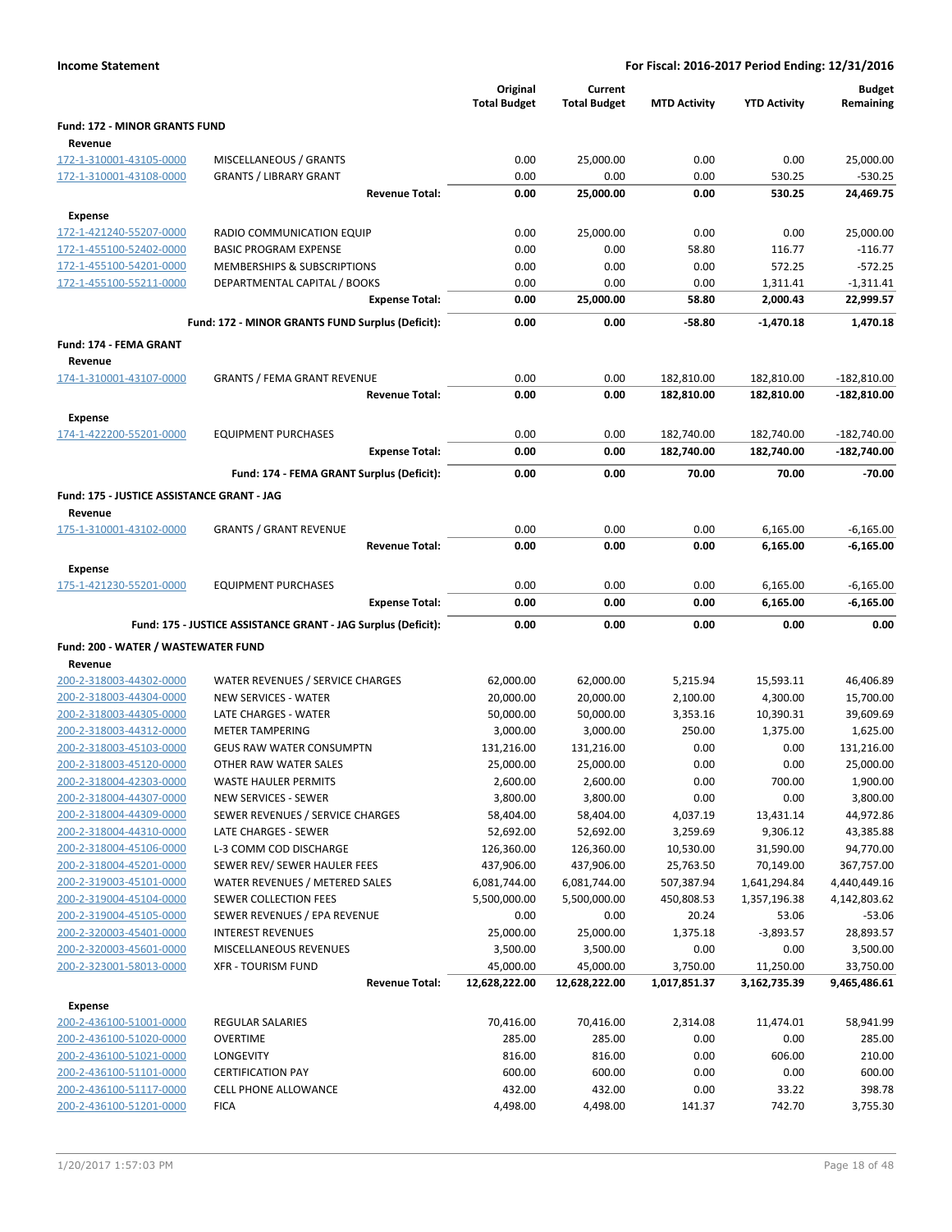|                                            |                                                               | Original<br><b>Total Budget</b> | Current<br><b>Total Budget</b> | <b>MTD Activity</b> | <b>YTD Activity</b> | <b>Budget</b><br>Remaining |
|--------------------------------------------|---------------------------------------------------------------|---------------------------------|--------------------------------|---------------------|---------------------|----------------------------|
| <b>Fund: 172 - MINOR GRANTS FUND</b>       |                                                               |                                 |                                |                     |                     |                            |
| Revenue                                    |                                                               |                                 |                                |                     |                     |                            |
| 172-1-310001-43105-0000                    | MISCELLANEOUS / GRANTS                                        | 0.00                            | 25,000.00                      | 0.00                | 0.00                | 25,000.00                  |
| 172-1-310001-43108-0000                    | <b>GRANTS / LIBRARY GRANT</b>                                 | 0.00                            | 0.00                           | 0.00                | 530.25              | $-530.25$                  |
|                                            | <b>Revenue Total:</b>                                         | 0.00                            | 25,000.00                      | 0.00                | 530.25              | 24,469.75                  |
| Expense                                    |                                                               |                                 |                                |                     |                     |                            |
| 172-1-421240-55207-0000                    | RADIO COMMUNICATION EQUIP                                     | 0.00                            | 25,000.00                      | 0.00                | 0.00                | 25,000.00                  |
| 172-1-455100-52402-0000                    | <b>BASIC PROGRAM EXPENSE</b>                                  | 0.00                            | 0.00                           | 58.80               | 116.77              | $-116.77$                  |
| 172-1-455100-54201-0000                    | MEMBERSHIPS & SUBSCRIPTIONS                                   | 0.00                            | 0.00                           | 0.00                | 572.25              | $-572.25$                  |
| 172-1-455100-55211-0000                    | DEPARTMENTAL CAPITAL / BOOKS                                  | 0.00                            | 0.00                           | 0.00                | 1,311.41            | $-1,311.41$                |
|                                            | <b>Expense Total:</b>                                         | 0.00                            | 25,000.00                      | 58.80               | 2,000.43            | 22,999.57                  |
|                                            |                                                               | 0.00                            | 0.00                           | $-58.80$            |                     |                            |
|                                            | Fund: 172 - MINOR GRANTS FUND Surplus (Deficit):              |                                 |                                |                     | $-1,470.18$         | 1,470.18                   |
| <b>Fund: 174 - FEMA GRANT</b>              |                                                               |                                 |                                |                     |                     |                            |
| Revenue                                    |                                                               |                                 |                                |                     |                     |                            |
| 174-1-310001-43107-0000                    | <b>GRANTS / FEMA GRANT REVENUE</b>                            | 0.00                            | 0.00                           | 182,810.00          | 182,810.00          | $-182,810.00$              |
|                                            | <b>Revenue Total:</b>                                         | 0.00                            | 0.00                           | 182,810.00          | 182,810.00          | $-182,810.00$              |
| <b>Expense</b>                             |                                                               |                                 |                                |                     |                     |                            |
| 174-1-422200-55201-0000                    | <b>EQUIPMENT PURCHASES</b>                                    | 0.00                            | 0.00                           | 182,740.00          | 182,740.00          | $-182,740.00$              |
|                                            | <b>Expense Total:</b>                                         | 0.00                            | 0.00                           | 182,740.00          | 182,740.00          | $-182,740.00$              |
|                                            | Fund: 174 - FEMA GRANT Surplus (Deficit):                     | 0.00                            | 0.00                           | 70.00               | 70.00               | $-70.00$                   |
| Fund: 175 - JUSTICE ASSISTANCE GRANT - JAG |                                                               |                                 |                                |                     |                     |                            |
| Revenue                                    |                                                               |                                 |                                |                     |                     |                            |
| 175-1-310001-43102-0000                    | <b>GRANTS / GRANT REVENUE</b>                                 | 0.00                            | 0.00                           | 0.00                | 6,165.00            | $-6,165.00$                |
|                                            | <b>Revenue Total:</b>                                         | 0.00                            | 0.00                           | 0.00                | 6,165.00            | $-6,165.00$                |
| <b>Expense</b>                             |                                                               |                                 |                                |                     |                     |                            |
| 175-1-421230-55201-0000                    | <b>EQUIPMENT PURCHASES</b>                                    | 0.00                            | 0.00                           | 0.00                | 6,165.00            | $-6,165.00$                |
|                                            | <b>Expense Total:</b>                                         | 0.00                            | 0.00                           | 0.00                | 6,165.00            | $-6,165.00$                |
|                                            | Fund: 175 - JUSTICE ASSISTANCE GRANT - JAG Surplus (Deficit): | 0.00                            | 0.00                           | 0.00                | 0.00                | 0.00                       |
|                                            |                                                               |                                 |                                |                     |                     |                            |
| Fund: 200 - WATER / WASTEWATER FUND        |                                                               |                                 |                                |                     |                     |                            |
| Revenue                                    |                                                               |                                 |                                |                     |                     |                            |
| 200-2-318003-44302-0000                    | WATER REVENUES / SERVICE CHARGES                              | 62,000.00                       | 62,000.00                      | 5,215.94            | 15,593.11           | 46,406.89                  |
| 200-2-318003-44304-0000                    | NEW SERVICES - WATER                                          | 20,000.00                       | 20,000.00                      | 2,100.00            | 4,300.00            | 15,700.00                  |
| 200-2-318003-44305-0000                    | LATE CHARGES - WATER<br><b>METER TAMPERING</b>                | 50,000.00                       | 50,000.00                      | 3,353.16            | 10,390.31           | 39,609.69                  |
| 200-2-318003-44312-0000                    |                                                               | 3,000.00                        | 3,000.00                       | 250.00              | 1,375.00            | 1,625.00                   |
| 200-2-318003-45103-0000                    | <b>GEUS RAW WATER CONSUMPTN</b>                               | 131,216.00                      | 131,216.00                     | 0.00                | 0.00                | 131,216.00                 |
| 200-2-318003-45120-0000                    | OTHER RAW WATER SALES                                         | 25,000.00                       | 25,000.00                      | 0.00                | 0.00                | 25,000.00                  |
| 200-2-318004-42303-0000                    | <b>WASTE HAULER PERMITS</b>                                   | 2,600.00                        | 2,600.00                       | 0.00                | 700.00              | 1,900.00                   |
| 200-2-318004-44307-0000                    | <b>NEW SERVICES - SEWER</b>                                   | 3,800.00                        | 3,800.00                       | 0.00                | 0.00                | 3,800.00                   |
| 200-2-318004-44309-0000                    | SEWER REVENUES / SERVICE CHARGES                              | 58,404.00                       | 58,404.00                      | 4,037.19            | 13,431.14           | 44,972.86                  |
| 200-2-318004-44310-0000                    | LATE CHARGES - SEWER                                          | 52,692.00                       | 52,692.00                      | 3,259.69            | 9,306.12            | 43,385.88                  |
| 200-2-318004-45106-0000                    | L-3 COMM COD DISCHARGE                                        | 126,360.00                      | 126,360.00                     | 10,530.00           | 31,590.00           | 94,770.00                  |
| 200-2-318004-45201-0000                    | SEWER REV/ SEWER HAULER FEES                                  | 437,906.00                      | 437,906.00                     | 25,763.50           | 70,149.00           | 367,757.00                 |
| 200-2-319003-45101-0000                    | WATER REVENUES / METERED SALES                                | 6,081,744.00                    | 6,081,744.00                   | 507,387.94          | 1,641,294.84        | 4,440,449.16               |
| 200-2-319004-45104-0000                    | SEWER COLLECTION FEES                                         | 5,500,000.00                    | 5,500,000.00                   | 450,808.53          | 1,357,196.38        | 4,142,803.62               |
| 200-2-319004-45105-0000                    | SEWER REVENUES / EPA REVENUE                                  | 0.00                            | 0.00                           | 20.24               | 53.06               | $-53.06$                   |
| 200-2-320003-45401-0000                    | <b>INTEREST REVENUES</b>                                      | 25,000.00                       | 25,000.00                      | 1,375.18            | $-3,893.57$         | 28,893.57                  |
| 200-2-320003-45601-0000                    | MISCELLANEOUS REVENUES                                        | 3,500.00                        | 3,500.00                       | 0.00                | 0.00                | 3,500.00                   |
| 200-2-323001-58013-0000                    | <b>XFR - TOURISM FUND</b>                                     | 45,000.00                       | 45,000.00                      | 3,750.00            | 11,250.00           | 33,750.00                  |
|                                            | <b>Revenue Total:</b>                                         | 12,628,222.00                   | 12,628,222.00                  | 1,017,851.37        | 3,162,735.39        | 9,465,486.61               |
| <b>Expense</b>                             |                                                               |                                 |                                |                     |                     |                            |
| 200-2-436100-51001-0000                    | REGULAR SALARIES                                              | 70,416.00                       | 70,416.00                      | 2,314.08            | 11,474.01           | 58,941.99                  |
| 200-2-436100-51020-0000                    | <b>OVERTIME</b>                                               | 285.00                          | 285.00                         | 0.00                | 0.00                | 285.00                     |
| 200-2-436100-51021-0000                    | <b>LONGEVITY</b>                                              | 816.00                          | 816.00                         | 0.00                | 606.00              | 210.00                     |
| 200-2-436100-51101-0000                    | <b>CERTIFICATION PAY</b>                                      | 600.00                          | 600.00                         | 0.00                | 0.00                | 600.00                     |
| 200-2-436100-51117-0000                    | CELL PHONE ALLOWANCE                                          | 432.00                          | 432.00                         | 0.00                | 33.22               | 398.78                     |
| 200-2-436100-51201-0000                    | <b>FICA</b>                                                   | 4,498.00                        | 4,498.00                       | 141.37              | 742.70              | 3,755.30                   |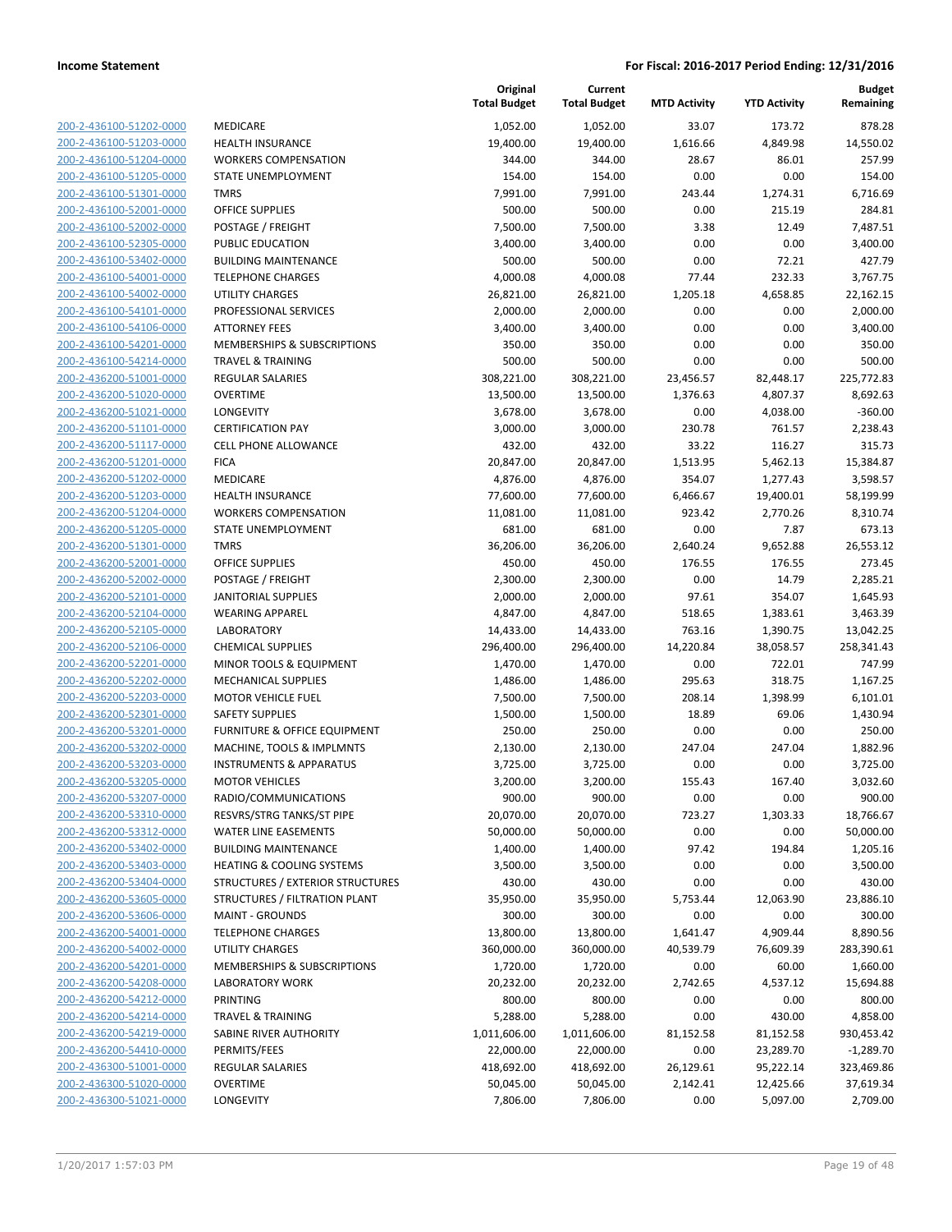| 200-2-436100-51202-0000                                   |
|-----------------------------------------------------------|
| 200-2-436100-51203-0000                                   |
| 200-2-436100-51204-0000                                   |
| 200-2-436100-51205-0000                                   |
| 200-2-436100-51301-0000                                   |
|                                                           |
| 200-2-436100-52001-0000                                   |
| 200-2-436100-52002-0000                                   |
| 200-2-436100-52305-0000                                   |
| 200-2-436100-53402-0000                                   |
| 200-2-436100-54001-0000                                   |
| 200-2-436100-54002-0000                                   |
| 200-2-436100-54101-0000                                   |
| 200-2-436100-54106-0000                                   |
| 200-2-436100-54201-0000                                   |
| 200-2-436100-54214-0000                                   |
| 200-2-436200-51001-0000                                   |
|                                                           |
| 200-2-436200-51020-0000                                   |
| 200-2-436200-51021-0000                                   |
| 200-2-436200-51101-0000                                   |
| 200-2-436200-51117-0000                                   |
| 200-2-436200-51201·<br>$-0000$                            |
| 200-2-436200-51202-0000                                   |
| 200-2-436200-51203-0000                                   |
| 200-2-436200-51204-0000                                   |
| 200-2-436200-51205-0000                                   |
| 200-2-436200-51301-0000                                   |
| 200-2-436200-52001-0000                                   |
|                                                           |
| 200-2-436200-52002-0000                                   |
| 200-2-436200-52101-0000                                   |
| 200-2-436200-52104-0000                                   |
| 200-2-436200-52105-0000                                   |
| 200-2-436200-52106-0000                                   |
| 200-2-436200-52201-0000                                   |
| 200-2-436200-52202-0000                                   |
| 200-2-436200-52203-0000                                   |
| 200-2-436200-52301-0000                                   |
| 200-2-436200-53201-0000                                   |
|                                                           |
| 200-2-436200-53202-0000                                   |
| 200-2-436200-53203-0000                                   |
| 200-2-436200-53205-0000                                   |
| 200-2-436200-53207-0000                                   |
| 200-2-436200-53310-0000                                   |
| <u>200-2-436200-53312-0000</u>                            |
| <u>200-2-436200-53402-0000</u>                            |
| 200-2-436200-53403-0000                                   |
| 200-2-436200-53404-0000                                   |
| 200-2-436200-53605-0000                                   |
|                                                           |
| <u>200-2-436200-53606-0000</u>                            |
| <u>200-2-436200-54001-0000</u>                            |
|                                                           |
| <u>200-2-436200-54002-0000</u>                            |
| 200-2-436200-54201-0000                                   |
| 200-2-436200-54208-0000                                   |
| <u>200-2-436200-54212-0000</u>                            |
| <u>200-2-436200-54214-0000</u>                            |
| <u>200-2-436200-54219-0000</u>                            |
|                                                           |
| <u>200-2-436200-54410-0000</u>                            |
| 200-2-436300-51001-0000                                   |
| <u>200-2-436300-51020-0000</u><br>200-2-436300-51021-0000 |

|                         |                                         | Original<br><b>Total Budget</b> | Current<br><b>Total Budget</b> | <b>MTD Activity</b> | <b>YTD Activity</b> | <b>Budget</b><br>Remaining |
|-------------------------|-----------------------------------------|---------------------------------|--------------------------------|---------------------|---------------------|----------------------------|
| 200-2-436100-51202-0000 | <b>MEDICARE</b>                         | 1,052.00                        | 1,052.00                       | 33.07               | 173.72              | 878.28                     |
| 200-2-436100-51203-0000 | <b>HEALTH INSURANCE</b>                 | 19,400.00                       | 19,400.00                      | 1,616.66            | 4,849.98            | 14,550.02                  |
| 200-2-436100-51204-0000 | <b>WORKERS COMPENSATION</b>             | 344.00                          | 344.00                         | 28.67               | 86.01               | 257.99                     |
| 200-2-436100-51205-0000 | STATE UNEMPLOYMENT                      | 154.00                          | 154.00                         | 0.00                | 0.00                | 154.00                     |
| 200-2-436100-51301-0000 | <b>TMRS</b>                             | 7,991.00                        | 7,991.00                       | 243.44              | 1,274.31            | 6,716.69                   |
| 200-2-436100-52001-0000 | OFFICE SUPPLIES                         | 500.00                          | 500.00                         | 0.00                | 215.19              | 284.81                     |
| 200-2-436100-52002-0000 | POSTAGE / FREIGHT                       | 7,500.00                        | 7,500.00                       | 3.38                | 12.49               | 7,487.51                   |
| 200-2-436100-52305-0000 | PUBLIC EDUCATION                        | 3,400.00                        | 3,400.00                       | 0.00                | 0.00                | 3,400.00                   |
| 200-2-436100-53402-0000 | <b>BUILDING MAINTENANCE</b>             | 500.00                          | 500.00                         | 0.00                | 72.21               | 427.79                     |
| 200-2-436100-54001-0000 | <b>TELEPHONE CHARGES</b>                | 4,000.08                        | 4,000.08                       | 77.44               | 232.33              | 3,767.75                   |
| 200-2-436100-54002-0000 | <b>UTILITY CHARGES</b>                  | 26,821.00                       | 26,821.00                      | 1,205.18            | 4,658.85            | 22,162.15                  |
| 200-2-436100-54101-0000 | PROFESSIONAL SERVICES                   | 2,000.00                        | 2,000.00                       | 0.00                | 0.00                | 2,000.00                   |
| 200-2-436100-54106-0000 | <b>ATTORNEY FEES</b>                    | 3,400.00                        | 3,400.00                       | 0.00                | 0.00                | 3,400.00                   |
| 200-2-436100-54201-0000 | MEMBERSHIPS & SUBSCRIPTIONS             | 350.00                          | 350.00                         | 0.00                | 0.00                | 350.00                     |
| 200-2-436100-54214-0000 | TRAVEL & TRAINING                       | 500.00                          | 500.00                         | 0.00                | 0.00                | 500.00                     |
| 200-2-436200-51001-0000 | REGULAR SALARIES                        | 308,221.00                      | 308,221.00                     | 23,456.57           | 82,448.17           | 225,772.83                 |
| 200-2-436200-51020-0000 | <b>OVERTIME</b>                         | 13,500.00                       | 13,500.00                      | 1,376.63            | 4,807.37            | 8,692.63                   |
| 200-2-436200-51021-0000 | LONGEVITY                               | 3,678.00                        | 3,678.00                       | 0.00                | 4,038.00            | $-360.00$                  |
| 200-2-436200-51101-0000 | <b>CERTIFICATION PAY</b>                | 3,000.00                        | 3,000.00                       | 230.78              | 761.57              | 2,238.43                   |
| 200-2-436200-51117-0000 | <b>CELL PHONE ALLOWANCE</b>             | 432.00                          | 432.00                         | 33.22               | 116.27              | 315.73                     |
| 200-2-436200-51201-0000 | <b>FICA</b>                             | 20,847.00                       | 20,847.00                      | 1,513.95            | 5,462.13            | 15,384.87                  |
| 200-2-436200-51202-0000 | <b>MEDICARE</b>                         | 4,876.00                        | 4,876.00                       | 354.07              | 1,277.43            | 3,598.57                   |
| 200-2-436200-51203-0000 | <b>HEALTH INSURANCE</b>                 | 77,600.00                       | 77,600.00                      | 6,466.67            | 19,400.01           | 58,199.99                  |
| 200-2-436200-51204-0000 | <b>WORKERS COMPENSATION</b>             | 11,081.00                       | 11,081.00                      | 923.42              | 2,770.26            | 8,310.74                   |
| 200-2-436200-51205-0000 | STATE UNEMPLOYMENT                      | 681.00                          | 681.00                         | 0.00                | 7.87                | 673.13                     |
| 200-2-436200-51301-0000 | <b>TMRS</b>                             | 36,206.00                       | 36,206.00                      | 2,640.24            | 9,652.88            | 26,553.12                  |
| 200-2-436200-52001-0000 | <b>OFFICE SUPPLIES</b>                  | 450.00                          | 450.00                         | 176.55              | 176.55              | 273.45                     |
| 200-2-436200-52002-0000 | POSTAGE / FREIGHT                       | 2,300.00                        | 2,300.00                       | 0.00                | 14.79               | 2,285.21                   |
| 200-2-436200-52101-0000 | <b>JANITORIAL SUPPLIES</b>              | 2,000.00                        | 2,000.00                       | 97.61               | 354.07              | 1,645.93                   |
| 200-2-436200-52104-0000 | <b>WEARING APPAREL</b>                  | 4,847.00                        | 4,847.00                       | 518.65              | 1,383.61            | 3,463.39                   |
| 200-2-436200-52105-0000 | <b>LABORATORY</b>                       | 14,433.00                       | 14,433.00                      | 763.16              | 1,390.75            | 13,042.25                  |
| 200-2-436200-52106-0000 | <b>CHEMICAL SUPPLIES</b>                | 296,400.00                      | 296,400.00                     | 14,220.84           | 38,058.57           | 258,341.43                 |
| 200-2-436200-52201-0000 | MINOR TOOLS & EQUIPMENT                 | 1,470.00                        | 1,470.00                       | 0.00                | 722.01              | 747.99                     |
| 200-2-436200-52202-0000 | MECHANICAL SUPPLIES                     | 1,486.00                        | 1,486.00                       | 295.63              | 318.75              | 1,167.25                   |
| 200-2-436200-52203-0000 | <b>MOTOR VEHICLE FUEL</b>               | 7,500.00                        | 7,500.00                       | 208.14              | 1,398.99            | 6,101.01                   |
| 200-2-436200-52301-0000 | <b>SAFETY SUPPLIES</b>                  | 1,500.00                        | 1,500.00                       | 18.89               | 69.06               | 1,430.94                   |
| 200-2-436200-53201-0000 | <b>FURNITURE &amp; OFFICE EQUIPMENT</b> | 250.00                          | 250.00                         | 0.00                | 0.00                | 250.00                     |
| 200-2-436200-53202-0000 | MACHINE, TOOLS & IMPLMNTS               | 2,130.00                        | 2,130.00                       | 247.04              | 247.04              | 1,882.96                   |
| 200-2-436200-53203-0000 | <b>INSTRUMENTS &amp; APPARATUS</b>      | 3,725.00                        | 3,725.00                       | 0.00                | 0.00                | 3,725.00                   |
| 200-2-436200-53205-0000 | <b>MOTOR VEHICLES</b>                   | 3,200.00                        | 3,200.00                       | 155.43              | 167.40              | 3,032.60                   |
| 200-2-436200-53207-0000 | RADIO/COMMUNICATIONS                    | 900.00                          | 900.00                         | 0.00                | 0.00                | 900.00                     |
| 200-2-436200-53310-0000 | RESVRS/STRG TANKS/ST PIPE               | 20,070.00                       | 20,070.00                      | 723.27              | 1,303.33            | 18,766.67                  |
| 200-2-436200-53312-0000 | <b>WATER LINE EASEMENTS</b>             | 50,000.00                       | 50,000.00                      | 0.00                | 0.00                | 50,000.00                  |
| 200-2-436200-53402-0000 | <b>BUILDING MAINTENANCE</b>             | 1,400.00                        | 1,400.00                       | 97.42               | 194.84              | 1,205.16                   |
| 200-2-436200-53403-0000 | <b>HEATING &amp; COOLING SYSTEMS</b>    | 3,500.00                        | 3,500.00                       | 0.00                | 0.00                | 3,500.00                   |
| 200-2-436200-53404-0000 | STRUCTURES / EXTERIOR STRUCTURES        | 430.00                          | 430.00                         | 0.00                | 0.00                | 430.00                     |
| 200-2-436200-53605-0000 | STRUCTURES / FILTRATION PLANT           | 35,950.00                       | 35,950.00                      | 5,753.44            | 12,063.90           | 23,886.10                  |
| 200-2-436200-53606-0000 | <b>MAINT - GROUNDS</b>                  | 300.00                          | 300.00                         | 0.00                | 0.00                | 300.00                     |
| 200-2-436200-54001-0000 | <b>TELEPHONE CHARGES</b>                | 13,800.00                       | 13,800.00                      | 1,641.47            | 4,909.44            | 8,890.56                   |
| 200-2-436200-54002-0000 | <b>UTILITY CHARGES</b>                  | 360,000.00                      | 360,000.00                     | 40,539.79           | 76,609.39           | 283,390.61                 |
| 200-2-436200-54201-0000 | MEMBERSHIPS & SUBSCRIPTIONS             | 1,720.00                        | 1,720.00                       | 0.00                | 60.00               | 1,660.00                   |
| 200-2-436200-54208-0000 | <b>LABORATORY WORK</b>                  | 20,232.00                       | 20,232.00                      | 2,742.65            | 4,537.12            | 15,694.88                  |
| 200-2-436200-54212-0000 | PRINTING                                | 800.00                          | 800.00                         | 0.00                | 0.00                | 800.00                     |
| 200-2-436200-54214-0000 | <b>TRAVEL &amp; TRAINING</b>            | 5,288.00                        | 5,288.00                       | 0.00                | 430.00              | 4,858.00                   |
| 200-2-436200-54219-0000 | SABINE RIVER AUTHORITY                  | 1,011,606.00                    | 1,011,606.00                   | 81,152.58           | 81,152.58           | 930,453.42                 |
| 200-2-436200-54410-0000 | PERMITS/FEES                            | 22,000.00                       | 22,000.00                      | 0.00                | 23,289.70           | $-1,289.70$                |
| 200-2-436300-51001-0000 | <b>REGULAR SALARIES</b>                 | 418,692.00                      | 418,692.00                     | 26,129.61           | 95,222.14           | 323,469.86                 |
| 200-2-436300-51020-0000 | <b>OVERTIME</b>                         | 50,045.00                       | 50,045.00                      | 2,142.41            | 12,425.66           | 37,619.34                  |
| 200-2-436300-51021-0000 | LONGEVITY                               | 7,806.00                        | 7,806.00                       | 0.00                | 5,097.00            | 2,709.00                   |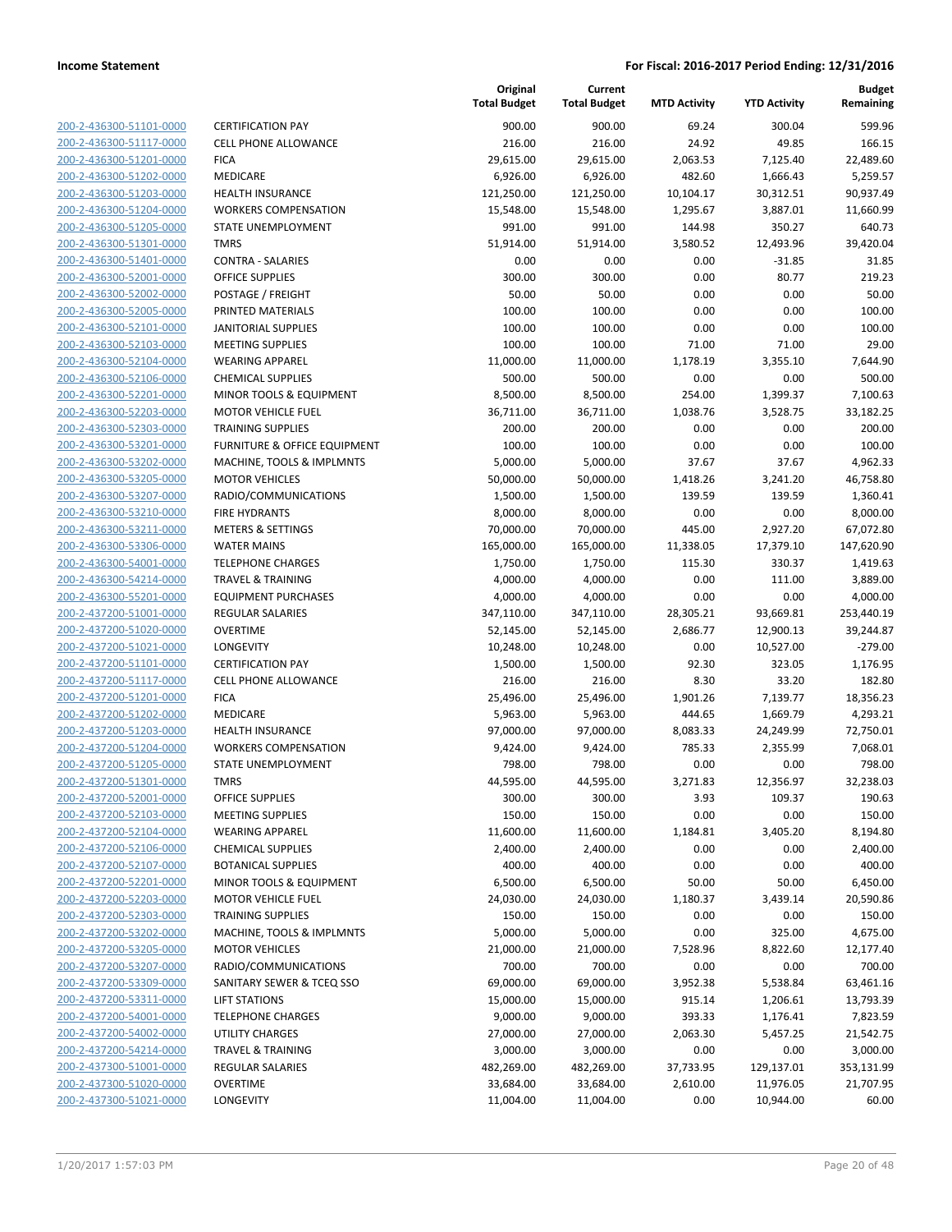| 200-2-436300-51101-0000        |
|--------------------------------|
| 200-2-436300-51117-0000        |
| 200-2-436300-51201-0000        |
| 200-2-436300-51202-0000        |
| <u>200-2-436300-51203-0000</u> |
| 200-2-436300-51204-0000        |
| 200-2-436300-51205-0000        |
| 200-2-436300-51301-0000        |
| 200-2-436300-51401-0000        |
| 200-2-436300-52001-0000        |
| <u>200-2-436300-52002-0000</u> |
| 200-2-436300-52005-0000        |
| 200-2-436300-52101-0000        |
| 200-2-436300-52103-0000        |
| <u>200-2-436300-52104-0000</u> |
| <u>200-2-436300-52106-0000</u> |
| 200-2-436300-52201-0000        |
| 200-2-436300-52203-0000        |
| <u>200-2-436300-52303-0000</u> |
| 200-2-436300-53201-0000        |
| 200-2-436300-53202-0000        |
| 200-2-436300-53205-0000        |
| 200-2-436300-53207-0000        |
| 200-2-436300-53210-0000        |
|                                |
| <u>200-2-436300-53211-0000</u> |
| <u>200-2-436300-53306-0000</u> |
| 200-2-436300-54001-0000        |
| 200-2-436300-54214-0000        |
| 200-2-436300-55201-0000        |
| 200-2-437200-51001-0000        |
| 200-2-437200-51020-0000        |
| 200-2-437200-51021-0000        |
| 200-2-437200-51101-0000        |
| 200-2-437200-51117-0000        |
| 200-2-437200-51201-0000        |
| 200-2-437200-51202-0000        |
| 200-2-437200-51203-0000        |
| 200-2-437200-51204-0000        |
| 200-2-437200-51205-0000        |
| 200-2-437200-51301-0000        |
| 200-2-437200-52001-0000        |
| <u>200-2-437200-52103-0000</u> |
| 200-2-437200-52104-0000        |
| 200-2-437200-52106-0000        |
| 200-2-437200-52107-0000        |
| <u>200-2-437200-52201-0000</u> |
| 200-2-437200-52203-0000        |
| 200-2-437200-52303-0000        |
| 200-2-437200-53202-0000        |
| 200-2-437200-53205-0000        |
| 200-2-437200-53207-0000        |
| 200-2-437200-53309-0000        |
| 200-2-437200-53311-0000        |
| 200-2-437200-54001-0000        |
| 200-2-437200-54002-0000        |
| <u>200-2-437200-54214-0000</u> |
| 200-2-437300-51001-0000        |
| 200-2-437300-51020-0000        |
| 200-2-437300-51021-0000        |
|                                |

|                         |                                         | Original<br><b>Total Budget</b> | Current<br><b>Total Budget</b> | <b>MTD Activity</b> | <b>YTD Activity</b> | <b>Budget</b><br>Remaining |
|-------------------------|-----------------------------------------|---------------------------------|--------------------------------|---------------------|---------------------|----------------------------|
| 200-2-436300-51101-0000 | <b>CERTIFICATION PAY</b>                | 900.00                          | 900.00                         | 69.24               | 300.04              | 599.96                     |
| 200-2-436300-51117-0000 | <b>CELL PHONE ALLOWANCE</b>             | 216.00                          | 216.00                         | 24.92               | 49.85               | 166.15                     |
| 200-2-436300-51201-0000 | <b>FICA</b>                             | 29,615.00                       | 29,615.00                      | 2,063.53            | 7,125.40            | 22,489.60                  |
| 200-2-436300-51202-0000 | MEDICARE                                | 6,926.00                        | 6,926.00                       | 482.60              | 1,666.43            | 5,259.57                   |
| 200-2-436300-51203-0000 | <b>HEALTH INSURANCE</b>                 | 121,250.00                      | 121,250.00                     | 10,104.17           | 30,312.51           | 90,937.49                  |
| 200-2-436300-51204-0000 | <b>WORKERS COMPENSATION</b>             | 15,548.00                       | 15,548.00                      | 1,295.67            | 3,887.01            | 11,660.99                  |
| 200-2-436300-51205-0000 | STATE UNEMPLOYMENT                      | 991.00                          | 991.00                         | 144.98              | 350.27              | 640.73                     |
| 200-2-436300-51301-0000 | <b>TMRS</b>                             | 51,914.00                       | 51,914.00                      | 3,580.52            | 12,493.96           | 39,420.04                  |
| 200-2-436300-51401-0000 | <b>CONTRA - SALARIES</b>                | 0.00                            | 0.00                           | 0.00                | $-31.85$            | 31.85                      |
| 200-2-436300-52001-0000 | <b>OFFICE SUPPLIES</b>                  | 300.00                          | 300.00                         | 0.00                | 80.77               | 219.23                     |
| 200-2-436300-52002-0000 | POSTAGE / FREIGHT                       | 50.00                           | 50.00                          | 0.00                | 0.00                | 50.00                      |
| 200-2-436300-52005-0000 | PRINTED MATERIALS                       | 100.00                          | 100.00                         | 0.00                | 0.00                | 100.00                     |
| 200-2-436300-52101-0000 | <b>JANITORIAL SUPPLIES</b>              | 100.00                          | 100.00                         | 0.00                | 0.00                | 100.00                     |
| 200-2-436300-52103-0000 | <b>MEETING SUPPLIES</b>                 | 100.00                          | 100.00                         | 71.00               | 71.00               | 29.00                      |
| 200-2-436300-52104-0000 | <b>WEARING APPAREL</b>                  | 11,000.00                       | 11,000.00                      | 1,178.19            | 3,355.10            | 7,644.90                   |
| 200-2-436300-52106-0000 | <b>CHEMICAL SUPPLIES</b>                | 500.00                          | 500.00                         | 0.00                | 0.00                | 500.00                     |
| 200-2-436300-52201-0000 | MINOR TOOLS & EQUIPMENT                 | 8,500.00                        | 8,500.00                       | 254.00              | 1,399.37            | 7,100.63                   |
| 200-2-436300-52203-0000 | <b>MOTOR VEHICLE FUEL</b>               | 36,711.00                       | 36,711.00                      | 1,038.76            | 3,528.75            | 33,182.25                  |
| 200-2-436300-52303-0000 | <b>TRAINING SUPPLIES</b>                | 200.00                          | 200.00                         | 0.00                | 0.00                | 200.00                     |
| 200-2-436300-53201-0000 | <b>FURNITURE &amp; OFFICE EQUIPMENT</b> | 100.00                          | 100.00                         | 0.00                | 0.00                | 100.00                     |
| 200-2-436300-53202-0000 | MACHINE, TOOLS & IMPLMNTS               | 5,000.00                        | 5,000.00                       | 37.67               | 37.67               | 4,962.33                   |
| 200-2-436300-53205-0000 | <b>MOTOR VEHICLES</b>                   | 50,000.00                       | 50,000.00                      | 1,418.26            | 3,241.20            | 46,758.80                  |
| 200-2-436300-53207-0000 | RADIO/COMMUNICATIONS                    | 1,500.00                        | 1,500.00                       | 139.59              | 139.59              | 1,360.41                   |
| 200-2-436300-53210-0000 | <b>FIRE HYDRANTS</b>                    | 8,000.00                        | 8,000.00                       | 0.00                | 0.00                | 8,000.00                   |
| 200-2-436300-53211-0000 | <b>METERS &amp; SETTINGS</b>            | 70,000.00                       | 70,000.00                      | 445.00              | 2,927.20            | 67,072.80                  |
| 200-2-436300-53306-0000 | <b>WATER MAINS</b>                      | 165,000.00                      | 165,000.00                     | 11,338.05           | 17,379.10           | 147,620.90                 |
| 200-2-436300-54001-0000 | <b>TELEPHONE CHARGES</b>                | 1,750.00                        | 1,750.00                       | 115.30              | 330.37              | 1,419.63                   |
| 200-2-436300-54214-0000 | <b>TRAVEL &amp; TRAINING</b>            | 4,000.00                        | 4,000.00                       | 0.00                | 111.00              | 3,889.00                   |
| 200-2-436300-55201-0000 | <b>EQUIPMENT PURCHASES</b>              | 4,000.00                        | 4,000.00                       | 0.00                | 0.00                | 4,000.00                   |
| 200-2-437200-51001-0000 | REGULAR SALARIES                        | 347,110.00                      | 347,110.00                     | 28,305.21           | 93,669.81           | 253,440.19                 |
| 200-2-437200-51020-0000 | <b>OVERTIME</b>                         | 52,145.00                       | 52,145.00                      | 2,686.77            | 12,900.13           | 39,244.87                  |
| 200-2-437200-51021-0000 | <b>LONGEVITY</b>                        | 10,248.00                       | 10,248.00                      | 0.00                | 10,527.00           | $-279.00$                  |
| 200-2-437200-51101-0000 | <b>CERTIFICATION PAY</b>                | 1,500.00                        | 1,500.00                       | 92.30               | 323.05              | 1,176.95                   |
| 200-2-437200-51117-0000 | <b>CELL PHONE ALLOWANCE</b>             | 216.00                          | 216.00                         | 8.30                | 33.20               | 182.80                     |
| 200-2-437200-51201-0000 | <b>FICA</b>                             | 25,496.00                       | 25,496.00                      | 1,901.26            | 7,139.77            | 18,356.23                  |
| 200-2-437200-51202-0000 | MEDICARE                                | 5,963.00                        | 5,963.00                       | 444.65              | 1,669.79            | 4,293.21                   |
| 200-2-437200-51203-0000 | <b>HEALTH INSURANCE</b>                 | 97,000.00                       | 97,000.00                      | 8,083.33            | 24,249.99           | 72,750.01                  |
| 200-2-437200-51204-0000 | <b>WORKERS COMPENSATION</b>             | 9,424.00                        | 9,424.00                       | 785.33              | 2,355.99            | 7,068.01                   |
| 200-2-437200-51205-0000 | STATE UNEMPLOYMENT                      | 798.00                          | 798.00                         | 0.00                | 0.00                | 798.00                     |
| 200-2-437200-51301-0000 | TMRS                                    | 44,595.00                       | 44,595.00                      | 3,271.83            | 12,356.97           | 32,238.03                  |
| 200-2-437200-52001-0000 | OFFICE SUPPLIES                         | 300.00                          | 300.00                         | 3.93                | 109.37              | 190.63                     |
| 200-2-437200-52103-0000 | <b>MEETING SUPPLIES</b>                 | 150.00                          | 150.00                         | 0.00                | 0.00                | 150.00                     |
| 200-2-437200-52104-0000 | <b>WEARING APPAREL</b>                  | 11,600.00                       | 11,600.00                      | 1,184.81            | 3,405.20            | 8,194.80                   |
| 200-2-437200-52106-0000 | <b>CHEMICAL SUPPLIES</b>                | 2,400.00                        | 2,400.00                       | 0.00                | 0.00                | 2,400.00                   |
| 200-2-437200-52107-0000 | <b>BOTANICAL SUPPLIES</b>               | 400.00                          | 400.00                         | 0.00                | 0.00                | 400.00                     |
| 200-2-437200-52201-0000 | MINOR TOOLS & EQUIPMENT                 | 6,500.00                        | 6,500.00                       | 50.00               | 50.00               | 6,450.00                   |
| 200-2-437200-52203-0000 | <b>MOTOR VEHICLE FUEL</b>               | 24,030.00                       | 24,030.00                      | 1,180.37            | 3,439.14            | 20,590.86                  |
| 200-2-437200-52303-0000 | <b>TRAINING SUPPLIES</b>                | 150.00                          | 150.00                         | 0.00                | 0.00                | 150.00                     |
| 200-2-437200-53202-0000 | MACHINE, TOOLS & IMPLMNTS               | 5,000.00                        | 5,000.00                       | 0.00                | 325.00              | 4,675.00                   |
| 200-2-437200-53205-0000 | <b>MOTOR VEHICLES</b>                   | 21,000.00                       | 21,000.00                      | 7,528.96            | 8,822.60            | 12,177.40                  |
| 200-2-437200-53207-0000 | RADIO/COMMUNICATIONS                    | 700.00                          | 700.00                         | 0.00                | 0.00                | 700.00                     |
| 200-2-437200-53309-0000 | SANITARY SEWER & TCEQ SSO               | 69,000.00                       | 69,000.00                      | 3,952.38            | 5,538.84            | 63,461.16                  |
| 200-2-437200-53311-0000 | <b>LIFT STATIONS</b>                    | 15,000.00                       | 15,000.00                      | 915.14              | 1,206.61            | 13,793.39                  |
| 200-2-437200-54001-0000 | <b>TELEPHONE CHARGES</b>                | 9,000.00                        | 9,000.00                       | 393.33              | 1,176.41            | 7,823.59                   |
| 200-2-437200-54002-0000 | UTILITY CHARGES                         | 27,000.00                       | 27,000.00                      | 2,063.30            | 5,457.25            | 21,542.75                  |
| 200-2-437200-54214-0000 | <b>TRAVEL &amp; TRAINING</b>            | 3,000.00                        | 3,000.00                       | 0.00                | 0.00                | 3,000.00                   |
| 200-2-437300-51001-0000 | REGULAR SALARIES                        | 482,269.00                      | 482,269.00                     | 37,733.95           | 129,137.01          | 353,131.99                 |
| 200-2-437300-51020-0000 | <b>OVERTIME</b>                         | 33,684.00                       | 33,684.00                      | 2,610.00            | 11,976.05           | 21,707.95                  |
| 200-2-437300-51021-0000 | <b>LONGEVITY</b>                        | 11,004.00                       | 11,004.00                      | 0.00                | 10,944.00           | 60.00                      |
|                         |                                         |                                 |                                |                     |                     |                            |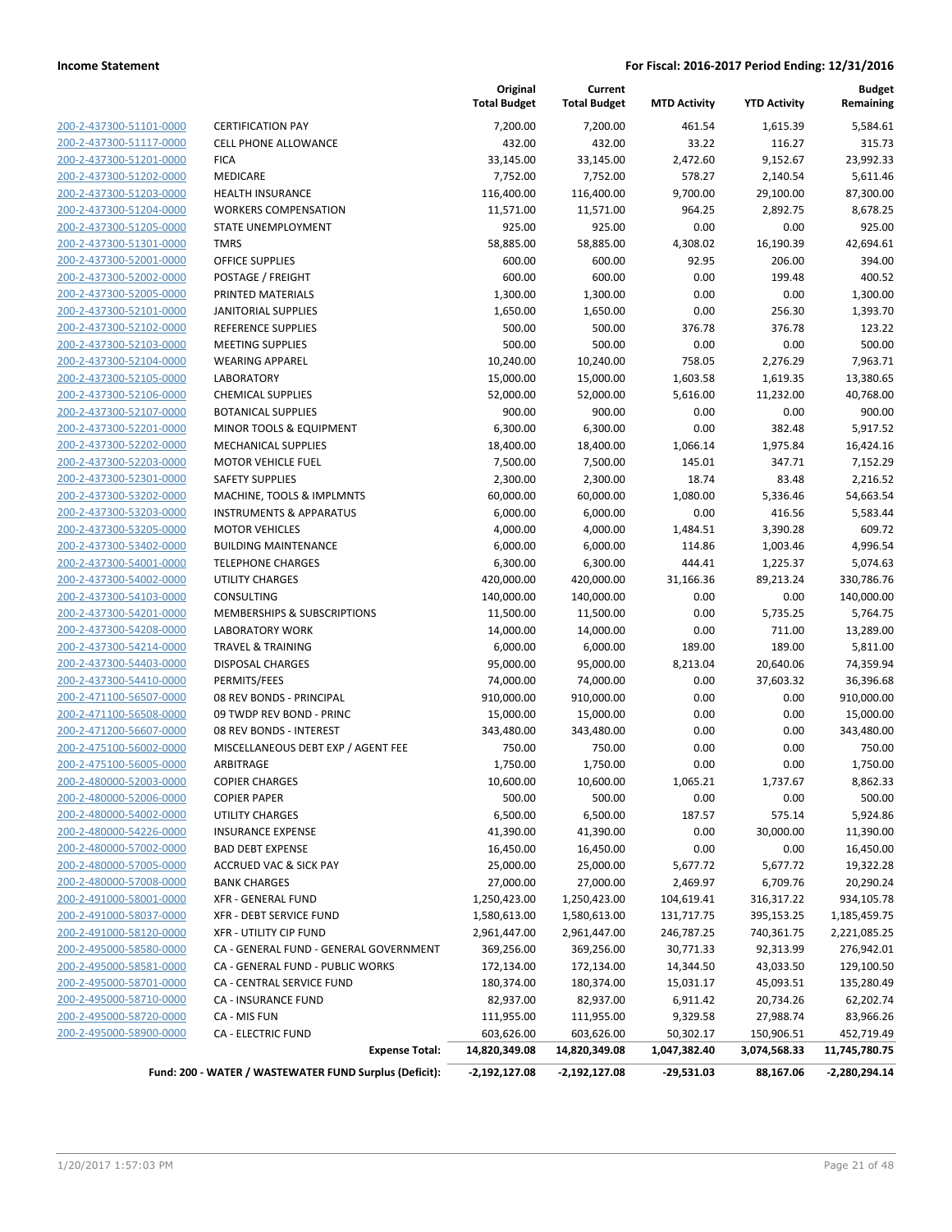| 200-2-437300-51101-0000        |
|--------------------------------|
| 200-2-437300-51117-0000        |
| 200-2-437300-51201-0000        |
| 200-2-437300-51202-0000        |
| 200-2-437300-51203-0000        |
| 200-2-437300-51204-0000        |
| 200-2-437300-51205-0000        |
| 200-2-437300-51301-0000        |
| 200-2-437300-52001-0000        |
| <u>200-2-437300-52002-0000</u> |
| 200-2-437300-52005-0000        |
| 200-2-437300-52101-0000        |
| 200-2-437300-52102-0000        |
| 200-2-437300-52103-0000        |
| <u>200-2-437300-52104-0000</u> |
| 200-2-437300-52105-0000        |
| 200-2-437300-52106-0000        |
| 200-2-437300-52107-0000        |
| 200-2-437300-52201-0000        |
| <u>200-2-437300-52202-0000</u> |
| 200-2-437300-52203-0000        |
| 200-2-437300-52301-0000        |
| 200-2-437300-53202-0000        |
| 200-2-437300-53203-0000        |
| <u>200-2-437300-53205-0000</u> |
| 200-2-437300-53402-0000        |
| 200-2-437300-54001-0000        |
| 200-2-437300-54002-0000        |
| 200-2-437300-54103-0000        |
| <u>200-2-437300-54201-0000</u> |
| 200-2-437300-54208-0000        |
| 200-2-437300-54214-0000        |
| 200-2-437300-54403-0000        |
| 200-2-437300-54410-0000        |
| 200-2-471100-56507-0000        |
| 200-2-471100-56508-0000        |
| 200-2-471200-56607-0000        |
| 200-2-475100-56002-0000        |
| 200-2-475100-56005-0000        |
| 200-2-480000-52003-0000        |
| 200-2-480000-52006-0000        |
| <u>200-2-480000-54002-0000</u> |
| 200-2-480000-54226-0000        |
| 200-2-480000-57002-0000        |
| <u>200-2-480000-57005-0000</u> |
| 200-2-480000-57008-0000        |
| 200-2-491000-58001-0000        |
| 200-2-491000-58037-0000        |
| 200-2-491000-58120-0000        |
| 200-2-495000-58580-0000        |
| 200-2-495000-58581-0000        |
| 200-2-495000-58701-0000        |
| 200-2-495000-58710-0000        |
| 200-2-495000-58720-0000        |
| <u>200-2-495000-58900-0000</u> |
|                                |

|                         |                                        | Original<br><b>Total Budget</b> | Current<br><b>Total Budget</b> | <b>MTD Activity</b> | <b>YTD Activity</b> | <b>Budget</b><br>Remaining |
|-------------------------|----------------------------------------|---------------------------------|--------------------------------|---------------------|---------------------|----------------------------|
| 200-2-437300-51101-0000 | <b>CERTIFICATION PAY</b>               | 7,200.00                        | 7,200.00                       | 461.54              | 1,615.39            | 5,584.61                   |
| 200-2-437300-51117-0000 | <b>CELL PHONE ALLOWANCE</b>            | 432.00                          | 432.00                         | 33.22               | 116.27              | 315.73                     |
| 200-2-437300-51201-0000 | <b>FICA</b>                            | 33,145.00                       | 33,145.00                      | 2,472.60            | 9,152.67            | 23,992.33                  |
| 200-2-437300-51202-0000 | MEDICARE                               | 7,752.00                        | 7,752.00                       | 578.27              | 2,140.54            | 5,611.46                   |
| 200-2-437300-51203-0000 | <b>HEALTH INSURANCE</b>                | 116,400.00                      | 116,400.00                     | 9,700.00            | 29,100.00           | 87,300.00                  |
| 200-2-437300-51204-0000 | <b>WORKERS COMPENSATION</b>            | 11,571.00                       | 11,571.00                      | 964.25              | 2,892.75            | 8,678.25                   |
| 200-2-437300-51205-0000 | STATE UNEMPLOYMENT                     | 925.00                          | 925.00                         | 0.00                | 0.00                | 925.00                     |
| 200-2-437300-51301-0000 | <b>TMRS</b>                            | 58,885.00                       | 58,885.00                      | 4,308.02            | 16,190.39           | 42,694.61                  |
| 200-2-437300-52001-0000 | <b>OFFICE SUPPLIES</b>                 | 600.00                          | 600.00                         | 92.95               | 206.00              | 394.00                     |
| 200-2-437300-52002-0000 | POSTAGE / FREIGHT                      | 600.00                          | 600.00                         | 0.00                | 199.48              | 400.52                     |
| 200-2-437300-52005-0000 | PRINTED MATERIALS                      | 1,300.00                        | 1,300.00                       | 0.00                | 0.00                | 1,300.00                   |
| 200-2-437300-52101-0000 | <b>JANITORIAL SUPPLIES</b>             | 1,650.00                        | 1,650.00                       | 0.00                | 256.30              | 1,393.70                   |
| 200-2-437300-52102-0000 | <b>REFERENCE SUPPLIES</b>              | 500.00                          | 500.00                         | 376.78              | 376.78              | 123.22                     |
| 200-2-437300-52103-0000 | <b>MEETING SUPPLIES</b>                | 500.00                          | 500.00                         | 0.00                | 0.00                | 500.00                     |
| 200-2-437300-52104-0000 | <b>WEARING APPAREL</b>                 | 10,240.00                       | 10,240.00                      | 758.05              | 2,276.29            | 7,963.71                   |
| 200-2-437300-52105-0000 | <b>LABORATORY</b>                      | 15,000.00                       | 15,000.00                      | 1,603.58            | 1,619.35            | 13,380.65                  |
| 200-2-437300-52106-0000 | <b>CHEMICAL SUPPLIES</b>               | 52,000.00                       | 52,000.00                      | 5,616.00            | 11,232.00           | 40,768.00                  |
| 200-2-437300-52107-0000 | <b>BOTANICAL SUPPLIES</b>              | 900.00                          | 900.00                         | 0.00                | 0.00                | 900.00                     |
| 200-2-437300-52201-0000 | MINOR TOOLS & EQUIPMENT                | 6,300.00                        | 6,300.00                       | 0.00                | 382.48              | 5,917.52                   |
| 200-2-437300-52202-0000 | <b>MECHANICAL SUPPLIES</b>             | 18,400.00                       | 18,400.00                      | 1,066.14            | 1,975.84            | 16,424.16                  |
| 200-2-437300-52203-0000 | <b>MOTOR VEHICLE FUEL</b>              | 7,500.00                        | 7,500.00                       | 145.01              | 347.71              | 7,152.29                   |
| 200-2-437300-52301-0000 | <b>SAFETY SUPPLIES</b>                 | 2,300.00                        | 2,300.00                       | 18.74               | 83.48               | 2,216.52                   |
| 200-2-437300-53202-0000 | MACHINE, TOOLS & IMPLMNTS              | 60,000.00                       | 60,000.00                      | 1,080.00            | 5,336.46            | 54,663.54                  |
| 200-2-437300-53203-0000 | <b>INSTRUMENTS &amp; APPARATUS</b>     | 6,000.00                        | 6,000.00                       | 0.00                | 416.56              | 5,583.44                   |
| 200-2-437300-53205-0000 | <b>MOTOR VEHICLES</b>                  | 4,000.00                        | 4,000.00                       | 1,484.51            | 3,390.28            | 609.72                     |
| 200-2-437300-53402-0000 | <b>BUILDING MAINTENANCE</b>            | 6,000.00                        | 6,000.00                       | 114.86              | 1,003.46            | 4,996.54                   |
| 200-2-437300-54001-0000 | <b>TELEPHONE CHARGES</b>               | 6,300.00                        | 6,300.00                       | 444.41              | 1,225.37            | 5,074.63                   |
| 200-2-437300-54002-0000 | <b>UTILITY CHARGES</b>                 | 420,000.00                      | 420,000.00                     | 31,166.36           | 89,213.24           | 330,786.76                 |
| 200-2-437300-54103-0000 | CONSULTING                             | 140,000.00                      | 140,000.00                     | 0.00                | 0.00                | 140,000.00                 |
| 200-2-437300-54201-0000 | MEMBERSHIPS & SUBSCRIPTIONS            | 11,500.00                       | 11,500.00                      | 0.00                | 5,735.25            | 5,764.75                   |
| 200-2-437300-54208-0000 | <b>LABORATORY WORK</b>                 | 14,000.00                       | 14,000.00                      | 0.00                | 711.00              | 13,289.00                  |
| 200-2-437300-54214-0000 | <b>TRAVEL &amp; TRAINING</b>           | 6,000.00                        | 6,000.00                       | 189.00              | 189.00              | 5,811.00                   |
| 200-2-437300-54403-0000 | <b>DISPOSAL CHARGES</b>                | 95,000.00                       | 95,000.00                      | 8,213.04            | 20,640.06           | 74,359.94                  |
| 200-2-437300-54410-0000 | PERMITS/FEES                           | 74,000.00                       | 74,000.00                      | 0.00                | 37,603.32           | 36,396.68                  |
| 200-2-471100-56507-0000 | 08 REV BONDS - PRINCIPAL               | 910,000.00                      | 910,000.00                     | 0.00                | 0.00                | 910,000.00                 |
| 200-2-471100-56508-0000 | 09 TWDP REV BOND - PRINC               | 15,000.00                       | 15,000.00                      | 0.00                | 0.00                | 15,000.00                  |
| 200-2-471200-56607-0000 | 08 REV BONDS - INTEREST                | 343,480.00                      | 343,480.00                     | 0.00                | 0.00                | 343,480.00                 |
| 200-2-475100-56002-0000 | MISCELLANEOUS DEBT EXP / AGENT FEE     | 750.00                          | 750.00                         | 0.00                | 0.00                | 750.00                     |
| 200-2-475100-56005-0000 | ARBITRAGE                              | 1,750.00                        | 1,750.00                       | 0.00                | 0.00                | 1,750.00                   |
| 200-2-480000-52003-0000 | <b>COPIER CHARGES</b>                  | 10,600.00                       | 10,600.00                      | 1,065.21            | 1,737.67            | 8,862.33                   |
| 200-2-480000-52006-0000 | <b>COPIER PAPER</b>                    | 500.00                          | 500.00                         | 0.00                | 0.00                | 500.00                     |
| 200-2-480000-54002-0000 | UTILITY CHARGES                        | 6,500.00                        | 6,500.00                       | 187.57              | 575.14              | 5,924.86                   |
| 200-2-480000-54226-0000 | <b>INSURANCE EXPENSE</b>               | 41,390.00                       | 41,390.00                      | 0.00                | 30,000.00           | 11,390.00                  |
| 200-2-480000-57002-0000 | <b>BAD DEBT EXPENSE</b>                | 16,450.00                       | 16,450.00                      | 0.00                | 0.00                | 16,450.00                  |
| 200-2-480000-57005-0000 | <b>ACCRUED VAC &amp; SICK PAY</b>      | 25,000.00                       | 25,000.00                      | 5,677.72            | 5,677.72            | 19,322.28                  |
| 200-2-480000-57008-0000 | <b>BANK CHARGES</b>                    | 27,000.00                       | 27,000.00                      | 2,469.97            | 6,709.76            | 20,290.24                  |
| 200-2-491000-58001-0000 | <b>XFR - GENERAL FUND</b>              | 1,250,423.00                    | 1,250,423.00                   | 104,619.41          | 316,317.22          | 934,105.78                 |
| 200-2-491000-58037-0000 | <b>XFR - DEBT SERVICE FUND</b>         | 1,580,613.00                    | 1,580,613.00                   | 131,717.75          | 395,153.25          | 1,185,459.75               |
| 200-2-491000-58120-0000 | <b>XFR - UTILITY CIP FUND</b>          | 2,961,447.00                    | 2,961,447.00                   | 246,787.25          | 740,361.75          | 2,221,085.25               |
| 200-2-495000-58580-0000 | CA - GENERAL FUND - GENERAL GOVERNMENT | 369,256.00                      | 369,256.00                     | 30,771.33           | 92,313.99           | 276,942.01                 |
| 200-2-495000-58581-0000 | CA - GENERAL FUND - PUBLIC WORKS       | 172,134.00                      | 172,134.00                     | 14,344.50           | 43,033.50           | 129,100.50                 |
| 200-2-495000-58701-0000 | CA - CENTRAL SERVICE FUND              | 180,374.00                      | 180,374.00                     | 15,031.17           | 45,093.51           | 135,280.49                 |
| 200-2-495000-58710-0000 | CA - INSURANCE FUND                    | 82,937.00                       | 82,937.00                      | 6,911.42            | 20,734.26           | 62,202.74                  |
| 200-2-495000-58720-0000 | CA - MIS FUN                           | 111,955.00                      | 111,955.00                     | 9,329.58            | 27,988.74           | 83,966.26                  |
| 200-2-495000-58900-0000 | <b>CA - ELECTRIC FUND</b>              | 603,626.00                      | 603,626.00                     | 50,302.17           | 150,906.51          | 452,719.49                 |
|                         | <b>Expense Total:</b>                  | 14,820,349.08                   | 14,820,349.08                  | 1,047,382.40        | 3,074,568.33        | 11,745,780.75              |

**Fund: 200 - WATER / WASTEWATER FUND Surplus (Deficit): -2,192,127.08 -2,192,127.08 -29,531.03 88,167.06 -2,280,294.14**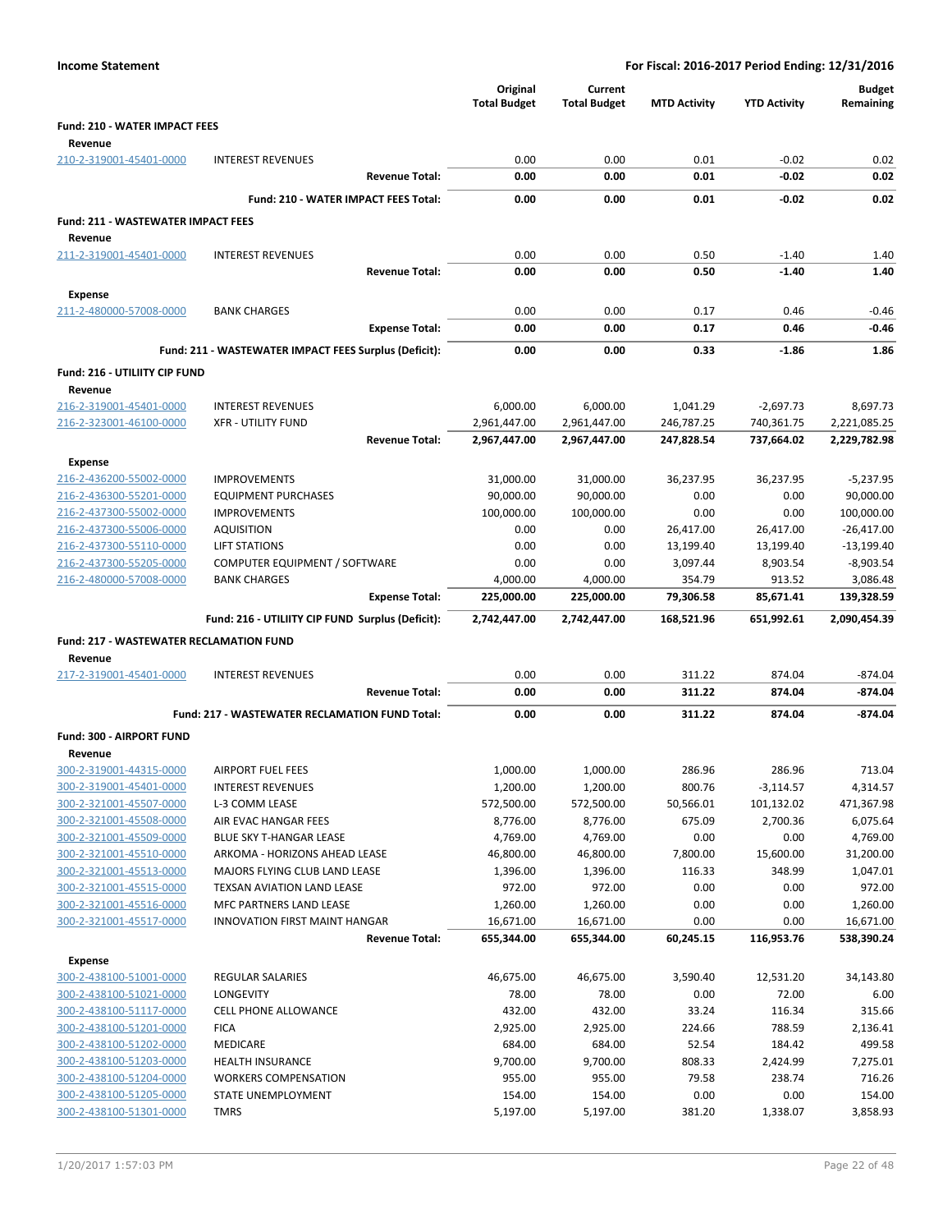| <b>Income Statement</b>                            |                                                                    |                                 |                                | For Fiscal: 2016-2017 Period Ending: 12/31/2016 |                          |                              |
|----------------------------------------------------|--------------------------------------------------------------------|---------------------------------|--------------------------------|-------------------------------------------------|--------------------------|------------------------------|
|                                                    |                                                                    | Original<br><b>Total Budget</b> | Current<br><b>Total Budget</b> | <b>MTD Activity</b>                             | <b>YTD Activity</b>      | <b>Budget</b><br>Remaining   |
| <b>Fund: 210 - WATER IMPACT FEES</b>               |                                                                    |                                 |                                |                                                 |                          |                              |
| Revenue                                            |                                                                    |                                 |                                |                                                 |                          |                              |
| 210-2-319001-45401-0000                            | <b>INTEREST REVENUES</b><br><b>Revenue Total:</b>                  | 0.00<br>0.00                    | 0.00<br>0.00                   | 0.01<br>0.01                                    | $-0.02$<br>$-0.02$       | 0.02<br>0.02                 |
|                                                    |                                                                    |                                 |                                |                                                 |                          |                              |
|                                                    | Fund: 210 - WATER IMPACT FEES Total:                               | 0.00                            | 0.00                           | 0.01                                            | $-0.02$                  | 0.02                         |
| <b>Fund: 211 - WASTEWATER IMPACT FEES</b>          |                                                                    |                                 |                                |                                                 |                          |                              |
| Revenue                                            |                                                                    |                                 |                                |                                                 |                          |                              |
| 211-2-319001-45401-0000                            | <b>INTEREST REVENUES</b><br><b>Revenue Total:</b>                  | 0.00<br>0.00                    | 0.00<br>0.00                   | 0.50<br>0.50                                    | $-1.40$<br>$-1.40$       | 1.40<br>1.40                 |
|                                                    |                                                                    |                                 |                                |                                                 |                          |                              |
| <b>Expense</b>                                     |                                                                    |                                 |                                |                                                 |                          |                              |
| 211-2-480000-57008-0000                            | <b>BANK CHARGES</b><br><b>Expense Total:</b>                       | 0.00<br>0.00                    | 0.00<br>0.00                   | 0.17<br>0.17                                    | 0.46<br>0.46             | $-0.46$<br>$-0.46$           |
|                                                    |                                                                    |                                 |                                |                                                 |                          |                              |
|                                                    | Fund: 211 - WASTEWATER IMPACT FEES Surplus (Deficit):              | 0.00                            | 0.00                           | 0.33                                            | $-1.86$                  | 1.86                         |
| Fund: 216 - UTILIITY CIP FUND                      |                                                                    |                                 |                                |                                                 |                          |                              |
| Revenue                                            |                                                                    |                                 |                                |                                                 |                          |                              |
| 216-2-319001-45401-0000                            | <b>INTEREST REVENUES</b>                                           | 6,000.00                        | 6,000.00                       | 1,041.29                                        | $-2,697.73$              | 8,697.73                     |
| 216-2-323001-46100-0000                            | <b>XFR - UTILITY FUND</b><br><b>Revenue Total:</b>                 | 2,961,447.00<br>2,967,447.00    | 2,961,447.00<br>2,967,447.00   | 246,787.25<br>247,828.54                        | 740,361.75<br>737.664.02 | 2,221,085.25<br>2,229,782.98 |
|                                                    |                                                                    |                                 |                                |                                                 |                          |                              |
| <b>Expense</b>                                     |                                                                    |                                 |                                |                                                 |                          |                              |
| 216-2-436200-55002-0000                            | <b>IMPROVEMENTS</b>                                                | 31,000.00                       | 31,000.00                      | 36,237.95                                       | 36,237.95                | $-5,237.95$                  |
| 216-2-436300-55201-0000<br>216-2-437300-55002-0000 | <b>EQUIPMENT PURCHASES</b><br><b>IMPROVEMENTS</b>                  | 90,000.00<br>100,000.00         | 90,000.00<br>100,000.00        | 0.00<br>0.00                                    | 0.00<br>0.00             | 90,000.00<br>100,000.00      |
| 216-2-437300-55006-0000                            | AQUISITION                                                         | 0.00                            | 0.00                           | 26,417.00                                       | 26,417.00                | $-26,417.00$                 |
| 216-2-437300-55110-0000                            | <b>LIFT STATIONS</b>                                               | 0.00                            | 0.00                           | 13,199.40                                       | 13,199.40                | $-13,199.40$                 |
| 216-2-437300-55205-0000                            | COMPUTER EQUIPMENT / SOFTWARE                                      | 0.00                            | 0.00                           | 3,097.44                                        | 8,903.54                 | $-8,903.54$                  |
| 216-2-480000-57008-0000                            | <b>BANK CHARGES</b>                                                | 4,000.00                        | 4,000.00                       | 354.79                                          | 913.52                   | 3,086.48                     |
|                                                    | <b>Expense Total:</b>                                              | 225,000.00                      | 225,000.00                     | 79,306.58                                       | 85,671.41                | 139,328.59                   |
|                                                    | Fund: 216 - UTILIITY CIP FUND Surplus (Deficit):                   | 2,742,447.00                    | 2,742,447.00                   | 168,521.96                                      | 651,992.61               | 2,090,454.39                 |
| Fund: 217 - WASTEWATER RECLAMATION FUND            |                                                                    |                                 |                                |                                                 |                          |                              |
| Revenue                                            |                                                                    |                                 |                                |                                                 |                          |                              |
| 217-2-319001-45401-0000                            | <b>INTEREST REVENUES</b>                                           | 0.00                            | 0.00                           | 311.22                                          | 874.04                   | $-874.04$                    |
|                                                    | <b>Revenue Total:</b>                                              | 0.00                            | 0.00                           | 311.22                                          | 874.04                   | $-874.04$                    |
|                                                    | Fund: 217 - WASTEWATER RECLAMATION FUND Total:                     | 0.00                            | 0.00                           | 311.22                                          | 874.04                   | $-874.04$                    |
| Fund: 300 - AIRPORT FUND                           |                                                                    |                                 |                                |                                                 |                          |                              |
| Revenue                                            |                                                                    |                                 |                                |                                                 |                          |                              |
| 300-2-319001-44315-0000                            | <b>AIRPORT FUEL FEES</b>                                           | 1,000.00                        | 1,000.00                       | 286.96                                          | 286.96                   | 713.04                       |
| 300-2-319001-45401-0000                            | <b>INTEREST REVENUES</b>                                           | 1,200.00                        | 1,200.00                       | 800.76                                          | $-3,114.57$              | 4,314.57                     |
| 300-2-321001-45507-0000                            | L-3 COMM LEASE                                                     | 572,500.00                      | 572,500.00                     | 50,566.01                                       | 101,132.02               | 471,367.98                   |
| 300-2-321001-45508-0000                            | AIR EVAC HANGAR FEES                                               | 8,776.00                        | 8,776.00                       | 675.09                                          | 2,700.36                 | 6,075.64                     |
| 300-2-321001-45509-0000                            | BLUE SKY T-HANGAR LEASE                                            | 4,769.00                        | 4,769.00                       | 0.00                                            | 0.00                     | 4,769.00                     |
| 300-2-321001-45510-0000                            | ARKOMA - HORIZONS AHEAD LEASE                                      | 46,800.00                       | 46,800.00                      | 7,800.00                                        | 15,600.00                | 31,200.00                    |
| 300-2-321001-45513-0000                            | MAJORS FLYING CLUB LAND LEASE<br><b>TEXSAN AVIATION LAND LEASE</b> | 1,396.00                        | 1,396.00                       | 116.33                                          | 348.99                   | 1,047.01                     |
| 300-2-321001-45515-0000<br>300-2-321001-45516-0000 | MFC PARTNERS LAND LEASE                                            | 972.00<br>1,260.00              | 972.00<br>1,260.00             | 0.00<br>0.00                                    | 0.00<br>0.00             | 972.00<br>1,260.00           |
| 300-2-321001-45517-0000                            | <b>INNOVATION FIRST MAINT HANGAR</b>                               | 16,671.00                       | 16,671.00                      | 0.00                                            | 0.00                     | 16,671.00                    |
|                                                    | <b>Revenue Total:</b>                                              | 655,344.00                      | 655,344.00                     | 60,245.15                                       | 116,953.76               | 538,390.24                   |
|                                                    |                                                                    |                                 |                                |                                                 |                          |                              |
| <b>Expense</b><br>300-2-438100-51001-0000          | <b>REGULAR SALARIES</b>                                            | 46,675.00                       | 46,675.00                      | 3,590.40                                        | 12,531.20                | 34,143.80                    |
| 300-2-438100-51021-0000                            | LONGEVITY                                                          | 78.00                           | 78.00                          | 0.00                                            | 72.00                    | 6.00                         |
| 300-2-438100-51117-0000                            | <b>CELL PHONE ALLOWANCE</b>                                        | 432.00                          | 432.00                         | 33.24                                           | 116.34                   | 315.66                       |
| 300-2-438100-51201-0000                            | <b>FICA</b>                                                        | 2,925.00                        | 2,925.00                       | 224.66                                          | 788.59                   | 2,136.41                     |
| 300-2-438100-51202-0000                            | <b>MEDICARE</b>                                                    | 684.00                          | 684.00                         | 52.54                                           | 184.42                   | 499.58                       |
| 300-2-438100-51203-0000                            | <b>HEALTH INSURANCE</b>                                            | 9,700.00                        | 9,700.00                       | 808.33                                          | 2,424.99                 | 7,275.01                     |
| 300-2-438100-51204-0000                            | <b>WORKERS COMPENSATION</b>                                        | 955.00                          | 955.00                         | 79.58                                           | 238.74                   | 716.26                       |
| 300-2-438100-51205-0000                            | STATE UNEMPLOYMENT                                                 | 154.00                          | 154.00                         | 0.00                                            | 0.00                     | 154.00                       |
| 300-2-438100-51301-0000                            | <b>TMRS</b>                                                        | 5,197.00                        | 5,197.00                       | 381.20                                          | 1,338.07                 | 3,858.93                     |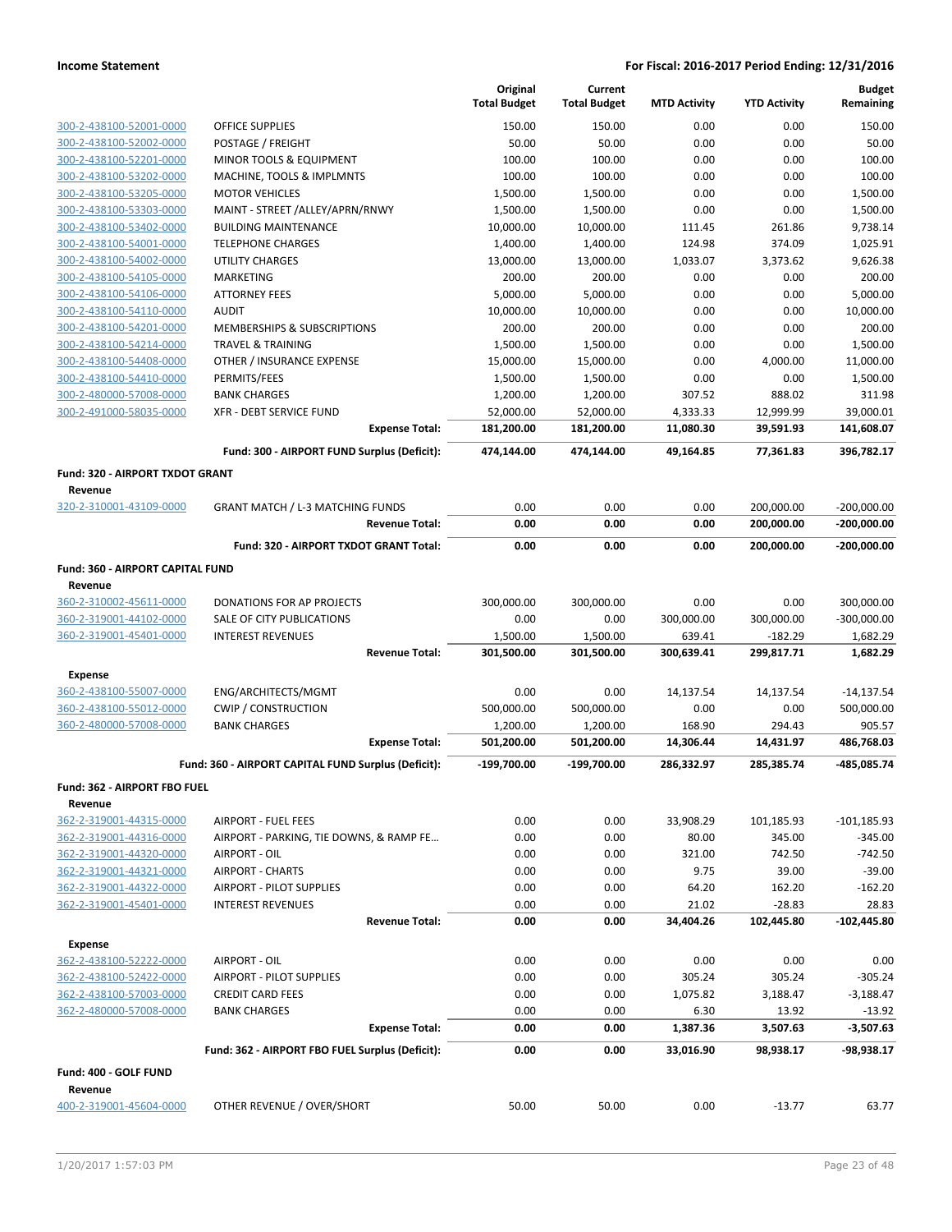|                                                    |                                                     | Original<br><b>Total Budget</b> | Current<br><b>Total Budget</b> | <b>MTD Activity</b> | <b>YTD Activity</b> | <b>Budget</b><br>Remaining |
|----------------------------------------------------|-----------------------------------------------------|---------------------------------|--------------------------------|---------------------|---------------------|----------------------------|
| 300-2-438100-52001-0000                            | OFFICE SUPPLIES                                     | 150.00                          | 150.00                         | 0.00                | 0.00                | 150.00                     |
| 300-2-438100-52002-0000                            | POSTAGE / FREIGHT                                   | 50.00                           | 50.00                          | 0.00                | 0.00                | 50.00                      |
| 300-2-438100-52201-0000                            | MINOR TOOLS & EQUIPMENT                             | 100.00                          | 100.00                         | 0.00                | 0.00                | 100.00                     |
| 300-2-438100-53202-0000                            | MACHINE, TOOLS & IMPLMNTS                           | 100.00                          | 100.00                         | 0.00                | 0.00                | 100.00                     |
| 300-2-438100-53205-0000                            | <b>MOTOR VEHICLES</b>                               | 1,500.00                        | 1,500.00                       | 0.00                | 0.00                | 1,500.00                   |
| 300-2-438100-53303-0000                            | MAINT - STREET /ALLEY/APRN/RNWY                     | 1,500.00                        | 1,500.00                       | 0.00                | 0.00                | 1,500.00                   |
| 300-2-438100-53402-0000                            | <b>BUILDING MAINTENANCE</b>                         | 10,000.00                       | 10,000.00                      | 111.45              | 261.86              | 9,738.14                   |
| 300-2-438100-54001-0000                            | <b>TELEPHONE CHARGES</b>                            | 1,400.00                        | 1,400.00                       | 124.98              | 374.09              | 1,025.91                   |
| 300-2-438100-54002-0000                            | <b>UTILITY CHARGES</b>                              | 13,000.00                       | 13,000.00                      | 1,033.07            | 3,373.62            | 9,626.38                   |
| 300-2-438100-54105-0000                            | <b>MARKETING</b>                                    | 200.00                          | 200.00                         | 0.00                | 0.00                | 200.00                     |
| 300-2-438100-54106-0000                            | <b>ATTORNEY FEES</b>                                | 5,000.00                        | 5,000.00                       | 0.00                | 0.00                | 5,000.00                   |
| 300-2-438100-54110-0000                            | <b>AUDIT</b>                                        | 10,000.00                       | 10,000.00                      | 0.00                | 0.00                | 10,000.00                  |
| 300-2-438100-54201-0000                            | MEMBERSHIPS & SUBSCRIPTIONS                         | 200.00                          | 200.00                         | 0.00                | 0.00                | 200.00                     |
| 300-2-438100-54214-0000                            | <b>TRAVEL &amp; TRAINING</b>                        | 1,500.00                        | 1,500.00                       | 0.00                | 0.00                | 1,500.00                   |
| 300-2-438100-54408-0000                            | OTHER / INSURANCE EXPENSE                           | 15,000.00                       | 15,000.00                      | 0.00                | 4,000.00            | 11,000.00                  |
| 300-2-438100-54410-0000                            | PERMITS/FEES                                        | 1,500.00                        | 1,500.00                       | 0.00                | 0.00                | 1,500.00                   |
| 300-2-480000-57008-0000                            | <b>BANK CHARGES</b>                                 | 1,200.00                        | 1,200.00                       | 307.52              | 888.02              | 311.98                     |
| 300-2-491000-58035-0000                            | <b>XFR - DEBT SERVICE FUND</b>                      | 52,000.00                       | 52,000.00                      | 4,333.33            | 12,999.99           | 39,000.01                  |
|                                                    | <b>Expense Total:</b>                               | 181,200.00                      | 181,200.00                     | 11,080.30           | 39,591.93           | 141,608.07                 |
|                                                    | Fund: 300 - AIRPORT FUND Surplus (Deficit):         | 474,144.00                      | 474,144.00                     | 49,164.85           | 77,361.83           | 396,782.17                 |
| Fund: 320 - AIRPORT TXDOT GRANT<br>Revenue         |                                                     |                                 |                                |                     |                     |                            |
| 320-2-310001-43109-0000                            | <b>GRANT MATCH / L-3 MATCHING FUNDS</b>             | 0.00                            | 0.00                           | 0.00                | 200,000.00          | $-200,000.00$              |
|                                                    | <b>Revenue Total:</b>                               | 0.00                            | 0.00                           | 0.00                | 200,000.00          | $-200,000.00$              |
|                                                    | Fund: 320 - AIRPORT TXDOT GRANT Total:              | 0.00                            | 0.00                           | 0.00                | 200,000.00          | $-200,000.00$              |
| Fund: 360 - AIRPORT CAPITAL FUND<br>Revenue        |                                                     |                                 |                                |                     |                     |                            |
| 360-2-310002-45611-0000                            | DONATIONS FOR AP PROJECTS                           | 300,000.00                      | 300,000.00                     | 0.00                | 0.00                | 300,000.00                 |
| 360-2-319001-44102-0000                            | SALE OF CITY PUBLICATIONS                           | 0.00                            | 0.00                           | 300,000.00          | 300,000.00          | $-300,000.00$              |
| 360-2-319001-45401-0000                            | <b>INTEREST REVENUES</b>                            | 1,500.00                        | 1,500.00                       | 639.41              | $-182.29$           | 1,682.29                   |
|                                                    | <b>Revenue Total:</b>                               | 301,500.00                      | 301,500.00                     | 300,639.41          | 299,817.71          | 1,682.29                   |
| <b>Expense</b>                                     |                                                     |                                 |                                |                     |                     |                            |
| 360-2-438100-55007-0000                            | ENG/ARCHITECTS/MGMT                                 | 0.00                            | 0.00                           | 14,137.54           | 14,137.54           | $-14,137.54$               |
| 360-2-438100-55012-0000                            | <b>CWIP / CONSTRUCTION</b>                          | 500,000.00                      | 500,000.00                     | 0.00                | 0.00                | 500,000.00                 |
| 360-2-480000-57008-0000                            | <b>BANK CHARGES</b>                                 | 1,200.00                        | 1,200.00                       | 168.90              | 294.43              | 905.57                     |
|                                                    | <b>Expense Total:</b>                               | 501,200.00                      | 501,200.00                     | 14,306.44           | 14,431.97           | 486,768.03                 |
|                                                    | Fund: 360 - AIRPORT CAPITAL FUND Surplus (Deficit): | -199,700.00                     | -199,700.00                    | 286,332.97          | 285,385.74          | -485,085.74                |
| Fund: 362 - AIRPORT FBO FUEL                       |                                                     |                                 |                                |                     |                     |                            |
| Revenue                                            |                                                     |                                 |                                |                     |                     |                            |
| 362-2-319001-44315-0000                            | <b>AIRPORT - FUEL FEES</b>                          | 0.00                            | 0.00                           | 33,908.29           | 101,185.93          | $-101, 185.93$             |
| 362-2-319001-44316-0000                            | AIRPORT - PARKING, TIE DOWNS, & RAMP FE             | 0.00                            | 0.00                           | 80.00               | 345.00              | $-345.00$                  |
| 362-2-319001-44320-0000                            | AIRPORT - OIL                                       | 0.00                            | 0.00                           | 321.00              | 742.50              | $-742.50$                  |
| 362-2-319001-44321-0000                            | <b>AIRPORT - CHARTS</b>                             | 0.00                            | 0.00                           | 9.75                | 39.00               | $-39.00$                   |
| 362-2-319001-44322-0000                            | <b>AIRPORT - PILOT SUPPLIES</b>                     | 0.00                            | 0.00                           | 64.20               | 162.20              | $-162.20$                  |
| 362-2-319001-45401-0000                            | <b>INTEREST REVENUES</b>                            | 0.00                            | 0.00                           | 21.02               | $-28.83$            | 28.83                      |
|                                                    | <b>Revenue Total:</b>                               | 0.00                            | 0.00                           | 34,404.26           | 102,445.80          | $-102,445.80$              |
| <b>Expense</b>                                     |                                                     |                                 |                                |                     |                     |                            |
| 362-2-438100-52222-0000<br>362-2-438100-52422-0000 | AIRPORT - OIL<br><b>AIRPORT - PILOT SUPPLIES</b>    | 0.00<br>0.00                    | 0.00<br>0.00                   | 0.00<br>305.24      | 0.00<br>305.24      | 0.00<br>$-305.24$          |
| 362-2-438100-57003-0000                            | <b>CREDIT CARD FEES</b>                             | 0.00                            | 0.00                           | 1,075.82            | 3,188.47            | $-3,188.47$                |
| 362-2-480000-57008-0000                            | <b>BANK CHARGES</b>                                 | 0.00                            | 0.00                           | 6.30                | 13.92               | $-13.92$                   |
|                                                    | <b>Expense Total:</b>                               | 0.00                            | 0.00                           | 1,387.36            | 3,507.63            | $-3,507.63$                |
|                                                    | Fund: 362 - AIRPORT FBO FUEL Surplus (Deficit):     | 0.00                            | 0.00                           | 33,016.90           | 98,938.17           | -98,938.17                 |
| Fund: 400 - GOLF FUND                              |                                                     |                                 |                                |                     |                     |                            |
| Revenue                                            |                                                     |                                 |                                |                     |                     |                            |
| 400-2-319001-45604-0000                            | OTHER REVENUE / OVER/SHORT                          | 50.00                           | 50.00                          | 0.00                | $-13.77$            | 63.77                      |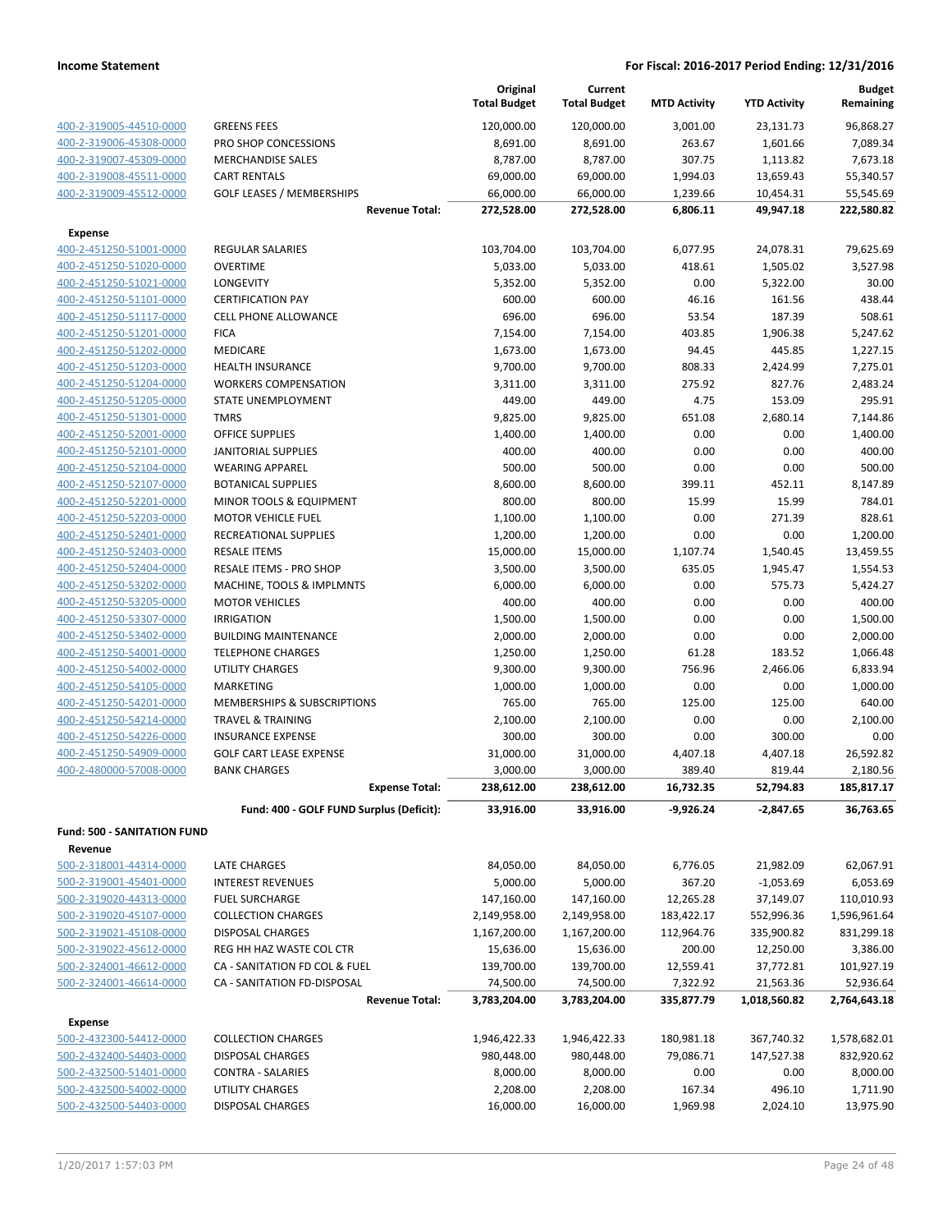|                                                    |                                                      | Original<br><b>Total Budget</b> | Current<br><b>Total Budget</b> | <b>MTD Activity</b>      | <b>YTD Activity</b>      | <b>Budget</b><br>Remaining |
|----------------------------------------------------|------------------------------------------------------|---------------------------------|--------------------------------|--------------------------|--------------------------|----------------------------|
| 400-2-319005-44510-0000                            | <b>GREENS FEES</b>                                   | 120,000.00                      | 120,000.00                     | 3,001.00                 | 23,131.73                | 96,868.27                  |
| 400-2-319006-45308-0000                            | PRO SHOP CONCESSIONS                                 | 8,691.00                        | 8,691.00                       | 263.67                   | 1,601.66                 | 7,089.34                   |
| 400-2-319007-45309-0000                            | <b>MERCHANDISE SALES</b>                             | 8,787.00                        | 8,787.00                       | 307.75                   | 1,113.82                 | 7,673.18                   |
| 400-2-319008-45511-0000                            | <b>CART RENTALS</b>                                  | 69,000.00                       | 69,000.00                      | 1,994.03                 | 13,659.43                | 55,340.57                  |
| 400-2-319009-45512-0000                            | <b>GOLF LEASES / MEMBERSHIPS</b>                     | 66,000.00                       | 66,000.00                      | 1,239.66                 | 10,454.31                | 55,545.69                  |
|                                                    | <b>Revenue Total:</b>                                | 272,528.00                      | 272,528.00                     | 6,806.11                 | 49,947.18                | 222,580.82                 |
| <b>Expense</b>                                     |                                                      |                                 |                                |                          |                          |                            |
| 400-2-451250-51001-0000                            | <b>REGULAR SALARIES</b>                              | 103,704.00                      | 103,704.00                     | 6,077.95                 | 24,078.31                | 79,625.69                  |
| 400-2-451250-51020-0000                            | <b>OVERTIME</b>                                      | 5,033.00                        | 5,033.00                       | 418.61                   | 1,505.02                 | 3,527.98                   |
| 400-2-451250-51021-0000                            | LONGEVITY                                            | 5,352.00                        | 5,352.00                       | 0.00                     | 5,322.00                 | 30.00                      |
| 400-2-451250-51101-0000                            | <b>CERTIFICATION PAY</b>                             | 600.00                          | 600.00                         | 46.16                    | 161.56                   | 438.44                     |
| 400-2-451250-51117-0000                            | CELL PHONE ALLOWANCE                                 | 696.00                          | 696.00                         | 53.54                    | 187.39                   | 508.61                     |
| 400-2-451250-51201-0000                            | <b>FICA</b>                                          | 7,154.00                        | 7,154.00                       | 403.85                   | 1,906.38                 | 5,247.62                   |
| 400-2-451250-51202-0000                            | <b>MEDICARE</b>                                      | 1,673.00                        | 1,673.00                       | 94.45                    | 445.85                   | 1,227.15                   |
| 400-2-451250-51203-0000                            | <b>HEALTH INSURANCE</b>                              | 9,700.00                        | 9,700.00                       | 808.33                   | 2,424.99                 | 7,275.01                   |
| 400-2-451250-51204-0000                            | <b>WORKERS COMPENSATION</b>                          | 3,311.00                        | 3,311.00                       | 275.92                   | 827.76                   | 2,483.24                   |
| 400-2-451250-51205-0000                            | STATE UNEMPLOYMENT                                   | 449.00                          | 449.00                         | 4.75                     | 153.09                   | 295.91                     |
| 400-2-451250-51301-0000                            | <b>TMRS</b>                                          | 9,825.00                        | 9,825.00                       | 651.08                   | 2,680.14                 | 7,144.86                   |
| 400-2-451250-52001-0000                            | OFFICE SUPPLIES                                      | 1,400.00                        | 1,400.00                       | 0.00                     | 0.00                     | 1,400.00                   |
| 400-2-451250-52101-0000<br>400-2-451250-52104-0000 | <b>JANITORIAL SUPPLIES</b><br><b>WEARING APPAREL</b> | 400.00<br>500.00                | 400.00<br>500.00               | 0.00<br>0.00             | 0.00<br>0.00             | 400.00<br>500.00           |
| 400-2-451250-52107-0000                            | <b>BOTANICAL SUPPLIES</b>                            | 8,600.00                        | 8,600.00                       | 399.11                   | 452.11                   | 8,147.89                   |
| 400-2-451250-52201-0000                            | MINOR TOOLS & EQUIPMENT                              | 800.00                          | 800.00                         | 15.99                    | 15.99                    | 784.01                     |
| 400-2-451250-52203-0000                            | <b>MOTOR VEHICLE FUEL</b>                            | 1,100.00                        | 1,100.00                       | 0.00                     | 271.39                   | 828.61                     |
| 400-2-451250-52401-0000                            | RECREATIONAL SUPPLIES                                | 1,200.00                        | 1,200.00                       | 0.00                     | 0.00                     | 1,200.00                   |
| 400-2-451250-52403-0000                            | <b>RESALE ITEMS</b>                                  | 15,000.00                       | 15,000.00                      | 1,107.74                 | 1,540.45                 | 13,459.55                  |
| 400-2-451250-52404-0000                            | RESALE ITEMS - PRO SHOP                              | 3,500.00                        | 3,500.00                       | 635.05                   | 1,945.47                 | 1,554.53                   |
| 400-2-451250-53202-0000                            | MACHINE, TOOLS & IMPLMNTS                            | 6,000.00                        | 6,000.00                       | 0.00                     | 575.73                   | 5,424.27                   |
| 400-2-451250-53205-0000                            | <b>MOTOR VEHICLES</b>                                | 400.00                          | 400.00                         | 0.00                     | 0.00                     | 400.00                     |
| 400-2-451250-53307-0000                            | <b>IRRIGATION</b>                                    | 1,500.00                        | 1,500.00                       | 0.00                     | 0.00                     | 1,500.00                   |
| 400-2-451250-53402-0000                            | <b>BUILDING MAINTENANCE</b>                          | 2,000.00                        | 2,000.00                       | 0.00                     | 0.00                     | 2,000.00                   |
| 400-2-451250-54001-0000                            | <b>TELEPHONE CHARGES</b>                             | 1,250.00                        | 1,250.00                       | 61.28                    | 183.52                   | 1,066.48                   |
| 400-2-451250-54002-0000                            | UTILITY CHARGES                                      | 9,300.00                        | 9,300.00                       | 756.96                   | 2,466.06                 | 6,833.94                   |
| 400-2-451250-54105-0000                            | MARKETING                                            | 1,000.00                        | 1,000.00                       | 0.00                     | 0.00                     | 1,000.00                   |
| 400-2-451250-54201-0000                            | <b>MEMBERSHIPS &amp; SUBSCRIPTIONS</b>               | 765.00                          | 765.00                         | 125.00                   | 125.00                   | 640.00                     |
| 400-2-451250-54214-0000                            | <b>TRAVEL &amp; TRAINING</b>                         | 2,100.00                        | 2,100.00                       | 0.00                     | 0.00                     | 2,100.00                   |
| 400-2-451250-54226-0000                            | <b>INSURANCE EXPENSE</b>                             | 300.00                          | 300.00                         | 0.00                     | 300.00                   | 0.00                       |
| 400-2-451250-54909-0000                            | <b>GOLF CART LEASE EXPENSE</b>                       | 31,000.00                       | 31,000.00                      | 4,407.18                 | 4,407.18                 | 26,592.82                  |
| 400-2-480000-57008-0000                            | <b>BANK CHARGES</b>                                  | 3,000.00                        | 3,000.00                       | 389.40                   | 819.44                   | 2,180.56                   |
|                                                    | <b>Expense Total:</b>                                | 238,612.00                      | 238,612.00                     | 16,732.35                | 52,794.83                | 185,817.17                 |
|                                                    | Fund: 400 - GOLF FUND Surplus (Deficit):             | 33,916.00                       | 33,916.00                      | -9,926.24                | $-2,847.65$              | 36,763.65                  |
| <b>Fund: 500 - SANITATION FUND</b>                 |                                                      |                                 |                                |                          |                          |                            |
| Revenue                                            |                                                      |                                 |                                |                          |                          |                            |
| 500-2-318001-44314-0000                            | LATE CHARGES                                         | 84,050.00                       | 84,050.00                      | 6,776.05                 | 21,982.09                | 62,067.91                  |
| 500-2-319001-45401-0000                            | <b>INTEREST REVENUES</b>                             | 5,000.00                        | 5,000.00                       | 367.20                   | $-1,053.69$              | 6,053.69                   |
| 500-2-319020-44313-0000<br>500-2-319020-45107-0000 | <b>FUEL SURCHARGE</b><br><b>COLLECTION CHARGES</b>   | 147,160.00                      | 147,160.00                     | 12,265.28                | 37,149.07                | 110,010.93                 |
| 500-2-319021-45108-0000                            | <b>DISPOSAL CHARGES</b>                              | 2,149,958.00                    | 2,149,958.00                   | 183,422.17<br>112,964.76 | 552,996.36<br>335,900.82 | 1,596,961.64<br>831,299.18 |
| 500-2-319022-45612-0000                            | REG HH HAZ WASTE COL CTR                             | 1,167,200.00<br>15,636.00       | 1,167,200.00<br>15,636.00      | 200.00                   | 12,250.00                | 3,386.00                   |
| 500-2-324001-46612-0000                            | CA - SANITATION FD COL & FUEL                        | 139,700.00                      | 139,700.00                     | 12,559.41                | 37,772.81                | 101,927.19                 |
| 500-2-324001-46614-0000                            | CA - SANITATION FD-DISPOSAL                          | 74,500.00                       | 74,500.00                      | 7,322.92                 | 21,563.36                | 52,936.64                  |
|                                                    | <b>Revenue Total:</b>                                | 3,783,204.00                    | 3,783,204.00                   | 335,877.79               | 1,018,560.82             | 2,764,643.18               |
|                                                    |                                                      |                                 |                                |                          |                          |                            |
| <b>Expense</b>                                     |                                                      |                                 |                                |                          |                          |                            |
| 500-2-432300-54412-0000                            | <b>COLLECTION CHARGES</b>                            | 1,946,422.33                    | 1,946,422.33                   | 180,981.18               | 367,740.32               | 1,578,682.01               |
| 500-2-432400-54403-0000<br>500-2-432500-51401-0000 | <b>DISPOSAL CHARGES</b>                              | 980,448.00                      | 980,448.00                     | 79,086.71                | 147,527.38               | 832,920.62<br>8,000.00     |
| 500-2-432500-54002-0000                            | <b>CONTRA - SALARIES</b><br>UTILITY CHARGES          | 8,000.00<br>2,208.00            | 8,000.00<br>2,208.00           | 0.00<br>167.34           | 0.00<br>496.10           | 1,711.90                   |
| 500-2-432500-54403-0000                            | DISPOSAL CHARGES                                     | 16,000.00                       | 16,000.00                      | 1,969.98                 | 2,024.10                 | 13,975.90                  |
|                                                    |                                                      |                                 |                                |                          |                          |                            |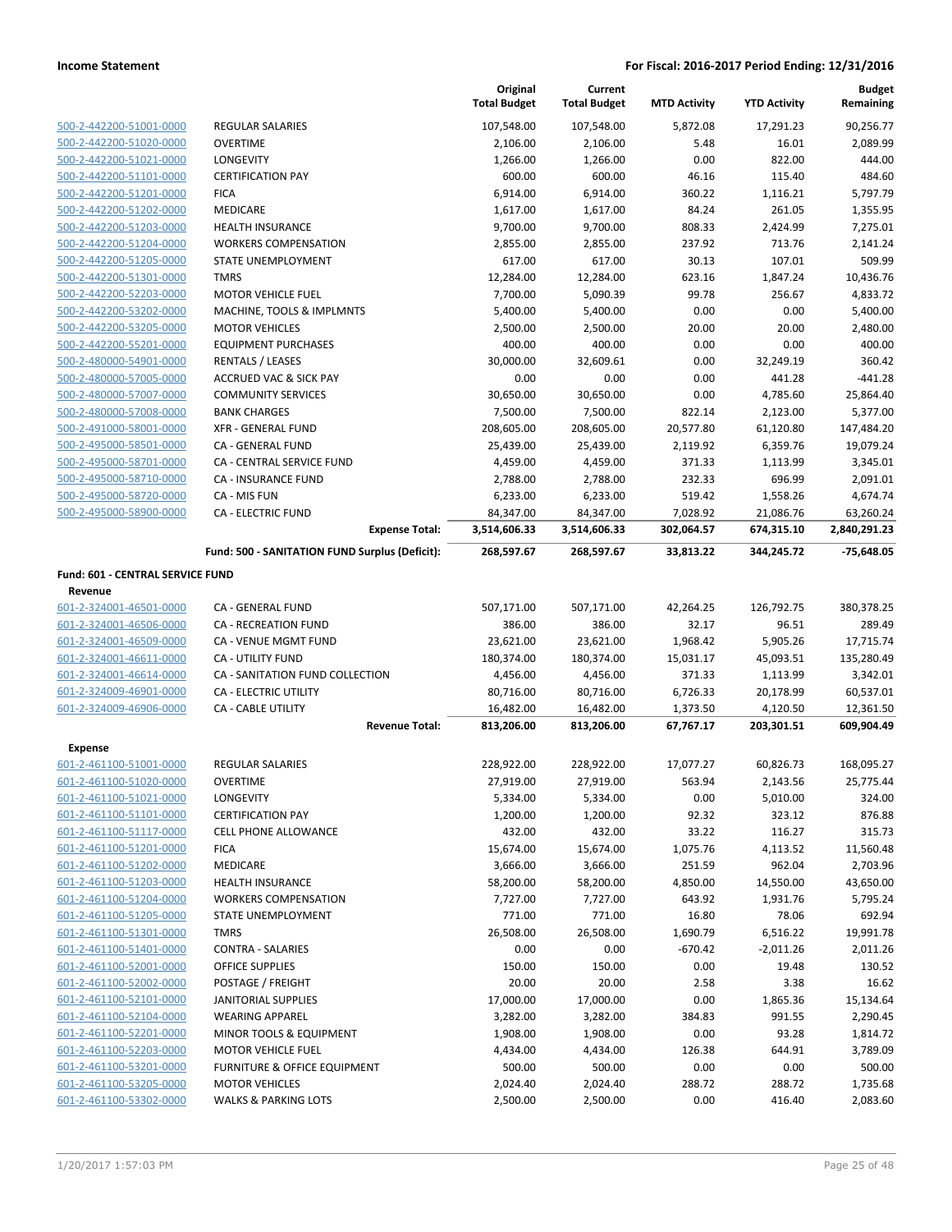|                                  |                                                    | Original<br><b>Total Budget</b> | Current<br><b>Total Budget</b> | <b>MTD Activity</b>    | <b>YTD Activity</b>     | <b>Budget</b><br>Remaining |
|----------------------------------|----------------------------------------------------|---------------------------------|--------------------------------|------------------------|-------------------------|----------------------------|
|                                  |                                                    |                                 |                                |                        |                         |                            |
| 500-2-442200-51001-0000          | <b>REGULAR SALARIES</b>                            | 107,548.00                      | 107,548.00                     | 5,872.08               | 17,291.23               | 90,256.77                  |
| 500-2-442200-51020-0000          | <b>OVERTIME</b>                                    | 2,106.00                        | 2,106.00                       | 5.48                   | 16.01                   | 2,089.99                   |
| 500-2-442200-51021-0000          | <b>LONGEVITY</b>                                   | 1,266.00                        | 1,266.00                       | 0.00                   | 822.00                  | 444.00                     |
| 500-2-442200-51101-0000          | <b>CERTIFICATION PAY</b>                           | 600.00                          | 600.00                         | 46.16                  | 115.40                  | 484.60                     |
| 500-2-442200-51201-0000          | <b>FICA</b>                                        | 6,914.00                        | 6,914.00                       | 360.22                 | 1,116.21                | 5,797.79                   |
| 500-2-442200-51202-0000          | <b>MEDICARE</b>                                    | 1,617.00                        | 1,617.00                       | 84.24                  | 261.05                  | 1,355.95                   |
| 500-2-442200-51203-0000          | <b>HEALTH INSURANCE</b>                            | 9,700.00                        | 9,700.00                       | 808.33                 | 2,424.99                | 7,275.01                   |
| 500-2-442200-51204-0000          | <b>WORKERS COMPENSATION</b>                        | 2,855.00<br>617.00              | 2,855.00<br>617.00             | 237.92                 | 713.76                  | 2,141.24                   |
| 500-2-442200-51205-0000          | STATE UNEMPLOYMENT                                 |                                 |                                | 30.13                  | 107.01                  | 509.99                     |
| 500-2-442200-51301-0000          | <b>TMRS</b>                                        | 12,284.00                       | 12,284.00                      | 623.16                 | 1,847.24                | 10,436.76                  |
| 500-2-442200-52203-0000          | <b>MOTOR VEHICLE FUEL</b>                          | 7,700.00                        | 5,090.39                       | 99.78                  | 256.67                  | 4,833.72                   |
| 500-2-442200-53202-0000          | MACHINE, TOOLS & IMPLMNTS                          | 5,400.00                        | 5,400.00                       | 0.00                   | 0.00                    | 5,400.00                   |
| 500-2-442200-53205-0000          | <b>MOTOR VEHICLES</b>                              | 2,500.00                        | 2,500.00                       | 20.00                  | 20.00                   | 2,480.00                   |
| 500-2-442200-55201-0000          | <b>EQUIPMENT PURCHASES</b>                         | 400.00                          | 400.00                         | 0.00                   | 0.00                    | 400.00                     |
| 500-2-480000-54901-0000          | <b>RENTALS / LEASES</b>                            | 30,000.00                       | 32,609.61                      | 0.00<br>0.00           | 32,249.19               | 360.42                     |
| 500-2-480000-57005-0000          | <b>ACCRUED VAC &amp; SICK PAY</b>                  | 0.00<br>30,650.00               | 0.00                           |                        | 441.28                  | -441.28                    |
| 500-2-480000-57007-0000          | <b>COMMUNITY SERVICES</b>                          |                                 | 30,650.00                      | 0.00                   | 4,785.60                | 25,864.40                  |
| 500-2-480000-57008-0000          | <b>BANK CHARGES</b>                                | 7,500.00                        | 7,500.00                       | 822.14                 | 2,123.00                | 5,377.00                   |
| 500-2-491000-58001-0000          | <b>XFR - GENERAL FUND</b>                          | 208,605.00                      | 208,605.00                     | 20,577.80              | 61,120.80               | 147,484.20                 |
| 500-2-495000-58501-0000          | CA - GENERAL FUND                                  | 25,439.00                       | 25,439.00                      | 2,119.92               | 6,359.76                | 19,079.24                  |
| 500-2-495000-58701-0000          | CA - CENTRAL SERVICE FUND                          | 4,459.00                        | 4,459.00                       | 371.33                 | 1,113.99                | 3,345.01                   |
| 500-2-495000-58710-0000          | CA - INSURANCE FUND                                | 2,788.00                        | 2,788.00                       | 232.33                 | 696.99                  | 2,091.01                   |
| 500-2-495000-58720-0000          | CA - MIS FUN                                       | 6,233.00                        | 6,233.00                       | 519.42                 | 1,558.26                | 4,674.74                   |
| 500-2-495000-58900-0000          | <b>CA - ELECTRIC FUND</b><br><b>Expense Total:</b> | 84,347.00<br>3,514,606.33       | 84,347.00<br>3,514,606.33      | 7,028.92<br>302,064.57 | 21,086.76<br>674,315.10 | 63,260.24<br>2,840,291.23  |
|                                  |                                                    |                                 |                                |                        |                         |                            |
|                                  | Fund: 500 - SANITATION FUND Surplus (Deficit):     | 268,597.67                      | 268,597.67                     | 33,813.22              | 344,245.72              | $-75,648.05$               |
| Fund: 601 - CENTRAL SERVICE FUND |                                                    |                                 |                                |                        |                         |                            |
| Revenue                          |                                                    |                                 |                                |                        |                         |                            |
| 601-2-324001-46501-0000          | CA - GENERAL FUND                                  | 507,171.00                      | 507,171.00                     | 42,264.25              | 126,792.75              | 380,378.25                 |
| 601-2-324001-46506-0000          | CA - RECREATION FUND                               | 386.00                          | 386.00                         | 32.17                  | 96.51                   | 289.49                     |
| 601-2-324001-46509-0000          | CA - VENUE MGMT FUND                               | 23,621.00                       | 23,621.00                      | 1,968.42               | 5,905.26                | 17,715.74                  |
| 601-2-324001-46611-0000          | <b>CA - UTILITY FUND</b>                           | 180,374.00                      | 180,374.00                     | 15,031.17              | 45,093.51               | 135,280.49                 |
| 601-2-324001-46614-0000          | CA - SANITATION FUND COLLECTION                    | 4,456.00                        | 4,456.00                       | 371.33                 | 1,113.99                | 3,342.01                   |
| 601-2-324009-46901-0000          | CA - ELECTRIC UTILITY                              | 80,716.00                       | 80,716.00                      | 6,726.33               | 20,178.99               | 60,537.01                  |
| 601-2-324009-46906-0000          | <b>CA - CABLE UTILITY</b>                          | 16,482.00                       | 16,482.00                      | 1,373.50               | 4,120.50                | 12,361.50                  |
|                                  | <b>Revenue Total:</b>                              | 813,206.00                      | 813,206.00                     | 67,767.17              | 203,301.51              | 609,904.49                 |
| <b>Expense</b>                   |                                                    |                                 |                                |                        |                         |                            |
| 601-2-461100-51001-0000          | <b>REGULAR SALARIES</b>                            | 228,922.00                      | 228,922.00                     | 17,077.27              | 60,826.73               | 168,095.27                 |
| 601-2-461100-51020-0000          | <b>OVERTIME</b>                                    | 27,919.00                       | 27,919.00                      | 563.94                 | 2,143.56                | 25,775.44                  |
| 601-2-461100-51021-0000          | <b>LONGEVITY</b>                                   | 5,334.00                        | 5,334.00                       | 0.00                   | 5,010.00                | 324.00                     |
| 601-2-461100-51101-0000          | <b>CERTIFICATION PAY</b>                           | 1,200.00                        | 1,200.00                       | 92.32                  | 323.12                  | 876.88                     |
| 601-2-461100-51117-0000          | <b>CELL PHONE ALLOWANCE</b>                        | 432.00                          | 432.00                         | 33.22                  | 116.27                  | 315.73                     |
| 601-2-461100-51201-0000          | <b>FICA</b>                                        | 15,674.00                       | 15,674.00                      | 1,075.76               | 4,113.52                | 11,560.48                  |
| 601-2-461100-51202-0000          | <b>MEDICARE</b>                                    | 3,666.00                        | 3,666.00                       | 251.59                 | 962.04                  | 2,703.96                   |
| 601-2-461100-51203-0000          | <b>HEALTH INSURANCE</b>                            | 58,200.00                       | 58,200.00                      | 4,850.00               | 14,550.00               | 43,650.00                  |
| 601-2-461100-51204-0000          | <b>WORKERS COMPENSATION</b>                        | 7,727.00                        | 7,727.00                       | 643.92                 | 1,931.76                | 5,795.24                   |
| 601-2-461100-51205-0000          | STATE UNEMPLOYMENT                                 | 771.00                          | 771.00                         | 16.80                  | 78.06                   | 692.94                     |
| 601-2-461100-51301-0000          | <b>TMRS</b>                                        | 26,508.00                       | 26,508.00                      | 1,690.79               | 6,516.22                | 19,991.78                  |
| 601-2-461100-51401-0000          | <b>CONTRA - SALARIES</b>                           | 0.00                            | 0.00                           | $-670.42$              | $-2,011.26$             | 2,011.26                   |
| 601-2-461100-52001-0000          | <b>OFFICE SUPPLIES</b>                             | 150.00                          | 150.00                         | 0.00                   | 19.48                   | 130.52                     |
| 601-2-461100-52002-0000          | POSTAGE / FREIGHT                                  | 20.00                           | 20.00                          | 2.58                   | 3.38                    | 16.62                      |
| 601-2-461100-52101-0000          | <b>JANITORIAL SUPPLIES</b>                         | 17,000.00                       | 17,000.00                      | 0.00                   | 1,865.36                | 15,134.64                  |
| 601-2-461100-52104-0000          | <b>WEARING APPAREL</b>                             | 3,282.00                        | 3,282.00                       | 384.83                 | 991.55                  | 2,290.45                   |
| 601-2-461100-52201-0000          | MINOR TOOLS & EQUIPMENT                            | 1,908.00                        | 1,908.00                       | 0.00                   | 93.28                   | 1,814.72                   |
| 601-2-461100-52203-0000          | <b>MOTOR VEHICLE FUEL</b>                          | 4,434.00                        | 4,434.00                       | 126.38                 | 644.91                  | 3,789.09                   |
| 601-2-461100-53201-0000          | FURNITURE & OFFICE EQUIPMENT                       | 500.00                          | 500.00                         | 0.00                   | 0.00                    | 500.00                     |
| 601-2-461100-53205-0000          | <b>MOTOR VEHICLES</b>                              | 2,024.40                        | 2,024.40                       | 288.72                 | 288.72                  | 1,735.68                   |
| 601-2-461100-53302-0000          | <b>WALKS &amp; PARKING LOTS</b>                    | 2,500.00                        | 2,500.00                       | 0.00                   | 416.40                  | 2,083.60                   |
|                                  |                                                    |                                 |                                |                        |                         |                            |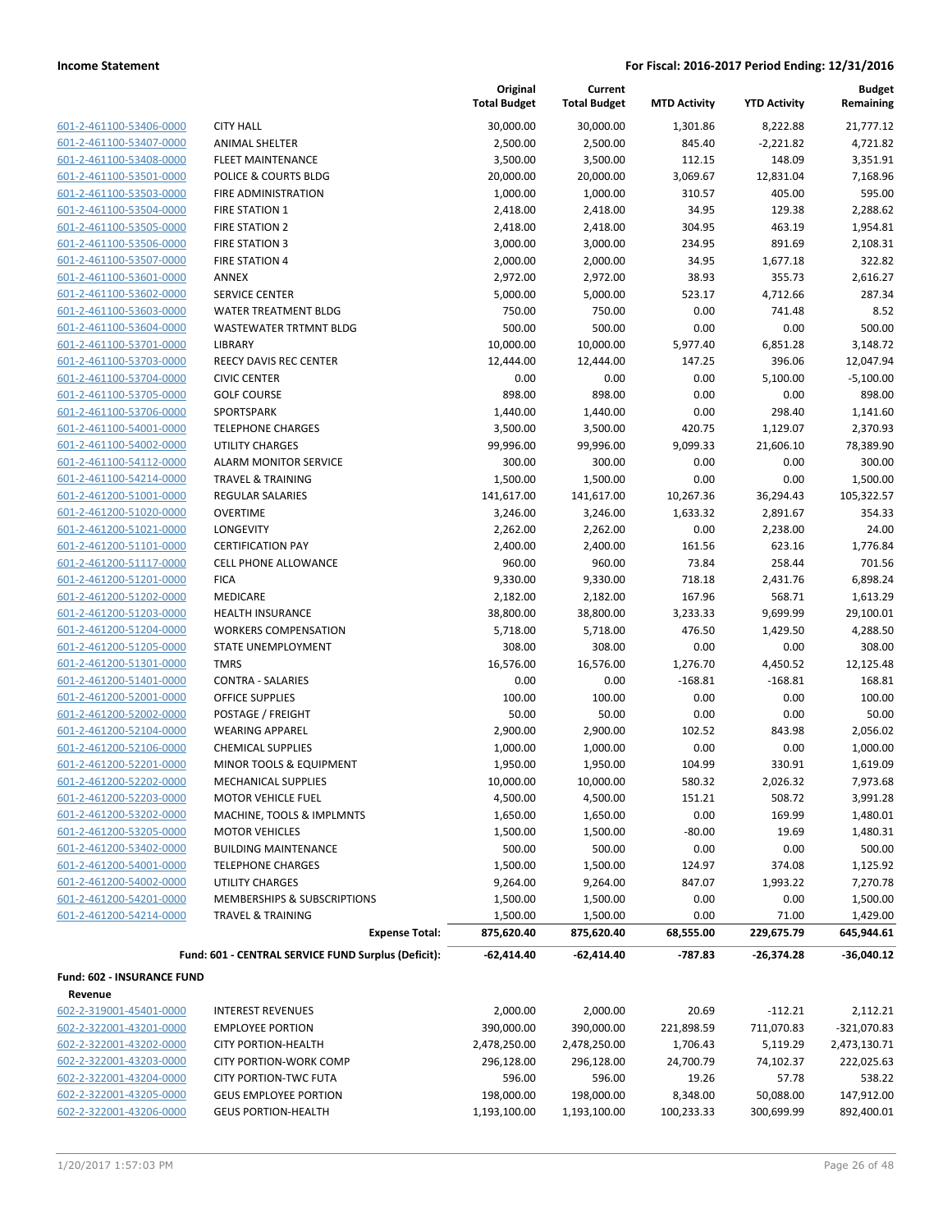| 601-2-461100-53406-0000        |
|--------------------------------|
| 601-2-461100-53407-0000        |
| 601-2-461100-53408-0000        |
| 601-2-461100-53501-0000        |
| 601-2-461100-53503-0000        |
| 601-2-461100-53504-0000        |
| 601-2-461100-53505-0000        |
| 601-2-461100-53506-0000        |
| 601-2-461100-53507-0000        |
| 601-2-461100-53601-0000        |
| 601-2-461100-53602-0000        |
| 601-2-461100-53603-0000        |
| 601-2-461100-53604-0000        |
| 601-2-461100-53701-0000        |
| 601-2-461100-53703-0000        |
| 601-2-461100-53704-0000        |
| 601-2-461100-53705-0000        |
| 601-2-461100-53706-0000        |
| 601-2-461100-54001-0000        |
|                                |
| 601-2-461100-54002-0000        |
| 601-2-461100-54112-0000        |
| 601-2-461100-54214-0000        |
| 601-2-461200-51001-0000        |
| 601-2-461200-51020-0000        |
| 601-2-461200-51021-0000        |
| 601-2-461200-51101-0000        |
| 601-2-461200-51117-0000        |
| 601-2-461200-51201-0000        |
| 601-2-461200-51202-0000        |
| 601-2-461200-51203-0000        |
| 601-2-461200-51204-0000        |
| 601-2-461200-51205-0000        |
| 601-2-461200-51301-0000        |
| 601-2-461200-51401-0000        |
| 601-2-461200-52001-0000        |
| 601-2-461200-52002-0000        |
| 601-2-461200-52104-0000        |
| 601-2-461200-52106-0000        |
| 601-2-461200-52201-0000        |
| 2-461200-52202-0000<br>$601 -$ |
| 601-2-461200-52203-0000        |
| 601-2-461200-53202-0000        |
| 601-2-461200-53205-0000        |
| 601-2-461200-53402-0000        |
| 601-2-461200-54001-0000        |
| 601-2-461200-54002-0000        |
| 601-2-461200-54201-0000        |
| 601-2-461200-54214-0000        |
|                                |
|                                |

|                                       |                                                     | Original<br><b>Total Budget</b> | Current<br><b>Total Budget</b> | <b>MTD Activity</b> | <b>YTD Activity</b> | <b>Budget</b><br>Remaining |
|---------------------------------------|-----------------------------------------------------|---------------------------------|--------------------------------|---------------------|---------------------|----------------------------|
| 601-2-461100-53406-0000               | <b>CITY HALL</b>                                    | 30,000.00                       | 30,000.00                      | 1,301.86            | 8,222.88            | 21,777.12                  |
| 601-2-461100-53407-0000               | <b>ANIMAL SHELTER</b>                               | 2,500.00                        | 2,500.00                       | 845.40              | $-2,221.82$         | 4,721.82                   |
| 601-2-461100-53408-0000               | <b>FLEET MAINTENANCE</b>                            | 3,500.00                        | 3,500.00                       | 112.15              | 148.09              | 3,351.91                   |
| 601-2-461100-53501-0000               | POLICE & COURTS BLDG                                | 20,000.00                       | 20,000.00                      | 3,069.67            | 12,831.04           | 7,168.96                   |
| 601-2-461100-53503-0000               | <b>FIRE ADMINISTRATION</b>                          | 1,000.00                        | 1,000.00                       | 310.57              | 405.00              | 595.00                     |
| 601-2-461100-53504-0000               | <b>FIRE STATION 1</b>                               | 2,418.00                        | 2,418.00                       | 34.95               | 129.38              | 2,288.62                   |
| 601-2-461100-53505-0000               | <b>FIRE STATION 2</b>                               | 2,418.00                        | 2,418.00                       | 304.95              | 463.19              | 1,954.81                   |
| 601-2-461100-53506-0000               | <b>FIRE STATION 3</b>                               | 3,000.00                        | 3,000.00                       | 234.95              | 891.69              | 2,108.31                   |
| 601-2-461100-53507-0000               | <b>FIRE STATION 4</b>                               | 2,000.00                        | 2,000.00                       | 34.95               | 1,677.18            | 322.82                     |
| 601-2-461100-53601-0000               | ANNEX                                               | 2,972.00                        | 2,972.00                       | 38.93               | 355.73              | 2,616.27                   |
| 601-2-461100-53602-0000               | <b>SERVICE CENTER</b>                               | 5,000.00                        | 5,000.00                       | 523.17              | 4,712.66            | 287.34                     |
| 601-2-461100-53603-0000               | WATER TREATMENT BLDG                                | 750.00                          | 750.00                         | 0.00                | 741.48              | 8.52                       |
| 601-2-461100-53604-0000               | <b>WASTEWATER TRTMNT BLDG</b>                       | 500.00                          | 500.00                         | 0.00                | 0.00                | 500.00                     |
| 601-2-461100-53701-0000               | LIBRARY                                             | 10,000.00                       | 10,000.00                      | 5,977.40            | 6,851.28            | 3,148.72                   |
| 601-2-461100-53703-0000               | <b>REECY DAVIS REC CENTER</b>                       | 12,444.00                       | 12,444.00                      | 147.25              | 396.06              | 12,047.94                  |
| 601-2-461100-53704-0000               | <b>CIVIC CENTER</b>                                 | 0.00                            | 0.00                           | 0.00                | 5,100.00            | $-5,100.00$                |
| 601-2-461100-53705-0000               | <b>GOLF COURSE</b>                                  | 898.00                          | 898.00                         | 0.00                | 0.00                | 898.00                     |
| 601-2-461100-53706-0000               | SPORTSPARK                                          | 1,440.00                        | 1,440.00                       | 0.00                | 298.40              | 1,141.60                   |
| 601-2-461100-54001-0000               | <b>TELEPHONE CHARGES</b>                            | 3,500.00                        | 3,500.00                       | 420.75              | 1,129.07            | 2,370.93                   |
| 601-2-461100-54002-0000               | <b>UTILITY CHARGES</b>                              | 99,996.00                       | 99,996.00                      | 9,099.33            | 21,606.10           | 78,389.90                  |
| 601-2-461100-54112-0000               | <b>ALARM MONITOR SERVICE</b>                        | 300.00                          | 300.00                         | 0.00                | 0.00                | 300.00                     |
| 601-2-461100-54214-0000               | <b>TRAVEL &amp; TRAINING</b>                        | 1,500.00                        | 1,500.00                       | 0.00                | 0.00                | 1,500.00                   |
| 601-2-461200-51001-0000               | REGULAR SALARIES                                    | 141,617.00                      | 141,617.00                     | 10,267.36           | 36,294.43           | 105,322.57                 |
| 601-2-461200-51020-0000               | <b>OVERTIME</b>                                     | 3,246.00                        | 3,246.00                       | 1,633.32            | 2,891.67            | 354.33                     |
| 601-2-461200-51021-0000               | LONGEVITY                                           | 2,262.00                        | 2,262.00                       | 0.00                | 2,238.00            | 24.00                      |
| 601-2-461200-51101-0000               | <b>CERTIFICATION PAY</b>                            | 2,400.00                        | 2,400.00                       | 161.56              | 623.16              | 1,776.84                   |
| 601-2-461200-51117-0000               | <b>CELL PHONE ALLOWANCE</b>                         | 960.00                          | 960.00                         | 73.84               | 258.44              | 701.56                     |
| 601-2-461200-51201-0000               | <b>FICA</b>                                         | 9,330.00                        | 9,330.00                       | 718.18              | 2,431.76            | 6,898.24                   |
| 601-2-461200-51202-0000               | MEDICARE                                            | 2,182.00                        | 2,182.00                       | 167.96              | 568.71              | 1,613.29                   |
| 601-2-461200-51203-0000               | <b>HEALTH INSURANCE</b>                             | 38,800.00                       | 38,800.00                      | 3,233.33            | 9,699.99            | 29,100.01                  |
| 601-2-461200-51204-0000               | <b>WORKERS COMPENSATION</b>                         | 5,718.00                        | 5,718.00                       | 476.50              | 1,429.50            | 4,288.50                   |
| 601-2-461200-51205-0000               | STATE UNEMPLOYMENT                                  | 308.00                          | 308.00                         | 0.00                | 0.00                | 308.00                     |
| 601-2-461200-51301-0000               | <b>TMRS</b>                                         | 16,576.00                       | 16,576.00                      | 1,276.70            | 4,450.52            | 12,125.48                  |
| 601-2-461200-51401-0000               | <b>CONTRA - SALARIES</b>                            | 0.00                            | 0.00                           | $-168.81$           | $-168.81$           | 168.81                     |
| 601-2-461200-52001-0000               | <b>OFFICE SUPPLIES</b>                              | 100.00                          | 100.00                         | 0.00                | 0.00                | 100.00                     |
| 601-2-461200-52002-0000               | POSTAGE / FREIGHT                                   | 50.00                           | 50.00                          | 0.00                | 0.00                | 50.00                      |
| 601-2-461200-52104-0000               | <b>WEARING APPAREL</b>                              | 2,900.00                        | 2,900.00                       | 102.52              | 843.98              | 2,056.02                   |
| 601-2-461200-52106-0000               | <b>CHEMICAL SUPPLIES</b>                            | 1,000.00                        | 1,000.00                       | 0.00                | 0.00                | 1,000.00                   |
| 601-2-461200-52201-0000               | <b>MINOR TOOLS &amp; EQUIPMENT</b>                  | 1,950.00                        | 1,950.00                       | 104.99              | 330.91              | 1,619.09                   |
| 601-2-461200-52202-0000               | MECHANICAL SUPPLIES                                 | 10,000.00                       | 10,000.00                      | 580.32              | 2,026.32            | 7,973.68                   |
| 601-2-461200-52203-0000               | <b>MOTOR VEHICLE FUEL</b>                           | 4,500.00                        | 4,500.00                       | 151.21              | 508.72              | 3,991.28                   |
| 601-2-461200-53202-0000               | MACHINE, TOOLS & IMPLMNTS                           | 1,650.00                        | 1,650.00                       | 0.00                | 169.99              | 1,480.01                   |
| 601-2-461200-53205-0000               | <b>MOTOR VEHICLES</b>                               | 1,500.00                        | 1,500.00                       | $-80.00$            | 19.69               | 1,480.31                   |
| 601-2-461200-53402-0000               | <b>BUILDING MAINTENANCE</b>                         | 500.00                          | 500.00                         | 0.00                | 0.00                | 500.00                     |
| 601-2-461200-54001-0000               | <b>TELEPHONE CHARGES</b>                            | 1,500.00                        | 1,500.00                       | 124.97              | 374.08              | 1,125.92                   |
| 601-2-461200-54002-0000               | UTILITY CHARGES                                     | 9,264.00                        | 9,264.00                       | 847.07              | 1,993.22            | 7,270.78                   |
| 601-2-461200-54201-0000               | MEMBERSHIPS & SUBSCRIPTIONS                         | 1,500.00                        | 1,500.00                       | 0.00                | 0.00                | 1,500.00                   |
| 601-2-461200-54214-0000               | <b>TRAVEL &amp; TRAINING</b>                        | 1,500.00                        | 1,500.00                       | 0.00                | 71.00               | 1,429.00                   |
|                                       | <b>Expense Total:</b>                               | 875,620.40                      | 875,620.40                     | 68,555.00           | 229,675.79          | 645,944.61                 |
|                                       | Fund: 601 - CENTRAL SERVICE FUND Surplus (Deficit): | $-62,414.40$                    | $-62,414.40$                   | $-787.83$           | $-26,374.28$        | $-36,040.12$               |
| Fund: 602 - INSURANCE FUND<br>Revenue |                                                     |                                 |                                |                     |                     |                            |
| 602-2-319001-45401-0000               | <b>INTEREST REVENUES</b>                            | 2,000.00                        | 2,000.00                       | 20.69               | $-112.21$           | 2,112.21                   |
| 602-2-322001-43201-0000               | <b>EMPLOYEE PORTION</b>                             | 390,000.00                      | 390,000.00                     | 221,898.59          | 711,070.83          | -321,070.83                |
| 602-2-322001-43202-0000               | <b>CITY PORTION-HEALTH</b>                          | 2,478,250.00                    | 2,478,250.00                   | 1,706.43            | 5,119.29            | 2,473,130.71               |
| 602-2-322001-43203-0000               | CITY PORTION-WORK COMP                              | 296,128.00                      | 296,128.00                     | 24,700.79           | 74,102.37           | 222,025.63                 |
| 602-2-322001-43204-0000               | <b>CITY PORTION-TWC FUTA</b>                        | 596.00                          | 596.00                         | 19.26               | 57.78               | 538.22                     |
| 602-2-322001-43205-0000               | <b>GEUS EMPLOYEE PORTION</b>                        | 198,000.00                      | 198,000.00                     | 8,348.00            | 50,088.00           | 147,912.00                 |
| 602-2-322001-43206-0000               | <b>GEUS PORTION-HEALTH</b>                          | 1,193,100.00                    | 1,193,100.00                   | 100,233.33          | 300,699.99          | 892,400.01                 |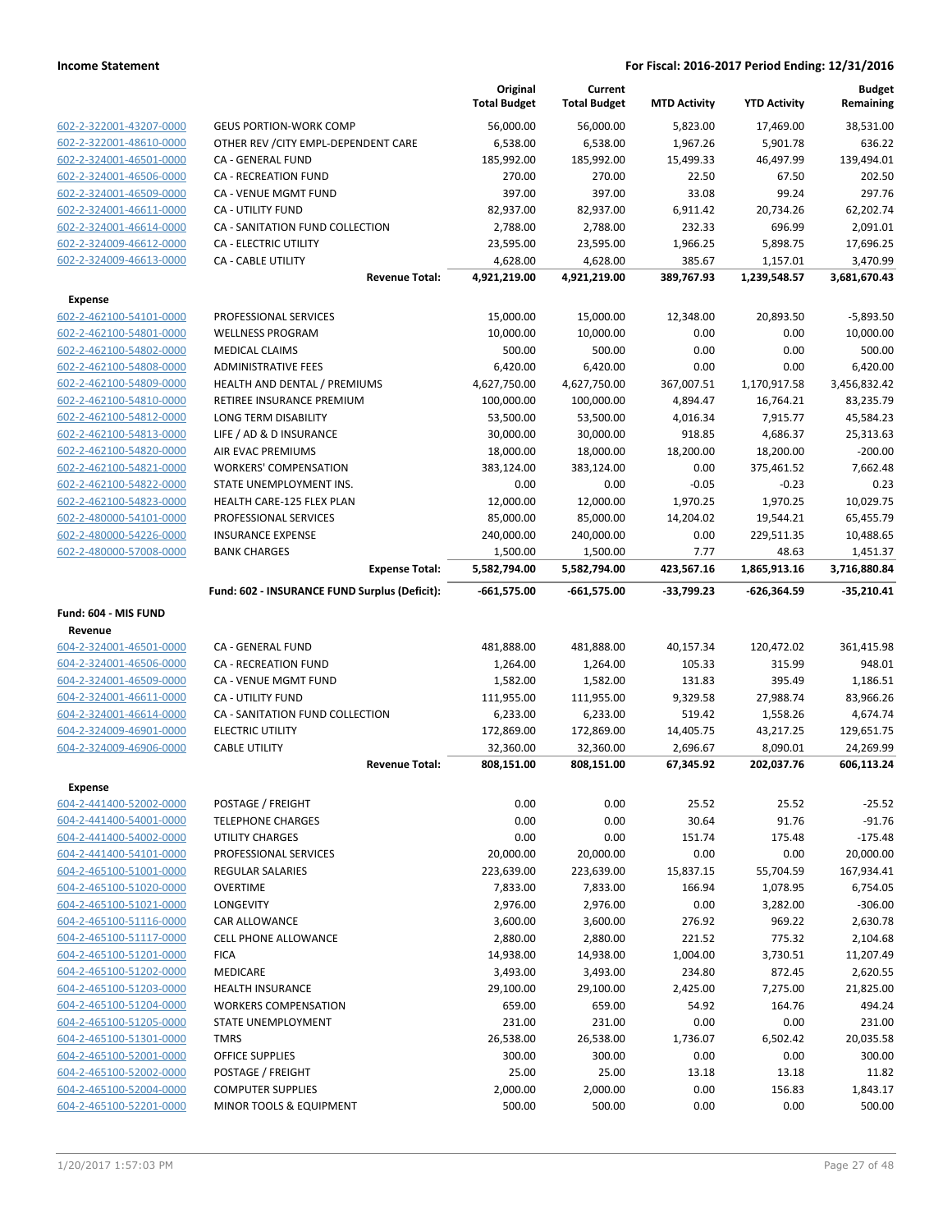|                                                    |                                                     | Original<br><b>Total Budget</b> | Current<br><b>Total Budget</b> | <b>MTD Activity</b> | <b>YTD Activity</b> | <b>Budget</b><br>Remaining |
|----------------------------------------------------|-----------------------------------------------------|---------------------------------|--------------------------------|---------------------|---------------------|----------------------------|
| 602-2-322001-43207-0000                            | <b>GEUS PORTION-WORK COMP</b>                       | 56,000.00                       | 56,000.00                      | 5,823.00            | 17,469.00           | 38,531.00                  |
| 602-2-322001-48610-0000                            | OTHER REV / CITY EMPL-DEPENDENT CARE                | 6,538.00                        | 6,538.00                       | 1,967.26            | 5,901.78            | 636.22                     |
| 602-2-324001-46501-0000                            | CA - GENERAL FUND                                   | 185,992.00                      | 185,992.00                     | 15,499.33           | 46,497.99           | 139,494.01                 |
| 602-2-324001-46506-0000                            | <b>CA - RECREATION FUND</b>                         | 270.00                          | 270.00                         | 22.50               | 67.50               | 202.50                     |
| 602-2-324001-46509-0000                            | CA - VENUE MGMT FUND                                | 397.00                          | 397.00                         | 33.08               | 99.24               | 297.76                     |
| 602-2-324001-46611-0000                            | <b>CA - UTILITY FUND</b>                            | 82,937.00                       | 82,937.00                      | 6,911.42            | 20,734.26           | 62,202.74                  |
| 602-2-324001-46614-0000                            | CA - SANITATION FUND COLLECTION                     | 2,788.00                        | 2,788.00                       | 232.33              | 696.99              | 2,091.01                   |
| 602-2-324009-46612-0000                            | <b>CA - ELECTRIC UTILITY</b>                        | 23,595.00                       | 23,595.00                      | 1,966.25            | 5,898.75            | 17,696.25                  |
| 602-2-324009-46613-0000                            | CA - CABLE UTILITY                                  | 4,628.00                        | 4,628.00                       | 385.67              | 1,157.01            | 3,470.99                   |
|                                                    | <b>Revenue Total:</b>                               | 4,921,219.00                    | 4,921,219.00                   | 389,767.93          | 1,239,548.57        | 3,681,670.43               |
| <b>Expense</b>                                     |                                                     |                                 |                                |                     |                     |                            |
| 602-2-462100-54101-0000                            | PROFESSIONAL SERVICES                               | 15,000.00                       | 15,000.00                      | 12,348.00           | 20,893.50           | $-5,893.50$                |
| 602-2-462100-54801-0000                            | <b>WELLNESS PROGRAM</b>                             | 10,000.00                       | 10,000.00                      | 0.00                | 0.00                | 10,000.00                  |
| 602-2-462100-54802-0000                            | <b>MEDICAL CLAIMS</b>                               | 500.00                          | 500.00                         | 0.00                | 0.00                | 500.00                     |
| 602-2-462100-54808-0000                            | <b>ADMINISTRATIVE FEES</b>                          | 6,420.00                        | 6,420.00                       | 0.00                | 0.00                | 6,420.00                   |
| 602-2-462100-54809-0000                            | HEALTH AND DENTAL / PREMIUMS                        | 4,627,750.00                    | 4,627,750.00                   | 367,007.51          | 1,170,917.58        | 3,456,832.42               |
| 602-2-462100-54810-0000                            | RETIREE INSURANCE PREMIUM                           | 100,000.00                      | 100,000.00                     | 4,894.47            | 16,764.21           | 83,235.79                  |
| 602-2-462100-54812-0000                            | LONG TERM DISABILITY                                | 53,500.00                       | 53,500.00                      | 4,016.34            | 7,915.77            | 45,584.23                  |
| 602-2-462100-54813-0000                            | LIFE / AD & D INSURANCE                             | 30,000.00                       | 30,000.00                      | 918.85              | 4,686.37            | 25,313.63                  |
| 602-2-462100-54820-0000                            | AIR EVAC PREMIUMS                                   | 18,000.00                       | 18,000.00                      | 18,200.00           | 18,200.00           | $-200.00$                  |
| 602-2-462100-54821-0000                            | <b>WORKERS' COMPENSATION</b>                        | 383,124.00                      | 383,124.00                     | 0.00                | 375,461.52          | 7,662.48                   |
| 602-2-462100-54822-0000                            | STATE UNEMPLOYMENT INS.                             | 0.00                            | 0.00                           | $-0.05$             | $-0.23$             | 0.23                       |
| 602-2-462100-54823-0000                            | HEALTH CARE-125 FLEX PLAN                           | 12,000.00                       | 12,000.00                      | 1,970.25            | 1,970.25            | 10,029.75                  |
| 602-2-480000-54101-0000                            | PROFESSIONAL SERVICES                               | 85,000.00                       | 85,000.00                      | 14,204.02           | 19,544.21           | 65,455.79                  |
| 602-2-480000-54226-0000                            | <b>INSURANCE EXPENSE</b>                            | 240,000.00                      | 240,000.00                     | 0.00                | 229,511.35          | 10,488.65                  |
| 602-2-480000-57008-0000                            | <b>BANK CHARGES</b>                                 | 1,500.00                        | 1,500.00                       | 7.77                | 48.63               | 1,451.37                   |
|                                                    | <b>Expense Total:</b>                               | 5,582,794.00                    | 5,582,794.00                   | 423,567.16          | 1,865,913.16        | 3,716,880.84               |
|                                                    | Fund: 602 - INSURANCE FUND Surplus (Deficit):       | -661,575.00                     | -661,575.00                    | -33,799.23          | -626,364.59         | $-35,210.41$               |
| Fund: 604 - MIS FUND                               |                                                     |                                 |                                |                     |                     |                            |
| Revenue                                            |                                                     |                                 |                                |                     |                     |                            |
| 604-2-324001-46501-0000                            | CA - GENERAL FUND                                   | 481,888.00                      | 481,888.00                     | 40,157.34           | 120,472.02          | 361,415.98                 |
| 604-2-324001-46506-0000                            | <b>CA - RECREATION FUND</b>                         | 1,264.00                        | 1,264.00                       | 105.33              | 315.99              | 948.01                     |
| 604-2-324001-46509-0000                            | CA - VENUE MGMT FUND                                | 1,582.00                        | 1,582.00                       | 131.83              | 395.49              | 1,186.51                   |
| 604-2-324001-46611-0000                            | CA - UTILITY FUND                                   | 111,955.00                      | 111,955.00                     | 9,329.58            | 27,988.74           | 83,966.26                  |
| 604-2-324001-46614-0000                            | CA - SANITATION FUND COLLECTION                     | 6,233.00                        | 6,233.00                       | 519.42              | 1,558.26            | 4,674.74                   |
| 604-2-324009-46901-0000                            | <b>ELECTRIC UTILITY</b>                             | 172,869.00                      | 172,869.00                     | 14,405.75           | 43,217.25           | 129,651.75                 |
| 604-2-324009-46906-0000                            | <b>CABLE UTILITY</b>                                | 32,360.00                       | 32,360.00                      | 2,696.67            | 8,090.01            | 24,269.99                  |
|                                                    | <b>Revenue Total:</b>                               | 808,151.00                      | 808,151.00                     | 67,345.92           | 202,037.76          | 606,113.24                 |
| Expense                                            |                                                     |                                 |                                |                     |                     |                            |
| 604-2-441400-52002-0000                            | POSTAGE / FREIGHT                                   | 0.00                            | 0.00                           | 25.52               | 25.52               | $-25.52$                   |
| 604-2-441400-54001-0000                            | <b>TELEPHONE CHARGES</b>                            | 0.00                            | 0.00                           | 30.64               | 91.76               | $-91.76$                   |
| 604-2-441400-54002-0000                            | UTILITY CHARGES                                     | 0.00                            | 0.00                           | 151.74              | 175.48              | $-175.48$                  |
| 604-2-441400-54101-0000                            | PROFESSIONAL SERVICES                               | 20,000.00                       | 20,000.00                      | 0.00                | 0.00                | 20,000.00                  |
| 604-2-465100-51001-0000                            | <b>REGULAR SALARIES</b>                             | 223,639.00                      | 223,639.00                     | 15,837.15           | 55,704.59           | 167,934.41                 |
| 604-2-465100-51020-0000                            | <b>OVERTIME</b>                                     | 7,833.00                        | 7,833.00                       | 166.94              | 1,078.95            | 6,754.05                   |
| 604-2-465100-51021-0000                            | LONGEVITY                                           | 2,976.00                        | 2,976.00                       | 0.00                | 3,282.00            | $-306.00$                  |
| 604-2-465100-51116-0000                            | CAR ALLOWANCE                                       | 3,600.00                        | 3,600.00                       | 276.92              | 969.22              | 2,630.78                   |
| 604-2-465100-51117-0000                            | <b>CELL PHONE ALLOWANCE</b>                         | 2,880.00                        | 2,880.00                       | 221.52              | 775.32              | 2,104.68                   |
| 604-2-465100-51201-0000                            |                                                     |                                 |                                |                     |                     | 11,207.49                  |
| 604-2-465100-51202-0000                            | <b>FICA</b>                                         | 14,938.00                       | 14,938.00                      | 1,004.00            | 3,730.51            |                            |
|                                                    | <b>MEDICARE</b>                                     | 3,493.00                        | 3,493.00                       | 234.80              | 872.45              | 2,620.55                   |
| 604-2-465100-51203-0000                            | <b>HEALTH INSURANCE</b>                             | 29,100.00                       | 29,100.00                      | 2,425.00            | 7,275.00            | 21,825.00                  |
| 604-2-465100-51204-0000                            | <b>WORKERS COMPENSATION</b>                         | 659.00                          | 659.00                         | 54.92               | 164.76              | 494.24                     |
| 604-2-465100-51205-0000                            | STATE UNEMPLOYMENT                                  | 231.00                          | 231.00                         | 0.00                | 0.00                | 231.00                     |
| 604-2-465100-51301-0000                            | <b>TMRS</b>                                         | 26,538.00                       | 26,538.00                      | 1,736.07            | 6,502.42            | 20,035.58                  |
| 604-2-465100-52001-0000                            | <b>OFFICE SUPPLIES</b>                              | 300.00                          | 300.00                         | 0.00                | 0.00                | 300.00                     |
| 604-2-465100-52002-0000                            | POSTAGE / FREIGHT                                   | 25.00                           | 25.00                          | 13.18               | 13.18               | 11.82                      |
| 604-2-465100-52004-0000<br>604-2-465100-52201-0000 | <b>COMPUTER SUPPLIES</b><br>MINOR TOOLS & EQUIPMENT | 2,000.00<br>500.00              | 2,000.00<br>500.00             | 0.00<br>0.00        | 156.83<br>0.00      | 1,843.17<br>500.00         |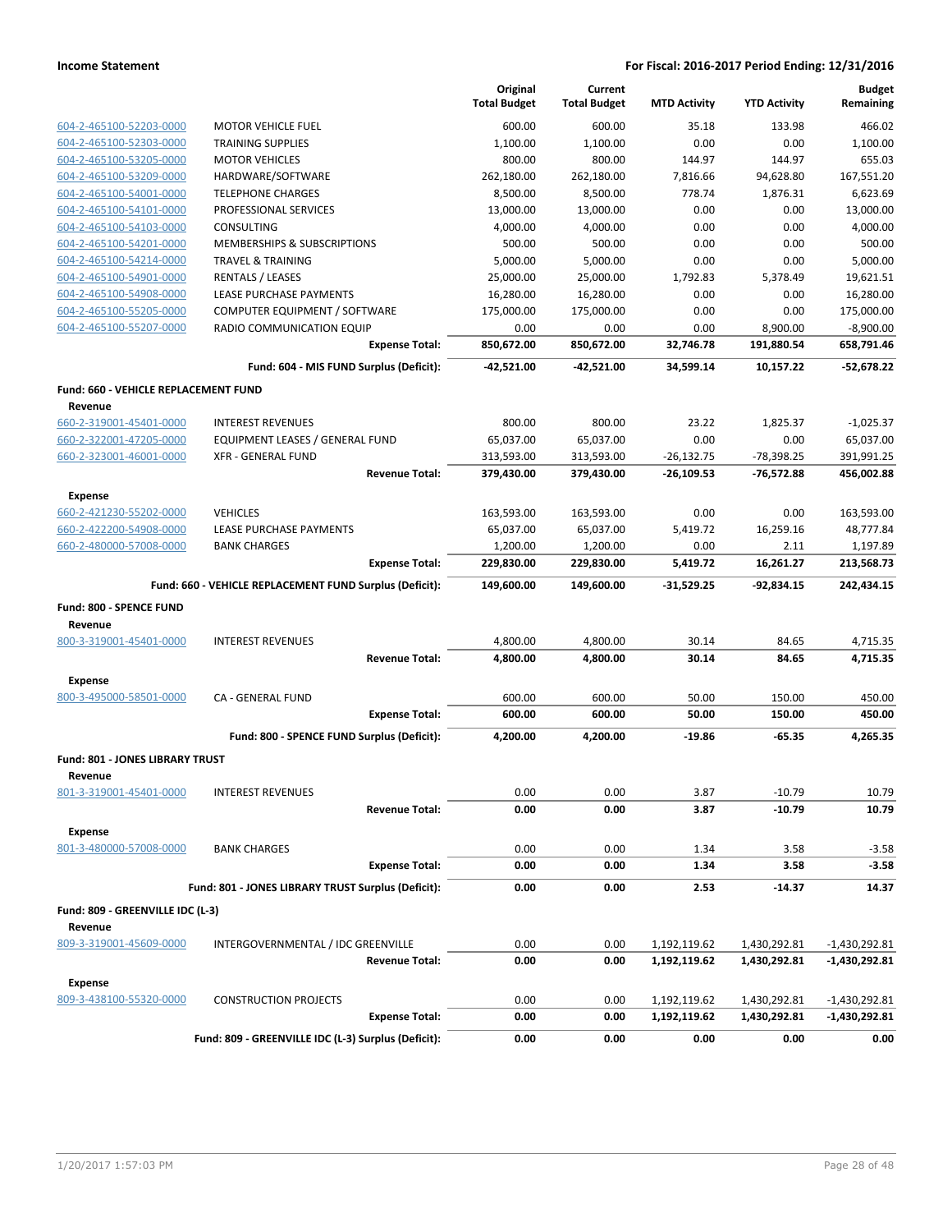|                                           |                                                         | Original<br><b>Total Budget</b> | Current<br><b>Total Budget</b> | <b>MTD Activity</b> | <b>YTD Activity</b> | <b>Budget</b><br>Remaining |
|-------------------------------------------|---------------------------------------------------------|---------------------------------|--------------------------------|---------------------|---------------------|----------------------------|
| 604-2-465100-52203-0000                   | <b>MOTOR VEHICLE FUEL</b>                               | 600.00                          | 600.00                         | 35.18               | 133.98              | 466.02                     |
| 604-2-465100-52303-0000                   | <b>TRAINING SUPPLIES</b>                                | 1,100.00                        | 1,100.00                       | 0.00                | 0.00                | 1,100.00                   |
| 604-2-465100-53205-0000                   | <b>MOTOR VEHICLES</b>                                   | 800.00                          | 800.00                         | 144.97              | 144.97              | 655.03                     |
| 604-2-465100-53209-0000                   | HARDWARE/SOFTWARE                                       | 262,180.00                      | 262,180.00                     | 7,816.66            | 94,628.80           | 167,551.20                 |
| 604-2-465100-54001-0000                   | <b>TELEPHONE CHARGES</b>                                | 8,500.00                        | 8,500.00                       | 778.74              | 1,876.31            | 6,623.69                   |
| 604-2-465100-54101-0000                   | PROFESSIONAL SERVICES                                   | 13,000.00                       | 13,000.00                      | 0.00                | 0.00                | 13,000.00                  |
| 604-2-465100-54103-0000                   | <b>CONSULTING</b>                                       | 4,000.00                        | 4,000.00                       | 0.00                | 0.00                | 4,000.00                   |
| 604-2-465100-54201-0000                   | MEMBERSHIPS & SUBSCRIPTIONS                             | 500.00                          | 500.00                         | 0.00                | 0.00                | 500.00                     |
| 604-2-465100-54214-0000                   | <b>TRAVEL &amp; TRAINING</b>                            | 5.000.00                        | 5,000.00                       | 0.00                | 0.00                | 5,000.00                   |
| 604-2-465100-54901-0000                   | <b>RENTALS / LEASES</b>                                 | 25,000.00                       | 25,000.00                      | 1,792.83            | 5,378.49            | 19,621.51                  |
| 604-2-465100-54908-0000                   | LEASE PURCHASE PAYMENTS                                 | 16,280.00                       | 16,280.00                      | 0.00                | 0.00                | 16,280.00                  |
| 604-2-465100-55205-0000                   | COMPUTER EQUIPMENT / SOFTWARE                           | 175,000.00                      | 175,000.00                     | 0.00                | 0.00                | 175,000.00                 |
| 604-2-465100-55207-0000                   | RADIO COMMUNICATION EQUIP                               | 0.00                            | 0.00                           | 0.00                | 8,900.00            | $-8,900.00$                |
|                                           | <b>Expense Total:</b>                                   | 850,672.00                      | 850,672.00                     | 32,746.78           | 191,880.54          | 658,791.46                 |
|                                           | Fund: 604 - MIS FUND Surplus (Deficit):                 | -42,521.00                      | $-42,521.00$                   | 34,599.14           | 10,157.22           | $-52,678.22$               |
| Fund: 660 - VEHICLE REPLACEMENT FUND      |                                                         |                                 |                                |                     |                     |                            |
| Revenue                                   |                                                         |                                 |                                |                     |                     |                            |
| 660-2-319001-45401-0000                   | <b>INTEREST REVENUES</b>                                | 800.00                          | 800.00                         | 23.22               | 1,825.37            | $-1,025.37$                |
| 660-2-322001-47205-0000                   | EQUIPMENT LEASES / GENERAL FUND                         | 65,037.00                       | 65,037.00                      | 0.00                | 0.00                | 65,037.00                  |
| 660-2-323001-46001-0000                   | <b>XFR - GENERAL FUND</b>                               | 313,593.00                      | 313,593.00                     | $-26,132.75$        | -78,398.25          | 391,991.25                 |
|                                           | <b>Revenue Total:</b>                                   | 379,430.00                      | 379,430.00                     | $-26,109.53$        | -76,572.88          | 456,002.88                 |
| <b>Expense</b>                            |                                                         |                                 |                                |                     |                     |                            |
| 660-2-421230-55202-0000                   | <b>VEHICLES</b>                                         | 163,593.00                      | 163,593.00                     | 0.00                | 0.00                | 163,593.00                 |
| 660-2-422200-54908-0000                   | LEASE PURCHASE PAYMENTS                                 | 65,037.00                       | 65,037.00                      | 5,419.72            | 16,259.16           | 48,777.84                  |
| 660-2-480000-57008-0000                   | <b>BANK CHARGES</b>                                     | 1,200.00                        | 1,200.00                       | 0.00                | 2.11                | 1,197.89                   |
|                                           | <b>Expense Total:</b>                                   | 229,830.00                      | 229,830.00                     | 5,419.72            | 16,261.27           | 213,568.73                 |
|                                           | Fund: 660 - VEHICLE REPLACEMENT FUND Surplus (Deficit): | 149,600.00                      | 149,600.00                     | $-31,529.25$        | $-92,834.15$        | 242,434.15                 |
| Fund: 800 - SPENCE FUND                   |                                                         |                                 |                                |                     |                     |                            |
| Revenue                                   |                                                         |                                 |                                |                     |                     |                            |
| 800-3-319001-45401-0000                   | <b>INTEREST REVENUES</b>                                | 4,800.00                        | 4,800.00                       | 30.14               | 84.65               | 4,715.35                   |
|                                           | <b>Revenue Total:</b>                                   | 4,800.00                        | 4,800.00                       | 30.14               | 84.65               | 4,715.35                   |
| <b>Expense</b>                            |                                                         |                                 |                                |                     |                     |                            |
| 800-3-495000-58501-0000                   | CA - GENERAL FUND                                       | 600.00                          | 600.00                         | 50.00               | 150.00              | 450.00                     |
|                                           | <b>Expense Total:</b>                                   | 600.00                          | 600.00                         | 50.00               | 150.00              | 450.00                     |
|                                           | Fund: 800 - SPENCE FUND Surplus (Deficit):              | 4,200.00                        | 4,200.00                       | $-19.86$            | $-65.35$            | 4,265.35                   |
| Fund: 801 - JONES LIBRARY TRUST           |                                                         |                                 |                                |                     |                     |                            |
| Revenue                                   |                                                         |                                 |                                |                     |                     |                            |
| 801-3-319001-45401-0000                   | <b>INTEREST REVENUES</b>                                | 0.00                            | 0.00                           | 3.87                | $-10.79$            | 10.79                      |
|                                           | <b>Revenue Total:</b>                                   | 0.00                            | 0.00                           | 3.87                | $-10.79$            | 10.79                      |
|                                           |                                                         |                                 |                                |                     |                     |                            |
| <b>Expense</b><br>801-3-480000-57008-0000 | <b>BANK CHARGES</b>                                     | 0.00                            | 0.00                           | 1.34                | 3.58                | $-3.58$                    |
|                                           | <b>Expense Total:</b>                                   | 0.00                            | 0.00                           | 1.34                | 3.58                | $-3.58$                    |
|                                           |                                                         |                                 |                                |                     |                     |                            |
|                                           | Fund: 801 - JONES LIBRARY TRUST Surplus (Deficit):      | 0.00                            | 0.00                           | 2.53                | -14.37              | 14.37                      |
| Fund: 809 - GREENVILLE IDC (L-3)          |                                                         |                                 |                                |                     |                     |                            |
| Revenue                                   |                                                         |                                 |                                |                     |                     |                            |
| 809-3-319001-45609-0000                   | INTERGOVERNMENTAL / IDC GREENVILLE                      | 0.00                            | 0.00                           | 1,192,119.62        | 1,430,292.81        | $-1,430,292.81$            |
|                                           | <b>Revenue Total:</b>                                   | 0.00                            | 0.00                           | 1,192,119.62        | 1,430,292.81        | $-1,430,292.81$            |
| <b>Expense</b>                            |                                                         |                                 |                                |                     |                     |                            |
| 809-3-438100-55320-0000                   | <b>CONSTRUCTION PROJECTS</b>                            | 0.00                            | 0.00                           | 1,192,119.62        | 1,430,292.81        | $-1,430,292.81$            |
|                                           | <b>Expense Total:</b>                                   | 0.00                            | 0.00                           | 1,192,119.62        | 1,430,292.81        | $-1,430,292.81$            |
|                                           | Fund: 809 - GREENVILLE IDC (L-3) Surplus (Deficit):     | 0.00                            | 0.00                           | 0.00                | 0.00                | 0.00                       |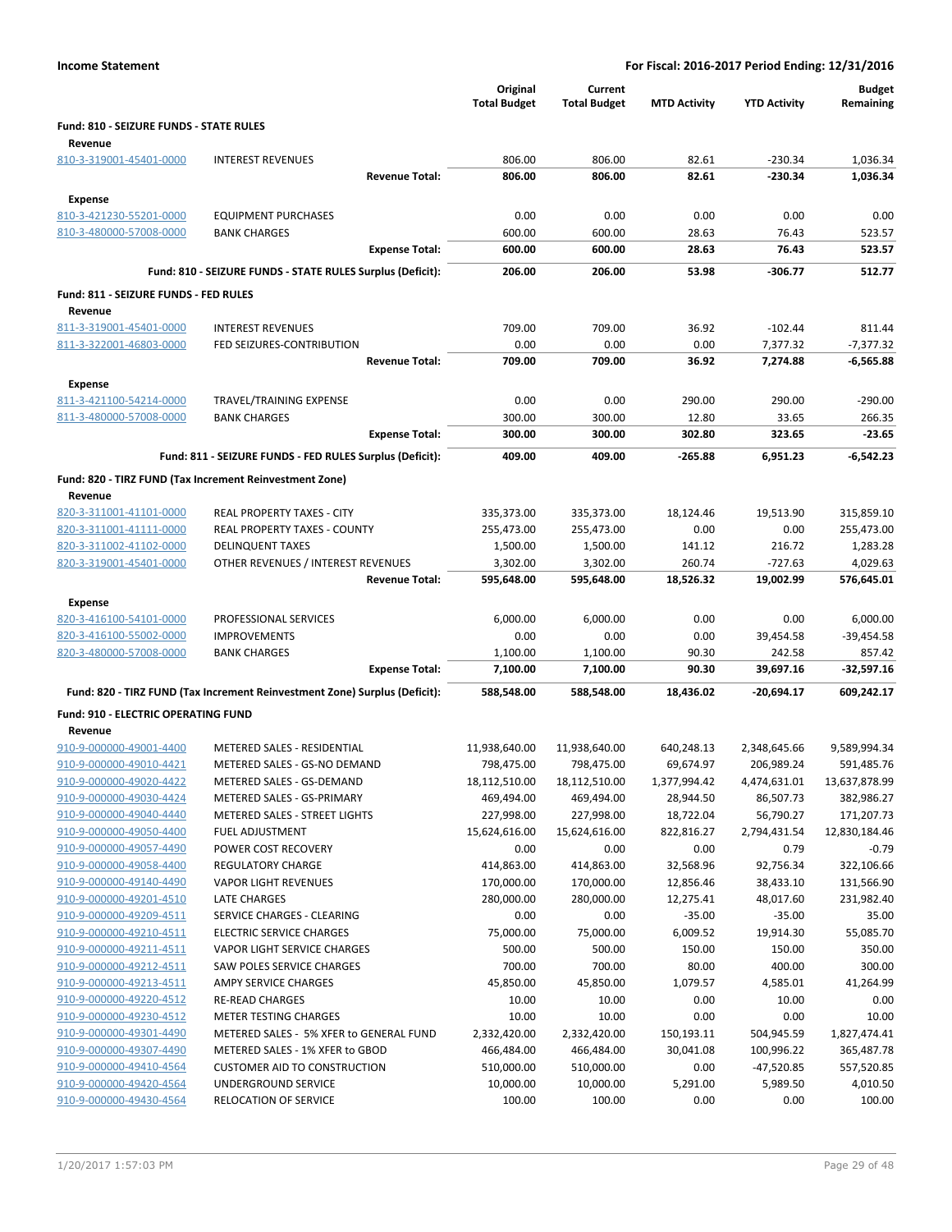|                                            |                                                                            | Original<br><b>Total Budget</b> | Current<br><b>Total Budget</b> | <b>MTD Activity</b> | <b>YTD Activity</b> | <b>Budget</b><br>Remaining |
|--------------------------------------------|----------------------------------------------------------------------------|---------------------------------|--------------------------------|---------------------|---------------------|----------------------------|
| Fund: 810 - SEIZURE FUNDS - STATE RULES    |                                                                            |                                 |                                |                     |                     |                            |
| Revenue<br>810-3-319001-45401-0000         | <b>INTEREST REVENUES</b>                                                   | 806.00                          | 806.00                         | 82.61               | $-230.34$           | 1,036.34                   |
|                                            | <b>Revenue Total:</b>                                                      | 806.00                          | 806.00                         | 82.61               | $-230.34$           | 1,036.34                   |
|                                            |                                                                            |                                 |                                |                     |                     |                            |
| <b>Expense</b>                             |                                                                            |                                 |                                |                     |                     |                            |
| 810-3-421230-55201-0000                    | <b>EQUIPMENT PURCHASES</b>                                                 | 0.00                            | 0.00                           | 0.00                | 0.00                | 0.00                       |
| 810-3-480000-57008-0000                    | <b>BANK CHARGES</b>                                                        | 600.00                          | 600.00                         | 28.63               | 76.43               | 523.57                     |
|                                            | <b>Expense Total:</b>                                                      | 600.00                          | 600.00                         | 28.63               | 76.43               | 523.57                     |
|                                            | Fund: 810 - SEIZURE FUNDS - STATE RULES Surplus (Deficit):                 | 206.00                          | 206.00                         | 53.98               | $-306.77$           | 512.77                     |
| Fund: 811 - SEIZURE FUNDS - FED RULES      |                                                                            |                                 |                                |                     |                     |                            |
| Revenue                                    |                                                                            |                                 |                                |                     |                     |                            |
| 811-3-319001-45401-0000                    | <b>INTEREST REVENUES</b>                                                   | 709.00                          | 709.00                         | 36.92               | $-102.44$           | 811.44                     |
| 811-3-322001-46803-0000                    | FED SEIZURES-CONTRIBUTION                                                  | 0.00                            | 0.00                           | 0.00                | 7,377.32            | $-7,377.32$                |
|                                            | <b>Revenue Total:</b>                                                      | 709.00                          | 709.00                         | 36.92               | 7,274.88            | -6,565.88                  |
| <b>Expense</b>                             |                                                                            |                                 |                                |                     |                     |                            |
| 811-3-421100-54214-0000                    | <b>TRAVEL/TRAINING EXPENSE</b>                                             | 0.00                            | 0.00                           | 290.00              | 290.00              | $-290.00$                  |
| 811-3-480000-57008-0000                    | <b>BANK CHARGES</b>                                                        | 300.00                          | 300.00                         | 12.80               | 33.65               | 266.35                     |
|                                            | <b>Expense Total:</b>                                                      | 300.00                          | 300.00                         | 302.80              | 323.65              | $-23.65$                   |
|                                            | Fund: 811 - SEIZURE FUNDS - FED RULES Surplus (Deficit):                   | 409.00                          | 409.00                         | $-265.88$           | 6,951.23            | -6,542.23                  |
|                                            |                                                                            |                                 |                                |                     |                     |                            |
|                                            | Fund: 820 - TIRZ FUND (Tax Increment Reinvestment Zone)                    |                                 |                                |                     |                     |                            |
| Revenue<br>820-3-311001-41101-0000         | <b>REAL PROPERTY TAXES - CITY</b>                                          |                                 |                                |                     |                     |                            |
| 820-3-311001-41111-0000                    | <b>REAL PROPERTY TAXES - COUNTY</b>                                        | 335,373.00<br>255,473.00        | 335,373.00<br>255,473.00       | 18,124.46<br>0.00   | 19,513.90<br>0.00   | 315,859.10                 |
| 820-3-311002-41102-0000                    | <b>DELINQUENT TAXES</b>                                                    | 1,500.00                        | 1,500.00                       |                     | 216.72              | 255,473.00<br>1,283.28     |
| 820-3-319001-45401-0000                    | OTHER REVENUES / INTEREST REVENUES                                         | 3,302.00                        | 3,302.00                       | 141.12<br>260.74    | $-727.63$           | 4,029.63                   |
|                                            | <b>Revenue Total:</b>                                                      | 595,648.00                      | 595,648.00                     | 18,526.32           | 19,002.99           | 576,645.01                 |
|                                            |                                                                            |                                 |                                |                     |                     |                            |
| <b>Expense</b>                             |                                                                            |                                 |                                |                     |                     |                            |
| 820-3-416100-54101-0000                    | PROFESSIONAL SERVICES                                                      | 6,000.00                        | 6,000.00                       | 0.00                | 0.00                | 6,000.00                   |
| 820-3-416100-55002-0000                    | <b>IMPROVEMENTS</b>                                                        | 0.00                            | 0.00                           | 0.00                | 39,454.58           | $-39,454.58$               |
| 820-3-480000-57008-0000                    | <b>BANK CHARGES</b>                                                        | 1,100.00                        | 1,100.00                       | 90.30               | 242.58              | 857.42                     |
|                                            | <b>Expense Total:</b>                                                      | 7,100.00                        | 7,100.00                       | 90.30               | 39,697.16           | $-32,597.16$               |
|                                            | Fund: 820 - TIRZ FUND (Tax Increment Reinvestment Zone) Surplus (Deficit): | 588,548.00                      | 588,548.00                     | 18.436.02           | -20,694.17          | 609,242.17                 |
| <b>Fund: 910 - ELECTRIC OPERATING FUND</b> |                                                                            |                                 |                                |                     |                     |                            |
| Revenue                                    |                                                                            |                                 |                                |                     |                     |                            |
| 910-9-000000-49001-4400                    | METERED SALES - RESIDENTIAL                                                | 11,938,640.00                   | 11,938,640.00                  | 640,248.13          | 2,348,645.66        | 9,589,994.34               |
| 910-9-000000-49010-4421                    | METERED SALES - GS-NO DEMAND                                               | 798,475.00                      | 798,475.00                     | 69,674.97           | 206.989.24          | 591,485.76                 |
| 910-9-000000-49020-4422                    | METERED SALES - GS-DEMAND                                                  | 18,112,510.00                   | 18,112,510.00                  | 1,377,994.42        | 4,474,631.01        | 13,637,878.99              |
| 910-9-000000-49030-4424                    | METERED SALES - GS-PRIMARY                                                 | 469,494.00                      | 469,494.00                     | 28,944.50           | 86,507.73           | 382,986.27                 |
| 910-9-000000-49040-4440                    | METERED SALES - STREET LIGHTS                                              | 227,998.00                      | 227,998.00                     | 18,722.04           | 56,790.27           | 171,207.73                 |
| 910-9-000000-49050-4400                    | FUEL ADJUSTMENT                                                            | 15,624,616.00                   | 15,624,616.00                  | 822,816.27          | 2,794,431.54        | 12,830,184.46              |
| 910-9-000000-49057-4490                    | POWER COST RECOVERY                                                        | 0.00                            | 0.00                           | 0.00                | 0.79                | $-0.79$                    |
| 910-9-000000-49058-4400                    | <b>REGULATORY CHARGE</b>                                                   | 414,863.00                      | 414,863.00                     | 32,568.96           | 92,756.34           | 322,106.66                 |
| 910-9-000000-49140-4490                    | <b>VAPOR LIGHT REVENUES</b>                                                | 170,000.00                      | 170,000.00                     | 12,856.46           | 38,433.10           | 131,566.90                 |
| 910-9-000000-49201-4510                    | LATE CHARGES                                                               | 280,000.00                      | 280,000.00                     | 12,275.41           | 48,017.60           | 231,982.40                 |
| 910-9-000000-49209-4511                    | SERVICE CHARGES - CLEARING                                                 | 0.00                            | 0.00                           | $-35.00$            | $-35.00$            | 35.00                      |
| 910-9-000000-49210-4511                    | <b>ELECTRIC SERVICE CHARGES</b>                                            | 75,000.00                       | 75,000.00                      | 6,009.52            | 19,914.30           | 55,085.70                  |
| 910-9-000000-49211-4511                    | VAPOR LIGHT SERVICE CHARGES                                                | 500.00                          | 500.00                         | 150.00              | 150.00              | 350.00                     |
| 910-9-000000-49212-4511                    | SAW POLES SERVICE CHARGES                                                  | 700.00                          | 700.00                         | 80.00               | 400.00              | 300.00                     |
| 910-9-000000-49213-4511                    | AMPY SERVICE CHARGES                                                       | 45,850.00                       | 45,850.00                      | 1,079.57            | 4,585.01            | 41,264.99                  |
| 910-9-000000-49220-4512                    | <b>RE-READ CHARGES</b>                                                     | 10.00                           | 10.00                          | 0.00                | 10.00               | 0.00                       |
| 910-9-000000-49230-4512                    | METER TESTING CHARGES                                                      | 10.00                           | 10.00                          | 0.00                | 0.00                | 10.00                      |
| 910-9-000000-49301-4490                    | METERED SALES - 5% XFER to GENERAL FUND                                    | 2,332,420.00                    | 2,332,420.00                   | 150,193.11          | 504,945.59          | 1,827,474.41               |
| 910-9-000000-49307-4490                    | METERED SALES - 1% XFER to GBOD                                            | 466,484.00                      | 466,484.00                     | 30,041.08           | 100,996.22          | 365,487.78                 |
| 910-9-000000-49410-4564                    | <b>CUSTOMER AID TO CONSTRUCTION</b>                                        | 510,000.00                      | 510,000.00                     | 0.00                | $-47,520.85$        | 557,520.85                 |
| 910-9-000000-49420-4564                    | UNDERGROUND SERVICE                                                        | 10,000.00                       | 10,000.00                      | 5,291.00            | 5,989.50            | 4,010.50                   |

910-9-000000-49430-4564 RELOCATION OF SERVICE 100.00 100.00 0.00 0.00 100.00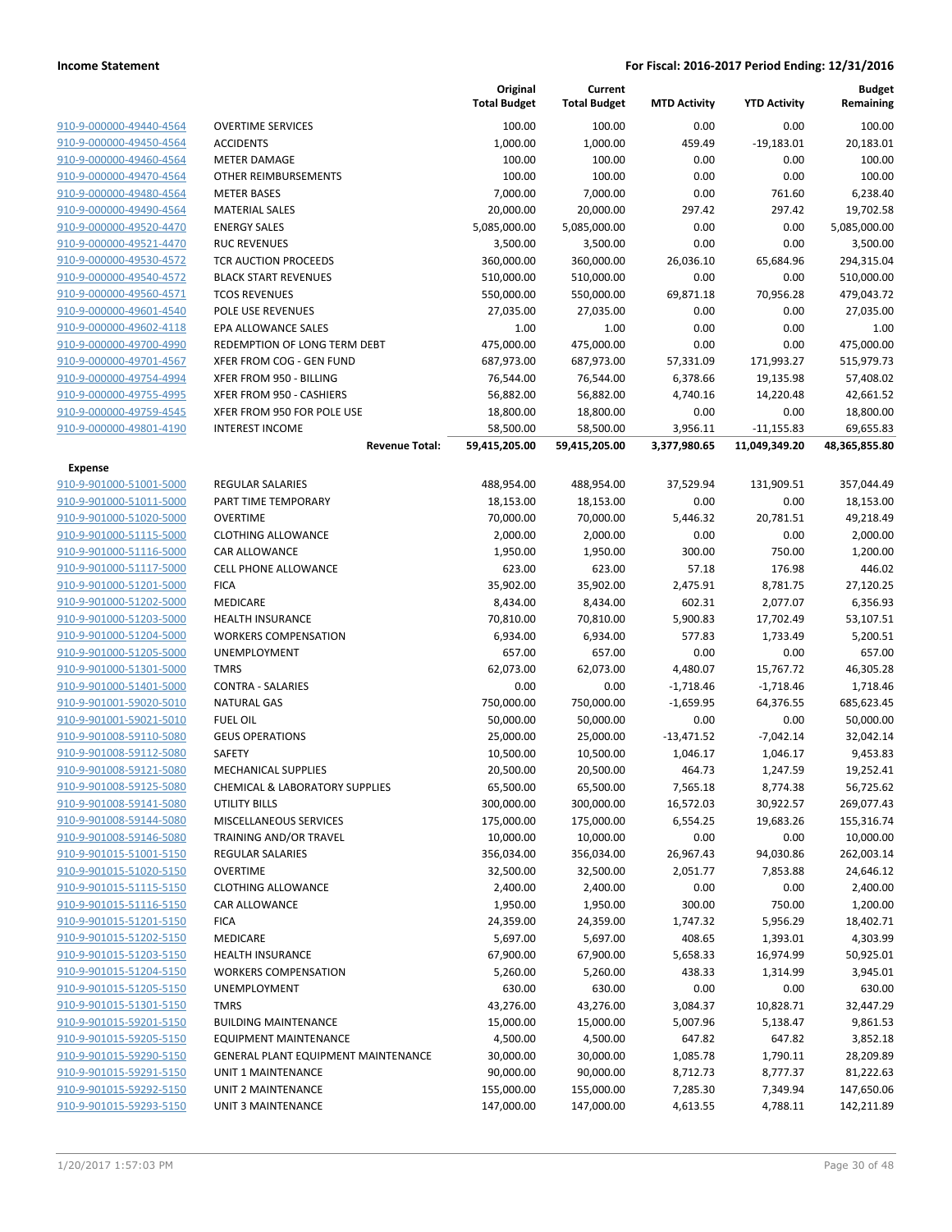|                         |                                           | Original<br><b>Total Budget</b> | Current<br><b>Total Budget</b> | <b>MTD Activity</b> | <b>YTD Activity</b> | <b>Budget</b><br>Remaining |
|-------------------------|-------------------------------------------|---------------------------------|--------------------------------|---------------------|---------------------|----------------------------|
| 910-9-000000-49440-4564 | <b>OVERTIME SERVICES</b>                  | 100.00                          | 100.00                         | 0.00                | 0.00                | 100.00                     |
| 910-9-000000-49450-4564 | <b>ACCIDENTS</b>                          | 1,000.00                        | 1,000.00                       | 459.49              | $-19,183.01$        | 20,183.01                  |
| 910-9-000000-49460-4564 | <b>METER DAMAGE</b>                       | 100.00                          | 100.00                         | 0.00                | 0.00                | 100.00                     |
| 910-9-000000-49470-4564 | OTHER REIMBURSEMENTS                      | 100.00                          | 100.00                         | 0.00                | 0.00                | 100.00                     |
| 910-9-000000-49480-4564 | <b>METER BASES</b>                        | 7,000.00                        | 7,000.00                       | 0.00                | 761.60              | 6,238.40                   |
| 910-9-000000-49490-4564 | <b>MATERIAL SALES</b>                     | 20,000.00                       | 20,000.00                      | 297.42              | 297.42              | 19,702.58                  |
| 910-9-000000-49520-4470 | <b>ENERGY SALES</b>                       | 5,085,000.00                    | 5,085,000.00                   | 0.00                | 0.00                | 5,085,000.00               |
| 910-9-000000-49521-4470 | <b>RUC REVENUES</b>                       | 3,500.00                        | 3,500.00                       | 0.00                | 0.00                | 3,500.00                   |
| 910-9-000000-49530-4572 | <b>TCR AUCTION PROCEEDS</b>               | 360,000.00                      | 360,000.00                     | 26,036.10           | 65,684.96           | 294,315.04                 |
| 910-9-000000-49540-4572 | <b>BLACK START REVENUES</b>               | 510,000.00                      | 510,000.00                     | 0.00                | 0.00                | 510,000.00                 |
| 910-9-000000-49560-4571 | <b>TCOS REVENUES</b>                      | 550,000.00                      | 550,000.00                     | 69,871.18           | 70,956.28           | 479,043.72                 |
| 910-9-000000-49601-4540 | POLE USE REVENUES                         | 27,035.00                       | 27,035.00                      | 0.00                | 0.00                | 27,035.00                  |
| 910-9-000000-49602-4118 | EPA ALLOWANCE SALES                       | 1.00                            | 1.00                           | 0.00                | 0.00                | 1.00                       |
| 910-9-000000-49700-4990 | REDEMPTION OF LONG TERM DEBT              | 475,000.00                      | 475,000.00                     | 0.00                | 0.00                | 475,000.00                 |
| 910-9-000000-49701-4567 | XFER FROM COG - GEN FUND                  | 687,973.00                      | 687,973.00                     | 57,331.09           | 171,993.27          | 515,979.73                 |
| 910-9-000000-49754-4994 | XFER FROM 950 - BILLING                   | 76,544.00                       | 76,544.00                      | 6,378.66            | 19,135.98           | 57,408.02                  |
| 910-9-000000-49755-4995 | XFER FROM 950 - CASHIERS                  | 56,882.00                       | 56,882.00                      | 4,740.16            | 14,220.48           | 42,661.52                  |
| 910-9-000000-49759-4545 | XFER FROM 950 FOR POLE USE                | 18,800.00                       | 18,800.00                      | 0.00                | 0.00                | 18,800.00                  |
| 910-9-000000-49801-4190 | <b>INTEREST INCOME</b>                    | 58,500.00                       | 58,500.00                      | 3,956.11            | $-11,155.83$        | 69,655.83                  |
|                         | <b>Revenue Total:</b>                     | 59,415,205.00                   | 59,415,205.00                  | 3,377,980.65        | 11,049,349.20       | 48,365,855.80              |
| Expense                 |                                           |                                 |                                |                     |                     |                            |
| 910-9-901000-51001-5000 | <b>REGULAR SALARIES</b>                   | 488,954.00                      | 488,954.00                     | 37,529.94           | 131,909.51          | 357,044.49                 |
| 910-9-901000-51011-5000 | PART TIME TEMPORARY                       | 18,153.00                       | 18,153.00                      | 0.00                | 0.00                | 18,153.00                  |
| 910-9-901000-51020-5000 | <b>OVERTIME</b>                           | 70,000.00                       | 70,000.00                      | 5,446.32            | 20,781.51           | 49,218.49                  |
| 910-9-901000-51115-5000 | <b>CLOTHING ALLOWANCE</b>                 | 2,000.00                        | 2,000.00                       | 0.00                | 0.00                | 2,000.00                   |
| 910-9-901000-51116-5000 | CAR ALLOWANCE                             | 1,950.00                        | 1,950.00                       | 300.00              | 750.00              | 1,200.00                   |
| 910-9-901000-51117-5000 | <b>CELL PHONE ALLOWANCE</b>               | 623.00                          | 623.00                         | 57.18               | 176.98              | 446.02                     |
| 910-9-901000-51201-5000 | <b>FICA</b>                               | 35,902.00                       | 35,902.00                      | 2,475.91            | 8,781.75            | 27,120.25                  |
| 910-9-901000-51202-5000 | MEDICARE                                  | 8,434.00                        | 8,434.00                       | 602.31              | 2,077.07            | 6,356.93                   |
| 910-9-901000-51203-5000 | HEALTH INSURANCE                          | 70,810.00                       | 70,810.00                      | 5,900.83            | 17,702.49           | 53,107.51                  |
| 910-9-901000-51204-5000 | <b>WORKERS COMPENSATION</b>               | 6,934.00                        | 6,934.00                       | 577.83              | 1,733.49            | 5,200.51                   |
| 910-9-901000-51205-5000 | UNEMPLOYMENT                              | 657.00                          | 657.00                         | 0.00                | 0.00                | 657.00                     |
| 910-9-901000-51301-5000 | <b>TMRS</b>                               | 62,073.00                       | 62,073.00                      | 4,480.07            | 15,767.72           | 46,305.28                  |
| 910-9-901000-51401-5000 | <b>CONTRA - SALARIES</b>                  | 0.00                            | 0.00                           | $-1,718.46$         | $-1,718.46$         | 1,718.46                   |
| 910-9-901001-59020-5010 | <b>NATURAL GAS</b>                        | 750,000.00                      | 750,000.00                     | $-1,659.95$         | 64,376.55           | 685,623.45                 |
| 910-9-901001-59021-5010 | <b>FUEL OIL</b>                           | 50,000.00                       | 50,000.00                      | 0.00                | 0.00                | 50,000.00                  |
| 910-9-901008-59110-5080 | <b>GEUS OPERATIONS</b>                    | 25,000.00                       | 25,000.00                      | $-13,471.52$        | $-7,042.14$         | 32,042.14                  |
| 910-9-901008-59112-5080 | <b>SAFETY</b>                             | 10,500.00                       | 10,500.00                      | 1,046.17            | 1,046.17            | 9,453.83                   |
| 910-9-901008-59121-5080 | <b>MECHANICAL SUPPLIES</b>                | 20,500.00                       | 20,500.00                      | 464.73              | 1,247.59            | 19,252.41                  |
| 910-9-901008-59125-5080 | <b>CHEMICAL &amp; LABORATORY SUPPLIES</b> | 65,500.00                       | 65,500.00                      | 7,565.18            | 8,774.38            | 56,725.62                  |
| 910-9-901008-59141-5080 | UTILITY BILLS                             | 300,000.00                      | 300,000.00                     | 16,572.03           | 30,922.57           | 269,077.43                 |
| 910-9-901008-59144-5080 | MISCELLANEOUS SERVICES                    | 175,000.00                      | 175,000.00                     | 6,554.25            | 19,683.26           | 155,316.74                 |
| 910-9-901008-59146-5080 | TRAINING AND/OR TRAVEL                    | 10,000.00                       | 10,000.00                      | 0.00                | 0.00                | 10,000.00                  |
| 910-9-901015-51001-5150 | REGULAR SALARIES                          | 356,034.00                      | 356,034.00                     | 26,967.43           | 94,030.86           | 262,003.14                 |
| 910-9-901015-51020-5150 | <b>OVERTIME</b>                           | 32,500.00                       | 32,500.00                      | 2,051.77            | 7,853.88            | 24,646.12                  |
| 910-9-901015-51115-5150 | <b>CLOTHING ALLOWANCE</b>                 | 2,400.00                        | 2,400.00                       | 0.00                | 0.00                | 2,400.00                   |
| 910-9-901015-51116-5150 | CAR ALLOWANCE                             | 1,950.00                        | 1,950.00                       | 300.00              | 750.00              | 1,200.00                   |
| 910-9-901015-51201-5150 | <b>FICA</b>                               | 24,359.00                       | 24,359.00                      | 1,747.32            | 5,956.29            | 18,402.71                  |
| 910-9-901015-51202-5150 | MEDICARE                                  | 5,697.00                        | 5,697.00                       | 408.65              | 1,393.01            | 4,303.99                   |
| 910-9-901015-51203-5150 | <b>HEALTH INSURANCE</b>                   | 67,900.00                       | 67,900.00                      | 5,658.33            | 16,974.99           | 50,925.01                  |
| 910-9-901015-51204-5150 | <b>WORKERS COMPENSATION</b>               | 5,260.00                        | 5,260.00                       | 438.33              | 1,314.99            | 3,945.01                   |
| 910-9-901015-51205-5150 | <b>UNEMPLOYMENT</b>                       | 630.00                          | 630.00                         | 0.00                | 0.00                | 630.00                     |
| 910-9-901015-51301-5150 | <b>TMRS</b>                               | 43,276.00                       | 43,276.00                      | 3,084.37            | 10,828.71           | 32,447.29                  |
| 910-9-901015-59201-5150 | <b>BUILDING MAINTENANCE</b>               | 15,000.00                       | 15,000.00                      | 5,007.96            | 5,138.47            | 9,861.53                   |
| 910-9-901015-59205-5150 | <b>EQUIPMENT MAINTENANCE</b>              | 4,500.00                        | 4,500.00                       | 647.82              | 647.82              | 3,852.18                   |
| 910-9-901015-59290-5150 | GENERAL PLANT EQUIPMENT MAINTENANCE       | 30,000.00                       | 30,000.00                      | 1,085.78            | 1,790.11            | 28,209.89                  |
| 910-9-901015-59291-5150 | UNIT 1 MAINTENANCE                        | 90,000.00                       | 90,000.00                      | 8,712.73            | 8,777.37            | 81,222.63                  |
| 910-9-901015-59292-5150 | UNIT 2 MAINTENANCE                        | 155,000.00                      | 155,000.00                     | 7,285.30            | 7,349.94            | 147,650.06                 |
| 910-9-901015-59293-5150 | UNIT 3 MAINTENANCE                        | 147,000.00                      | 147,000.00                     | 4,613.55            | 4,788.11            | 142,211.89                 |
|                         |                                           |                                 |                                |                     |                     |                            |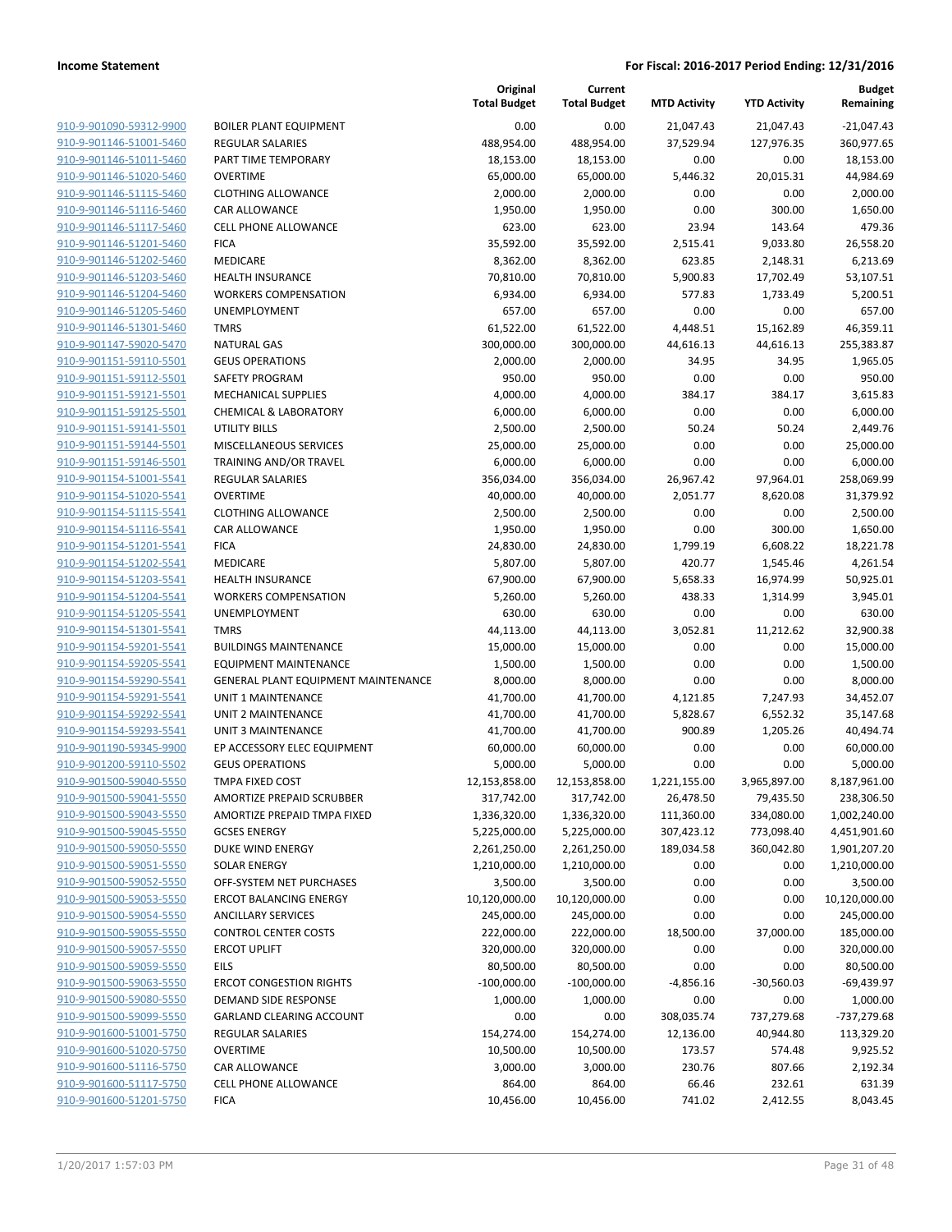**Current**

**Original**

**Budget**

|                                                    |                                                          | <b>Total Budget</b>        | <b>Total Budget</b>        | <b>MTD Activity</b>  | <b>YTD Activity</b>  | Remaining                  |
|----------------------------------------------------|----------------------------------------------------------|----------------------------|----------------------------|----------------------|----------------------|----------------------------|
| 910-9-901090-59312-9900                            | <b>BOILER PLANT EQUIPMENT</b>                            | 0.00                       | 0.00                       | 21,047.43            | 21,047.43            | $-21,047.43$               |
| 910-9-901146-51001-5460                            | <b>REGULAR SALARIES</b>                                  | 488,954.00                 | 488,954.00                 | 37,529.94            | 127,976.35           | 360,977.65                 |
| 910-9-901146-51011-5460                            | PART TIME TEMPORARY                                      | 18,153.00                  | 18,153.00                  | 0.00                 | 0.00                 | 18,153.00                  |
| 910-9-901146-51020-5460                            | <b>OVERTIME</b>                                          | 65,000.00                  | 65,000.00                  | 5,446.32             | 20,015.31            | 44,984.69                  |
| 910-9-901146-51115-5460                            | <b>CLOTHING ALLOWANCE</b>                                | 2,000.00                   | 2,000.00                   | 0.00                 | 0.00                 | 2,000.00                   |
| 910-9-901146-51116-5460                            | CAR ALLOWANCE                                            | 1,950.00                   | 1,950.00                   | 0.00                 | 300.00               | 1,650.00                   |
| 910-9-901146-51117-5460                            | <b>CELL PHONE ALLOWANCE</b>                              | 623.00                     | 623.00                     | 23.94                | 143.64               | 479.36                     |
| 910-9-901146-51201-5460                            | <b>FICA</b>                                              | 35,592.00                  | 35,592.00                  | 2,515.41             | 9,033.80             | 26,558.20                  |
| 910-9-901146-51202-5460                            | MEDICARE                                                 | 8,362.00                   | 8,362.00                   | 623.85               | 2,148.31             | 6,213.69                   |
| 910-9-901146-51203-5460                            | <b>HEALTH INSURANCE</b>                                  | 70,810.00                  | 70,810.00                  | 5,900.83             | 17,702.49            | 53,107.51                  |
| 910-9-901146-51204-5460                            | <b>WORKERS COMPENSATION</b>                              | 6,934.00                   | 6,934.00                   | 577.83               | 1,733.49             | 5,200.51                   |
| 910-9-901146-51205-5460                            | <b>UNEMPLOYMENT</b>                                      | 657.00                     | 657.00                     | 0.00                 | 0.00                 | 657.00                     |
| 910-9-901146-51301-5460                            | <b>TMRS</b>                                              | 61,522.00                  | 61,522.00                  | 4,448.51             | 15,162.89            | 46,359.11                  |
| 910-9-901147-59020-5470                            | <b>NATURAL GAS</b>                                       | 300,000.00                 | 300,000.00                 | 44,616.13            | 44,616.13            | 255,383.87                 |
| 910-9-901151-59110-5501                            | <b>GEUS OPERATIONS</b>                                   | 2,000.00                   | 2,000.00                   | 34.95                | 34.95                | 1,965.05                   |
| 910-9-901151-59112-5501                            | SAFETY PROGRAM                                           | 950.00                     | 950.00                     | 0.00                 | 0.00                 | 950.00                     |
| 910-9-901151-59121-5501                            | <b>MECHANICAL SUPPLIES</b>                               | 4,000.00                   | 4,000.00                   | 384.17               | 384.17               | 3,615.83                   |
| 910-9-901151-59125-5501                            | <b>CHEMICAL &amp; LABORATORY</b>                         | 6,000.00                   | 6,000.00                   | 0.00                 | 0.00                 | 6,000.00                   |
| 910-9-901151-59141-5501                            | <b>UTILITY BILLS</b>                                     | 2,500.00                   | 2,500.00                   | 50.24                | 50.24                | 2,449.76                   |
| 910-9-901151-59144-5501                            | MISCELLANEOUS SERVICES                                   | 25,000.00                  | 25,000.00                  | 0.00                 | 0.00                 | 25,000.00                  |
| 910-9-901151-59146-5501                            | TRAINING AND/OR TRAVEL                                   | 6,000.00                   | 6,000.00                   | 0.00                 | 0.00                 | 6,000.00                   |
| 910-9-901154-51001-5541                            | <b>REGULAR SALARIES</b>                                  | 356,034.00                 | 356,034.00                 | 26,967.42            | 97,964.01            | 258,069.99                 |
| 910-9-901154-51020-5541                            | <b>OVERTIME</b>                                          | 40,000.00                  | 40,000.00                  | 2,051.77             | 8,620.08             | 31,379.92                  |
| 910-9-901154-51115-5541                            | <b>CLOTHING ALLOWANCE</b>                                | 2,500.00                   | 2,500.00                   | 0.00                 | 0.00                 | 2,500.00                   |
| 910-9-901154-51116-5541                            | <b>CAR ALLOWANCE</b>                                     | 1,950.00                   | 1,950.00                   | 0.00                 | 300.00               | 1,650.00                   |
| 910-9-901154-51201-5541                            | <b>FICA</b>                                              | 24,830.00                  | 24,830.00                  | 1,799.19             | 6,608.22             | 18,221.78                  |
| 910-9-901154-51202-5541                            | MEDICARE                                                 | 5,807.00                   | 5,807.00                   | 420.77               | 1,545.46             | 4,261.54                   |
| 910-9-901154-51203-5541                            | <b>HEALTH INSURANCE</b>                                  | 67,900.00                  | 67,900.00                  | 5,658.33             | 16,974.99            | 50,925.01                  |
| 910-9-901154-51204-5541                            | <b>WORKERS COMPENSATION</b>                              | 5,260.00                   | 5,260.00                   | 438.33               | 1,314.99             | 3,945.01                   |
| 910-9-901154-51205-5541                            | <b>UNEMPLOYMENT</b>                                      | 630.00                     | 630.00                     | 0.00                 | 0.00                 | 630.00                     |
| 910-9-901154-51301-5541                            | <b>TMRS</b>                                              | 44,113.00                  | 44,113.00                  | 3,052.81             | 11,212.62            | 32,900.38                  |
| 910-9-901154-59201-5541                            | <b>BUILDINGS MAINTENANCE</b>                             | 15,000.00                  | 15,000.00                  | 0.00                 | 0.00                 | 15,000.00                  |
| 910-9-901154-59205-5541                            | <b>EQUIPMENT MAINTENANCE</b>                             | 1,500.00                   | 1,500.00                   | 0.00                 | 0.00                 | 1,500.00                   |
| 910-9-901154-59290-5541                            | GENERAL PLANT EQUIPMENT MAINTENANCE                      | 8,000.00                   | 8,000.00                   | 0.00                 | 0.00                 | 8,000.00                   |
| 910-9-901154-59291-5541                            | <b>UNIT 1 MAINTENANCE</b>                                | 41,700.00                  | 41,700.00                  | 4,121.85             | 7,247.93             | 34,452.07                  |
| 910-9-901154-59292-5541                            | UNIT 2 MAINTENANCE                                       | 41,700.00                  | 41,700.00                  | 5,828.67             | 6,552.32             | 35,147.68                  |
| 910-9-901154-59293-5541                            | <b>UNIT 3 MAINTENANCE</b>                                | 41,700.00                  | 41,700.00                  | 900.89               | 1,205.26             | 40,494.74                  |
| 910-9-901190-59345-9900<br>910-9-901200-59110-5502 | EP ACCESSORY ELEC EQUIPMENT                              | 60,000.00<br>5,000.00      | 60,000.00                  | 0.00                 | 0.00                 | 60,000.00                  |
| 910-9-901500-59040-5550                            | <b>GEUS OPERATIONS</b><br>TMPA FIXED COST                | 12,153,858.00              | 5,000.00                   | 0.00<br>1,221,155.00 | 0.00<br>3,965,897.00 | 5,000.00<br>8,187,961.00   |
|                                                    |                                                          |                            | 12,153,858.00              | 26,478.50            | 79,435.50            |                            |
| 910-9-901500-59041-5550<br>910-9-901500-59043-5550 | AMORTIZE PREPAID SCRUBBER<br>AMORTIZE PREPAID TMPA FIXED | 317,742.00<br>1,336,320.00 | 317,742.00<br>1,336,320.00 | 111,360.00           | 334,080.00           | 238,306.50<br>1,002,240.00 |
| 910-9-901500-59045-5550                            | <b>GCSES ENERGY</b>                                      | 5,225,000.00               | 5,225,000.00               | 307,423.12           | 773,098.40           | 4,451,901.60               |
| 910-9-901500-59050-5550                            | DUKE WIND ENERGY                                         | 2,261,250.00               | 2,261,250.00               | 189,034.58           | 360,042.80           | 1,901,207.20               |
| 910-9-901500-59051-5550                            | <b>SOLAR ENERGY</b>                                      | 1,210,000.00               | 1,210,000.00               | 0.00                 | 0.00                 | 1,210,000.00               |
| 910-9-901500-59052-5550                            | OFF-SYSTEM NET PURCHASES                                 | 3,500.00                   | 3,500.00                   | 0.00                 | 0.00                 | 3,500.00                   |
| 910-9-901500-59053-5550                            | <b>ERCOT BALANCING ENERGY</b>                            | 10,120,000.00              | 10,120,000.00              | 0.00                 | 0.00                 | 10,120,000.00              |
| 910-9-901500-59054-5550                            | <b>ANCILLARY SERVICES</b>                                | 245,000.00                 | 245,000.00                 | 0.00                 | 0.00                 | 245,000.00                 |
| 910-9-901500-59055-5550                            | <b>CONTROL CENTER COSTS</b>                              | 222,000.00                 | 222,000.00                 | 18,500.00            | 37,000.00            | 185,000.00                 |
| 910-9-901500-59057-5550                            | <b>ERCOT UPLIFT</b>                                      | 320,000.00                 | 320,000.00                 | 0.00                 | 0.00                 | 320,000.00                 |
| 910-9-901500-59059-5550                            | EILS                                                     | 80,500.00                  | 80,500.00                  | 0.00                 | 0.00                 | 80,500.00                  |
| 910-9-901500-59063-5550                            | <b>ERCOT CONGESTION RIGHTS</b>                           | $-100,000.00$              | $-100,000.00$              | $-4,856.16$          | $-30,560.03$         | $-69,439.97$               |
| 910-9-901500-59080-5550                            | DEMAND SIDE RESPONSE                                     | 1,000.00                   | 1,000.00                   | 0.00                 | 0.00                 | 1,000.00                   |
| 910-9-901500-59099-5550                            | <b>GARLAND CLEARING ACCOUNT</b>                          | 0.00                       | 0.00                       | 308,035.74           | 737,279.68           | -737,279.68                |
| 910-9-901600-51001-5750                            | <b>REGULAR SALARIES</b>                                  | 154,274.00                 | 154,274.00                 | 12,136.00            | 40,944.80            | 113,329.20                 |
| 910-9-901600-51020-5750                            | <b>OVERTIME</b>                                          | 10,500.00                  | 10,500.00                  | 173.57               | 574.48               | 9,925.52                   |
| 910-9-901600-51116-5750                            | CAR ALLOWANCE                                            | 3,000.00                   | 3,000.00                   | 230.76               | 807.66               | 2,192.34                   |
| 910-9-901600-51117-5750                            | CELL PHONE ALLOWANCE                                     | 864.00                     | 864.00                     | 66.46                | 232.61               | 631.39                     |
| 910-9-901600-51201-5750                            | <b>FICA</b>                                              | 10,456.00                  | 10,456.00                  | 741.02               | 2,412.55             | 8,043.45                   |
|                                                    |                                                          |                            |                            |                      |                      |                            |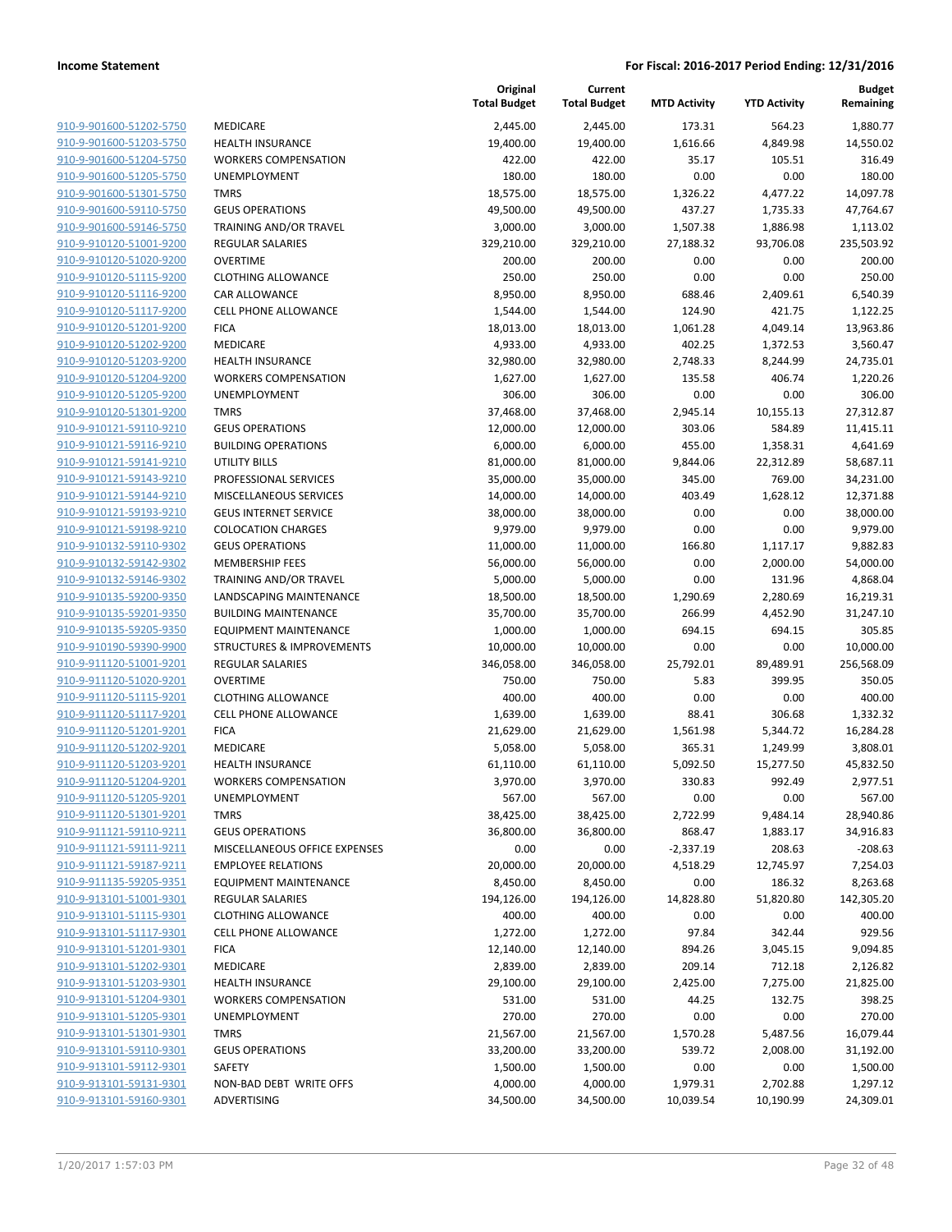|                                                    |                                      | Original<br><b>Total Budget</b> | Current<br><b>Total Budget</b> | <b>MTD Activity</b> | <b>YTD Activity</b> | <b>Budget</b><br>Remaining |
|----------------------------------------------------|--------------------------------------|---------------------------------|--------------------------------|---------------------|---------------------|----------------------------|
| 910-9-901600-51202-5750                            | MEDICARE                             | 2,445.00                        | 2,445.00                       | 173.31              | 564.23              | 1,880.77                   |
| 910-9-901600-51203-5750                            | <b>HEALTH INSURANCE</b>              | 19,400.00                       | 19,400.00                      | 1,616.66            | 4,849.98            | 14,550.02                  |
| 910-9-901600-51204-5750                            | <b>WORKERS COMPENSATION</b>          | 422.00                          | 422.00                         | 35.17               | 105.51              | 316.49                     |
| 910-9-901600-51205-5750                            | UNEMPLOYMENT                         | 180.00                          | 180.00                         | 0.00                | 0.00                | 180.00                     |
| 910-9-901600-51301-5750                            | <b>TMRS</b>                          | 18,575.00                       | 18,575.00                      | 1,326.22            | 4,477.22            | 14,097.78                  |
| 910-9-901600-59110-5750                            | <b>GEUS OPERATIONS</b>               | 49,500.00                       | 49,500.00                      | 437.27              | 1,735.33            | 47,764.67                  |
| 910-9-901600-59146-5750                            | TRAINING AND/OR TRAVEL               | 3,000.00                        | 3,000.00                       | 1,507.38            | 1,886.98            | 1,113.02                   |
| 910-9-910120-51001-9200                            | <b>REGULAR SALARIES</b>              | 329,210.00                      | 329,210.00                     | 27,188.32           | 93,706.08           | 235,503.92                 |
| 910-9-910120-51020-9200                            | <b>OVERTIME</b>                      | 200.00                          | 200.00                         | 0.00                | 0.00                | 200.00                     |
| 910-9-910120-51115-9200                            | <b>CLOTHING ALLOWANCE</b>            | 250.00                          | 250.00                         | 0.00                | 0.00                | 250.00                     |
| 910-9-910120-51116-9200                            | <b>CAR ALLOWANCE</b>                 | 8,950.00                        | 8,950.00                       | 688.46              | 2,409.61            | 6,540.39                   |
| 910-9-910120-51117-9200                            | <b>CELL PHONE ALLOWANCE</b>          | 1,544.00                        | 1,544.00                       | 124.90              | 421.75              | 1,122.25                   |
| 910-9-910120-51201-9200                            | <b>FICA</b>                          | 18,013.00                       | 18,013.00                      | 1,061.28            | 4,049.14            | 13,963.86                  |
| 910-9-910120-51202-9200                            | MEDICARE                             | 4,933.00                        | 4,933.00                       | 402.25              | 1,372.53            | 3,560.47                   |
| 910-9-910120-51203-9200                            | <b>HEALTH INSURANCE</b>              | 32,980.00                       | 32,980.00                      | 2,748.33            | 8,244.99            | 24,735.01                  |
| 910-9-910120-51204-9200                            | <b>WORKERS COMPENSATION</b>          | 1,627.00                        | 1,627.00                       | 135.58              | 406.74              | 1,220.26                   |
| 910-9-910120-51205-9200                            | UNEMPLOYMENT                         | 306.00                          | 306.00                         | 0.00                | 0.00                | 306.00                     |
| 910-9-910120-51301-9200                            | <b>TMRS</b>                          | 37,468.00                       | 37,468.00                      | 2,945.14            | 10,155.13           | 27,312.87                  |
| 910-9-910121-59110-9210                            | <b>GEUS OPERATIONS</b>               | 12,000.00                       | 12,000.00                      | 303.06              | 584.89              | 11,415.11                  |
| 910-9-910121-59116-9210                            | <b>BUILDING OPERATIONS</b>           | 6,000.00                        | 6,000.00                       | 455.00              | 1,358.31            | 4,641.69                   |
| 910-9-910121-59141-9210                            | UTILITY BILLS                        | 81,000.00                       | 81,000.00                      | 9,844.06            | 22,312.89           | 58,687.11                  |
| 910-9-910121-59143-9210                            | PROFESSIONAL SERVICES                | 35,000.00                       | 35,000.00                      | 345.00              | 769.00              | 34,231.00                  |
| 910-9-910121-59144-9210                            | MISCELLANEOUS SERVICES               | 14,000.00                       | 14,000.00                      | 403.49              | 1,628.12            | 12,371.88                  |
| 910-9-910121-59193-9210                            | <b>GEUS INTERNET SERVICE</b>         | 38,000.00                       | 38,000.00                      | 0.00                | 0.00                | 38,000.00                  |
| 910-9-910121-59198-9210                            | <b>COLOCATION CHARGES</b>            | 9,979.00                        | 9,979.00                       | 0.00                | 0.00                | 9,979.00                   |
| 910-9-910132-59110-9302                            | <b>GEUS OPERATIONS</b>               | 11,000.00                       | 11,000.00                      | 166.80              | 1,117.17            | 9,882.83                   |
| 910-9-910132-59142-9302                            | <b>MEMBERSHIP FEES</b>               | 56,000.00                       | 56,000.00                      | 0.00                | 2,000.00            | 54,000.00                  |
| 910-9-910132-59146-9302                            | TRAINING AND/OR TRAVEL               | 5,000.00                        | 5,000.00                       | 0.00                | 131.96              | 4,868.04                   |
| 910-9-910135-59200-9350                            | LANDSCAPING MAINTENANCE              | 18,500.00                       | 18,500.00                      | 1,290.69            | 2,280.69            | 16,219.31                  |
| 910-9-910135-59201-9350                            | <b>BUILDING MAINTENANCE</b>          | 35,700.00                       | 35,700.00                      | 266.99              | 4,452.90            | 31,247.10                  |
| 910-9-910135-59205-9350                            | <b>EQUIPMENT MAINTENANCE</b>         | 1,000.00                        | 1,000.00                       | 694.15              | 694.15              | 305.85                     |
| 910-9-910190-59390-9900                            | <b>STRUCTURES &amp; IMPROVEMENTS</b> | 10,000.00                       | 10,000.00                      | 0.00                | 0.00                | 10,000.00                  |
| 910-9-911120-51001-9201                            | <b>REGULAR SALARIES</b>              | 346,058.00                      | 346,058.00                     | 25,792.01           | 89,489.91           | 256,568.09                 |
| 910-9-911120-51020-9201                            | <b>OVERTIME</b>                      | 750.00                          | 750.00                         | 5.83                | 399.95              | 350.05                     |
| 910-9-911120-51115-9201                            | <b>CLOTHING ALLOWANCE</b>            | 400.00                          | 400.00                         | 0.00                | 0.00                | 400.00                     |
| 910-9-911120-51117-9201                            | <b>CELL PHONE ALLOWANCE</b>          | 1,639.00                        | 1,639.00                       | 88.41               | 306.68              | 1,332.32                   |
| 910-9-911120-51201-9201                            | <b>FICA</b>                          | 21,629.00                       | 21,629.00                      | 1,561.98            | 5,344.72            | 16,284.28                  |
| 910-9-911120-51202-9201                            | MEDICARE                             | 5,058.00                        | 5,058.00                       | 365.31              | 1,249.99            | 3,808.01                   |
| 910-9-911120-51203-9201                            | <b>HEALTH INSURANCE</b>              | 61,110.00                       | 61,110.00                      | 5,092.50            | 15,277.50           | 45,832.50                  |
| 910-9-911120-51204-9201                            | <b>WORKERS COMPENSATION</b>          | 3,970.00                        | 3,970.00                       | 330.83              | 992.49              | 2,977.51                   |
| 910-9-911120-51205-9201                            | <b>UNEMPLOYMENT</b>                  | 567.00                          | 567.00                         | 0.00                | 0.00                | 567.00                     |
| 910-9-911120-51301-9201                            | <b>TMRS</b>                          | 38,425.00                       | 38,425.00                      | 2,722.99            | 9,484.14            | 28,940.86                  |
| 910-9-911121-59110-9211                            | <b>GEUS OPERATIONS</b>               | 36,800.00                       | 36,800.00                      | 868.47              | 1,883.17            | 34,916.83                  |
| 910-9-911121-59111-9211                            | MISCELLANEOUS OFFICE EXPENSES        | 0.00                            | 0.00                           | $-2,337.19$         | 208.63              | $-208.63$                  |
| 910-9-911121-59187-9211                            | <b>EMPLOYEE RELATIONS</b>            | 20,000.00                       | 20,000.00                      | 4,518.29            | 12,745.97           | 7,254.03                   |
| 910-9-911135-59205-9351                            | <b>EQUIPMENT MAINTENANCE</b>         | 8,450.00                        | 8,450.00                       | 0.00                | 186.32              | 8,263.68                   |
| 910-9-913101-51001-9301                            | <b>REGULAR SALARIES</b>              | 194,126.00                      | 194,126.00                     | 14,828.80           | 51,820.80           | 142,305.20                 |
| 910-9-913101-51115-9301                            | <b>CLOTHING ALLOWANCE</b>            | 400.00                          | 400.00                         | 0.00                | 0.00                | 400.00                     |
| 910-9-913101-51117-9301                            | <b>CELL PHONE ALLOWANCE</b>          | 1,272.00                        | 1,272.00                       | 97.84               | 342.44              | 929.56                     |
| 910-9-913101-51201-9301                            | <b>FICA</b>                          | 12,140.00                       | 12,140.00                      | 894.26              | 3,045.15            | 9,094.85                   |
| 910-9-913101-51202-9301                            | MEDICARE                             | 2,839.00                        | 2,839.00                       | 209.14              | 712.18              | 2,126.82                   |
| 910-9-913101-51203-9301                            | <b>HEALTH INSURANCE</b>              | 29,100.00                       | 29,100.00                      | 2,425.00            | 7,275.00            | 21,825.00                  |
| 910-9-913101-51204-9301                            | <b>WORKERS COMPENSATION</b>          | 531.00                          | 531.00                         | 44.25               | 132.75              | 398.25                     |
| 910-9-913101-51205-9301                            | UNEMPLOYMENT                         | 270.00                          | 270.00                         | 0.00                | 0.00                | 270.00                     |
| 910-9-913101-51301-9301                            | <b>TMRS</b>                          | 21,567.00                       | 21,567.00                      | 1,570.28            | 5,487.56            | 16,079.44                  |
| 910-9-913101-59110-9301                            | <b>GEUS OPERATIONS</b>               | 33,200.00                       | 33,200.00                      | 539.72              | 2,008.00            | 31,192.00                  |
| 910-9-913101-59112-9301<br>910-9-913101-59131-9301 | SAFETY                               | 1,500.00                        | 1,500.00                       | 0.00                | 0.00                | 1,500.00                   |
| 910-9-913101-59160-9301                            | NON-BAD DEBT WRITE OFFS              | 4,000.00                        | 4,000.00                       | 1,979.31            | 2,702.88            | 1,297.12                   |
|                                                    | ADVERTISING                          | 34,500.00                       | 34,500.00                      | 10,039.54           | 10,190.99           | 24,309.01                  |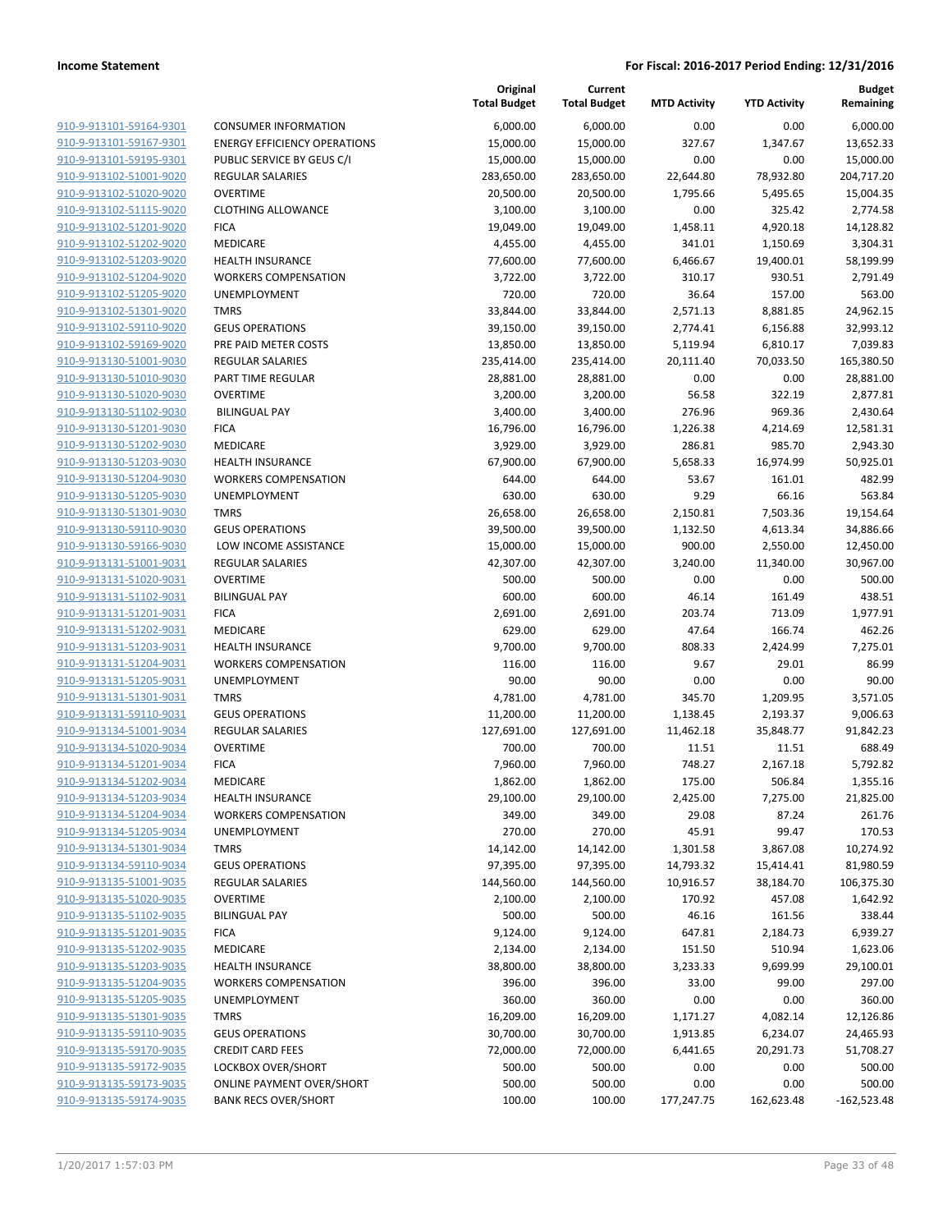**Current**

**Original**

**MTD Activity YTD Activity**

**Budget Remaining**

|                         |                                     | <b>Total Budget</b> | <b>Total Budget</b> | <b>MTD Activity</b> | <b>YTD Activity</b> | Remaining     |
|-------------------------|-------------------------------------|---------------------|---------------------|---------------------|---------------------|---------------|
| 910-9-913101-59164-9301 | <b>CONSUMER INFORMATION</b>         | 6,000.00            | 6,000.00            | 0.00                | 0.00                | 6,000.00      |
| 910-9-913101-59167-9301 | <b>ENERGY EFFICIENCY OPERATIONS</b> | 15,000.00           | 15,000.00           | 327.67              | 1,347.67            | 13,652.33     |
| 910-9-913101-59195-9301 | PUBLIC SERVICE BY GEUS C/I          | 15,000.00           | 15,000.00           | 0.00                | 0.00                | 15,000.00     |
| 910-9-913102-51001-9020 | <b>REGULAR SALARIES</b>             | 283,650.00          | 283,650.00          | 22,644.80           | 78,932.80           | 204,717.20    |
| 910-9-913102-51020-9020 | <b>OVERTIME</b>                     | 20,500.00           | 20,500.00           | 1,795.66            | 5,495.65            | 15,004.35     |
| 910-9-913102-51115-9020 | <b>CLOTHING ALLOWANCE</b>           | 3,100.00            | 3,100.00            | 0.00                | 325.42              | 2,774.58      |
| 910-9-913102-51201-9020 | <b>FICA</b>                         | 19,049.00           | 19,049.00           | 1,458.11            | 4,920.18            | 14,128.82     |
| 910-9-913102-51202-9020 | MEDICARE                            | 4,455.00            | 4,455.00            | 341.01              | 1,150.69            | 3,304.31      |
| 910-9-913102-51203-9020 | <b>HEALTH INSURANCE</b>             | 77,600.00           | 77,600.00           | 6,466.67            | 19,400.01           | 58,199.99     |
| 910-9-913102-51204-9020 | <b>WORKERS COMPENSATION</b>         | 3,722.00            | 3,722.00            | 310.17              | 930.51              | 2,791.49      |
| 910-9-913102-51205-9020 | UNEMPLOYMENT                        | 720.00              | 720.00              | 36.64               | 157.00              | 563.00        |
| 910-9-913102-51301-9020 | <b>TMRS</b>                         | 33,844.00           | 33,844.00           | 2,571.13            | 8,881.85            | 24,962.15     |
| 910-9-913102-59110-9020 | <b>GEUS OPERATIONS</b>              | 39,150.00           | 39,150.00           | 2,774.41            | 6,156.88            | 32,993.12     |
| 910-9-913102-59169-9020 | PRE PAID METER COSTS                | 13,850.00           | 13,850.00           | 5,119.94            | 6,810.17            | 7,039.83      |
| 910-9-913130-51001-9030 | <b>REGULAR SALARIES</b>             | 235,414.00          | 235,414.00          | 20,111.40           | 70,033.50           | 165,380.50    |
| 910-9-913130-51010-9030 | PART TIME REGULAR                   | 28,881.00           | 28,881.00           | 0.00                | 0.00                | 28,881.00     |
| 910-9-913130-51020-9030 | <b>OVERTIME</b>                     | 3,200.00            | 3,200.00            | 56.58               | 322.19              | 2,877.81      |
| 910-9-913130-51102-9030 | <b>BILINGUAL PAY</b>                | 3,400.00            | 3,400.00            | 276.96              | 969.36              | 2,430.64      |
| 910-9-913130-51201-9030 | <b>FICA</b>                         | 16,796.00           | 16,796.00           | 1,226.38            | 4,214.69            | 12,581.31     |
| 910-9-913130-51202-9030 | MEDICARE                            | 3,929.00            | 3,929.00            | 286.81              | 985.70              | 2,943.30      |
| 910-9-913130-51203-9030 | <b>HEALTH INSURANCE</b>             | 67,900.00           | 67,900.00           | 5,658.33            | 16,974.99           | 50,925.01     |
| 910-9-913130-51204-9030 | <b>WORKERS COMPENSATION</b>         | 644.00              | 644.00              | 53.67               | 161.01              | 482.99        |
| 910-9-913130-51205-9030 | <b>UNEMPLOYMENT</b>                 | 630.00              | 630.00              | 9.29                | 66.16               | 563.84        |
| 910-9-913130-51301-9030 | <b>TMRS</b>                         | 26,658.00           | 26,658.00           | 2,150.81            | 7,503.36            | 19,154.64     |
| 910-9-913130-59110-9030 | <b>GEUS OPERATIONS</b>              | 39,500.00           | 39,500.00           | 1,132.50            | 4,613.34            | 34,886.66     |
| 910-9-913130-59166-9030 | LOW INCOME ASSISTANCE               | 15,000.00           | 15,000.00           | 900.00              | 2,550.00            | 12,450.00     |
| 910-9-913131-51001-9031 | <b>REGULAR SALARIES</b>             | 42,307.00           | 42,307.00           | 3,240.00            | 11,340.00           | 30,967.00     |
| 910-9-913131-51020-9031 | <b>OVERTIME</b>                     | 500.00              | 500.00              | 0.00                | 0.00                | 500.00        |
| 910-9-913131-51102-9031 | <b>BILINGUAL PAY</b>                | 600.00              | 600.00              | 46.14               | 161.49              | 438.51        |
| 910-9-913131-51201-9031 | <b>FICA</b>                         | 2,691.00            | 2,691.00            | 203.74              | 713.09              | 1,977.91      |
| 910-9-913131-51202-9031 | MEDICARE                            | 629.00              | 629.00              | 47.64               | 166.74              | 462.26        |
| 910-9-913131-51203-9031 | <b>HEALTH INSURANCE</b>             | 9,700.00            | 9,700.00            | 808.33              | 2,424.99            | 7,275.01      |
| 910-9-913131-51204-9031 | <b>WORKERS COMPENSATION</b>         | 116.00              | 116.00              | 9.67                | 29.01               | 86.99         |
| 910-9-913131-51205-9031 | UNEMPLOYMENT                        | 90.00               | 90.00               | 0.00                | 0.00                | 90.00         |
| 910-9-913131-51301-9031 | <b>TMRS</b>                         | 4,781.00            | 4,781.00            | 345.70              | 1,209.95            | 3,571.05      |
| 910-9-913131-59110-9031 | <b>GEUS OPERATIONS</b>              | 11,200.00           | 11,200.00           | 1,138.45            | 2,193.37            | 9,006.63      |
| 910-9-913134-51001-9034 | <b>REGULAR SALARIES</b>             | 127,691.00          | 127,691.00          | 11,462.18           | 35,848.77           | 91,842.23     |
| 910-9-913134-51020-9034 | <b>OVERTIME</b>                     | 700.00              | 700.00              | 11.51               | 11.51               | 688.49        |
| 910-9-913134-51201-9034 | <b>FICA</b>                         | 7,960.00            | 7,960.00            | 748.27              | 2,167.18            | 5,792.82      |
| 910-9-913134-51202-9034 | MEDICARE                            | 1,862.00            | 1,862.00            | 175.00              | 506.84              | 1,355.16      |
| 910-9-913134-51203-9034 | <b>HEALTH INSURANCE</b>             | 29,100.00           | 29,100.00           | 2,425.00            | 7,275.00            | 21,825.00     |
| 910-9-913134-51204-9034 | <b>WORKERS COMPENSATION</b>         | 349.00              | 349.00              | 29.08               | 87.24               | 261.76        |
| 910-9-913134-51205-9034 | UNEMPLOYMENT                        | 270.00              | 270.00              | 45.91               | 99.47               | 170.53        |
| 910-9-913134-51301-9034 | <b>TMRS</b>                         | 14,142.00           | 14,142.00           | 1,301.58            | 3,867.08            | 10,274.92     |
| 910-9-913134-59110-9034 | <b>GEUS OPERATIONS</b>              | 97,395.00           | 97,395.00           | 14,793.32           | 15,414.41           | 81,980.59     |
| 910-9-913135-51001-9035 | <b>REGULAR SALARIES</b>             | 144,560.00          | 144,560.00          | 10,916.57           | 38,184.70           | 106,375.30    |
| 910-9-913135-51020-9035 | <b>OVERTIME</b>                     | 2,100.00            | 2,100.00            | 170.92              | 457.08              | 1,642.92      |
| 910-9-913135-51102-9035 | <b>BILINGUAL PAY</b>                | 500.00              | 500.00              | 46.16               | 161.56              | 338.44        |
| 910-9-913135-51201-9035 | <b>FICA</b>                         | 9,124.00            | 9,124.00            | 647.81              | 2,184.73            | 6,939.27      |
| 910-9-913135-51202-9035 | MEDICARE                            | 2,134.00            | 2,134.00            | 151.50              | 510.94              | 1,623.06      |
| 910-9-913135-51203-9035 | HEALTH INSURANCE                    | 38,800.00           | 38,800.00           | 3,233.33            | 9,699.99            | 29,100.01     |
| 910-9-913135-51204-9035 | <b>WORKERS COMPENSATION</b>         | 396.00              | 396.00              | 33.00               | 99.00               | 297.00        |
| 910-9-913135-51205-9035 | UNEMPLOYMENT                        | 360.00              | 360.00              | 0.00                | 0.00                | 360.00        |
| 910-9-913135-51301-9035 | <b>TMRS</b>                         | 16,209.00           | 16,209.00           | 1,171.27            | 4,082.14            | 12,126.86     |
| 910-9-913135-59110-9035 | <b>GEUS OPERATIONS</b>              | 30,700.00           | 30,700.00           | 1,913.85            | 6,234.07            | 24,465.93     |
| 910-9-913135-59170-9035 | <b>CREDIT CARD FEES</b>             | 72,000.00           | 72,000.00           | 6,441.65            | 20,291.73           | 51,708.27     |
| 910-9-913135-59172-9035 | LOCKBOX OVER/SHORT                  | 500.00              | 500.00              | 0.00                | 0.00                | 500.00        |
| 910-9-913135-59173-9035 | <b>ONLINE PAYMENT OVER/SHORT</b>    | 500.00              | 500.00              | 0.00                | 0.00                | 500.00        |
| 910-9-913135-59174-9035 | <b>BANK RECS OVER/SHORT</b>         | 100.00              | 100.00              | 177,247.75          | 162,623.48          | $-162,523.48$ |
|                         |                                     |                     |                     |                     |                     |               |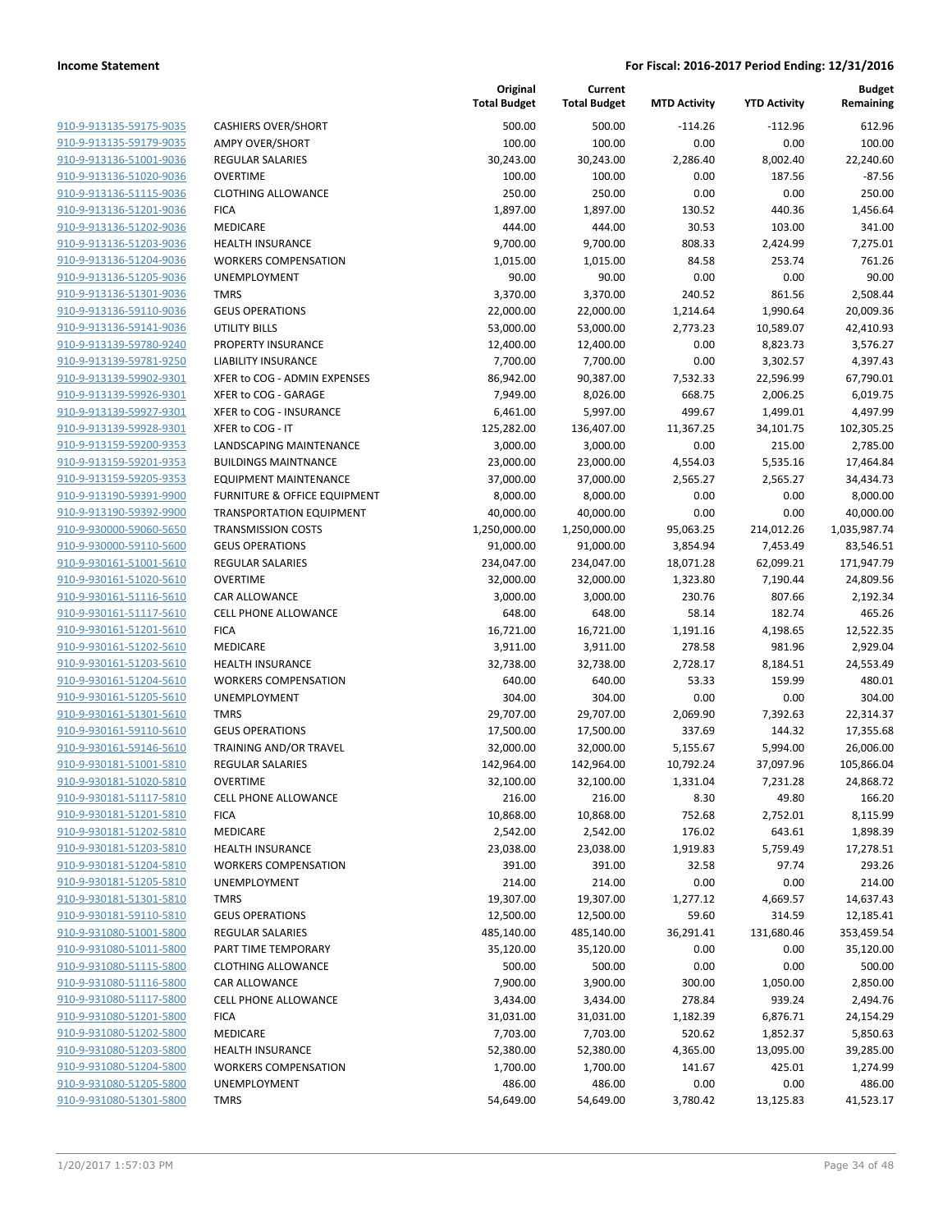| 910-9-913135-59175-9035        |
|--------------------------------|
| 910-9-913135-59179-9035        |
| 910-9-913136-51001-9036        |
| 910-9-913136-51020-9036        |
| <u>910-9-913136-51115-9036</u> |
| 910-9-913136-51201-9036        |
|                                |
| 910-9-913136-51202-9036        |
| 910-9-913136-51203-9036        |
| 910-9-913136-51204-9036        |
| <u>910-9-913136-51205-9036</u> |
| 910-9-913136-51301-9036        |
| 910-9-913136-59110-9036        |
| 910-9-913136-59141-9036        |
| 910-9-913139-59780-9240        |
| <u>910-9-913139-59781-9250</u> |
| 910-9-913139-59902-9301        |
|                                |
| 910-9-913139-59926-9301        |
| 910-9-913139-59927-9301        |
| 910-9-913139-59928-9301        |
| 910-9-913159-59200-9353        |
| 910-9-913159-59201-9353        |
| 910-9-913159-59205-9353        |
| 910-9-913190-59391-9900        |
| 910-9-913190-59392-9900        |
| <u>910-9-930000-59060-5650</u> |
| 910-9-930000-59110-5600        |
|                                |
| 910-9-930161-51001-5610        |
| 910-9-930161-51020-5610        |
| <u>910-9-930161-51116-5610</u> |
| <u>910-9-930161-51117-5610</u> |
| 910-9-930161-51201-5610        |
| 910-9-930161-51202-5610        |
| 910-9-930161-51203-5610        |
| 910-9-930161-51204-5610        |
| <u>910-9-930161-51205-5610</u> |
| 910-9-930161-51301-5610        |
| 910-9-930161-59110-5610        |
|                                |
| 910-9-930161-59146-5610        |
| <u>910-9-930181-51001-5810</u> |
| <u>910-9-930181-51020-5810</u> |
| 910-9-930181-51117-5810        |
| <u>910-9-930181-51201-5810</u> |
| 910-9-930181-51202-5810        |
| 910-9-930181-51203-5810        |
| <u>910-9-930181-51204-5810</u> |
| <u>910-9-930181-51205-5810</u> |
| 910-9-930181-51301-5810        |
|                                |
| 910-9-930181-59110-5810        |
| <u>910-9-931080-51001-5800</u> |
| <u>910-9-931080-51011-5800</u> |
| <u>910-9-931080-51115-5800</u> |
| 910-9-931080-51116-5800        |
| 910-9-931080-51117-5800        |
| 910-9-931080-51201-5800        |
| 910-9-931080-51202-5800        |
| <u>910-9-931080-51203-5800</u> |
| 910-9-931080-51204-5800        |
| 910-9-931080-51205-5800        |
| 910-9-931080-51301-5800        |
|                                |

|                                                    |                                  | Original<br><b>Total Budget</b> | Current<br><b>Total Budget</b> | <b>MTD Activity</b> | <b>YTD Activity</b> | Budget<br>Remaining |
|----------------------------------------------------|----------------------------------|---------------------------------|--------------------------------|---------------------|---------------------|---------------------|
| 910-9-913135-59175-9035                            | <b>CASHIERS OVER/SHORT</b>       | 500.00                          | 500.00                         | $-114.26$           | $-112.96$           | 612.96              |
| 910-9-913135-59179-9035                            | <b>AMPY OVER/SHORT</b>           | 100.00                          | 100.00                         | 0.00                | 0.00                | 100.00              |
| 910-9-913136-51001-9036                            | <b>REGULAR SALARIES</b>          | 30,243.00                       | 30,243.00                      | 2,286.40            | 8,002.40            | 22,240.60           |
| 910-9-913136-51020-9036                            | <b>OVERTIME</b>                  | 100.00                          | 100.00                         | 0.00                | 187.56              | $-87.56$            |
| 910-9-913136-51115-9036                            | <b>CLOTHING ALLOWANCE</b>        | 250.00                          | 250.00                         | 0.00                | 0.00                | 250.00              |
| 910-9-913136-51201-9036                            | <b>FICA</b>                      | 1,897.00                        | 1,897.00                       | 130.52              | 440.36              | 1,456.64            |
| 910-9-913136-51202-9036                            | MEDICARE                         | 444.00                          | 444.00                         | 30.53               | 103.00              | 341.00              |
| 910-9-913136-51203-9036                            | <b>HEALTH INSURANCE</b>          | 9,700.00                        | 9,700.00                       | 808.33              | 2,424.99            | 7,275.01            |
| 910-9-913136-51204-9036                            | <b>WORKERS COMPENSATION</b>      | 1,015.00                        | 1,015.00                       | 84.58               | 253.74              | 761.26              |
| 910-9-913136-51205-9036                            | <b>UNEMPLOYMENT</b>              | 90.00                           | 90.00                          | 0.00                | 0.00                | 90.00               |
| 910-9-913136-51301-9036                            | <b>TMRS</b>                      | 3,370.00                        | 3,370.00                       | 240.52              | 861.56              | 2,508.44            |
| 910-9-913136-59110-9036                            | <b>GEUS OPERATIONS</b>           | 22,000.00                       | 22,000.00                      | 1,214.64            | 1,990.64            | 20,009.36           |
| 910-9-913136-59141-9036                            | <b>UTILITY BILLS</b>             | 53,000.00                       | 53,000.00                      | 2,773.23            | 10,589.07           | 42,410.93           |
| 910-9-913139-59780-9240                            | PROPERTY INSURANCE               | 12,400.00                       | 12,400.00                      | 0.00                | 8,823.73            | 3,576.27            |
| 910-9-913139-59781-9250                            | <b>LIABILITY INSURANCE</b>       | 7,700.00                        | 7,700.00                       | 0.00                | 3,302.57            | 4,397.43            |
| 910-9-913139-59902-9301                            | XFER to COG - ADMIN EXPENSES     | 86,942.00                       | 90,387.00                      | 7,532.33            | 22,596.99           | 67,790.01           |
| 910-9-913139-59926-9301                            | XFER to COG - GARAGE             | 7,949.00                        | 8,026.00                       | 668.75              | 2,006.25            | 6,019.75            |
| 910-9-913139-59927-9301                            | XFER to COG - INSURANCE          | 6,461.00                        | 5,997.00                       | 499.67              | 1,499.01            | 4,497.99            |
| 910-9-913139-59928-9301                            | XFER to COG - IT                 | 125,282.00                      | 136,407.00                     | 11,367.25           | 34,101.75           | 102,305.25          |
| 910-9-913159-59200-9353                            | LANDSCAPING MAINTENANCE          | 3,000.00                        | 3,000.00                       | 0.00                | 215.00              | 2,785.00            |
| 910-9-913159-59201-9353                            | <b>BUILDINGS MAINTNANCE</b>      | 23,000.00                       | 23,000.00                      | 4,554.03            | 5,535.16            | 17,464.84           |
| 910-9-913159-59205-9353                            | <b>EQUIPMENT MAINTENANCE</b>     | 37,000.00                       | 37,000.00                      | 2,565.27            | 2,565.27            | 34,434.73           |
| 910-9-913190-59391-9900                            | FURNITURE & OFFICE EQUIPMENT     | 8,000.00                        | 8,000.00                       | 0.00                | 0.00                | 8,000.00            |
| 910-9-913190-59392-9900                            | <b>TRANSPORTATION EQUIPMENT</b>  | 40,000.00                       | 40,000.00                      | 0.00                | 0.00                | 40,000.00           |
| 910-9-930000-59060-5650                            | <b>TRANSMISSION COSTS</b>        | 1,250,000.00                    | 1,250,000.00                   | 95,063.25           | 214,012.26          | 1,035,987.74        |
| 910-9-930000-59110-5600<br>910-9-930161-51001-5610 | <b>GEUS OPERATIONS</b>           | 91,000.00                       | 91,000.00                      | 3,854.94            | 7,453.49            | 83,546.51           |
|                                                    | <b>REGULAR SALARIES</b>          | 234,047.00                      | 234,047.00                     | 18,071.28           | 62,099.21           | 171,947.79          |
| 910-9-930161-51020-5610<br>910-9-930161-51116-5610 | <b>OVERTIME</b><br>CAR ALLOWANCE | 32,000.00                       | 32,000.00                      | 1,323.80<br>230.76  | 7,190.44<br>807.66  | 24,809.56           |
| 910-9-930161-51117-5610                            | <b>CELL PHONE ALLOWANCE</b>      | 3,000.00<br>648.00              | 3,000.00<br>648.00             | 58.14               | 182.74              | 2,192.34<br>465.26  |
| 910-9-930161-51201-5610                            | <b>FICA</b>                      | 16,721.00                       | 16,721.00                      | 1,191.16            | 4,198.65            | 12,522.35           |
| 910-9-930161-51202-5610                            | MEDICARE                         | 3,911.00                        | 3,911.00                       | 278.58              | 981.96              | 2,929.04            |
| 910-9-930161-51203-5610                            | <b>HEALTH INSURANCE</b>          | 32,738.00                       | 32,738.00                      | 2,728.17            | 8,184.51            | 24,553.49           |
| 910-9-930161-51204-5610                            | <b>WORKERS COMPENSATION</b>      | 640.00                          | 640.00                         | 53.33               | 159.99              | 480.01              |
| 910-9-930161-51205-5610                            | <b>UNEMPLOYMENT</b>              | 304.00                          | 304.00                         | 0.00                | 0.00                | 304.00              |
| 910-9-930161-51301-5610                            | <b>TMRS</b>                      | 29,707.00                       | 29,707.00                      | 2,069.90            | 7,392.63            | 22,314.37           |
| 910-9-930161-59110-5610                            | <b>GEUS OPERATIONS</b>           | 17,500.00                       | 17,500.00                      | 337.69              | 144.32              | 17,355.68           |
| 910-9-930161-59146-5610                            | TRAINING AND/OR TRAVEL           | 32,000.00                       | 32,000.00                      | 5,155.67            | 5,994.00            | 26,006.00           |
| 910-9-930181-51001-5810                            | <b>REGULAR SALARIES</b>          | 142,964.00                      | 142,964.00                     | 10,792.24           | 37,097.96           | 105,866.04          |
| 910-9-930181-51020-5810                            | <b>OVERTIME</b>                  | 32,100.00                       | 32,100.00                      | 1,331.04            | 7,231.28            | 24,868.72           |
| 910-9-930181-51117-5810                            | <b>CELL PHONE ALLOWANCE</b>      | 216.00                          | 216.00                         | 8.30                | 49.80               | 166.20              |
| 910-9-930181-51201-5810                            | <b>FICA</b>                      | 10,868.00                       | 10,868.00                      | 752.68              | 2,752.01            | 8,115.99            |
| 910-9-930181-51202-5810                            | MEDICARE                         | 2,542.00                        | 2,542.00                       | 176.02              | 643.61              | 1,898.39            |
| 910-9-930181-51203-5810                            | <b>HEALTH INSURANCE</b>          | 23,038.00                       | 23,038.00                      | 1,919.83            | 5,759.49            | 17,278.51           |
| 910-9-930181-51204-5810                            | <b>WORKERS COMPENSATION</b>      | 391.00                          | 391.00                         | 32.58               | 97.74               | 293.26              |
| 910-9-930181-51205-5810                            | UNEMPLOYMENT                     | 214.00                          | 214.00                         | 0.00                | 0.00                | 214.00              |
| 910-9-930181-51301-5810                            | <b>TMRS</b>                      | 19,307.00                       | 19,307.00                      | 1,277.12            | 4,669.57            | 14,637.43           |
| 910-9-930181-59110-5810                            | <b>GEUS OPERATIONS</b>           | 12,500.00                       | 12,500.00                      | 59.60               | 314.59              | 12,185.41           |
| 910-9-931080-51001-5800                            | REGULAR SALARIES                 | 485,140.00                      | 485,140.00                     | 36,291.41           | 131,680.46          | 353,459.54          |
| 910-9-931080-51011-5800                            | PART TIME TEMPORARY              | 35,120.00                       | 35,120.00                      | 0.00                | 0.00                | 35,120.00           |
| 910-9-931080-51115-5800                            | <b>CLOTHING ALLOWANCE</b>        | 500.00                          | 500.00                         | 0.00                | 0.00                | 500.00              |
| 910-9-931080-51116-5800                            | CAR ALLOWANCE                    | 7,900.00                        | 3,900.00                       | 300.00              | 1,050.00            | 2,850.00            |
| 910-9-931080-51117-5800                            | <b>CELL PHONE ALLOWANCE</b>      | 3,434.00                        | 3,434.00                       | 278.84              | 939.24              | 2,494.76            |
| 910-9-931080-51201-5800                            | <b>FICA</b>                      | 31,031.00                       | 31,031.00                      | 1,182.39            | 6,876.71            | 24,154.29           |
| 910-9-931080-51202-5800                            | MEDICARE                         | 7,703.00                        | 7,703.00                       | 520.62              | 1,852.37            | 5,850.63            |
| 910-9-931080-51203-5800                            | <b>HEALTH INSURANCE</b>          | 52,380.00                       | 52,380.00                      | 4,365.00            | 13,095.00           | 39,285.00           |
| 910-9-931080-51204-5800                            | <b>WORKERS COMPENSATION</b>      | 1,700.00                        | 1,700.00                       | 141.67              | 425.01              | 1,274.99            |
| 910-9-931080-51205-5800                            | UNEMPLOYMENT                     | 486.00                          | 486.00                         | 0.00                | 0.00                | 486.00              |
| 910-9-931080-51301-5800                            | <b>TMRS</b>                      | 54,649.00                       | 54,649.00                      | 3,780.42            | 13,125.83           | 41,523.17           |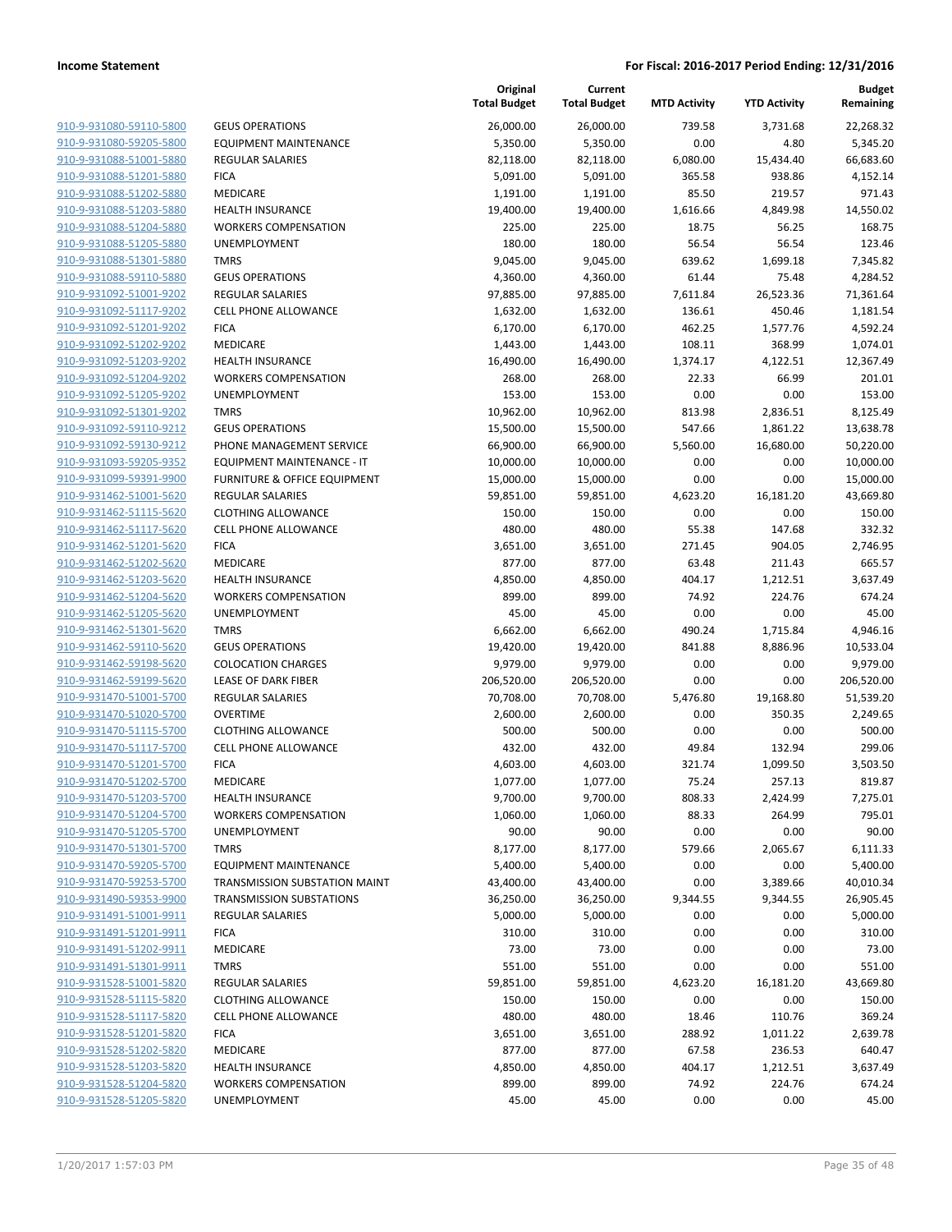| 910-9-931080-59110-5800 | GEU.             |
|-------------------------|------------------|
| 910-9-931080-59205-5800 | EQU              |
| 910-9-931088-51001-5880 | <b>REGI</b>      |
| 910-9-931088-51201-5880 | <b>FICA</b>      |
| 910-9-931088-51202-5880 | MED              |
|                         | <b>HEA</b>       |
| 910-9-931088-51203-5880 |                  |
| 910-9-931088-51204-5880 | <b>WOF</b>       |
| 910-9-931088-51205-5880 | UNE              |
| 910-9-931088-51301-5880 | <b>TMR</b>       |
| 910-9-931088-59110-5880 | <b>GEU</b>       |
| 910-9-931092-51001-9202 | <b>REGI</b>      |
| 910-9-931092-51117-9202 | CELL             |
| 910-9-931092-51201-9202 | <b>FICA</b>      |
| 910-9-931092-51202-9202 | MED              |
| 910-9-931092-51203-9202 | HEA              |
| 910-9-931092-51204-9202 | <b>WOF</b>       |
| 910-9-931092-51205-9202 | <b>UNE</b>       |
| 910-9-931092-51301-9202 | <b>TMR</b>       |
| 910-9-931092-59110-9212 | GEU.             |
| 910-9-931092-59130-9212 | PHO              |
| 910-9-931093-59205-9352 | EQU              |
| 910-9-931099-59391-9900 | <b>FURI</b>      |
| 910-9-931462-51001-5620 | <b>REGI</b>      |
| 910-9-931462-51115-5620 | CLO <sub>1</sub> |
| 910-9-931462-51117-5620 | <b>CELL</b>      |
| 910-9-931462-51201-5620 | <b>FICA</b>      |
| 910-9-931462-51202-5620 | MED              |
| 910-9-931462-51203-5620 | <b>HEA</b>       |
| 910-9-931462-51204-5620 | <b>WOF</b>       |
| 910-9-931462-51205-5620 | <b>UNE</b>       |
| 910-9-931462-51301-5620 | TMR              |
| 910-9-931462-59110-5620 | GEU.             |
| 910-9-931462-59198-5620 | <b>COL</b>       |
| 910-9-931462-59199-5620 | LEAS             |
| 910-9-931470-51001-5700 | <b>REGI</b>      |
|                         | <b>OVE</b>       |
| 910-9-931470-51020-5700 |                  |
| 910-9-931470-51115-5700 | CLO <sub>1</sub> |
| 910-9-931470-51117-5700 | <b>CELL</b>      |
| 910-9-931470-51201-5700 | <b>FICA</b>      |
| 910-9-931470-51202-5700 | MED              |
| 910-9-931470-51203-5700 | <b>HEA</b>       |
| 910-9-931470-51204-5700 | WOF              |
| 910-9-931470-51205-5700 | <b>UNE</b>       |
| 910-9-931470-51301-5700 | TMR              |
| 910-9-931470-59205-5700 | EQU              |
| 910-9-931470-59253-5700 | TRAI             |
| 910-9-931490-59353-9900 | TRAI             |
| 910-9-931491-51001-9911 | <b>REGI</b>      |
| 910-9-931491-51201-9911 | <b>FICA</b>      |
| 910-9-931491-51202-9911 | MED              |
| 910-9-931491-51301-9911 | TMR              |
| 910-9-931528-51001-5820 | <b>REGI</b>      |
| 910-9-931528-51115-5820 | CLO <sub>1</sub> |
| 910-9-931528-51117-5820 | CELL             |
| 910-9-931528-51201-5820 | <b>FICA</b>      |
| 910-9-931528-51202-5820 | MED              |
| 910-9-931528-51203-5820 | <b>HEA</b>       |
| 910-9-931528-51204-5820 | WOF              |
| 910-9-931528-51205-5820 | une              |
|                         |                  |

|                         |                                 | Original<br><b>Total Budget</b> | Current<br><b>Total Budget</b> | <b>MTD Activity</b> | <b>YTD Activity</b> | <b>Budget</b><br>Remaining |
|-------------------------|---------------------------------|---------------------------------|--------------------------------|---------------------|---------------------|----------------------------|
| 910-9-931080-59110-5800 | <b>GEUS OPERATIONS</b>          | 26,000.00                       | 26,000.00                      | 739.58              | 3,731.68            | 22,268.32                  |
| 910-9-931080-59205-5800 | <b>EQUIPMENT MAINTENANCE</b>    | 5,350.00                        | 5,350.00                       | 0.00                | 4.80                | 5,345.20                   |
| 910-9-931088-51001-5880 | <b>REGULAR SALARIES</b>         | 82,118.00                       | 82,118.00                      | 6,080.00            | 15,434.40           | 66,683.60                  |
| 910-9-931088-51201-5880 | <b>FICA</b>                     | 5,091.00                        | 5,091.00                       | 365.58              | 938.86              | 4,152.14                   |
| 910-9-931088-51202-5880 | MEDICARE                        | 1,191.00                        | 1,191.00                       | 85.50               | 219.57              | 971.43                     |
| 910-9-931088-51203-5880 | <b>HEALTH INSURANCE</b>         | 19,400.00                       | 19,400.00                      | 1,616.66            | 4,849.98            | 14,550.02                  |
| 910-9-931088-51204-5880 | <b>WORKERS COMPENSATION</b>     | 225.00                          | 225.00                         | 18.75               | 56.25               | 168.75                     |
| 910-9-931088-51205-5880 | UNEMPLOYMENT                    | 180.00                          | 180.00                         | 56.54               | 56.54               | 123.46                     |
| 910-9-931088-51301-5880 | <b>TMRS</b>                     | 9,045.00                        | 9,045.00                       | 639.62              | 1,699.18            | 7,345.82                   |
| 910-9-931088-59110-5880 | <b>GEUS OPERATIONS</b>          | 4,360.00                        | 4,360.00                       | 61.44               | 75.48               | 4,284.52                   |
| 910-9-931092-51001-9202 | <b>REGULAR SALARIES</b>         | 97,885.00                       | 97,885.00                      | 7,611.84            | 26,523.36           | 71,361.64                  |
| 910-9-931092-51117-9202 | <b>CELL PHONE ALLOWANCE</b>     | 1,632.00                        | 1,632.00                       | 136.61              | 450.46              | 1,181.54                   |
| 910-9-931092-51201-9202 | <b>FICA</b>                     | 6,170.00                        | 6,170.00                       | 462.25              | 1,577.76            | 4,592.24                   |
| 910-9-931092-51202-9202 | MEDICARE                        | 1,443.00                        | 1,443.00                       | 108.11              | 368.99              | 1,074.01                   |
| 910-9-931092-51203-9202 | <b>HEALTH INSURANCE</b>         | 16,490.00                       | 16,490.00                      | 1,374.17            | 4,122.51            | 12,367.49                  |
| 910-9-931092-51204-9202 | <b>WORKERS COMPENSATION</b>     | 268.00                          | 268.00                         | 22.33               | 66.99               | 201.01                     |
| 910-9-931092-51205-9202 | <b>UNEMPLOYMENT</b>             | 153.00                          | 153.00                         | 0.00                | 0.00                | 153.00                     |
| 910-9-931092-51301-9202 | <b>TMRS</b>                     | 10,962.00                       | 10,962.00                      | 813.98              | 2,836.51            | 8,125.49                   |
| 910-9-931092-59110-9212 | <b>GEUS OPERATIONS</b>          | 15,500.00                       | 15,500.00                      | 547.66              | 1,861.22            | 13,638.78                  |
| 910-9-931092-59130-9212 | PHONE MANAGEMENT SERVICE        | 66,900.00                       | 66,900.00                      | 5,560.00            | 16,680.00           | 50,220.00                  |
| 910-9-931093-59205-9352 | EQUIPMENT MAINTENANCE - IT      | 10,000.00                       | 10,000.00                      | 0.00                | 0.00                | 10,000.00                  |
| 910-9-931099-59391-9900 | FURNITURE & OFFICE EQUIPMENT    | 15,000.00                       | 15,000.00                      | 0.00                | 0.00                | 15,000.00                  |
| 910-9-931462-51001-5620 | <b>REGULAR SALARIES</b>         | 59,851.00                       | 59,851.00                      | 4,623.20            | 16,181.20           | 43,669.80                  |
| 910-9-931462-51115-5620 | <b>CLOTHING ALLOWANCE</b>       | 150.00                          | 150.00                         | 0.00                | 0.00                | 150.00                     |
| 910-9-931462-51117-5620 | <b>CELL PHONE ALLOWANCE</b>     | 480.00                          | 480.00                         | 55.38               | 147.68              | 332.32                     |
| 910-9-931462-51201-5620 | <b>FICA</b>                     | 3,651.00                        | 3,651.00                       | 271.45              | 904.05              | 2,746.95                   |
| 910-9-931462-51202-5620 | MEDICARE                        | 877.00                          | 877.00                         | 63.48               | 211.43              | 665.57                     |
| 910-9-931462-51203-5620 | <b>HEALTH INSURANCE</b>         | 4,850.00                        | 4,850.00                       | 404.17              | 1,212.51            | 3,637.49                   |
| 910-9-931462-51204-5620 | <b>WORKERS COMPENSATION</b>     | 899.00                          | 899.00                         | 74.92               | 224.76              | 674.24                     |
| 910-9-931462-51205-5620 | UNEMPLOYMENT                    | 45.00                           | 45.00                          | 0.00                | 0.00                | 45.00                      |
| 910-9-931462-51301-5620 | <b>TMRS</b>                     | 6,662.00                        | 6,662.00                       | 490.24              | 1,715.84            | 4,946.16                   |
| 910-9-931462-59110-5620 | <b>GEUS OPERATIONS</b>          | 19,420.00                       | 19,420.00                      | 841.88              | 8,886.96            | 10,533.04                  |
| 910-9-931462-59198-5620 | <b>COLOCATION CHARGES</b>       | 9,979.00                        | 9,979.00                       | 0.00                | 0.00                | 9,979.00                   |
| 910-9-931462-59199-5620 | LEASE OF DARK FIBER             | 206,520.00                      | 206,520.00                     | 0.00                | 0.00                | 206,520.00                 |
| 910-9-931470-51001-5700 | <b>REGULAR SALARIES</b>         | 70,708.00                       | 70,708.00                      | 5,476.80            | 19,168.80           | 51,539.20                  |
| 910-9-931470-51020-5700 | <b>OVERTIME</b>                 | 2,600.00                        | 2,600.00                       | 0.00                | 350.35              | 2,249.65                   |
| 910-9-931470-51115-5700 | <b>CLOTHING ALLOWANCE</b>       | 500.00                          | 500.00                         | 0.00                | 0.00                | 500.00                     |
| 910-9-931470-51117-5700 | <b>CELL PHONE ALLOWANCE</b>     | 432.00                          | 432.00                         | 49.84               | 132.94              | 299.06                     |
| 910-9-931470-51201-5700 | <b>FICA</b>                     | 4,603.00                        | 4,603.00                       | 321.74              | 1,099.50            | 3,503.50                   |
| 910-9-931470-51202-5700 | MEDICARE                        | 1,077.00                        | 1,077.00                       | 75.24               | 257.13              | 819.87                     |
| 910-9-931470-51203-5700 | <b>HEALTH INSURANCE</b>         | 9,700.00                        | 9,700.00                       | 808.33              | 2,424.99            | 7,275.01                   |
| 910-9-931470-51204-5700 | <b>WORKERS COMPENSATION</b>     | 1,060.00                        | 1,060.00                       | 88.33               | 264.99              | 795.01                     |
| 910-9-931470-51205-5700 | UNEMPLOYMENT                    | 90.00                           | 90.00                          | 0.00                | 0.00                | 90.00                      |
| 910-9-931470-51301-5700 | <b>TMRS</b>                     | 8,177.00                        | 8,177.00                       | 579.66              | 2,065.67            | 6,111.33                   |
| 910-9-931470-59205-5700 | <b>EQUIPMENT MAINTENANCE</b>    | 5,400.00                        | 5,400.00                       | 0.00                | 0.00                | 5,400.00                   |
| 910-9-931470-59253-5700 | TRANSMISSION SUBSTATION MAINT   | 43,400.00                       | 43,400.00                      | 0.00                | 3,389.66            | 40,010.34                  |
| 910-9-931490-59353-9900 | <b>TRANSMISSION SUBSTATIONS</b> | 36,250.00                       | 36,250.00                      | 9,344.55            | 9,344.55            | 26,905.45                  |
| 910-9-931491-51001-9911 | <b>REGULAR SALARIES</b>         | 5,000.00                        | 5,000.00                       | 0.00                | 0.00                | 5,000.00                   |
| 910-9-931491-51201-9911 | <b>FICA</b>                     | 310.00                          | 310.00                         | 0.00                | 0.00                | 310.00                     |
| 910-9-931491-51202-9911 | MEDICARE                        | 73.00                           | 73.00                          | 0.00                | 0.00                | 73.00                      |
| 910-9-931491-51301-9911 | <b>TMRS</b>                     | 551.00                          | 551.00                         | 0.00                | 0.00                | 551.00                     |
| 910-9-931528-51001-5820 | REGULAR SALARIES                | 59,851.00                       | 59,851.00                      | 4,623.20            | 16,181.20           | 43,669.80                  |
| 910-9-931528-51115-5820 | <b>CLOTHING ALLOWANCE</b>       | 150.00                          | 150.00                         | 0.00                | 0.00                | 150.00                     |
| 910-9-931528-51117-5820 | <b>CELL PHONE ALLOWANCE</b>     | 480.00                          | 480.00                         | 18.46               | 110.76              | 369.24                     |
| 910-9-931528-51201-5820 | <b>FICA</b>                     | 3,651.00                        | 3,651.00                       | 288.92              | 1,011.22            | 2,639.78                   |
| 910-9-931528-51202-5820 | MEDICARE                        | 877.00                          | 877.00                         | 67.58               | 236.53              | 640.47                     |
| 910-9-931528-51203-5820 | <b>HEALTH INSURANCE</b>         | 4,850.00                        | 4,850.00                       | 404.17              | 1,212.51            | 3,637.49                   |
| 910-9-931528-51204-5820 | <b>WORKERS COMPENSATION</b>     | 899.00                          | 899.00                         | 74.92               | 224.76              | 674.24                     |
| 910-9-931528-51205-5820 | UNEMPLOYMENT                    | 45.00                           | 45.00                          | 0.00                | 0.00                | 45.00                      |
|                         |                                 |                                 |                                |                     |                     |                            |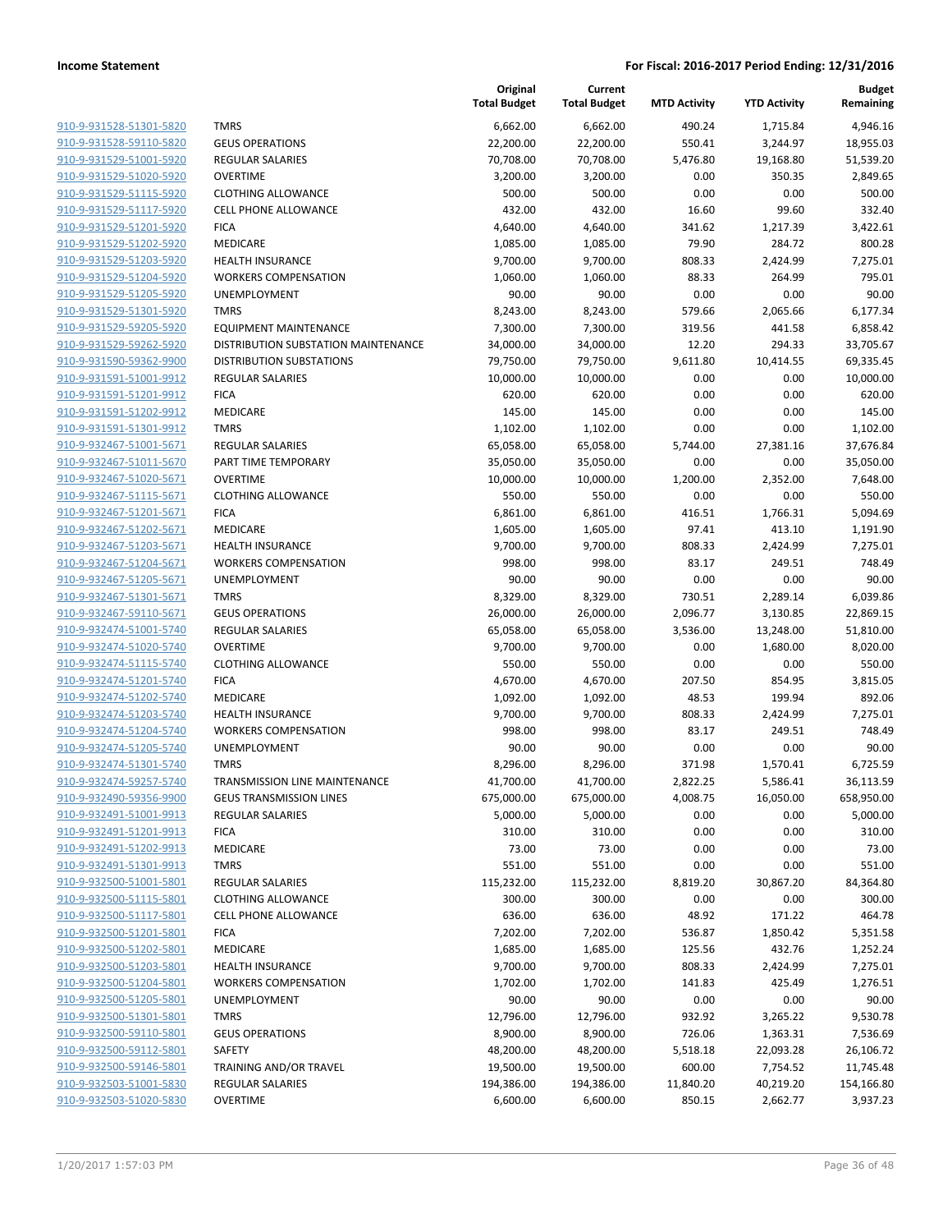| <u>910-9-931528-51301-5820</u>                     |
|----------------------------------------------------|
| 910-9-931528-59110-5820                            |
| 910-9-931529-51001-5920                            |
| 910-9-931529-51020-5920                            |
| 910-9-931529-51115-5920                            |
| 910-9-931529-51117-5920                            |
| 910-9-931529-51201-5920                            |
| 910-9-931529-51202-5920                            |
| 910-9-931529-51203-5920                            |
| 910-9-931529-51204-5920                            |
| 910-9-931529-51205-5920                            |
| 910-9-931529-51301-5920                            |
|                                                    |
| 910-9-931529-59205-5920                            |
| 910-9-931529-59262-5920                            |
| 910-9-931590-59362-9900                            |
| 910-9-931591-51001-9912                            |
| 910-9-931591-51201-9912                            |
| 910-9-931591-51202-9912                            |
| 910-9-931591-51301-9912                            |
| 910-9-932467-51001-5671                            |
| 910-9-932467-51011-5670                            |
| 910-9-932467-51020-5671                            |
| 910-9-932467-51115-5671                            |
| 910-9-932467-51201-5671                            |
| 910-9-932467-51202-5671                            |
| 910-9-932467-51203-5671                            |
| 910-9-932467-51204-5671                            |
| 910-9-932467-51205-5671                            |
| 910-9-932467-51301-5671                            |
| 910-9-932467-59110-5671                            |
| 910-9-932474-51001-5740                            |
| 910-9-932474-51020-5740                            |
| 910-9-932474-51115-5740                            |
| 910-9-932474-51201-5740                            |
| 910-9-932474-51202-5740                            |
| 910-9-932474-51203-5740                            |
| 910-9-932474-51204-5740                            |
|                                                    |
| 910-9-932474-51205-5740                            |
| 910-9-932474-51301-5740                            |
| 910-9-932474-59257-5740                            |
| 910-9-932490-59356-9900                            |
| 910-9-932491-51001-9913                            |
| 910-9-932491-51201-9913                            |
| 910-9-932491-51202-9913                            |
| 910-9-932491-51301-9913                            |
| 910-9-932500-51001-5801                            |
| 910-9-932500-51115-5801                            |
| 910-9-932500-51117-5801                            |
| 910-9-932500-51201-5801                            |
| 910-9-932500-51202-5801                            |
| 910-9-932500-51203-5801                            |
| 910-9-932500-51204-5801                            |
| 910-9-932500-51205-5801                            |
| 910-9-932500-51301-5801                            |
| 910-9-932500-59110-5801                            |
| 910-9-932500-59112-5801                            |
| 910-9-932500-59146-5801                            |
|                                                    |
|                                                    |
| 910-9-932503-51001-5830<br>910-9-932503-51020-5830 |

|                                                    |                                     | Original<br><b>Total Budget</b> | Current<br><b>Total Budget</b> | <b>MTD Activity</b> | <b>YTD Activity</b> | <b>Budget</b><br>Remaining |
|----------------------------------------------------|-------------------------------------|---------------------------------|--------------------------------|---------------------|---------------------|----------------------------|
| 910-9-931528-51301-5820                            | <b>TMRS</b>                         | 6,662.00                        | 6,662.00                       | 490.24              | 1,715.84            | 4,946.16                   |
| 910-9-931528-59110-5820                            | <b>GEUS OPERATIONS</b>              | 22,200.00                       | 22,200.00                      | 550.41              | 3,244.97            | 18,955.03                  |
| 910-9-931529-51001-5920                            | <b>REGULAR SALARIES</b>             | 70,708.00                       | 70,708.00                      | 5,476.80            | 19,168.80           | 51,539.20                  |
| 910-9-931529-51020-5920                            | <b>OVERTIME</b>                     | 3,200.00                        | 3,200.00                       | 0.00                | 350.35              | 2,849.65                   |
| 910-9-931529-51115-5920                            | <b>CLOTHING ALLOWANCE</b>           | 500.00                          | 500.00                         | 0.00                | 0.00                | 500.00                     |
| 910-9-931529-51117-5920                            | <b>CELL PHONE ALLOWANCE</b>         | 432.00                          | 432.00                         | 16.60               | 99.60               | 332.40                     |
| 910-9-931529-51201-5920                            | <b>FICA</b>                         | 4,640.00                        | 4,640.00                       | 341.62              | 1,217.39            | 3,422.61                   |
| 910-9-931529-51202-5920                            | MEDICARE                            | 1,085.00                        | 1,085.00                       | 79.90               | 284.72              | 800.28                     |
| 910-9-931529-51203-5920                            | <b>HEALTH INSURANCE</b>             | 9,700.00                        | 9,700.00                       | 808.33              | 2,424.99            | 7,275.01                   |
| 910-9-931529-51204-5920                            | <b>WORKERS COMPENSATION</b>         | 1,060.00                        | 1,060.00                       | 88.33               | 264.99              | 795.01                     |
| 910-9-931529-51205-5920                            | <b>UNEMPLOYMENT</b>                 | 90.00                           | 90.00                          | 0.00                | 0.00                | 90.00                      |
| 910-9-931529-51301-5920                            | <b>TMRS</b>                         | 8,243.00                        | 8,243.00                       | 579.66              | 2,065.66            | 6,177.34                   |
| 910-9-931529-59205-5920                            | <b>EQUIPMENT MAINTENANCE</b>        | 7,300.00                        | 7,300.00                       | 319.56              | 441.58              | 6,858.42                   |
| 910-9-931529-59262-5920                            | DISTRIBUTION SUBSTATION MAINTENANCE | 34,000.00                       | 34,000.00                      | 12.20               | 294.33              | 33,705.67                  |
| 910-9-931590-59362-9900                            | <b>DISTRIBUTION SUBSTATIONS</b>     | 79,750.00                       | 79,750.00                      | 9,611.80            | 10,414.55           | 69,335.45                  |
| 910-9-931591-51001-9912                            | <b>REGULAR SALARIES</b>             | 10,000.00                       | 10,000.00                      | 0.00                | 0.00                | 10,000.00                  |
| 910-9-931591-51201-9912                            | <b>FICA</b>                         | 620.00                          | 620.00                         | 0.00                | 0.00                | 620.00                     |
| 910-9-931591-51202-9912                            | MEDICARE                            | 145.00                          | 145.00                         | 0.00                | 0.00                | 145.00                     |
| 910-9-931591-51301-9912                            | <b>TMRS</b>                         | 1,102.00                        | 1,102.00                       | 0.00                | 0.00                | 1,102.00                   |
| 910-9-932467-51001-5671                            | <b>REGULAR SALARIES</b>             | 65,058.00                       | 65,058.00                      | 5,744.00            | 27,381.16           | 37,676.84                  |
| 910-9-932467-51011-5670                            | PART TIME TEMPORARY                 | 35,050.00                       | 35,050.00                      | 0.00                | 0.00                | 35,050.00                  |
| 910-9-932467-51020-5671                            | <b>OVERTIME</b>                     | 10,000.00                       | 10,000.00                      | 1,200.00            | 2,352.00            | 7,648.00                   |
| 910-9-932467-51115-5671                            | <b>CLOTHING ALLOWANCE</b>           | 550.00                          | 550.00                         | 0.00                | 0.00                | 550.00                     |
| 910-9-932467-51201-5671                            | <b>FICA</b>                         | 6,861.00                        | 6,861.00                       | 416.51              | 1,766.31            | 5,094.69                   |
| 910-9-932467-51202-5671                            | MEDICARE                            | 1,605.00                        | 1,605.00                       | 97.41               | 413.10              | 1,191.90                   |
| 910-9-932467-51203-5671                            | <b>HEALTH INSURANCE</b>             | 9,700.00                        | 9,700.00                       | 808.33              | 2,424.99            | 7,275.01                   |
| 910-9-932467-51204-5671                            | <b>WORKERS COMPENSATION</b>         | 998.00                          | 998.00                         | 83.17               | 249.51              | 748.49                     |
| 910-9-932467-51205-5671                            | <b>UNEMPLOYMENT</b>                 | 90.00                           | 90.00                          | 0.00                | 0.00                | 90.00                      |
| 910-9-932467-51301-5671                            | <b>TMRS</b>                         | 8,329.00                        | 8,329.00                       | 730.51              | 2,289.14            | 6,039.86                   |
| 910-9-932467-59110-5671                            | <b>GEUS OPERATIONS</b>              | 26,000.00                       | 26,000.00                      | 2,096.77            | 3,130.85            | 22,869.15                  |
| 910-9-932474-51001-5740                            | <b>REGULAR SALARIES</b>             | 65,058.00                       | 65,058.00                      | 3,536.00            | 13,248.00           | 51,810.00                  |
| 910-9-932474-51020-5740                            | <b>OVERTIME</b>                     | 9,700.00                        | 9,700.00                       | 0.00                | 1,680.00            | 8,020.00                   |
| 910-9-932474-51115-5740<br>910-9-932474-51201-5740 | <b>CLOTHING ALLOWANCE</b>           | 550.00                          | 550.00                         | 0.00                | 0.00                | 550.00                     |
| 910-9-932474-51202-5740                            | <b>FICA</b><br>MEDICARE             | 4,670.00<br>1,092.00            | 4,670.00                       | 207.50<br>48.53     | 854.95<br>199.94    | 3,815.05<br>892.06         |
| 910-9-932474-51203-5740                            | <b>HEALTH INSURANCE</b>             | 9,700.00                        | 1,092.00<br>9,700.00           | 808.33              | 2,424.99            | 7,275.01                   |
| 910-9-932474-51204-5740                            | <b>WORKERS COMPENSATION</b>         | 998.00                          | 998.00                         | 83.17               | 249.51              | 748.49                     |
| 910-9-932474-51205-5740                            | UNEMPLOYMENT                        | 90.00                           | 90.00                          | 0.00                | 0.00                | 90.00                      |
| 910-9-932474-51301-5740                            | <b>TMRS</b>                         | 8,296.00                        | 8,296.00                       | 371.98              | 1,570.41            | 6,725.59                   |
| 910-9-932474-59257-5740                            | TRANSMISSION LINE MAINTENANCE       | 41,700.00                       | 41,700.00                      | 2,822.25            | 5,586.41            | 36,113.59                  |
| 910-9-932490-59356-9900                            | <b>GEUS TRANSMISSION LINES</b>      | 675,000.00                      | 675,000.00                     | 4,008.75            | 16,050.00           | 658,950.00                 |
| 910-9-932491-51001-9913                            | <b>REGULAR SALARIES</b>             | 5,000.00                        | 5,000.00                       | 0.00                | 0.00                | 5,000.00                   |
| 910-9-932491-51201-9913                            | <b>FICA</b>                         | 310.00                          | 310.00                         | 0.00                | 0.00                | 310.00                     |
| 910-9-932491-51202-9913                            | MEDICARE                            | 73.00                           | 73.00                          | 0.00                | 0.00                | 73.00                      |
| 910-9-932491-51301-9913                            | <b>TMRS</b>                         | 551.00                          | 551.00                         | 0.00                | 0.00                | 551.00                     |
| 910-9-932500-51001-5801                            | <b>REGULAR SALARIES</b>             | 115,232.00                      | 115,232.00                     | 8,819.20            | 30,867.20           | 84,364.80                  |
| 910-9-932500-51115-5801                            | <b>CLOTHING ALLOWANCE</b>           | 300.00                          | 300.00                         | 0.00                | 0.00                | 300.00                     |
| 910-9-932500-51117-5801                            | CELL PHONE ALLOWANCE                | 636.00                          | 636.00                         | 48.92               | 171.22              | 464.78                     |
| 910-9-932500-51201-5801                            | <b>FICA</b>                         | 7,202.00                        | 7,202.00                       | 536.87              | 1,850.42            | 5,351.58                   |
| 910-9-932500-51202-5801                            | MEDICARE                            | 1,685.00                        | 1,685.00                       | 125.56              | 432.76              | 1,252.24                   |
| 910-9-932500-51203-5801                            | <b>HEALTH INSURANCE</b>             | 9,700.00                        | 9,700.00                       | 808.33              | 2,424.99            | 7,275.01                   |
| 910-9-932500-51204-5801                            | <b>WORKERS COMPENSATION</b>         | 1,702.00                        | 1,702.00                       | 141.83              | 425.49              | 1,276.51                   |
| 910-9-932500-51205-5801                            | <b>UNEMPLOYMENT</b>                 | 90.00                           | 90.00                          | 0.00                | 0.00                | 90.00                      |
| 910-9-932500-51301-5801                            | <b>TMRS</b>                         | 12,796.00                       | 12,796.00                      | 932.92              | 3,265.22            | 9,530.78                   |
| 910-9-932500-59110-5801                            | <b>GEUS OPERATIONS</b>              | 8,900.00                        | 8,900.00                       | 726.06              | 1,363.31            | 7,536.69                   |
| 910-9-932500-59112-5801                            | SAFETY                              | 48,200.00                       | 48,200.00                      | 5,518.18            | 22,093.28           | 26,106.72                  |
| 910-9-932500-59146-5801                            | TRAINING AND/OR TRAVEL              | 19,500.00                       | 19,500.00                      | 600.00              | 7,754.52            | 11,745.48                  |
| 910-9-932503-51001-5830                            | <b>REGULAR SALARIES</b>             | 194,386.00                      | 194,386.00                     | 11,840.20           | 40,219.20           | 154,166.80                 |
| 910-9-932503-51020-5830                            | <b>OVERTIME</b>                     | 6,600.00                        | 6,600.00                       | 850.15              | 2,662.77            | 3,937.23                   |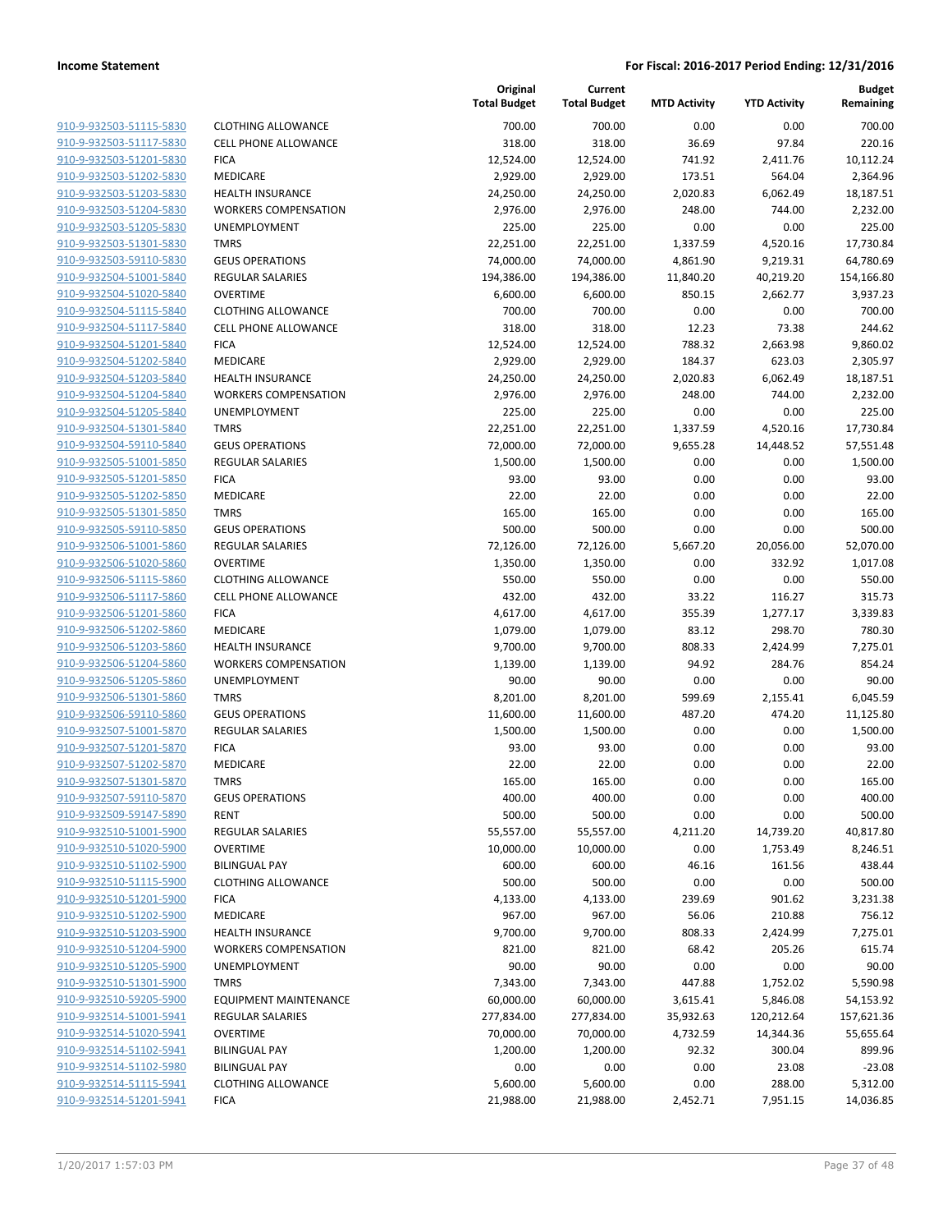| 910-9-932503-51115-5830        |
|--------------------------------|
| 910-9-932503-51117-5830        |
| 910-9-932503-51201-5830        |
| 910-9-932503-51202-5830        |
| 910-9-932503-51203-5830        |
| <u>910-9-932503-51204-5830</u> |
| 910-9-932503-51205-5830        |
| 910-9-932503-51301-5830        |
| 910-9-932503-59110-5830        |
| 910-9-932504-51001-5840        |
| 910-9-932504-51020-5840        |
| 910-9-932504-51115-5840        |
| 910-9-932504-51117-5840        |
| 910-9-932504-51201-5840        |
| <u>910-9-932504-51202-5840</u> |
| 910-9-932504-51203-5840        |
| 910-9-932504-51204-5840        |
| 910-9-932504-51205-5840        |
| 910-9-932504-51301-5840        |
| 910-9-932504-59110-5840        |
| 910-9-932505-51001-5850        |
| 910-9-932505-51201-5850        |
| 910-9-932505-51202-5850        |
| 910-9-932505-51301-5850        |
|                                |
| <u>910-9-932505-59110-5850</u> |
| <u>910-9-932506-51001-5860</u> |
| 910-9-932506-51020-5860        |
| 910-9-932506-51115-5860        |
| 910-9-932506-51117-5860        |
| 910-9-932506-51201-5860        |
| 910-9-932506-51202-5860        |
| 910-9-932506-51203-5860        |
| 910-9-932506-51204-5860        |
| 910-9-932506-51205-5860        |
| <u>910-9-932506-51301-5860</u> |
| <u>910-9-932506-59110-5860</u> |
| 910-9-932507-51001-5870        |
| 910-9-932507-51201-5870        |
| 910-9-932507-51202-5870        |
| 910-9-932507-51301-5870        |
| 910-9-932507-59110-5870        |
| 910-9-932509-59147-5890        |
| 910-9-932510-51001-5900        |
| 910-9-932510-51020-5900        |
| 910-9-932510-51102-5900        |
| 910-9-932510-51115-5900        |
| 910-9-932510-51201-5900        |
| 910-9-932510-51202-5900        |
| 910-9-932510-51203-5900        |
| <u>910-9-932510-51204-5900</u> |
| 910-9-932510-51205-5900        |
| 910-9-932510-51301-5900        |
| 910-9-932510-59205-5900        |
| 910-9-932514-51001-5941        |
| 910-9-932514-51020-5941        |
| 910-9-932514-51102-5941        |
| 910-9-932514-51102-5980        |
| 910-9-932514-51115-5941        |
| 910-9-932514-51201-5941        |
|                                |

|                                                    |                                         | Original<br><b>Total Budget</b> | Current<br><b>Total Budget</b> | <b>MTD Activity</b> | <b>YTD Activity</b> | <b>Budget</b><br>Remaining |
|----------------------------------------------------|-----------------------------------------|---------------------------------|--------------------------------|---------------------|---------------------|----------------------------|
| 910-9-932503-51115-5830                            | <b>CLOTHING ALLOWANCE</b>               | 700.00                          | 700.00                         | 0.00                | 0.00                | 700.00                     |
| 910-9-932503-51117-5830                            | <b>CELL PHONE ALLOWANCE</b>             | 318.00                          | 318.00                         | 36.69               | 97.84               | 220.16                     |
| 910-9-932503-51201-5830                            | <b>FICA</b>                             | 12,524.00                       | 12,524.00                      | 741.92              | 2,411.76            | 10,112.24                  |
| 910-9-932503-51202-5830                            | MEDICARE                                | 2,929.00                        | 2,929.00                       | 173.51              | 564.04              | 2,364.96                   |
| 910-9-932503-51203-5830                            | <b>HEALTH INSURANCE</b>                 | 24,250.00                       | 24,250.00                      | 2,020.83            | 6,062.49            | 18,187.51                  |
| 910-9-932503-51204-5830                            | <b>WORKERS COMPENSATION</b>             | 2,976.00                        | 2,976.00                       | 248.00              | 744.00              | 2,232.00                   |
| 910-9-932503-51205-5830                            | UNEMPLOYMENT                            | 225.00                          | 225.00                         | 0.00                | 0.00                | 225.00                     |
| 910-9-932503-51301-5830                            | <b>TMRS</b>                             | 22,251.00                       | 22,251.00                      | 1,337.59            | 4,520.16            | 17,730.84                  |
| 910-9-932503-59110-5830                            | <b>GEUS OPERATIONS</b>                  | 74,000.00                       | 74,000.00                      | 4,861.90            | 9,219.31            | 64,780.69                  |
| 910-9-932504-51001-5840                            | <b>REGULAR SALARIES</b>                 | 194,386.00                      | 194,386.00                     | 11,840.20           | 40,219.20           | 154,166.80                 |
| 910-9-932504-51020-5840                            | <b>OVERTIME</b>                         | 6,600.00                        | 6,600.00                       | 850.15              | 2,662.77            | 3,937.23                   |
| 910-9-932504-51115-5840                            | <b>CLOTHING ALLOWANCE</b>               | 700.00                          | 700.00                         | 0.00                | 0.00                | 700.00                     |
| 910-9-932504-51117-5840                            | <b>CELL PHONE ALLOWANCE</b>             | 318.00                          | 318.00                         | 12.23               | 73.38               | 244.62                     |
| 910-9-932504-51201-5840                            | <b>FICA</b>                             | 12,524.00                       | 12,524.00                      | 788.32              | 2,663.98            | 9,860.02                   |
| 910-9-932504-51202-5840                            | MEDICARE                                | 2,929.00                        | 2,929.00                       | 184.37              | 623.03              | 2,305.97                   |
| 910-9-932504-51203-5840                            | <b>HEALTH INSURANCE</b>                 | 24,250.00                       | 24,250.00                      | 2,020.83            | 6,062.49            | 18,187.51                  |
| 910-9-932504-51204-5840                            | <b>WORKERS COMPENSATION</b>             | 2,976.00                        | 2,976.00                       | 248.00              | 744.00              | 2,232.00                   |
| 910-9-932504-51205-5840                            | UNEMPLOYMENT                            | 225.00                          | 225.00                         | 0.00                | 0.00                | 225.00                     |
| 910-9-932504-51301-5840                            | <b>TMRS</b>                             | 22,251.00                       | 22,251.00                      | 1,337.59            | 4,520.16            | 17,730.84                  |
| 910-9-932504-59110-5840                            | <b>GEUS OPERATIONS</b>                  | 72,000.00                       | 72,000.00                      | 9,655.28            | 14,448.52           | 57,551.48                  |
| 910-9-932505-51001-5850                            | REGULAR SALARIES                        | 1,500.00                        | 1,500.00                       | 0.00                | 0.00                | 1,500.00                   |
| 910-9-932505-51201-5850                            | <b>FICA</b>                             | 93.00                           | 93.00                          | 0.00                | 0.00                | 93.00                      |
| 910-9-932505-51202-5850                            | MEDICARE                                | 22.00                           | 22.00                          | 0.00                | 0.00                | 22.00                      |
| 910-9-932505-51301-5850                            | <b>TMRS</b>                             | 165.00                          | 165.00                         | 0.00                | 0.00                | 165.00                     |
| 910-9-932505-59110-5850                            | <b>GEUS OPERATIONS</b>                  | 500.00                          | 500.00                         | 0.00                | 0.00                | 500.00                     |
| 910-9-932506-51001-5860                            | REGULAR SALARIES                        | 72,126.00                       | 72,126.00                      | 5,667.20            | 20,056.00           | 52,070.00                  |
| 910-9-932506-51020-5860                            | <b>OVERTIME</b>                         | 1,350.00                        | 1,350.00                       | 0.00                | 332.92              | 1,017.08                   |
| 910-9-932506-51115-5860                            | <b>CLOTHING ALLOWANCE</b>               | 550.00                          | 550.00                         | 0.00                | 0.00                | 550.00                     |
| 910-9-932506-51117-5860                            | <b>CELL PHONE ALLOWANCE</b>             | 432.00                          | 432.00                         | 33.22               | 116.27              | 315.73                     |
| 910-9-932506-51201-5860                            | <b>FICA</b>                             | 4,617.00                        | 4,617.00                       | 355.39              | 1,277.17            | 3,339.83                   |
| 910-9-932506-51202-5860                            | MEDICARE                                | 1,079.00                        | 1,079.00                       | 83.12               | 298.70              | 780.30                     |
| 910-9-932506-51203-5860                            | <b>HEALTH INSURANCE</b>                 | 9,700.00                        | 9,700.00                       | 808.33              | 2,424.99            | 7,275.01                   |
| 910-9-932506-51204-5860                            | <b>WORKERS COMPENSATION</b>             | 1,139.00                        | 1,139.00                       | 94.92               | 284.76              | 854.24                     |
| 910-9-932506-51205-5860                            | UNEMPLOYMENT                            | 90.00                           | 90.00                          | 0.00                | 0.00                | 90.00                      |
| 910-9-932506-51301-5860                            | <b>TMRS</b>                             | 8,201.00                        | 8,201.00                       | 599.69              | 2,155.41            | 6,045.59                   |
| 910-9-932506-59110-5860                            | <b>GEUS OPERATIONS</b>                  | 11,600.00                       | 11,600.00                      | 487.20              | 474.20              | 11,125.80                  |
| 910-9-932507-51001-5870                            | <b>REGULAR SALARIES</b>                 | 1,500.00                        | 1,500.00                       | 0.00                | 0.00                | 1,500.00                   |
| 910-9-932507-51201-5870                            | <b>FICA</b>                             | 93.00                           | 93.00                          | 0.00                | 0.00                | 93.00                      |
| 910-9-932507-51202-5870                            | MEDICARE                                | 22.00                           | 22.00                          | 0.00                | 0.00                | 22.00                      |
| 910-9-932507-51301-5870                            | <b>TMRS</b>                             | 165.00                          | 165.00                         | 0.00                | 0.00                | 165.00                     |
| 910-9-932507-59110-5870                            | <b>GEUS OPERATIONS</b>                  | 400.00                          | 400.00                         | 0.00                | 0.00                | 400.00                     |
| 910-9-932509-59147-5890                            | <b>RENT</b>                             | 500.00                          | 500.00                         | 0.00                | 0.00                | 500.00                     |
| 910-9-932510-51001-5900<br>910-9-932510-51020-5900 | <b>REGULAR SALARIES</b>                 | 55,557.00                       | 55,557.00                      | 4,211.20            | 14,739.20           | 40,817.80                  |
| 910-9-932510-51102-5900                            | <b>OVERTIME</b><br><b>BILINGUAL PAY</b> | 10,000.00<br>600.00             | 10,000.00<br>600.00            | 0.00<br>46.16       | 1,753.49<br>161.56  | 8,246.51<br>438.44         |
| 910-9-932510-51115-5900                            | <b>CLOTHING ALLOWANCE</b>               | 500.00                          | 500.00                         | 0.00                | 0.00                | 500.00                     |
| 910-9-932510-51201-5900                            | <b>FICA</b>                             | 4,133.00                        | 4,133.00                       | 239.69              | 901.62              | 3,231.38                   |
| 910-9-932510-51202-5900                            | <b>MEDICARE</b>                         | 967.00                          | 967.00                         | 56.06               | 210.88              | 756.12                     |
| 910-9-932510-51203-5900                            | <b>HEALTH INSURANCE</b>                 | 9,700.00                        | 9,700.00                       | 808.33              | 2,424.99            | 7,275.01                   |
| 910-9-932510-51204-5900                            | <b>WORKERS COMPENSATION</b>             | 821.00                          | 821.00                         | 68.42               | 205.26              | 615.74                     |
| 910-9-932510-51205-5900                            | UNEMPLOYMENT                            | 90.00                           | 90.00                          | 0.00                | 0.00                | 90.00                      |
| 910-9-932510-51301-5900                            | <b>TMRS</b>                             | 7,343.00                        | 7,343.00                       | 447.88              | 1,752.02            | 5,590.98                   |
| 910-9-932510-59205-5900                            | <b>EQUIPMENT MAINTENANCE</b>            | 60,000.00                       | 60,000.00                      | 3,615.41            | 5,846.08            | 54,153.92                  |
| 910-9-932514-51001-5941                            | <b>REGULAR SALARIES</b>                 | 277,834.00                      | 277,834.00                     | 35,932.63           | 120,212.64          | 157,621.36                 |
| 910-9-932514-51020-5941                            | <b>OVERTIME</b>                         | 70,000.00                       | 70,000.00                      | 4,732.59            | 14,344.36           | 55,655.64                  |
| 910-9-932514-51102-5941                            | <b>BILINGUAL PAY</b>                    | 1,200.00                        | 1,200.00                       | 92.32               | 300.04              | 899.96                     |
| 910-9-932514-51102-5980                            | <b>BILINGUAL PAY</b>                    | 0.00                            | 0.00                           | 0.00                | 23.08               | $-23.08$                   |
| 910-9-932514-51115-5941                            | <b>CLOTHING ALLOWANCE</b>               | 5,600.00                        | 5,600.00                       | 0.00                | 288.00              | 5,312.00                   |
| 910-9-932514-51201-5941                            | <b>FICA</b>                             | 21,988.00                       | 21,988.00                      | 2,452.71            | 7,951.15            | 14,036.85                  |
|                                                    |                                         |                                 |                                |                     |                     |                            |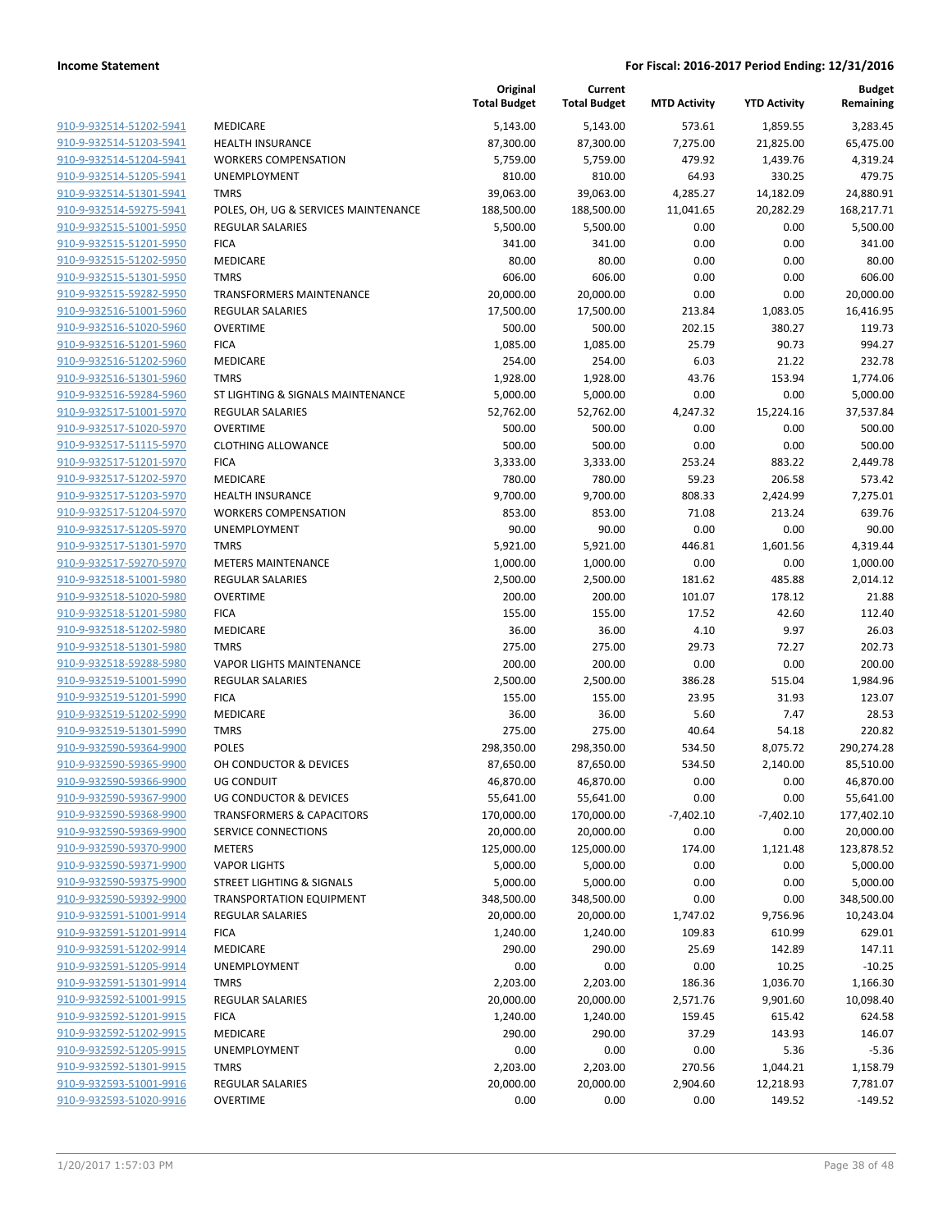|                                                    |                                      | Original<br><b>Total Budget</b> | Current<br><b>Total Budget</b> | <b>MTD Activity</b> | <b>YTD Activity</b> | <b>Budget</b><br>Remaining |
|----------------------------------------------------|--------------------------------------|---------------------------------|--------------------------------|---------------------|---------------------|----------------------------|
| 910-9-932514-51202-5941                            | MEDICARE                             | 5,143.00                        | 5,143.00                       | 573.61              | 1,859.55            | 3,283.45                   |
| 910-9-932514-51203-5941                            | <b>HEALTH INSURANCE</b>              | 87,300.00                       | 87,300.00                      | 7,275.00            | 21,825.00           | 65,475.00                  |
| 910-9-932514-51204-5941                            | <b>WORKERS COMPENSATION</b>          | 5,759.00                        | 5,759.00                       | 479.92              | 1,439.76            | 4,319.24                   |
| 910-9-932514-51205-5941                            | UNEMPLOYMENT                         | 810.00                          | 810.00                         | 64.93               | 330.25              | 479.75                     |
| 910-9-932514-51301-5941                            | <b>TMRS</b>                          | 39,063.00                       | 39,063.00                      | 4,285.27            | 14,182.09           | 24,880.91                  |
| 910-9-932514-59275-5941                            | POLES, OH, UG & SERVICES MAINTENANCE | 188,500.00                      | 188,500.00                     | 11,041.65           | 20,282.29           | 168,217.71                 |
| 910-9-932515-51001-5950                            | <b>REGULAR SALARIES</b>              | 5,500.00                        | 5,500.00                       | 0.00                | 0.00                | 5,500.00                   |
| 910-9-932515-51201-5950                            | <b>FICA</b>                          | 341.00                          | 341.00                         | 0.00                | 0.00                | 341.00                     |
| 910-9-932515-51202-5950                            | <b>MEDICARE</b>                      | 80.00                           | 80.00                          | 0.00                | 0.00                | 80.00                      |
| 910-9-932515-51301-5950                            | <b>TMRS</b>                          | 606.00                          | 606.00                         | 0.00                | 0.00                | 606.00                     |
| 910-9-932515-59282-5950                            | TRANSFORMERS MAINTENANCE             | 20,000.00                       | 20,000.00                      | 0.00                | 0.00                | 20,000.00                  |
| 910-9-932516-51001-5960                            | <b>REGULAR SALARIES</b>              | 17,500.00                       | 17,500.00                      | 213.84              | 1,083.05            | 16,416.95                  |
| 910-9-932516-51020-5960                            | <b>OVERTIME</b>                      | 500.00                          | 500.00                         | 202.15              | 380.27              | 119.73                     |
| 910-9-932516-51201-5960                            | <b>FICA</b>                          | 1,085.00                        | 1,085.00                       | 25.79               | 90.73               | 994.27                     |
| 910-9-932516-51202-5960                            | <b>MEDICARE</b>                      | 254.00                          | 254.00                         | 6.03                | 21.22               | 232.78                     |
| 910-9-932516-51301-5960                            | <b>TMRS</b>                          | 1,928.00                        | 1,928.00                       | 43.76               | 153.94              | 1,774.06                   |
| 910-9-932516-59284-5960                            | ST LIGHTING & SIGNALS MAINTENANCE    | 5,000.00                        | 5,000.00                       | 0.00                | 0.00                | 5,000.00                   |
| 910-9-932517-51001-5970                            | <b>REGULAR SALARIES</b>              | 52,762.00                       | 52,762.00                      | 4,247.32            | 15,224.16           | 37,537.84                  |
| 910-9-932517-51020-5970                            | <b>OVERTIME</b>                      | 500.00                          | 500.00                         | 0.00                | 0.00                | 500.00                     |
| 910-9-932517-51115-5970                            | <b>CLOTHING ALLOWANCE</b>            | 500.00                          | 500.00                         | 0.00                | 0.00                | 500.00                     |
| 910-9-932517-51201-5970                            | <b>FICA</b>                          | 3,333.00                        | 3,333.00                       | 253.24              | 883.22              | 2,449.78                   |
| 910-9-932517-51202-5970                            | <b>MEDICARE</b>                      | 780.00                          | 780.00                         | 59.23               | 206.58              | 573.42                     |
| 910-9-932517-51203-5970                            | <b>HEALTH INSURANCE</b>              | 9,700.00                        | 9,700.00                       | 808.33              | 2,424.99            | 7,275.01                   |
| 910-9-932517-51204-5970                            | <b>WORKERS COMPENSATION</b>          | 853.00                          | 853.00                         | 71.08               | 213.24              | 639.76                     |
| 910-9-932517-51205-5970                            | UNEMPLOYMENT                         | 90.00                           | 90.00                          | 0.00                | 0.00                | 90.00                      |
| 910-9-932517-51301-5970                            | <b>TMRS</b>                          | 5,921.00                        | 5,921.00                       | 446.81              | 1,601.56            | 4,319.44                   |
| 910-9-932517-59270-5970                            | <b>METERS MAINTENANCE</b>            | 1,000.00                        | 1,000.00                       | 0.00                | 0.00                | 1,000.00                   |
| 910-9-932518-51001-5980                            | <b>REGULAR SALARIES</b>              | 2,500.00                        | 2,500.00                       | 181.62              | 485.88              | 2,014.12                   |
| 910-9-932518-51020-5980                            | <b>OVERTIME</b>                      | 200.00                          | 200.00                         | 101.07              | 178.12              | 21.88                      |
| 910-9-932518-51201-5980                            | <b>FICA</b>                          | 155.00                          | 155.00                         | 17.52               | 42.60               | 112.40                     |
| 910-9-932518-51202-5980                            | <b>MEDICARE</b>                      | 36.00                           | 36.00                          | 4.10                | 9.97                | 26.03                      |
| 910-9-932518-51301-5980                            | <b>TMRS</b>                          | 275.00                          | 275.00                         | 29.73               | 72.27               | 202.73                     |
| 910-9-932518-59288-5980                            | <b>VAPOR LIGHTS MAINTENANCE</b>      | 200.00                          | 200.00                         | 0.00                | 0.00                | 200.00                     |
| 910-9-932519-51001-5990                            | <b>REGULAR SALARIES</b>              | 2,500.00                        | 2,500.00                       | 386.28              | 515.04              | 1,984.96                   |
| 910-9-932519-51201-5990<br>910-9-932519-51202-5990 | <b>FICA</b><br><b>MEDICARE</b>       | 155.00                          | 155.00                         | 23.95<br>5.60       | 31.93<br>7.47       | 123.07<br>28.53            |
| 910-9-932519-51301-5990                            | <b>TMRS</b>                          | 36.00<br>275.00                 | 36.00<br>275.00                | 40.64               | 54.18               | 220.82                     |
| 910-9-932590-59364-9900                            | <b>POLES</b>                         | 298,350.00                      | 298,350.00                     | 534.50              | 8,075.72            | 290,274.28                 |
| 910-9-932590-59365-9900                            | OH CONDUCTOR & DEVICES               | 87,650.00                       | 87,650.00                      | 534.50              | 2,140.00            | 85,510.00                  |
| 910-9-932590-59366-9900                            | <b>UG CONDUIT</b>                    | 46,870.00                       | 46,870.00                      | 0.00                | 0.00                | 46,870.00                  |
| 910-9-932590-59367-9900                            | <b>UG CONDUCTOR &amp; DEVICES</b>    | 55,641.00                       | 55,641.00                      | 0.00                | 0.00                | 55,641.00                  |
| 910-9-932590-59368-9900                            | <b>TRANSFORMERS &amp; CAPACITORS</b> | 170,000.00                      | 170,000.00                     | $-7,402.10$         | $-7,402.10$         | 177,402.10                 |
| 910-9-932590-59369-9900                            | SERVICE CONNECTIONS                  | 20,000.00                       | 20,000.00                      | 0.00                | 0.00                | 20,000.00                  |
| 910-9-932590-59370-9900                            | <b>METERS</b>                        | 125,000.00                      | 125,000.00                     | 174.00              | 1,121.48            | 123,878.52                 |
| 910-9-932590-59371-9900                            | <b>VAPOR LIGHTS</b>                  | 5,000.00                        | 5,000.00                       | 0.00                | 0.00                | 5,000.00                   |
| 910-9-932590-59375-9900                            | <b>STREET LIGHTING &amp; SIGNALS</b> | 5,000.00                        | 5,000.00                       | 0.00                | 0.00                | 5,000.00                   |
| 910-9-932590-59392-9900                            | <b>TRANSPORTATION EQUIPMENT</b>      | 348,500.00                      | 348,500.00                     | 0.00                | 0.00                | 348,500.00                 |
| 910-9-932591-51001-9914                            | <b>REGULAR SALARIES</b>              | 20,000.00                       | 20,000.00                      | 1,747.02            | 9,756.96            | 10,243.04                  |
| 910-9-932591-51201-9914                            | <b>FICA</b>                          | 1,240.00                        | 1,240.00                       | 109.83              | 610.99              | 629.01                     |
| 910-9-932591-51202-9914                            | MEDICARE                             | 290.00                          | 290.00                         | 25.69               | 142.89              | 147.11                     |
| 910-9-932591-51205-9914                            | <b>UNEMPLOYMENT</b>                  | 0.00                            | 0.00                           | 0.00                | 10.25               | $-10.25$                   |
| 910-9-932591-51301-9914                            | <b>TMRS</b>                          | 2,203.00                        | 2,203.00                       | 186.36              | 1,036.70            | 1,166.30                   |
| 910-9-932592-51001-9915                            | <b>REGULAR SALARIES</b>              | 20,000.00                       | 20,000.00                      | 2,571.76            | 9,901.60            | 10,098.40                  |
| 910-9-932592-51201-9915                            | <b>FICA</b>                          | 1,240.00                        | 1,240.00                       | 159.45              | 615.42              | 624.58                     |
| 910-9-932592-51202-9915                            | MEDICARE                             | 290.00                          | 290.00                         | 37.29               | 143.93              | 146.07                     |
| 910-9-932592-51205-9915                            | UNEMPLOYMENT                         | 0.00                            | 0.00                           | 0.00                | 5.36                | $-5.36$                    |
| 910-9-932592-51301-9915                            | <b>TMRS</b>                          | 2,203.00                        | 2,203.00                       | 270.56              | 1,044.21            | 1,158.79                   |
| 910-9-932593-51001-9916                            | <b>REGULAR SALARIES</b>              | 20,000.00                       | 20,000.00                      | 2,904.60            | 12,218.93           | 7,781.07                   |
| 910-9-932593-51020-9916                            | <b>OVERTIME</b>                      | 0.00                            | 0.00                           | 0.00                | 149.52              | $-149.52$                  |
|                                                    |                                      |                                 |                                |                     |                     |                            |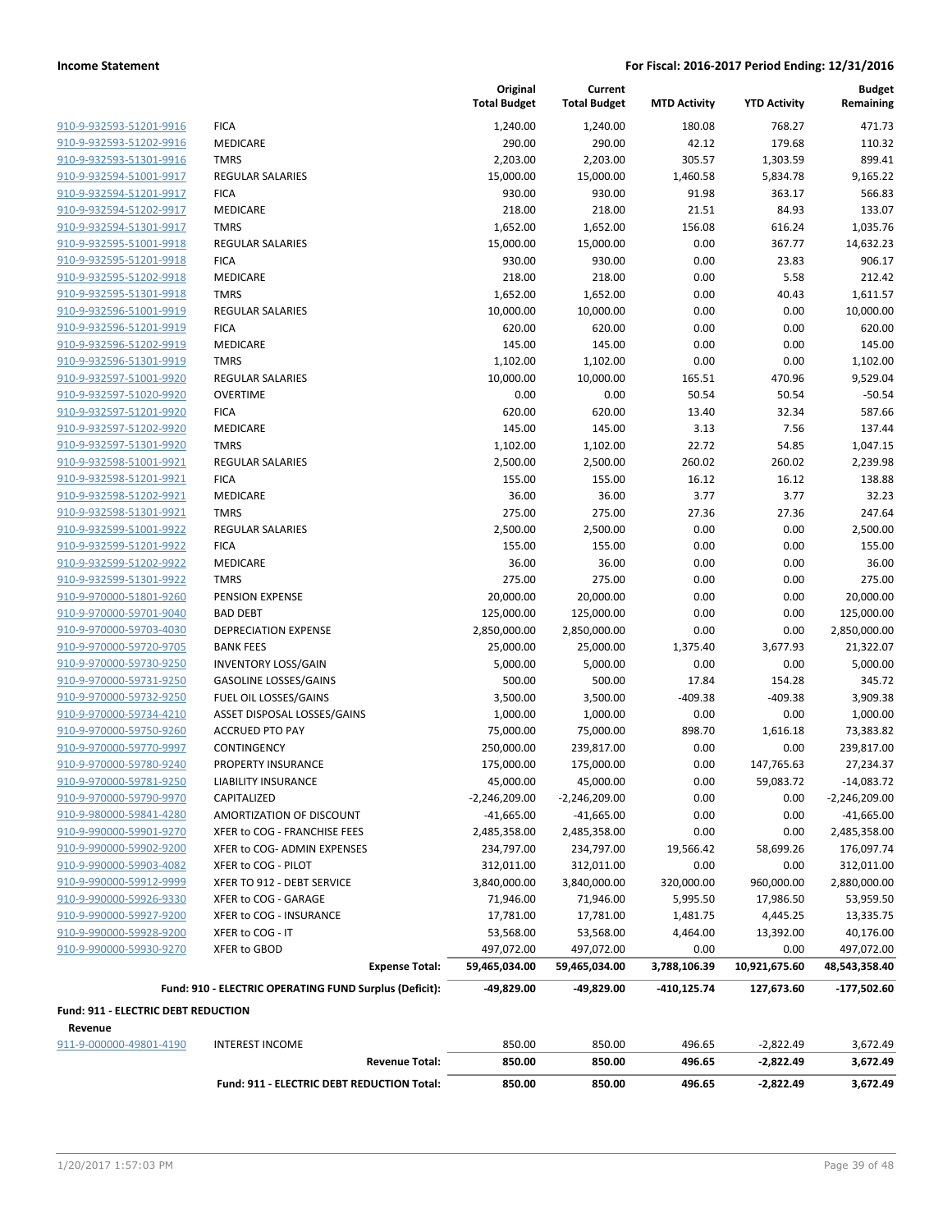|                                                    |                                                        | Original<br><b>Total Budget</b> | Current<br><b>Total Budget</b> | <b>MTD Activity</b> | <b>YTD Activity</b>      | <b>Budget</b><br>Remaining |
|----------------------------------------------------|--------------------------------------------------------|---------------------------------|--------------------------------|---------------------|--------------------------|----------------------------|
|                                                    |                                                        |                                 |                                |                     |                          |                            |
| 910-9-932593-51201-9916                            | <b>FICA</b>                                            | 1,240.00                        | 1,240.00                       | 180.08              | 768.27                   | 471.73                     |
| 910-9-932593-51202-9916                            | MEDICARE<br><b>TMRS</b>                                | 290.00                          | 290.00<br>2,203.00             | 42.12               | 179.68                   | 110.32<br>899.41           |
| 910-9-932593-51301-9916<br>910-9-932594-51001-9917 | <b>REGULAR SALARIES</b>                                | 2,203.00<br>15,000.00           |                                | 305.57              | 1,303.59                 | 9,165.22                   |
| 910-9-932594-51201-9917                            | <b>FICA</b>                                            | 930.00                          | 15,000.00<br>930.00            | 1,460.58<br>91.98   | 5,834.78<br>363.17       | 566.83                     |
| 910-9-932594-51202-9917                            | MEDICARE                                               | 218.00                          | 218.00                         | 21.51               | 84.93                    | 133.07                     |
| 910-9-932594-51301-9917                            | <b>TMRS</b>                                            | 1,652.00                        | 1,652.00                       | 156.08              | 616.24                   | 1,035.76                   |
| 910-9-932595-51001-9918                            | <b>REGULAR SALARIES</b>                                | 15,000.00                       | 15,000.00                      | 0.00                | 367.77                   | 14,632.23                  |
| 910-9-932595-51201-9918                            | <b>FICA</b>                                            | 930.00                          | 930.00                         | 0.00                | 23.83                    | 906.17                     |
| 910-9-932595-51202-9918                            | MEDICARE                                               | 218.00                          | 218.00                         | 0.00                | 5.58                     | 212.42                     |
| 910-9-932595-51301-9918                            | <b>TMRS</b>                                            | 1,652.00                        | 1,652.00                       | 0.00                | 40.43                    | 1,611.57                   |
| 910-9-932596-51001-9919                            | <b>REGULAR SALARIES</b>                                | 10,000.00                       | 10,000.00                      | 0.00                | 0.00                     | 10,000.00                  |
| 910-9-932596-51201-9919                            | <b>FICA</b>                                            | 620.00                          | 620.00                         | 0.00                | 0.00                     | 620.00                     |
| 910-9-932596-51202-9919                            | MEDICARE                                               | 145.00                          | 145.00                         | 0.00                | 0.00                     | 145.00                     |
| 910-9-932596-51301-9919                            | <b>TMRS</b>                                            | 1,102.00                        | 1,102.00                       | 0.00                | 0.00                     | 1,102.00                   |
| 910-9-932597-51001-9920                            | <b>REGULAR SALARIES</b>                                | 10,000.00                       | 10,000.00                      | 165.51              | 470.96                   | 9,529.04                   |
| 910-9-932597-51020-9920                            | <b>OVERTIME</b>                                        | 0.00                            | 0.00                           | 50.54               | 50.54                    | $-50.54$                   |
| 910-9-932597-51201-9920                            | <b>FICA</b>                                            | 620.00                          | 620.00                         | 13.40               | 32.34                    | 587.66                     |
| 910-9-932597-51202-9920                            | <b>MEDICARE</b>                                        | 145.00                          | 145.00                         | 3.13                | 7.56                     | 137.44                     |
| 910-9-932597-51301-9920                            | <b>TMRS</b>                                            | 1,102.00                        | 1,102.00                       | 22.72               | 54.85                    | 1,047.15                   |
| 910-9-932598-51001-9921                            | <b>REGULAR SALARIES</b>                                | 2,500.00                        | 2,500.00                       | 260.02              | 260.02                   | 2,239.98                   |
| 910-9-932598-51201-9921                            | <b>FICA</b>                                            | 155.00                          | 155.00                         | 16.12               | 16.12                    | 138.88                     |
| 910-9-932598-51202-9921                            | MEDICARE                                               | 36.00                           | 36.00                          | 3.77                | 3.77                     | 32.23                      |
| 910-9-932598-51301-9921                            | <b>TMRS</b>                                            | 275.00                          | 275.00                         | 27.36               | 27.36                    | 247.64                     |
| 910-9-932599-51001-9922                            | <b>REGULAR SALARIES</b>                                | 2,500.00                        | 2,500.00                       | 0.00                | 0.00                     | 2,500.00                   |
| 910-9-932599-51201-9922                            | <b>FICA</b>                                            | 155.00                          | 155.00                         | 0.00                | 0.00                     | 155.00                     |
| 910-9-932599-51202-9922                            | <b>MEDICARE</b>                                        | 36.00                           | 36.00                          | 0.00                | 0.00                     | 36.00                      |
| 910-9-932599-51301-9922                            | <b>TMRS</b>                                            | 275.00                          | 275.00                         | 0.00                | 0.00                     | 275.00                     |
| 910-9-970000-51801-9260                            | PENSION EXPENSE                                        | 20,000.00                       | 20,000.00                      | 0.00                | 0.00                     | 20,000.00                  |
| 910-9-970000-59701-9040                            | <b>BAD DEBT</b>                                        | 125,000.00                      | 125,000.00                     | 0.00                | 0.00                     | 125,000.00                 |
| 910-9-970000-59703-4030                            | <b>DEPRECIATION EXPENSE</b>                            | 2,850,000.00                    | 2,850,000.00                   | 0.00                | 0.00                     | 2,850,000.00               |
| 910-9-970000-59720-9705                            | <b>BANK FEES</b>                                       | 25,000.00                       | 25,000.00                      | 1,375.40            | 3,677.93                 | 21,322.07                  |
| 910-9-970000-59730-9250                            | <b>INVENTORY LOSS/GAIN</b>                             | 5,000.00                        | 5,000.00                       | 0.00                | 0.00                     | 5,000.00                   |
| 910-9-970000-59731-9250                            | <b>GASOLINE LOSSES/GAINS</b>                           | 500.00                          | 500.00                         | 17.84               | 154.28                   | 345.72                     |
| 910-9-970000-59732-9250                            | FUEL OIL LOSSES/GAINS                                  | 3,500.00                        | 3,500.00                       | $-409.38$           | $-409.38$                | 3,909.38                   |
| 910-9-970000-59734-4210                            | ASSET DISPOSAL LOSSES/GAINS                            | 1,000.00                        | 1,000.00                       | 0.00                | 0.00                     | 1,000.00                   |
| 910-9-970000-59750-9260                            | <b>ACCRUED PTO PAY</b>                                 | 75,000.00                       | 75,000.00                      | 898.70              | 1,616.18                 | 73,383.82                  |
| 910-9-970000-59770-9997                            | CONTINGENCY                                            | 250,000.00                      | 239,817.00                     | 0.00                | 0.00                     | 239,817.00                 |
| 910-9-970000-59780-9240                            | PROPERTY INSURANCE                                     | 175,000.00                      | 175,000.00                     | 0.00                | 147,765.63               | 27,234.37                  |
| 910-9-970000-59781-9250                            | <b>LIABILITY INSURANCE</b>                             | 45,000.00                       | 45,000.00                      | 0.00                | 59,083.72                | -14,083.72                 |
| 910-9-970000-59790-9970                            | CAPITALIZED                                            | $-2,246,209.00$                 | $-2,246,209.00$                | 0.00                | 0.00                     | $-2,246,209.00$            |
| 910-9-980000-59841-4280                            | AMORTIZATION OF DISCOUNT                               | $-41,665.00$                    | $-41,665.00$                   | 0.00                | 0.00                     | $-41,665.00$               |
| 910-9-990000-59901-9270                            | XFER to COG - FRANCHISE FEES                           | 2,485,358.00                    | 2,485,358.00                   | 0.00                | 0.00                     | 2,485,358.00               |
| 910-9-990000-59902-9200                            | XFER to COG- ADMIN EXPENSES                            | 234,797.00                      | 234,797.00                     | 19,566.42           | 58,699.26                | 176,097.74                 |
| 910-9-990000-59903-4082                            | XFER to COG - PILOT                                    | 312,011.00                      | 312,011.00                     | 0.00                | 0.00                     | 312,011.00                 |
| 910-9-990000-59912-9999                            | XFER TO 912 - DEBT SERVICE                             | 3,840,000.00                    | 3,840,000.00                   | 320,000.00          | 960,000.00               | 2,880,000.00               |
| 910-9-990000-59926-9330                            | XFER to COG - GARAGE                                   | 71,946.00                       | 71,946.00                      | 5,995.50            | 17,986.50                | 53,959.50                  |
| 910-9-990000-59927-9200                            | XFER to COG - INSURANCE                                | 17,781.00                       | 17,781.00                      | 1,481.75            | 4,445.25                 | 13,335.75                  |
| 910-9-990000-59928-9200                            | XFER to COG - IT                                       | 53,568.00                       | 53,568.00                      | 4,464.00            | 13,392.00                | 40,176.00                  |
| 910-9-990000-59930-9270                            | XFER to GBOD                                           | 497,072.00                      | 497,072.00                     | 0.00                | 0.00                     | 497,072.00                 |
|                                                    | <b>Expense Total:</b>                                  | 59,465,034.00                   | 59,465,034.00                  | 3,788,106.39        | 10,921,675.60            | 48,543,358.40              |
|                                                    | Fund: 910 - ELECTRIC OPERATING FUND Surplus (Deficit): | -49,829.00                      | -49,829.00                     | -410,125.74         | 127,673.60               | $-177,502.60$              |
| Fund: 911 - ELECTRIC DEBT REDUCTION                |                                                        |                                 |                                |                     |                          |                            |
| Revenue                                            |                                                        |                                 |                                |                     |                          |                            |
| 911-9-000000-49801-4190                            |                                                        |                                 |                                |                     |                          |                            |
|                                                    | <b>INTEREST INCOME</b><br><b>Revenue Total:</b>        | 850.00<br>850.00                | 850.00<br>850.00               | 496.65<br>496.65    | $-2,822.49$<br>-2,822.49 | 3,672.49<br>3,672.49       |
|                                                    | Fund: 911 - ELECTRIC DEBT REDUCTION Total:             | 850.00                          | 850.00                         | 496.65              | $-2,822.49$              | 3,672.49                   |
|                                                    |                                                        |                                 |                                |                     |                          |                            |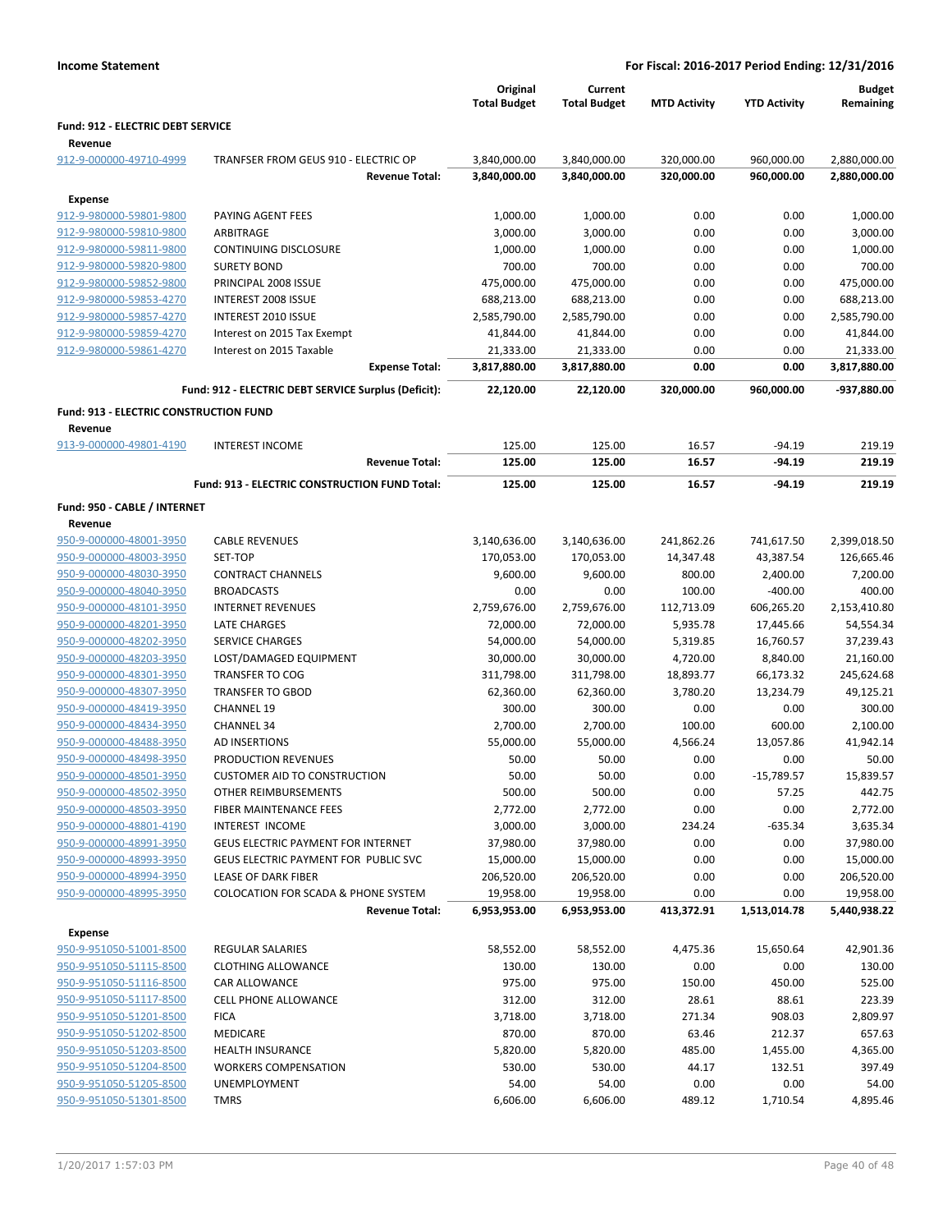|                                               |                                                                       | Original<br><b>Total Budget</b> | Current<br><b>Total Budget</b> | <b>MTD Activity</b> | <b>YTD Activity</b>  | <b>Budget</b><br>Remaining |
|-----------------------------------------------|-----------------------------------------------------------------------|---------------------------------|--------------------------------|---------------------|----------------------|----------------------------|
| Fund: 912 - ELECTRIC DEBT SERVICE             |                                                                       |                                 |                                |                     |                      |                            |
| Revenue                                       |                                                                       |                                 |                                |                     |                      |                            |
| 912-9-000000-49710-4999                       | TRANFSER FROM GEUS 910 - ELECTRIC OP                                  | 3,840,000.00                    | 3,840,000.00                   | 320,000.00          | 960,000.00           | 2,880,000.00               |
|                                               | <b>Revenue Total:</b>                                                 | 3,840,000.00                    | 3,840,000.00                   | 320,000.00          | 960,000.00           | 2,880,000.00               |
| Expense                                       |                                                                       |                                 |                                |                     |                      |                            |
| 912-9-980000-59801-9800                       | PAYING AGENT FEES                                                     | 1,000.00                        | 1,000.00                       | 0.00                | 0.00                 | 1,000.00                   |
| 912-9-980000-59810-9800                       | ARBITRAGE                                                             | 3,000.00                        | 3,000.00                       | 0.00                | 0.00                 | 3,000.00                   |
| 912-9-980000-59811-9800                       | <b>CONTINUING DISCLOSURE</b>                                          | 1,000.00                        | 1,000.00                       | 0.00                | 0.00                 | 1,000.00                   |
| 912-9-980000-59820-9800                       | <b>SURETY BOND</b>                                                    | 700.00                          | 700.00                         | 0.00                | 0.00                 | 700.00                     |
| 912-9-980000-59852-9800                       | PRINCIPAL 2008 ISSUE                                                  | 475,000.00                      | 475,000.00                     | 0.00                | 0.00                 | 475,000.00                 |
| 912-9-980000-59853-4270                       | <b>INTEREST 2008 ISSUE</b>                                            | 688,213.00                      | 688,213.00                     | 0.00                | 0.00                 | 688,213.00                 |
| 912-9-980000-59857-4270                       | INTEREST 2010 ISSUE                                                   | 2,585,790.00                    | 2,585,790.00                   | 0.00                | 0.00                 | 2,585,790.00               |
| 912-9-980000-59859-4270                       | Interest on 2015 Tax Exempt                                           | 41,844.00                       | 41,844.00                      | 0.00                | 0.00                 | 41,844.00                  |
| 912-9-980000-59861-4270                       | Interest on 2015 Taxable                                              | 21,333.00                       | 21,333.00                      | 0.00                | 0.00                 | 21,333.00                  |
|                                               | <b>Expense Total:</b>                                                 | 3,817,880.00                    | 3,817,880.00                   | 0.00                | 0.00                 | 3,817,880.00               |
|                                               | Fund: 912 - ELECTRIC DEBT SERVICE Surplus (Deficit):                  | 22,120.00                       | 22,120.00                      | 320,000.00          | 960,000.00           | -937,880.00                |
| <b>Fund: 913 - ELECTRIC CONSTRUCTION FUND</b> |                                                                       |                                 |                                |                     |                      |                            |
| Revenue                                       |                                                                       |                                 |                                |                     |                      |                            |
| 913-9-000000-49801-4190                       | <b>INTEREST INCOME</b><br><b>Revenue Total:</b>                       | 125.00<br>125.00                | 125.00<br>125.00               | 16.57<br>16.57      | $-94.19$<br>$-94.19$ | 219.19<br>219.19           |
|                                               |                                                                       |                                 |                                |                     |                      |                            |
|                                               | Fund: 913 - ELECTRIC CONSTRUCTION FUND Total:                         | 125.00                          | 125.00                         | 16.57               | $-94.19$             | 219.19                     |
| Fund: 950 - CABLE / INTERNET                  |                                                                       |                                 |                                |                     |                      |                            |
| Revenue                                       |                                                                       |                                 |                                |                     |                      |                            |
| 950-9-000000-48001-3950                       | <b>CABLE REVENUES</b>                                                 | 3,140,636.00                    | 3,140,636.00                   | 241,862.26          | 741,617.50           | 2,399,018.50               |
| 950-9-000000-48003-3950                       | SET-TOP                                                               | 170,053.00                      | 170,053.00                     | 14,347.48           | 43,387.54            | 126,665.46                 |
| 950-9-000000-48030-3950                       | <b>CONTRACT CHANNELS</b>                                              | 9,600.00                        | 9,600.00                       | 800.00              | 2,400.00             | 7,200.00                   |
| 950-9-000000-48040-3950                       | <b>BROADCASTS</b>                                                     | 0.00                            | 0.00                           | 100.00              | $-400.00$            | 400.00                     |
| 950-9-000000-48101-3950                       | <b>INTERNET REVENUES</b>                                              | 2,759,676.00                    | 2,759,676.00                   | 112,713.09          | 606,265.20           | 2,153,410.80               |
| 950-9-000000-48201-3950                       | <b>LATE CHARGES</b>                                                   | 72,000.00                       | 72,000.00                      | 5,935.78            | 17,445.66            | 54,554.34                  |
| 950-9-000000-48202-3950                       | <b>SERVICE CHARGES</b>                                                | 54,000.00                       | 54,000.00                      | 5,319.85            | 16,760.57            | 37,239.43                  |
| 950-9-000000-48203-3950                       | LOST/DAMAGED EQUIPMENT                                                | 30,000.00                       | 30,000.00                      | 4,720.00            | 8,840.00             | 21,160.00                  |
| 950-9-000000-48301-3950                       | <b>TRANSFER TO COG</b>                                                | 311,798.00                      | 311,798.00                     | 18,893.77           | 66,173.32            | 245,624.68                 |
| 950-9-000000-48307-3950                       | <b>TRANSFER TO GBOD</b>                                               | 62,360.00                       | 62,360.00                      | 3,780.20            | 13,234.79            | 49,125.21                  |
| 950-9-000000-48419-3950                       | <b>CHANNEL 19</b>                                                     | 300.00                          | 300.00                         | 0.00                | 0.00                 | 300.00                     |
| 950-9-000000-48434-3950                       | <b>CHANNEL 34</b>                                                     | 2,700.00                        | 2,700.00                       | 100.00              | 600.00               | 2,100.00                   |
| 950-9-000000-48488-3950                       | AD INSERTIONS                                                         | 55,000.00                       | 55,000.00                      | 4,566.24            | 13,057.86            | 41,942.14                  |
| 950-9-000000-48498-3950                       | PRODUCTION REVENUES                                                   | 50.00                           | 50.00                          | 0.00                | 0.00                 | 50.00                      |
| 950-9-000000-48501-3950                       | <b>CUSTOMER AID TO CONSTRUCTION</b>                                   | 50.00                           | 50.00                          | 0.00                | $-15,789.57$         | 15,839.57                  |
| 950-9-000000-48502-3950                       | OTHER REIMBURSEMENTS                                                  | 500.00                          | 500.00                         | 0.00                | 57.25                | 442.75                     |
| 950-9-000000-48503-3950                       | FIBER MAINTENANCE FEES                                                | 2,772.00                        | 2,772.00                       | 0.00                | 0.00                 | 2,772.00                   |
| 950-9-000000-48801-4190                       | INTEREST INCOME                                                       | 3,000.00                        | 3,000.00                       | 234.24              | $-635.34$            | 3,635.34                   |
| 950-9-000000-48991-3950                       | <b>GEUS ELECTRIC PAYMENT FOR INTERNET</b>                             | 37,980.00                       | 37,980.00                      | 0.00                | 0.00                 | 37,980.00                  |
| 950-9-000000-48993-3950                       | GEUS ELECTRIC PAYMENT FOR PUBLIC SVC                                  | 15,000.00                       | 15,000.00                      | 0.00                | 0.00                 | 15,000.00                  |
| 950-9-000000-48994-3950                       | LEASE OF DARK FIBER<br><b>COLOCATION FOR SCADA &amp; PHONE SYSTEM</b> | 206,520.00                      | 206,520.00                     | 0.00                | 0.00                 | 206,520.00                 |
| 950-9-000000-48995-3950                       | <b>Revenue Total:</b>                                                 | 19,958.00<br>6,953,953.00       | 19,958.00<br>6,953,953.00      | 0.00<br>413,372.91  | 0.00<br>1,513,014.78 | 19,958.00<br>5,440,938.22  |
| <b>Expense</b>                                |                                                                       |                                 |                                |                     |                      |                            |
| 950-9-951050-51001-8500                       | <b>REGULAR SALARIES</b>                                               | 58,552.00                       | 58,552.00                      | 4,475.36            | 15,650.64            | 42,901.36                  |
| 950-9-951050-51115-8500                       | <b>CLOTHING ALLOWANCE</b>                                             | 130.00                          | 130.00                         | 0.00                | 0.00                 | 130.00                     |
| 950-9-951050-51116-8500                       | CAR ALLOWANCE                                                         | 975.00                          | 975.00                         | 150.00              | 450.00               | 525.00                     |
| 950-9-951050-51117-8500                       | <b>CELL PHONE ALLOWANCE</b>                                           | 312.00                          | 312.00                         | 28.61               | 88.61                | 223.39                     |
| 950-9-951050-51201-8500                       | <b>FICA</b>                                                           | 3,718.00                        | 3,718.00                       | 271.34              | 908.03               | 2,809.97                   |
| 950-9-951050-51202-8500                       | MEDICARE                                                              | 870.00                          | 870.00                         | 63.46               | 212.37               | 657.63                     |
| 950-9-951050-51203-8500                       | <b>HEALTH INSURANCE</b>                                               | 5,820.00                        | 5,820.00                       | 485.00              | 1,455.00             | 4,365.00                   |
| 950-9-951050-51204-8500                       | <b>WORKERS COMPENSATION</b>                                           | 530.00                          | 530.00                         | 44.17               | 132.51               | 397.49                     |
| 950-9-951050-51205-8500                       | UNEMPLOYMENT                                                          | 54.00                           | 54.00                          | 0.00                | 0.00                 | 54.00                      |
| 950-9-951050-51301-8500                       | <b>TMRS</b>                                                           | 6,606.00                        | 6,606.00                       | 489.12              | 1,710.54             | 4,895.46                   |
|                                               |                                                                       |                                 |                                |                     |                      |                            |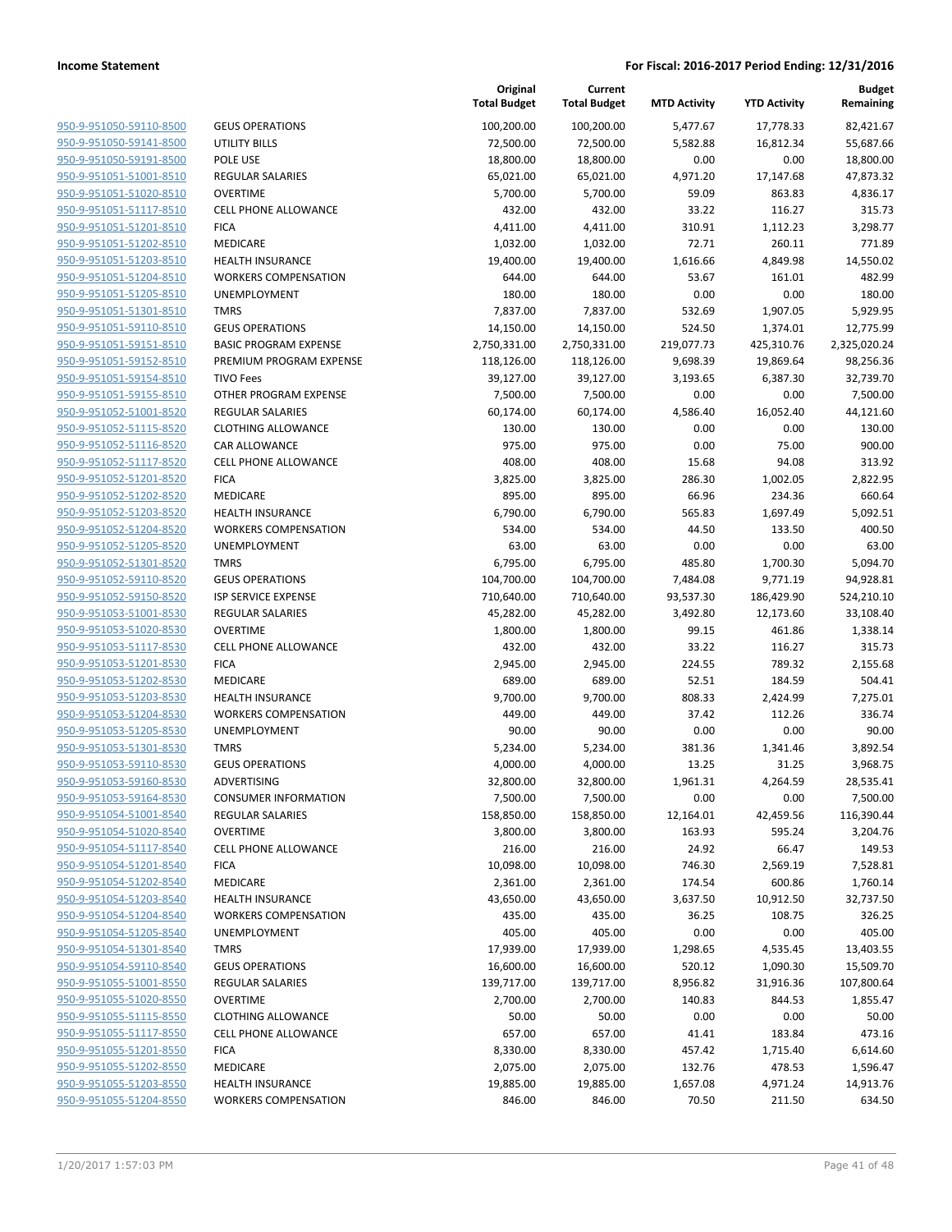| 950-9-951050-59110-8500        |
|--------------------------------|
| 950-9-951050-59141-8500        |
| 950-9-951050-59191-8500        |
| 950-9-951051-51001-8510        |
| <u>950-9-951051-51020-8510</u> |
| <u>950-9-951051-51117-8510</u> |
| 950-9-951051-51201-8510        |
| 950-9-951051-51202-8510        |
| 950-9-951051-51203-8510        |
| 950-9-951051-51204-8510        |
| 950-9-951051-51205-8510        |
| 950-9-951051-51301-8510        |
| 950-9-951051-59110-8510        |
| 950-9-951051-59151-8510        |
| <u>950-9-951051-59152-8510</u> |
| 950-9-951051-59154-8510        |
| 950-9-951051-59155-8510        |
| 950-9-951052-51001-8520        |
|                                |
| 950-9-951052-51115-8520        |
| 950-9-951052-51116-8520        |
| 950-9-951052-51117-8520        |
| 950-9-951052-51201-8520        |
| 950-9-951052-51202-8520        |
| 950-9-951052-51203-8520        |
| <u>950-9-951052-51204-8520</u> |
| <u>950-9-951052-51205-8520</u> |
| 950-9-951052-51301-8520        |
| 950-9-951052-59110-8520        |
| 950-9-951052-59150-8520        |
| <u>950-9-951053-51001-8530</u> |
| 950-9-951053-51020-8530        |
| 950-9-951053-51117-8530        |
| 950-9-951053-51201-8530        |
| 950-9-951053-51202-8530        |
| <u>950-9-951053-51203-8530</u> |
| <u>950-9-951053-51204-8530</u> |
| 950-9-951053-51205-8530        |
| 950-9-951053-51301-8530        |
| 950-9-951053-59110-8530        |
|                                |
| 950-9-951053-59160-8530        |
| 950-9-951053-59164-8530        |
| 950-9-951054-51001-8540        |
| 950-9-951054-51020-8540        |
| 950-9-951054-51117-8540        |
| <u>950-9-951054-51201-8540</u> |
| 950-9-951054-51202-8540        |
| 950-9-951054-51203-8540        |
| 950-9-951054-51204-8540        |
| <u>950-9-951054-51205-8540</u> |
| <u>950-9-951054-51301-8540</u> |
| 950-9-951054-59110-8540        |
| 950-9-951055-51001-8550        |
| 950-9-951055-51020-8550        |
| <u>950-9-951055-51115-8550</u> |
| 950-9-951055-51117-8550        |
| <u>950-9-951055-51201-8550</u> |
|                                |
| 950-9-951055-51202-8550        |
| 950-9-951055-51203-8550        |
| 950-9-951055-51204-8550        |

|                                                    |                                             | Original<br><b>Total Budget</b> | Current<br><b>Total Budget</b> | <b>MTD Activity</b>   | <b>YTD Activity</b>    | <b>Budget</b><br>Remaining |
|----------------------------------------------------|---------------------------------------------|---------------------------------|--------------------------------|-----------------------|------------------------|----------------------------|
| 950-9-951050-59110-8500                            | <b>GEUS OPERATIONS</b>                      | 100,200.00                      | 100,200.00                     | 5,477.67              | 17,778.33              | 82,421.67                  |
| 950-9-951050-59141-8500                            | UTILITY BILLS                               | 72,500.00                       | 72,500.00                      | 5,582.88              | 16,812.34              | 55,687.66                  |
| 950-9-951050-59191-8500                            | POLE USE                                    | 18,800.00                       | 18,800.00                      | 0.00                  | 0.00                   | 18,800.00                  |
| 950-9-951051-51001-8510                            | <b>REGULAR SALARIES</b>                     | 65,021.00                       | 65,021.00                      | 4,971.20              | 17,147.68              | 47,873.32                  |
| 950-9-951051-51020-8510                            | <b>OVERTIME</b>                             | 5,700.00                        | 5,700.00                       | 59.09                 | 863.83                 | 4,836.17                   |
| 950-9-951051-51117-8510                            | <b>CELL PHONE ALLOWANCE</b>                 | 432.00                          | 432.00                         | 33.22                 | 116.27                 | 315.73                     |
| 950-9-951051-51201-8510                            | <b>FICA</b>                                 | 4,411.00                        | 4,411.00                       | 310.91                | 1,112.23               | 3,298.77                   |
| 950-9-951051-51202-8510                            | <b>MEDICARE</b>                             | 1,032.00                        | 1,032.00                       | 72.71                 | 260.11                 | 771.89                     |
| 950-9-951051-51203-8510                            | <b>HEALTH INSURANCE</b>                     | 19,400.00                       | 19,400.00                      | 1,616.66              | 4,849.98               | 14,550.02                  |
| 950-9-951051-51204-8510                            | <b>WORKERS COMPENSATION</b>                 | 644.00                          | 644.00                         | 53.67                 | 161.01                 | 482.99                     |
| 950-9-951051-51205-8510                            | UNEMPLOYMENT                                | 180.00                          | 180.00                         | 0.00                  | 0.00                   | 180.00                     |
| 950-9-951051-51301-8510                            | <b>TMRS</b>                                 | 7,837.00                        | 7,837.00                       | 532.69                | 1,907.05               | 5,929.95                   |
| 950-9-951051-59110-8510                            | <b>GEUS OPERATIONS</b>                      | 14,150.00                       | 14,150.00                      | 524.50                | 1,374.01               | 12,775.99                  |
| 950-9-951051-59151-8510                            | <b>BASIC PROGRAM EXPENSE</b>                | 2,750,331.00                    | 2,750,331.00                   | 219,077.73            | 425,310.76             | 2,325,020.24               |
| 950-9-951051-59152-8510                            | PREMIUM PROGRAM EXPENSE                     | 118,126.00                      | 118,126.00                     | 9,698.39              | 19,869.64              | 98,256.36                  |
| 950-9-951051-59154-8510                            | <b>TIVO Fees</b>                            | 39,127.00                       | 39,127.00                      | 3,193.65              | 6,387.30               | 32,739.70                  |
| 950-9-951051-59155-8510                            | OTHER PROGRAM EXPENSE                       | 7,500.00                        | 7,500.00                       | 0.00                  | 0.00                   | 7,500.00                   |
| 950-9-951052-51001-8520                            | <b>REGULAR SALARIES</b>                     | 60,174.00                       | 60,174.00                      | 4,586.40              | 16,052.40              | 44,121.60                  |
| 950-9-951052-51115-8520                            | <b>CLOTHING ALLOWANCE</b>                   | 130.00                          | 130.00                         | 0.00                  | 0.00                   | 130.00                     |
| 950-9-951052-51116-8520                            | <b>CAR ALLOWANCE</b>                        | 975.00                          | 975.00                         | 0.00                  | 75.00                  | 900.00                     |
| 950-9-951052-51117-8520                            | <b>CELL PHONE ALLOWANCE</b>                 | 408.00                          | 408.00                         | 15.68                 | 94.08                  | 313.92                     |
| 950-9-951052-51201-8520                            | <b>FICA</b>                                 | 3,825.00                        | 3,825.00                       | 286.30                | 1,002.05               | 2,822.95                   |
| 950-9-951052-51202-8520                            | MEDICARE                                    | 895.00                          | 895.00                         | 66.96                 | 234.36                 | 660.64                     |
| 950-9-951052-51203-8520                            | <b>HEALTH INSURANCE</b>                     | 6,790.00                        | 6,790.00                       | 565.83                | 1,697.49               | 5,092.51                   |
| 950-9-951052-51204-8520<br>950-9-951052-51205-8520 | <b>WORKERS COMPENSATION</b><br>UNEMPLOYMENT | 534.00                          | 534.00                         | 44.50                 | 133.50                 | 400.50                     |
|                                                    | <b>TMRS</b>                                 | 63.00                           | 63.00                          | 0.00                  | 0.00                   | 63.00                      |
| 950-9-951052-51301-8520<br>950-9-951052-59110-8520 | <b>GEUS OPERATIONS</b>                      | 6,795.00                        | 6,795.00                       | 485.80                | 1,700.30               | 5,094.70                   |
| 950-9-951052-59150-8520                            | <b>ISP SERVICE EXPENSE</b>                  | 104,700.00<br>710,640.00        | 104,700.00<br>710,640.00       | 7,484.08<br>93,537.30 | 9,771.19<br>186,429.90 | 94,928.81<br>524,210.10    |
| 950-9-951053-51001-8530                            | <b>REGULAR SALARIES</b>                     | 45,282.00                       | 45,282.00                      | 3,492.80              | 12,173.60              | 33,108.40                  |
| 950-9-951053-51020-8530                            | <b>OVERTIME</b>                             | 1,800.00                        | 1,800.00                       | 99.15                 | 461.86                 | 1,338.14                   |
| 950-9-951053-51117-8530                            | <b>CELL PHONE ALLOWANCE</b>                 | 432.00                          | 432.00                         | 33.22                 | 116.27                 | 315.73                     |
| 950-9-951053-51201-8530                            | <b>FICA</b>                                 | 2,945.00                        | 2,945.00                       | 224.55                | 789.32                 | 2,155.68                   |
| 950-9-951053-51202-8530                            | <b>MEDICARE</b>                             | 689.00                          | 689.00                         | 52.51                 | 184.59                 | 504.41                     |
| 950-9-951053-51203-8530                            | <b>HEALTH INSURANCE</b>                     | 9,700.00                        | 9,700.00                       | 808.33                | 2,424.99               | 7,275.01                   |
| 950-9-951053-51204-8530                            | <b>WORKERS COMPENSATION</b>                 | 449.00                          | 449.00                         | 37.42                 | 112.26                 | 336.74                     |
| 950-9-951053-51205-8530                            | UNEMPLOYMENT                                | 90.00                           | 90.00                          | 0.00                  | 0.00                   | 90.00                      |
| 950-9-951053-51301-8530                            | <b>TMRS</b>                                 | 5,234.00                        | 5,234.00                       | 381.36                | 1,341.46               | 3,892.54                   |
| 950-9-951053-59110-8530                            | <b>GEUS OPERATIONS</b>                      | 4,000.00                        | 4,000.00                       | 13.25                 | 31.25                  | 3,968.75                   |
| 950-9-951053-59160-8530                            | ADVERTISING                                 | 32,800.00                       | 32,800.00                      | 1,961.31              | 4,264.59               | 28,535.41                  |
| 950-9-951053-59164-8530                            | <b>CONSUMER INFORMATION</b>                 | 7,500.00                        | 7,500.00                       | 0.00                  | 0.00                   | 7,500.00                   |
| 950-9-951054-51001-8540                            | <b>REGULAR SALARIES</b>                     | 158,850.00                      | 158,850.00                     | 12,164.01             | 42,459.56              | 116,390.44                 |
| 950-9-951054-51020-8540                            | <b>OVERTIME</b>                             | 3,800.00                        | 3,800.00                       | 163.93                | 595.24                 | 3,204.76                   |
| 950-9-951054-51117-8540                            | <b>CELL PHONE ALLOWANCE</b>                 | 216.00                          | 216.00                         | 24.92                 | 66.47                  | 149.53                     |
| 950-9-951054-51201-8540                            | <b>FICA</b>                                 | 10,098.00                       | 10,098.00                      | 746.30                | 2,569.19               | 7,528.81                   |
| 950-9-951054-51202-8540                            | MEDICARE                                    | 2,361.00                        | 2,361.00                       | 174.54                | 600.86                 | 1,760.14                   |
| 950-9-951054-51203-8540                            | HEALTH INSURANCE                            | 43,650.00                       | 43,650.00                      | 3,637.50              | 10,912.50              | 32,737.50                  |
| 950-9-951054-51204-8540                            | <b>WORKERS COMPENSATION</b>                 | 435.00                          | 435.00                         | 36.25                 | 108.75                 | 326.25                     |
| 950-9-951054-51205-8540                            | UNEMPLOYMENT                                | 405.00                          | 405.00                         | 0.00                  | 0.00                   | 405.00                     |
| 950-9-951054-51301-8540                            | <b>TMRS</b>                                 | 17,939.00                       | 17,939.00                      | 1,298.65              | 4,535.45               | 13,403.55                  |
| 950-9-951054-59110-8540                            | <b>GEUS OPERATIONS</b>                      | 16,600.00                       | 16,600.00                      | 520.12                | 1,090.30               | 15,509.70                  |
| 950-9-951055-51001-8550                            | <b>REGULAR SALARIES</b>                     | 139,717.00                      | 139,717.00                     | 8,956.82              | 31,916.36              | 107,800.64                 |
| 950-9-951055-51020-8550                            | <b>OVERTIME</b>                             | 2,700.00                        | 2,700.00                       | 140.83                | 844.53                 | 1,855.47                   |
| 950-9-951055-51115-8550                            | <b>CLOTHING ALLOWANCE</b>                   | 50.00                           | 50.00                          | 0.00                  | 0.00                   | 50.00                      |
| 950-9-951055-51117-8550                            | <b>CELL PHONE ALLOWANCE</b>                 | 657.00                          | 657.00                         | 41.41                 | 183.84                 | 473.16                     |
| 950-9-951055-51201-8550                            | <b>FICA</b>                                 | 8,330.00                        | 8,330.00                       | 457.42                | 1,715.40               | 6,614.60                   |
| 950-9-951055-51202-8550                            | MEDICARE                                    | 2,075.00                        | 2,075.00                       | 132.76                | 478.53                 | 1,596.47                   |
| 950-9-951055-51203-8550                            | <b>HEALTH INSURANCE</b>                     | 19,885.00                       | 19,885.00                      | 1,657.08              | 4,971.24               | 14,913.76                  |
| 950-9-951055-51204-8550                            | WORKERS COMPENSATION                        | 846.00                          | 846.00                         | 70.50                 | 211.50                 | 634.50                     |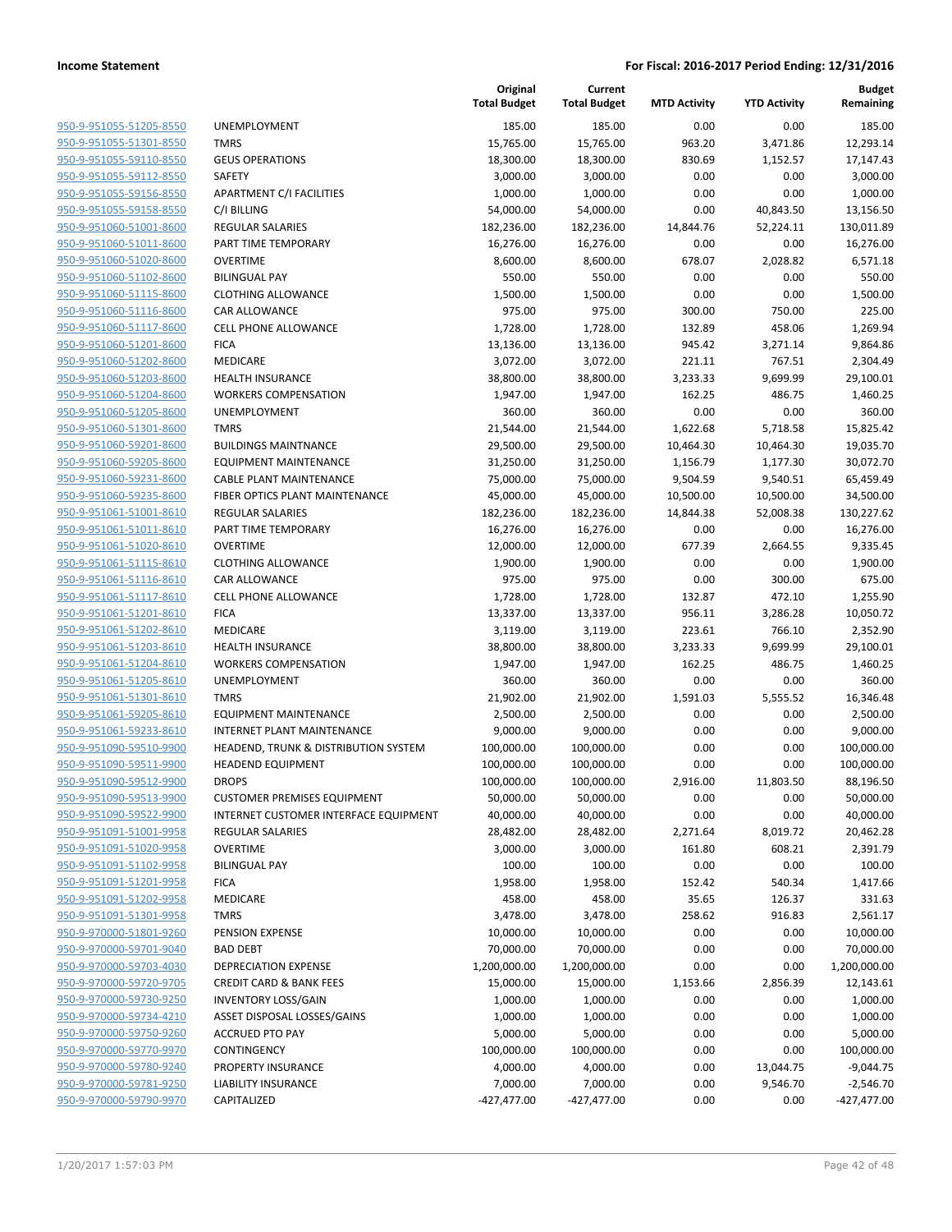| 950-9-951055-51205-8550                                   |
|-----------------------------------------------------------|
| 950-9-951055-51301-8550                                   |
| 950-9-951055-59110-8550                                   |
| <u>950-9-951055-59112-8550</u>                            |
| <u>950-9-951055-59156-8550</u>                            |
| 950-9-951055-59158-8550                                   |
| 950-9-951060-51001-8600                                   |
| 950-9-951060-51011-8600                                   |
| 950-9-951060-51020-8600                                   |
| <u>950-9-951060-51102-8600</u>                            |
| 950-9-951060-51115-8600                                   |
| 950-9-951060-51116-8600                                   |
| 950-9-951060-51117-8600                                   |
| 950-9-951060-51201-8600                                   |
| <u>950-9-951060-51202-8600</u>                            |
| 950-9-951060-51203-8600                                   |
| 950-9-951060-51204-8600                                   |
| 950-9-951060-51205-8600                                   |
| 950-9-951060-51301-8600                                   |
| <u>950-9-951060-59201-8600</u>                            |
| 950-9-951060-59205-8600                                   |
| 950-9-951060-59231-8600                                   |
| 950-9-951060-59235-8600                                   |
| 950-9-951061-51001-8610                                   |
| 950-9-951061-51011-8610                                   |
| 950-9-951061-51020-8610                                   |
| 950-9-951061-51115-8610                                   |
| 950-9-951061-51116-8610                                   |
| <u>950-9-951061-51117-8610</u>                            |
| 950-9-951061-51201-8610                                   |
| 950-9-951061-51202-8610                                   |
| 950-9-951061-51203-8610                                   |
| 950-9-951061-51204-8610                                   |
| 950-9-951061-51205-8610                                   |
| <u>950-9-951061-51301-8610</u>                            |
| 950-9-951061-59205-8610                                   |
| 950-9-951061-59233-8610                                   |
| 950-9-951090-59510-9900                                   |
| 950-9-951090-59511-9900                                   |
| 950-9-951090-59512-9900                                   |
| 950-9-951090-59513-9900                                   |
| 950-9-951090-59522-9900                                   |
| 950-9-951091-51001-9958                                   |
| 950-9-951091-51020-9958                                   |
| <u>950-9-951091-51102-9958</u>                            |
| <u>950-9-951091-51201-9958</u>                            |
| 950-9-951091-51202-9958                                   |
| 950-9-951091-51301-9958                                   |
| 950-9-970000-51801-9260                                   |
| <u>950-9-970000-59701-9040</u>                            |
| <u>950-9-970000-59703-4030</u>                            |
| 950-9-970000-59720-9705                                   |
| 950-9-970000-59730-9250                                   |
| 950-9-970000-59734-4210                                   |
| <u>950-9-970000-59750-9260</u>                            |
|                                                           |
| <u>950-9-970000-59770-9970</u><br>950-9-970000-59780-9240 |
| 950-9-970000-59781-9250                                   |
| 950-9-970000-59790-9970                                   |
|                                                           |

|                                                    |                                       | Original<br><b>Total Budget</b> | Current<br><b>Total Budget</b> | <b>MTD Activity</b> | <b>YTD Activity</b> | <b>Budget</b><br>Remaining |
|----------------------------------------------------|---------------------------------------|---------------------------------|--------------------------------|---------------------|---------------------|----------------------------|
| 950-9-951055-51205-8550                            | UNEMPLOYMENT                          | 185.00                          | 185.00                         | 0.00                | 0.00                | 185.00                     |
| 950-9-951055-51301-8550                            | <b>TMRS</b>                           | 15,765.00                       | 15,765.00                      | 963.20              | 3,471.86            | 12,293.14                  |
| 950-9-951055-59110-8550                            | <b>GEUS OPERATIONS</b>                | 18,300.00                       | 18,300.00                      | 830.69              | 1,152.57            | 17,147.43                  |
| 950-9-951055-59112-8550                            | SAFETY                                | 3,000.00                        | 3,000.00                       | 0.00                | 0.00                | 3,000.00                   |
| 950-9-951055-59156-8550                            | APARTMENT C/I FACILITIES              | 1,000.00                        | 1,000.00                       | 0.00                | 0.00                | 1,000.00                   |
| 950-9-951055-59158-8550                            | C/I BILLING                           | 54,000.00                       | 54,000.00                      | 0.00                | 40,843.50           | 13,156.50                  |
| 950-9-951060-51001-8600                            | <b>REGULAR SALARIES</b>               | 182,236.00                      | 182,236.00                     | 14,844.76           | 52,224.11           | 130,011.89                 |
| 950-9-951060-51011-8600                            | PART TIME TEMPORARY                   | 16,276.00                       | 16,276.00                      | 0.00                | 0.00                | 16,276.00                  |
| 950-9-951060-51020-8600                            | <b>OVERTIME</b>                       | 8,600.00                        | 8,600.00                       | 678.07              | 2,028.82            | 6,571.18                   |
| 950-9-951060-51102-8600                            | <b>BILINGUAL PAY</b>                  | 550.00                          | 550.00                         | 0.00                | 0.00                | 550.00                     |
| 950-9-951060-51115-8600                            | <b>CLOTHING ALLOWANCE</b>             | 1,500.00                        | 1,500.00                       | 0.00                | 0.00                | 1,500.00                   |
| 950-9-951060-51116-8600                            | CAR ALLOWANCE                         | 975.00                          | 975.00                         | 300.00              | 750.00              | 225.00                     |
| 950-9-951060-51117-8600                            | <b>CELL PHONE ALLOWANCE</b>           | 1,728.00                        | 1,728.00                       | 132.89              | 458.06              | 1,269.94                   |
| 950-9-951060-51201-8600                            | <b>FICA</b>                           | 13,136.00                       | 13,136.00                      | 945.42              | 3,271.14            | 9,864.86                   |
| 950-9-951060-51202-8600                            | MEDICARE                              | 3,072.00                        | 3,072.00                       | 221.11              | 767.51              | 2,304.49                   |
| 950-9-951060-51203-8600                            | <b>HEALTH INSURANCE</b>               | 38,800.00                       | 38,800.00                      | 3,233.33            | 9,699.99            | 29,100.01                  |
| 950-9-951060-51204-8600                            | <b>WORKERS COMPENSATION</b>           | 1,947.00                        | 1,947.00                       | 162.25              | 486.75              | 1,460.25                   |
| 950-9-951060-51205-8600                            | UNEMPLOYMENT                          | 360.00                          | 360.00                         | 0.00                | 0.00                | 360.00                     |
| 950-9-951060-51301-8600                            | <b>TMRS</b>                           | 21,544.00                       | 21,544.00                      | 1,622.68            | 5,718.58            | 15,825.42                  |
| 950-9-951060-59201-8600                            | <b>BUILDINGS MAINTNANCE</b>           | 29,500.00                       | 29,500.00                      | 10,464.30           | 10,464.30           | 19,035.70                  |
| 950-9-951060-59205-8600                            | <b>EQUIPMENT MAINTENANCE</b>          | 31,250.00                       | 31,250.00                      | 1,156.79            | 1,177.30            | 30,072.70                  |
| 950-9-951060-59231-8600                            | <b>CABLE PLANT MAINTENANCE</b>        | 75,000.00                       | 75,000.00                      | 9,504.59            | 9,540.51            | 65,459.49                  |
| 950-9-951060-59235-8600                            | FIBER OPTICS PLANT MAINTENANCE        | 45,000.00                       | 45,000.00                      | 10,500.00           | 10,500.00           | 34,500.00                  |
| 950-9-951061-51001-8610                            | <b>REGULAR SALARIES</b>               | 182,236.00                      | 182,236.00                     | 14,844.38           | 52,008.38           | 130,227.62                 |
| 950-9-951061-51011-8610                            | PART TIME TEMPORARY                   | 16,276.00                       | 16,276.00                      | 0.00                | 0.00                | 16,276.00                  |
| 950-9-951061-51020-8610                            | <b>OVERTIME</b>                       | 12,000.00                       | 12,000.00                      | 677.39              | 2,664.55            | 9,335.45                   |
| 950-9-951061-51115-8610                            | <b>CLOTHING ALLOWANCE</b>             | 1,900.00                        | 1,900.00                       | 0.00                | 0.00                | 1,900.00                   |
| 950-9-951061-51116-8610                            | <b>CAR ALLOWANCE</b>                  | 975.00                          | 975.00                         | 0.00                | 300.00              | 675.00                     |
| 950-9-951061-51117-8610                            | <b>CELL PHONE ALLOWANCE</b>           | 1,728.00                        | 1,728.00                       | 132.87              | 472.10              | 1,255.90                   |
| 950-9-951061-51201-8610                            | <b>FICA</b>                           | 13,337.00                       | 13,337.00                      | 956.11              | 3,286.28            | 10,050.72                  |
| 950-9-951061-51202-8610                            | MEDICARE                              | 3,119.00                        | 3,119.00                       | 223.61              | 766.10              | 2,352.90                   |
| 950-9-951061-51203-8610                            | <b>HEALTH INSURANCE</b>               | 38,800.00                       | 38,800.00                      | 3,233.33            | 9,699.99            | 29,100.01                  |
| 950-9-951061-51204-8610                            | <b>WORKERS COMPENSATION</b>           | 1,947.00                        | 1,947.00                       | 162.25              | 486.75              | 1,460.25                   |
| 950-9-951061-51205-8610                            | UNEMPLOYMENT                          | 360.00                          | 360.00                         | 0.00                | 0.00                | 360.00                     |
| 950-9-951061-51301-8610                            | <b>TMRS</b>                           | 21,902.00                       | 21,902.00                      | 1,591.03            | 5,555.52            | 16,346.48                  |
| 950-9-951061-59205-8610                            | <b>EQUIPMENT MAINTENANCE</b>          | 2,500.00                        | 2,500.00                       | 0.00                | 0.00                | 2,500.00                   |
| 950-9-951061-59233-8610                            | <b>INTERNET PLANT MAINTENANCE</b>     | 9,000.00                        | 9,000.00                       | 0.00                | 0.00                | 9,000.00                   |
| 950-9-951090-59510-9900                            | HEADEND, TRUNK & DISTRIBUTION SYSTEM  | 100,000.00                      | 100,000.00                     | 0.00                | 0.00                | 100,000.00                 |
| 950-9-951090-59511-9900                            | <b>HEADEND EQUIPMENT</b>              | 100,000.00                      | 100,000.00                     | 0.00                | 0.00                | 100,000.00                 |
| 950-9-951090-59512-9900                            | <b>DROPS</b>                          | 100,000.00                      | 100,000.00                     | 2,916.00            | 11,803.50           | 88,196.50                  |
| 950-9-951090-59513-9900                            | <b>CUSTOMER PREMISES EQUIPMENT</b>    | 50,000.00                       | 50,000.00                      | 0.00                | 0.00                | 50,000.00                  |
| 950-9-951090-59522-9900                            | INTERNET CUSTOMER INTERFACE EQUIPMENT | 40,000.00                       | 40,000.00                      | 0.00                | 0.00                | 40,000.00                  |
| 950-9-951091-51001-9958                            | <b>REGULAR SALARIES</b>               | 28,482.00                       | 28,482.00                      | 2,271.64            | 8,019.72            | 20,462.28                  |
| 950-9-951091-51020-9958                            | <b>OVERTIME</b>                       | 3,000.00                        | 3,000.00                       | 161.80              | 608.21              | 2,391.79                   |
| 950-9-951091-51102-9958<br>950-9-951091-51201-9958 | <b>BILINGUAL PAY</b>                  | 100.00                          | 100.00                         | 0.00                | 0.00                | 100.00<br>1,417.66         |
| 950-9-951091-51202-9958                            | <b>FICA</b>                           | 1,958.00                        | 1,958.00                       | 152.42              | 540.34              |                            |
| 950-9-951091-51301-9958                            | MEDICARE<br><b>TMRS</b>               | 458.00                          | 458.00<br>3,478.00             | 35.65               | 126.37              | 331.63                     |
| 950-9-970000-51801-9260                            | PENSION EXPENSE                       | 3,478.00                        |                                | 258.62              | 916.83              | 2,561.17                   |
| 950-9-970000-59701-9040                            | <b>BAD DEBT</b>                       | 10,000.00<br>70,000.00          | 10,000.00<br>70,000.00         | 0.00<br>0.00        | 0.00<br>0.00        | 10,000.00<br>70,000.00     |
| 950-9-970000-59703-4030                            | <b>DEPRECIATION EXPENSE</b>           | 1,200,000.00                    | 1,200,000.00                   | 0.00                | 0.00                | 1,200,000.00               |
| 950-9-970000-59720-9705                            | <b>CREDIT CARD &amp; BANK FEES</b>    | 15,000.00                       | 15,000.00                      | 1,153.66            | 2,856.39            | 12,143.61                  |
| 950-9-970000-59730-9250                            | <b>INVENTORY LOSS/GAIN</b>            | 1,000.00                        | 1,000.00                       | 0.00                | 0.00                | 1,000.00                   |
| 950-9-970000-59734-4210                            | ASSET DISPOSAL LOSSES/GAINS           | 1,000.00                        | 1,000.00                       | 0.00                | 0.00                | 1,000.00                   |
| 950-9-970000-59750-9260                            | <b>ACCRUED PTO PAY</b>                | 5,000.00                        | 5,000.00                       | 0.00                | 0.00                | 5,000.00                   |
| 950-9-970000-59770-9970                            | CONTINGENCY                           | 100,000.00                      | 100,000.00                     | 0.00                | 0.00                | 100,000.00                 |
| 950-9-970000-59780-9240                            | PROPERTY INSURANCE                    | 4,000.00                        | 4,000.00                       | 0.00                | 13,044.75           | $-9,044.75$                |
| 950-9-970000-59781-9250                            | <b>LIABILITY INSURANCE</b>            | 7,000.00                        | 7,000.00                       | 0.00                | 9,546.70            | $-2,546.70$                |
| 950-9-970000-59790-9970                            | CAPITALIZED                           | $-427,477.00$                   | $-427,477.00$                  | 0.00                | 0.00                | $-427,477.00$              |
|                                                    |                                       |                                 |                                |                     |                     |                            |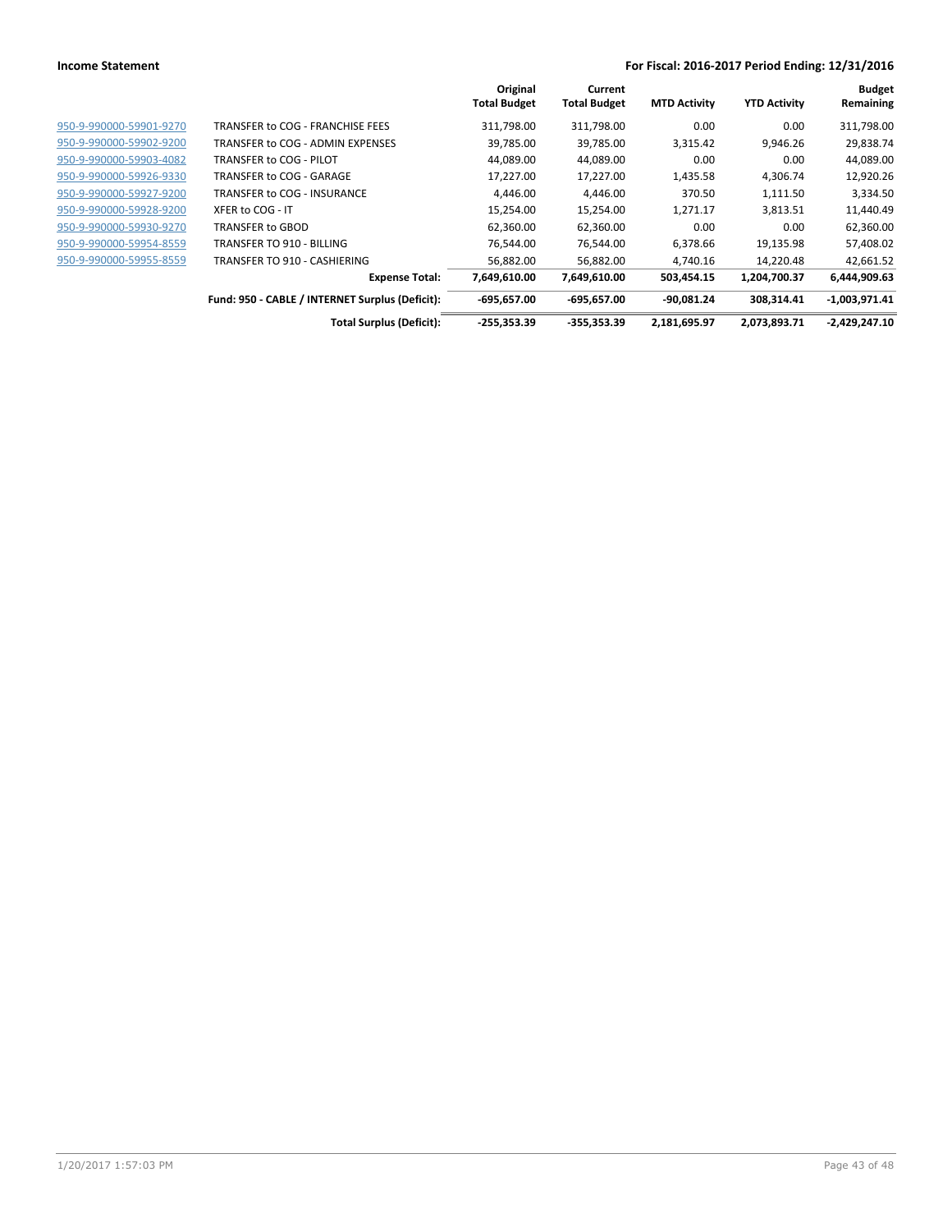|                         |                                                 | Original<br><b>Total Budget</b> | Current<br><b>Total Budget</b> | <b>MTD Activity</b> | <b>YTD Activity</b> | <b>Budget</b><br>Remaining |
|-------------------------|-------------------------------------------------|---------------------------------|--------------------------------|---------------------|---------------------|----------------------------|
| 950-9-990000-59901-9270 | TRANSFER to COG - FRANCHISE FEES                | 311,798.00                      | 311,798.00                     | 0.00                | 0.00                | 311,798.00                 |
| 950-9-990000-59902-9200 | TRANSFER to COG - ADMIN EXPENSES                | 39,785.00                       | 39,785.00                      | 3,315.42            | 9,946.26            | 29,838.74                  |
| 950-9-990000-59903-4082 | TRANSFER to COG - PILOT                         | 44,089.00                       | 44,089.00                      | 0.00                | 0.00                | 44,089.00                  |
| 950-9-990000-59926-9330 | TRANSFER to COG - GARAGE                        | 17,227.00                       | 17,227.00                      | 1,435.58            | 4,306.74            | 12,920.26                  |
| 950-9-990000-59927-9200 | TRANSFER to COG - INSURANCE                     | 4,446.00                        | 4,446.00                       | 370.50              | 1,111.50            | 3,334.50                   |
| 950-9-990000-59928-9200 | XFER to COG - IT                                | 15,254.00                       | 15,254.00                      | 1,271.17            | 3,813.51            | 11,440.49                  |
| 950-9-990000-59930-9270 | TRANSFER to GBOD                                | 62,360.00                       | 62,360.00                      | 0.00                | 0.00                | 62,360.00                  |
| 950-9-990000-59954-8559 | TRANSFER TO 910 - BILLING                       | 76.544.00                       | 76,544.00                      | 6,378.66            | 19,135.98           | 57,408.02                  |
| 950-9-990000-59955-8559 | TRANSFER TO 910 - CASHIERING                    | 56,882.00                       | 56.882.00                      | 4.740.16            | 14,220.48           | 42,661.52                  |
|                         | <b>Expense Total:</b>                           | 7,649,610.00                    | 7,649,610.00                   | 503,454.15          | 1,204,700.37        | 6,444,909.63               |
|                         | Fund: 950 - CABLE / INTERNET Surplus (Deficit): | $-695,657.00$                   | $-695,657.00$                  | $-90.081.24$        | 308,314.41          | $-1,003,971.41$            |
|                         | <b>Total Surplus (Deficit):</b>                 | $-255,353.39$                   | $-355.353.39$                  | 2,181,695.97        | 2,073,893.71        | $-2,429,247.10$            |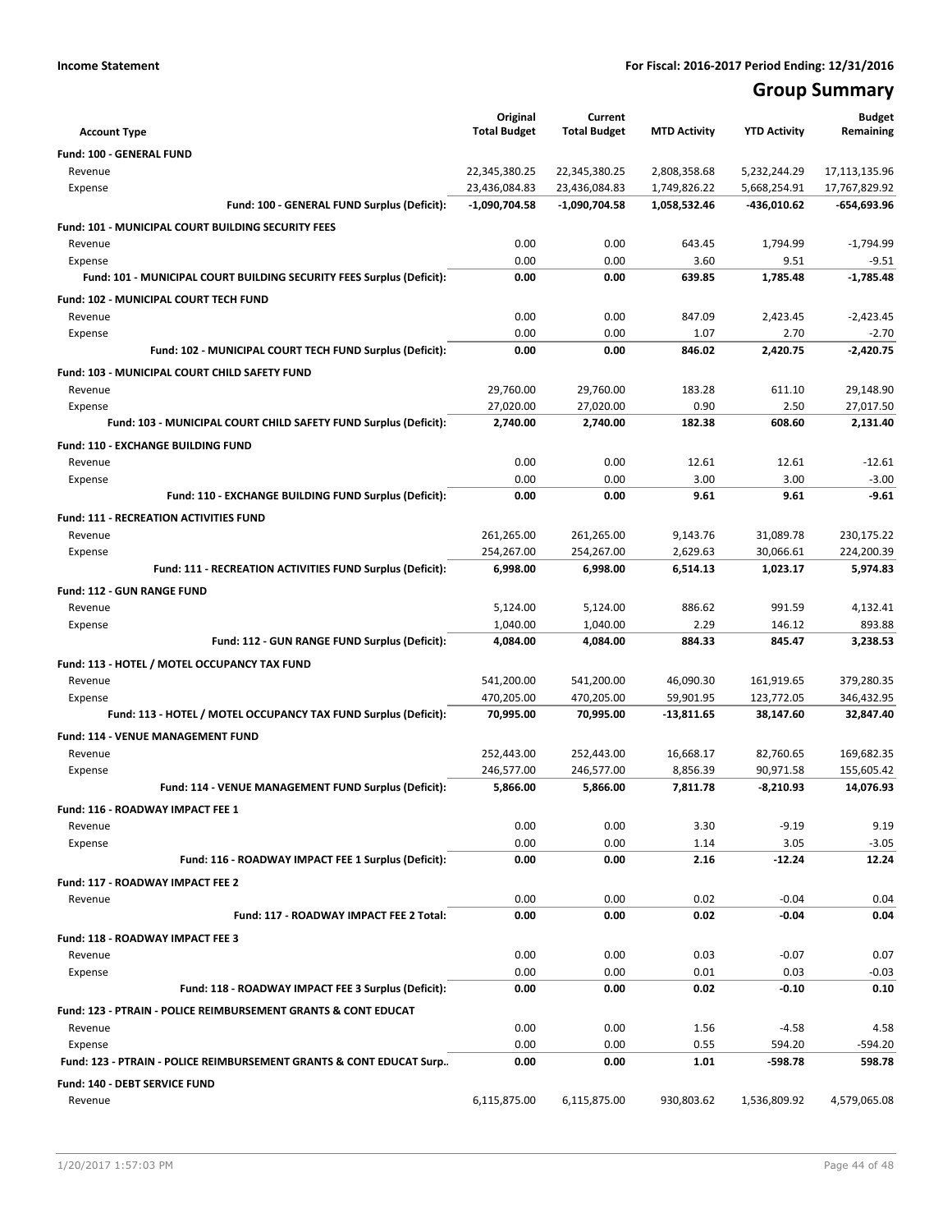# **Group Summary**

|                                                                             | Original                         | Current                  |                        |                          | <b>Budget</b>           |
|-----------------------------------------------------------------------------|----------------------------------|--------------------------|------------------------|--------------------------|-------------------------|
| <b>Account Type</b>                                                         | <b>Total Budget</b>              | <b>Total Budget</b>      | <b>MTD Activity</b>    | <b>YTD Activity</b>      | Remaining               |
| Fund: 100 - GENERAL FUND                                                    |                                  |                          |                        |                          |                         |
| Revenue                                                                     | 22,345,380.25                    | 22,345,380.25            | 2,808,358.68           | 5,232,244.29             | 17,113,135.96           |
| Expense<br>Fund: 100 - GENERAL FUND Surplus (Deficit):                      | 23,436,084.83<br>$-1,090,704.58$ | 23,436,084.83            | 1,749,826.22           | 5,668,254.91             | 17,767,829.92           |
|                                                                             |                                  | $-1,090,704.58$          | 1,058,532.46           | -436,010.62              | -654,693.96             |
| Fund: 101 - MUNICIPAL COURT BUILDING SECURITY FEES                          |                                  |                          |                        |                          |                         |
| Revenue                                                                     | 0.00                             | 0.00                     | 643.45                 | 1,794.99                 | $-1,794.99$             |
| Expense                                                                     | 0.00<br>0.00                     | 0.00<br>0.00             | 3.60<br>639.85         | 9.51<br>1,785.48         | $-9.51$<br>$-1,785.48$  |
| Fund: 101 - MUNICIPAL COURT BUILDING SECURITY FEES Surplus (Deficit):       |                                  |                          |                        |                          |                         |
| <b>Fund: 102 - MUNICIPAL COURT TECH FUND</b>                                |                                  |                          |                        |                          |                         |
| Revenue                                                                     | 0.00<br>0.00                     | 0.00<br>0.00             | 847.09<br>1.07         | 2,423.45<br>2.70         | $-2,423.45$             |
| Expense<br>Fund: 102 - MUNICIPAL COURT TECH FUND Surplus (Deficit):         | 0.00                             | 0.00                     | 846.02                 | 2,420.75                 | $-2.70$<br>$-2,420.75$  |
|                                                                             |                                  |                          |                        |                          |                         |
| Fund: 103 - MUNICIPAL COURT CHILD SAFETY FUND                               |                                  |                          |                        |                          |                         |
| Revenue                                                                     | 29,760.00                        | 29,760.00                | 183.28                 | 611.10<br>2.50           | 29,148.90               |
| Expense<br>Fund: 103 - MUNICIPAL COURT CHILD SAFETY FUND Surplus (Deficit): | 27,020.00<br>2,740.00            | 27,020.00<br>2,740.00    | 0.90<br>182.38         | 608.60                   | 27,017.50<br>2,131.40   |
|                                                                             |                                  |                          |                        |                          |                         |
| <b>Fund: 110 - EXCHANGE BUILDING FUND</b>                                   |                                  |                          |                        |                          |                         |
| Revenue                                                                     | 0.00                             | 0.00                     | 12.61                  | 12.61                    | -12.61                  |
| Expense<br>Fund: 110 - EXCHANGE BUILDING FUND Surplus (Deficit):            | 0.00<br>0.00                     | 0.00<br>0.00             | 3.00<br>9.61           | 3.00<br>9.61             | $-3.00$<br>$-9.61$      |
|                                                                             |                                  |                          |                        |                          |                         |
| <b>Fund: 111 - RECREATION ACTIVITIES FUND</b>                               |                                  |                          |                        |                          |                         |
| Revenue                                                                     | 261,265.00                       | 261,265.00               | 9,143.76               | 31,089.78                | 230,175.22              |
| Expense<br>Fund: 111 - RECREATION ACTIVITIES FUND Surplus (Deficit):        | 254,267.00<br>6,998.00           | 254,267.00               | 2,629.63               | 30,066.61<br>1,023.17    | 224,200.39<br>5,974.83  |
|                                                                             |                                  | 6,998.00                 | 6,514.13               |                          |                         |
| Fund: 112 - GUN RANGE FUND                                                  |                                  |                          |                        |                          |                         |
| Revenue                                                                     | 5,124.00                         | 5,124.00                 | 886.62                 | 991.59                   | 4,132.41                |
| Expense<br>Fund: 112 - GUN RANGE FUND Surplus (Deficit):                    | 1,040.00<br>4,084.00             | 1,040.00<br>4,084.00     | 2.29<br>884.33         | 146.12<br>845.47         | 893.88<br>3,238.53      |
|                                                                             |                                  |                          |                        |                          |                         |
| Fund: 113 - HOTEL / MOTEL OCCUPANCY TAX FUND                                |                                  |                          |                        |                          |                         |
| Revenue                                                                     | 541,200.00<br>470,205.00         | 541,200.00<br>470,205.00 | 46,090.30<br>59,901.95 | 161,919.65<br>123,772.05 | 379,280.35              |
| Expense<br>Fund: 113 - HOTEL / MOTEL OCCUPANCY TAX FUND Surplus (Deficit):  | 70,995.00                        | 70,995.00                | $-13,811.65$           | 38,147.60                | 346,432.95<br>32,847.40 |
|                                                                             |                                  |                          |                        |                          |                         |
| Fund: 114 - VENUE MANAGEMENT FUND                                           |                                  |                          |                        |                          |                         |
| Revenue                                                                     | 252,443.00                       | 252,443.00               | 16,668.17              | 82,760.65                | 169,682.35              |
| Expense<br>Fund: 114 - VENUE MANAGEMENT FUND Surplus (Deficit):             | 246,577.00<br>5,866.00           | 246,577.00<br>5,866.00   | 8,856.39<br>7,811.78   | 90,971.58<br>$-8,210.93$ | 155,605.42<br>14,076.93 |
|                                                                             |                                  |                          |                        |                          |                         |
| Fund: 116 - ROADWAY IMPACT FEE 1                                            |                                  |                          |                        |                          | 9.19                    |
| Revenue<br>Expense                                                          | 0.00<br>0.00                     | 0.00<br>0.00             | 3.30<br>1.14           | $-9.19$<br>3.05          | $-3.05$                 |
| Fund: 116 - ROADWAY IMPACT FEE 1 Surplus (Deficit):                         | 0.00                             | 0.00                     | 2.16                   | $-12.24$                 | 12.24                   |
|                                                                             |                                  |                          |                        |                          |                         |
| <b>Fund: 117 - ROADWAY IMPACT FEE 2</b>                                     | 0.00                             | 0.00                     | 0.02                   | $-0.04$                  | 0.04                    |
| Revenue<br>Fund: 117 - ROADWAY IMPACT FEE 2 Total:                          | 0.00                             | 0.00                     | 0.02                   | $-0.04$                  | 0.04                    |
|                                                                             |                                  |                          |                        |                          |                         |
| Fund: 118 - ROADWAY IMPACT FEE 3                                            |                                  |                          |                        |                          |                         |
| Revenue                                                                     | 0.00<br>0.00                     | 0.00<br>0.00             | 0.03<br>0.01           | $-0.07$<br>0.03          | 0.07<br>$-0.03$         |
| Expense<br>Fund: 118 - ROADWAY IMPACT FEE 3 Surplus (Deficit):              | 0.00                             | 0.00                     | 0.02                   | -0.10                    | 0.10                    |
|                                                                             |                                  |                          |                        |                          |                         |
| Fund: 123 - PTRAIN - POLICE REIMBURSEMENT GRANTS & CONT EDUCAT              |                                  |                          |                        |                          |                         |
| Revenue<br>Expense                                                          | 0.00<br>0.00                     | 0.00<br>0.00             | 1.56<br>0.55           | $-4.58$<br>594.20        | 4.58<br>$-594.20$       |
| Fund: 123 - PTRAIN - POLICE REIMBURSEMENT GRANTS & CONT EDUCAT Surp         | 0.00                             | 0.00                     | 1.01                   | -598.78                  | 598.78                  |
|                                                                             |                                  |                          |                        |                          |                         |
| Fund: 140 - DEBT SERVICE FUND                                               | 6,115,875.00                     |                          | 930,803.62             |                          | 4,579,065.08            |
| Revenue                                                                     |                                  | 6,115,875.00             |                        | 1,536,809.92             |                         |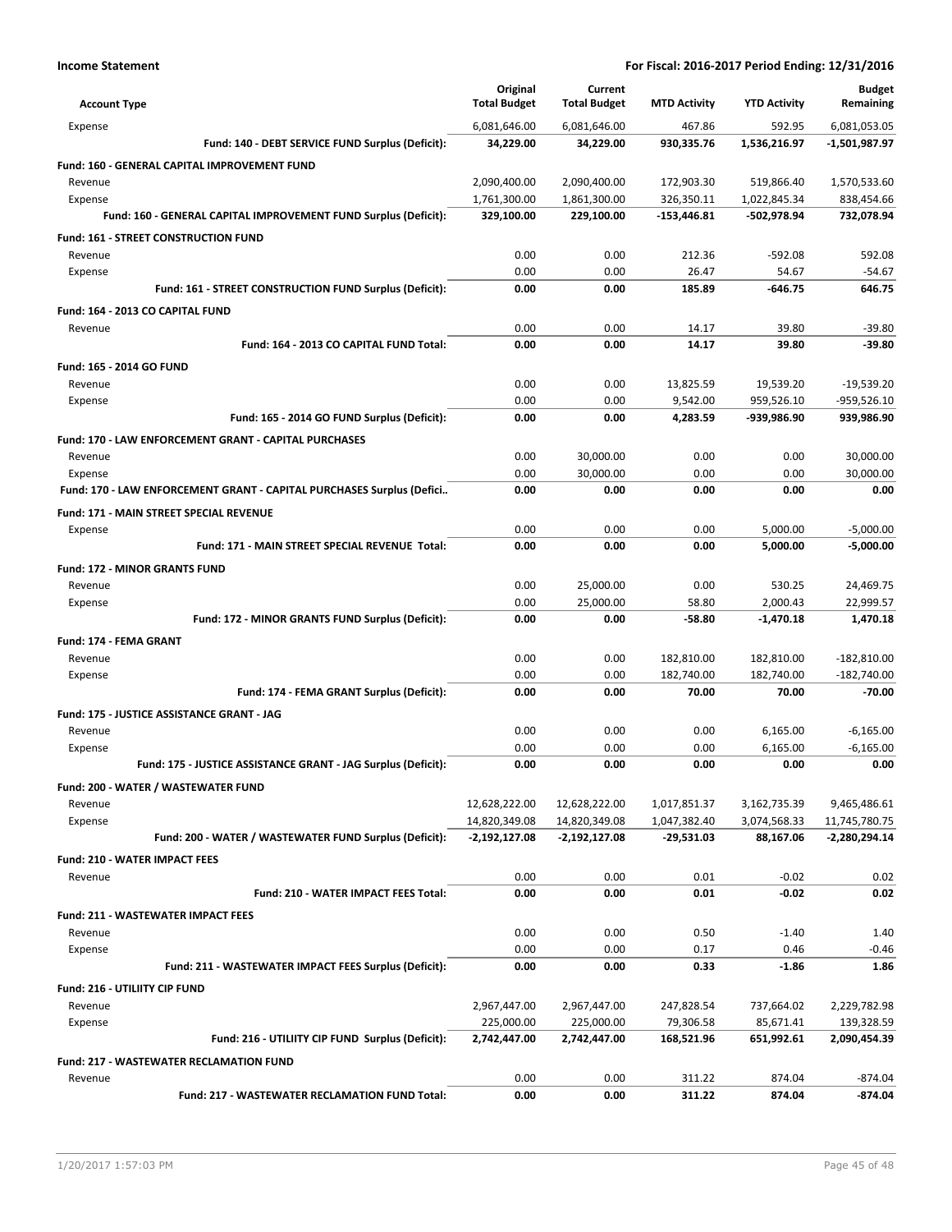| <b>Account Type</b>                                                   | Original<br><b>Total Budget</b> | Current<br><b>Total Budget</b> | <b>MTD Activity</b> | <b>YTD Activity</b> | <b>Budget</b><br>Remaining |
|-----------------------------------------------------------------------|---------------------------------|--------------------------------|---------------------|---------------------|----------------------------|
| Expense                                                               | 6,081,646.00                    | 6,081,646.00                   | 467.86              | 592.95              | 6,081,053.05               |
| Fund: 140 - DEBT SERVICE FUND Surplus (Deficit):                      | 34,229.00                       | 34,229.00                      | 930,335.76          | 1,536,216.97        | -1,501,987.97              |
| Fund: 160 - GENERAL CAPITAL IMPROVEMENT FUND                          |                                 |                                |                     |                     |                            |
| Revenue                                                               | 2,090,400.00                    | 2,090,400.00                   | 172,903.30          | 519,866.40          | 1,570,533.60               |
| Expense                                                               | 1,761,300.00                    | 1,861,300.00                   | 326,350.11          | 1,022,845.34        | 838,454.66                 |
| Fund: 160 - GENERAL CAPITAL IMPROVEMENT FUND Surplus (Deficit):       | 329,100.00                      | 229,100.00                     | $-153,446.81$       | -502,978.94         | 732,078.94                 |
| <b>Fund: 161 - STREET CONSTRUCTION FUND</b>                           |                                 |                                |                     |                     |                            |
| Revenue                                                               | 0.00                            | 0.00                           | 212.36              | $-592.08$           | 592.08                     |
| Expense                                                               | 0.00                            | 0.00                           | 26.47               | 54.67               | $-54.67$                   |
| Fund: 161 - STREET CONSTRUCTION FUND Surplus (Deficit):               | 0.00                            | 0.00                           | 185.89              | $-646.75$           | 646.75                     |
| Fund: 164 - 2013 CO CAPITAL FUND                                      |                                 |                                |                     |                     |                            |
| Revenue                                                               | 0.00                            | 0.00                           | 14.17               | 39.80               | $-39.80$                   |
| Fund: 164 - 2013 CO CAPITAL FUND Total:                               | 0.00                            | 0.00                           | 14.17               | 39.80               | $-39.80$                   |
| Fund: 165 - 2014 GO FUND                                              |                                 |                                |                     |                     |                            |
| Revenue                                                               | 0.00                            | 0.00                           | 13,825.59           | 19,539.20           | $-19,539.20$               |
| Expense                                                               | 0.00                            | 0.00                           | 9,542.00            | 959,526.10          | -959,526.10                |
| Fund: 165 - 2014 GO FUND Surplus (Deficit):                           | 0.00                            | 0.00                           | 4.283.59            | -939,986.90         | 939,986.90                 |
| Fund: 170 - LAW ENFORCEMENT GRANT - CAPITAL PURCHASES                 |                                 |                                |                     |                     |                            |
| Revenue                                                               | 0.00                            | 30,000.00                      | 0.00                | 0.00                | 30,000.00                  |
| Expense                                                               | 0.00                            | 30,000.00                      | 0.00                | 0.00                | 30,000.00                  |
| Fund: 170 - LAW ENFORCEMENT GRANT - CAPITAL PURCHASES Surplus (Defici | 0.00                            | 0.00                           | 0.00                | 0.00                | 0.00                       |
| Fund: 171 - MAIN STREET SPECIAL REVENUE                               |                                 |                                |                     |                     |                            |
| Expense                                                               | 0.00                            | 0.00                           | 0.00                | 5,000.00            | $-5,000.00$                |
| Fund: 171 - MAIN STREET SPECIAL REVENUE Total:                        | 0.00                            | 0.00                           | 0.00                | 5,000.00            | $-5,000.00$                |
| <b>Fund: 172 - MINOR GRANTS FUND</b>                                  |                                 |                                |                     |                     |                            |
| Revenue                                                               | 0.00                            | 25,000.00                      | 0.00                | 530.25              | 24,469.75                  |
| Expense                                                               | 0.00                            | 25,000.00                      | 58.80               | 2,000.43            | 22,999.57                  |
| Fund: 172 - MINOR GRANTS FUND Surplus (Deficit):                      | 0.00                            | 0.00                           | -58.80              | $-1,470.18$         | 1,470.18                   |
| Fund: 174 - FEMA GRANT                                                |                                 |                                |                     |                     |                            |
| Revenue                                                               | 0.00                            | 0.00                           | 182,810.00          | 182,810.00          | $-182,810.00$              |
| Expense                                                               | 0.00                            | 0.00                           | 182,740.00          | 182,740.00          | $-182,740.00$              |
| Fund: 174 - FEMA GRANT Surplus (Deficit):                             | 0.00                            | 0.00                           | 70.00               | 70.00               | $-70.00$                   |
| Fund: 175 - JUSTICE ASSISTANCE GRANT - JAG                            |                                 |                                |                     |                     |                            |
| Revenue                                                               | 0.00                            | 0.00                           | 0.00                | 6,165.00            | $-6,165.00$                |
| Expense                                                               | 0.00                            | 0.00                           | 0.00                | 6,165.00            | $-6,165.00$                |
| Fund: 175 - JUSTICE ASSISTANCE GRANT - JAG Surplus (Deficit):         | 0.00                            | 0.00                           | 0.00                | 0.00                | 0.00                       |
| Fund: 200 - WATER / WASTEWATER FUND                                   |                                 |                                |                     |                     |                            |
| Revenue                                                               | 12,628,222.00                   | 12,628,222.00                  | 1,017,851.37        | 3,162,735.39        | 9,465,486.61               |
| Expense                                                               | 14,820,349.08                   | 14,820,349.08                  | 1,047,382.40        | 3,074,568.33        | 11,745,780.75              |
| Fund: 200 - WATER / WASTEWATER FUND Surplus (Deficit):                | -2,192,127.08                   | -2,192,127.08                  | $-29,531.03$        | 88,167.06           | $-2,280,294.14$            |
| <b>Fund: 210 - WATER IMPACT FEES</b>                                  |                                 |                                |                     |                     |                            |
| Revenue                                                               | 0.00                            | 0.00                           | 0.01                | $-0.02$             | 0.02                       |
| Fund: 210 - WATER IMPACT FEES Total:                                  | 0.00                            | 0.00                           | 0.01                | $-0.02$             | 0.02                       |
| Fund: 211 - WASTEWATER IMPACT FEES                                    |                                 |                                |                     |                     |                            |
| Revenue                                                               | 0.00                            | 0.00                           | 0.50                | $-1.40$             | 1.40                       |
| Expense                                                               | 0.00                            | 0.00                           | 0.17                | 0.46                | $-0.46$                    |
| Fund: 211 - WASTEWATER IMPACT FEES Surplus (Deficit):                 | 0.00                            | 0.00                           | 0.33                | $-1.86$             | 1.86                       |
| Fund: 216 - UTILIITY CIP FUND                                         |                                 |                                |                     |                     |                            |
| Revenue                                                               | 2,967,447.00                    | 2,967,447.00                   | 247,828.54          | 737,664.02          | 2,229,782.98               |
| Expense                                                               | 225,000.00                      | 225,000.00                     | 79,306.58           | 85,671.41           | 139,328.59                 |
| Fund: 216 - UTILIITY CIP FUND Surplus (Deficit):                      | 2,742,447.00                    | 2,742,447.00                   | 168,521.96          | 651,992.61          | 2,090,454.39               |
| <b>Fund: 217 - WASTEWATER RECLAMATION FUND</b>                        |                                 |                                |                     |                     |                            |
| Revenue                                                               | 0.00                            | 0.00                           | 311.22              | 874.04              | $-874.04$                  |
| Fund: 217 - WASTEWATER RECLAMATION FUND Total:                        | 0.00                            | 0.00                           | 311.22              | 874.04              | $-874.04$                  |
|                                                                       |                                 |                                |                     |                     |                            |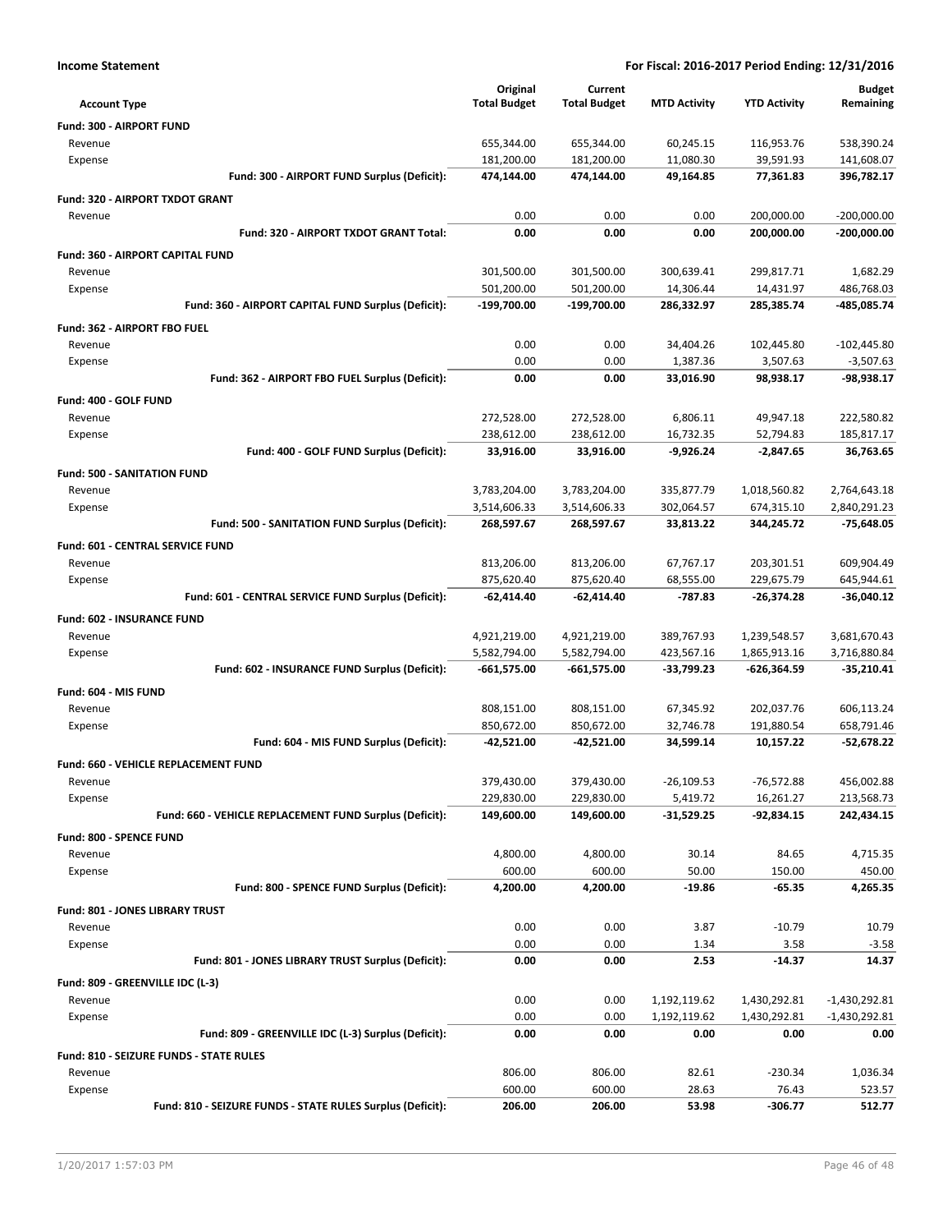| <b>Income Statement</b>                                    | For Fiscal: 2016-2017 Period Ending: 12/31/2016 |                     |                     |                     |                 |
|------------------------------------------------------------|-------------------------------------------------|---------------------|---------------------|---------------------|-----------------|
|                                                            | Original                                        | Current             |                     |                     | <b>Budget</b>   |
| Account Type                                               | <b>Total Budget</b>                             | <b>Total Budget</b> | <b>MTD Activity</b> | <b>YTD Activity</b> | Remaining       |
| Fund: 300 - AIRPORT FUND                                   |                                                 |                     |                     |                     |                 |
| Revenue                                                    | 655,344.00                                      | 655,344.00          | 60,245.15           | 116,953.76          | 538,390.24      |
| Expense                                                    | 181,200.00                                      | 181,200.00          | 11,080.30           | 39,591.93           | 141,608.07      |
| Fund: 300 - AIRPORT FUND Surplus (Deficit):                | 474,144.00                                      | 474,144.00          | 49,164.85           | 77,361.83           | 396,782.17      |
| Fund: 320 - AIRPORT TXDOT GRANT                            |                                                 |                     |                     |                     |                 |
| Revenue                                                    | 0.00                                            | 0.00                | 0.00                | 200,000.00          | $-200,000.00$   |
| Fund: 320 - AIRPORT TXDOT GRANT Total:                     | 0.00                                            | 0.00                | 0.00                | 200,000.00          | $-200,000.00$   |
| Fund: 360 - AIRPORT CAPITAL FUND                           |                                                 |                     |                     |                     |                 |
| Revenue                                                    | 301,500.00                                      | 301,500.00          | 300,639.41          | 299,817.71          | 1,682.29        |
| Expense                                                    | 501,200.00                                      | 501,200.00          | 14,306.44           | 14,431.97           | 486,768.03      |
| Fund: 360 - AIRPORT CAPITAL FUND Surplus (Deficit):        | -199,700.00                                     | -199,700.00         | 286,332.97          | 285,385.74          | -485,085.74     |
| Fund: 362 - AIRPORT FBO FUEL                               |                                                 |                     |                     |                     |                 |
| Revenue                                                    | 0.00                                            | 0.00                | 34,404.26           | 102,445.80          | $-102,445.80$   |
| Expense                                                    | 0.00                                            | 0.00                | 1,387.36            | 3,507.63            | $-3,507.63$     |
| Fund: 362 - AIRPORT FBO FUEL Surplus (Deficit):            | 0.00                                            | 0.00                | 33,016.90           | 98,938.17           | -98,938.17      |
| Fund: 400 - GOLF FUND                                      |                                                 |                     |                     |                     |                 |
| Revenue                                                    | 272,528.00                                      | 272,528.00          | 6,806.11            | 49,947.18           | 222,580.82      |
| Expense                                                    | 238,612.00                                      | 238,612.00          | 16,732.35           | 52,794.83           | 185,817.17      |
| Fund: 400 - GOLF FUND Surplus (Deficit):                   | 33,916.00                                       | 33,916.00           | $-9,926.24$         | $-2,847.65$         | 36,763.65       |
| <b>Fund: 500 - SANITATION FUND</b>                         |                                                 |                     |                     |                     |                 |
| Revenue                                                    | 3,783,204.00                                    | 3,783,204.00        | 335,877.79          | 1,018,560.82        | 2,764,643.18    |
| Expense                                                    | 3,514,606.33                                    | 3,514,606.33        | 302,064.57          | 674,315.10          | 2,840,291.23    |
| Fund: 500 - SANITATION FUND Surplus (Deficit):             | 268,597.67                                      | 268,597.67          | 33,813.22           | 344,245.72          | -75,648.05      |
| Fund: 601 - CENTRAL SERVICE FUND                           |                                                 |                     |                     |                     |                 |
| Revenue                                                    | 813,206.00                                      | 813,206.00          | 67,767.17           | 203,301.51          | 609,904.49      |
| Expense                                                    | 875,620.40                                      | 875,620.40          | 68,555.00           | 229,675.79          | 645,944.61      |
| Fund: 601 - CENTRAL SERVICE FUND Surplus (Deficit):        | -62,414.40                                      | $-62,414.40$        | -787.83             | $-26,374.28$        | $-36,040.12$    |
| Fund: 602 - INSURANCE FUND                                 |                                                 |                     |                     |                     |                 |
| Revenue                                                    | 4,921,219.00                                    | 4,921,219.00        | 389,767.93          | 1,239,548.57        | 3,681,670.43    |
| Expense                                                    | 5,582,794.00                                    | 5,582,794.00        | 423,567.16          | 1,865,913.16        | 3,716,880.84    |
| Fund: 602 - INSURANCE FUND Surplus (Deficit):              | -661,575.00                                     | -661,575.00         | $-33,799.23$        | -626,364.59         | $-35,210.41$    |
| Fund: 604 - MIS FUND                                       |                                                 |                     |                     |                     |                 |
| Revenue                                                    | 808,151.00                                      | 808,151.00          | 67,345.92           | 202,037.76          | 606,113.24      |
| Expense                                                    | 850,672.00                                      | 850,672.00          | 32,746.78           | 191,880.54          | 658,791.46      |
| Fund: 604 - MIS FUND Surplus (Deficit):                    | $-42,521.00$                                    | -42,521.00          | 34,599.14           | 10,157.22           | $-52,678.22$    |
| Fund: 660 - VEHICLE REPLACEMENT FUND                       |                                                 |                     |                     |                     |                 |
| Revenue                                                    | 379,430.00                                      | 379,430.00          | $-26,109.53$        | $-76,572.88$        | 456,002.88      |
| Expense                                                    | 229,830.00                                      | 229,830.00          | 5,419.72            | 16,261.27           | 213,568.73      |
| Fund: 660 - VEHICLE REPLACEMENT FUND Surplus (Deficit):    | 149,600.00                                      | 149,600.00          | $-31,529.25$        | $-92,834.15$        | 242,434.15      |
| Fund: 800 - SPENCE FUND                                    |                                                 |                     |                     |                     |                 |
| Revenue                                                    | 4,800.00                                        | 4,800.00            | 30.14               | 84.65               | 4,715.35        |
| Expense                                                    | 600.00                                          | 600.00              | 50.00               | 150.00              | 450.00          |
| Fund: 800 - SPENCE FUND Surplus (Deficit):                 | 4,200.00                                        | 4,200.00            | -19.86              | $-65.35$            | 4,265.35        |
| Fund: 801 - JONES LIBRARY TRUST                            |                                                 |                     |                     |                     |                 |
| Revenue                                                    | 0.00                                            | 0.00                | 3.87                | $-10.79$            | 10.79           |
| Expense                                                    | 0.00                                            | 0.00                | 1.34                | 3.58                | $-3.58$         |
| Fund: 801 - JONES LIBRARY TRUST Surplus (Deficit):         | 0.00                                            | 0.00                | 2.53                | $-14.37$            | 14.37           |
| Fund: 809 - GREENVILLE IDC (L-3)                           |                                                 |                     |                     |                     |                 |
| Revenue                                                    | 0.00                                            | 0.00                | 1,192,119.62        | 1,430,292.81        | $-1,430,292.81$ |
| Expense                                                    | 0.00                                            | 0.00                | 1,192,119.62        | 1,430,292.81        | $-1,430,292.81$ |
| Fund: 809 - GREENVILLE IDC (L-3) Surplus (Deficit):        | 0.00                                            | 0.00                | 0.00                | 0.00                | 0.00            |
| Fund: 810 - SEIZURE FUNDS - STATE RULES                    |                                                 |                     |                     |                     |                 |
| Revenue                                                    | 806.00                                          | 806.00              | 82.61               | $-230.34$           | 1,036.34        |
| Expense                                                    | 600.00                                          | 600.00              | 28.63               | 76.43               | 523.57          |
| Fund: 810 - SEIZURE FUNDS - STATE RULES Surplus (Deficit): | 206.00                                          | 206.00              | 53.98               | $-306.77$           | 512.77          |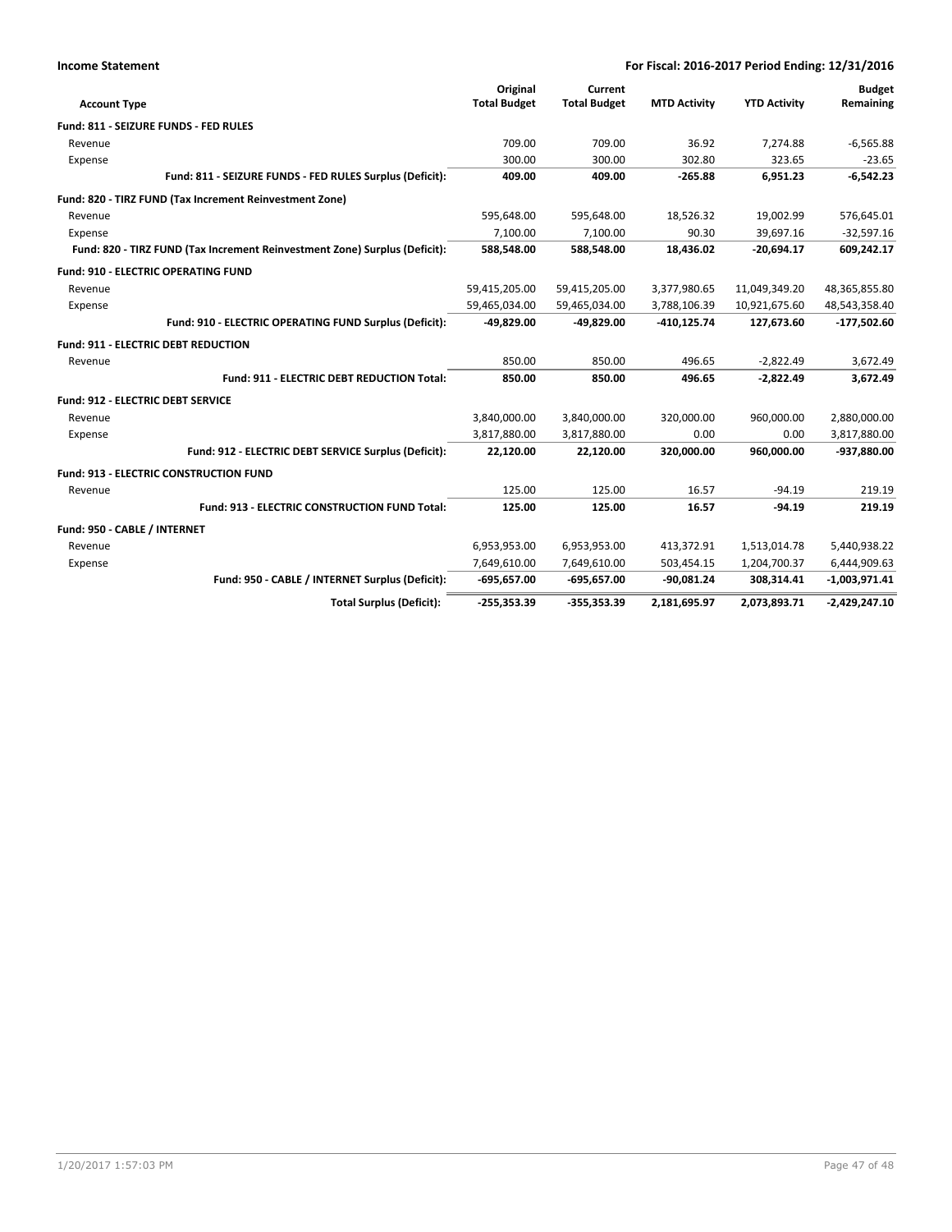| <b>Income Statement</b>                                                    | For Fiscal: 2016-2017 Period Ending: 12/31/2016 |                                |                     |                     |                            |
|----------------------------------------------------------------------------|-------------------------------------------------|--------------------------------|---------------------|---------------------|----------------------------|
| <b>Account Type</b>                                                        | Original<br><b>Total Budget</b>                 | Current<br><b>Total Budget</b> | <b>MTD Activity</b> | <b>YTD Activity</b> | <b>Budget</b><br>Remaining |
| Fund: 811 - SEIZURE FUNDS - FED RULES                                      |                                                 |                                |                     |                     |                            |
| Revenue                                                                    | 709.00                                          | 709.00                         | 36.92               | 7,274.88            | $-6,565.88$                |
| Expense                                                                    | 300.00                                          | 300.00                         | 302.80              | 323.65              | $-23.65$                   |
| Fund: 811 - SEIZURE FUNDS - FED RULES Surplus (Deficit):                   | 409.00                                          | 409.00                         | $-265.88$           | 6,951.23            | $-6,542.23$                |
| Fund: 820 - TIRZ FUND (Tax Increment Reinvestment Zone)                    |                                                 |                                |                     |                     |                            |
| Revenue                                                                    | 595,648.00                                      | 595,648.00                     | 18,526.32           | 19,002.99           | 576,645.01                 |
| Expense                                                                    | 7,100.00                                        | 7,100.00                       | 90.30               | 39,697.16           | $-32,597.16$               |
| Fund: 820 - TIRZ FUND (Tax Increment Reinvestment Zone) Surplus (Deficit): | 588,548.00                                      | 588,548.00                     | 18,436.02           | $-20,694.17$        | 609,242.17                 |
| <b>Fund: 910 - ELECTRIC OPERATING FUND</b>                                 |                                                 |                                |                     |                     |                            |
| Revenue                                                                    | 59,415,205.00                                   | 59,415,205.00                  | 3,377,980.65        | 11,049,349.20       | 48,365,855.80              |
| Expense                                                                    | 59,465,034.00                                   | 59,465,034.00                  | 3,788,106.39        | 10,921,675.60       | 48,543,358.40              |
| Fund: 910 - ELECTRIC OPERATING FUND Surplus (Deficit):                     | $-49,829.00$                                    | -49.829.00                     | $-410, 125.74$      | 127,673.60          | $-177,502.60$              |
| Fund: 911 - ELECTRIC DEBT REDUCTION                                        |                                                 |                                |                     |                     |                            |
| Revenue                                                                    | 850.00                                          | 850.00                         | 496.65              | $-2,822.49$         | 3,672.49                   |
| Fund: 911 - ELECTRIC DEBT REDUCTION Total:                                 | 850.00                                          | 850.00                         | 496.65              | $-2,822.49$         | 3,672.49                   |
| <b>Fund: 912 - ELECTRIC DEBT SERVICE</b>                                   |                                                 |                                |                     |                     |                            |
| Revenue                                                                    | 3,840,000.00                                    | 3,840,000.00                   | 320,000.00          | 960,000.00          | 2,880,000.00               |
| Expense                                                                    | 3,817,880.00                                    | 3,817,880.00                   | 0.00                | 0.00                | 3,817,880.00               |
| Fund: 912 - ELECTRIC DEBT SERVICE Surplus (Deficit):                       | 22,120.00                                       | 22,120.00                      | 320,000.00          | 960,000.00          | -937,880.00                |
| Fund: 913 - ELECTRIC CONSTRUCTION FUND                                     |                                                 |                                |                     |                     |                            |
| Revenue                                                                    | 125.00                                          | 125.00                         | 16.57               | $-94.19$            | 219.19                     |
| Fund: 913 - ELECTRIC CONSTRUCTION FUND Total:                              | 125.00                                          | 125.00                         | 16.57               | $-94.19$            | 219.19                     |
| Fund: 950 - CABLE / INTERNET                                               |                                                 |                                |                     |                     |                            |
| Revenue                                                                    | 6,953,953.00                                    | 6,953,953.00                   | 413,372.91          | 1,513,014.78        | 5,440,938.22               |
| Expense                                                                    | 7,649,610.00                                    | 7,649,610.00                   | 503,454.15          | 1,204,700.37        | 6,444,909.63               |
| Fund: 950 - CABLE / INTERNET Surplus (Deficit):                            | $-695,657.00$                                   | $-695,657.00$                  | $-90,081.24$        | 308,314.41          | $-1,003,971.41$            |
| <b>Total Surplus (Deficit):</b>                                            | $-255,353.39$                                   | $-355,353.39$                  | 2,181,695.97        | 2,073,893.71        | $-2,429,247.10$            |